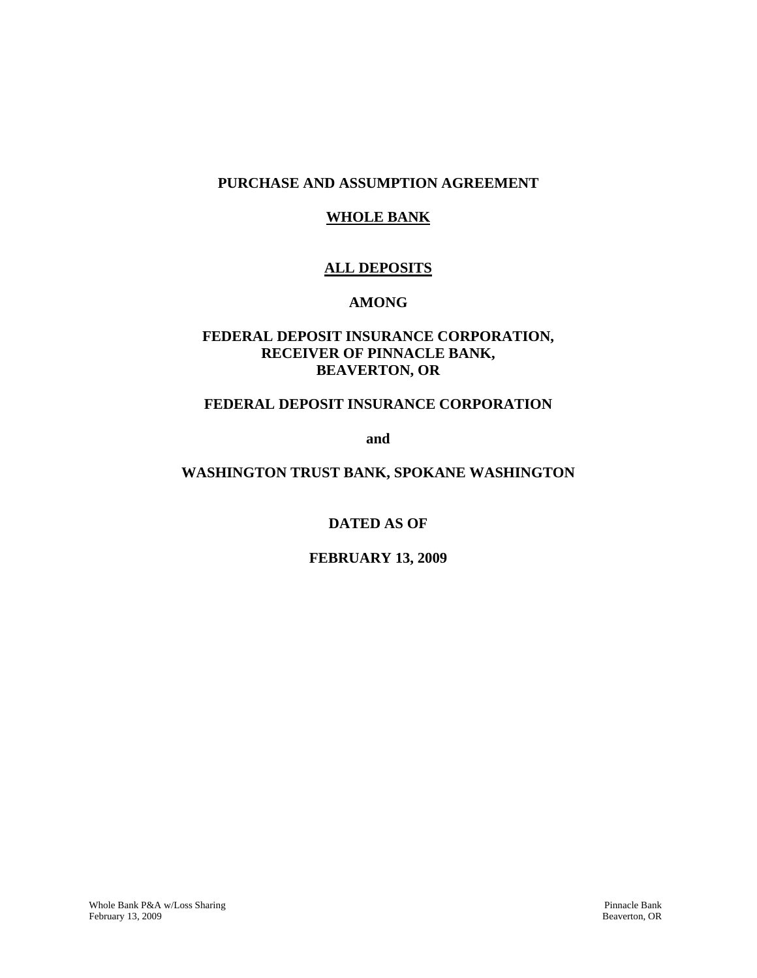#### **PURCHASE AND ASSUMPTION AGREEMENT**

### **WHOLE BANK**

### **ALL DEPOSITS**

### **AMONG**

### **FEDERAL DEPOSIT INSURANCE CORPORATION, RECEIVER OF PINNACLE BANK, BEAVERTON, OR**

#### **FEDERAL DEPOSIT INSURANCE CORPORATION**

**and** 

### **WASHINGTON TRUST BANK, SPOKANE WASHINGTON**

**DATED AS OF**

**FEBRUARY 13, 2009**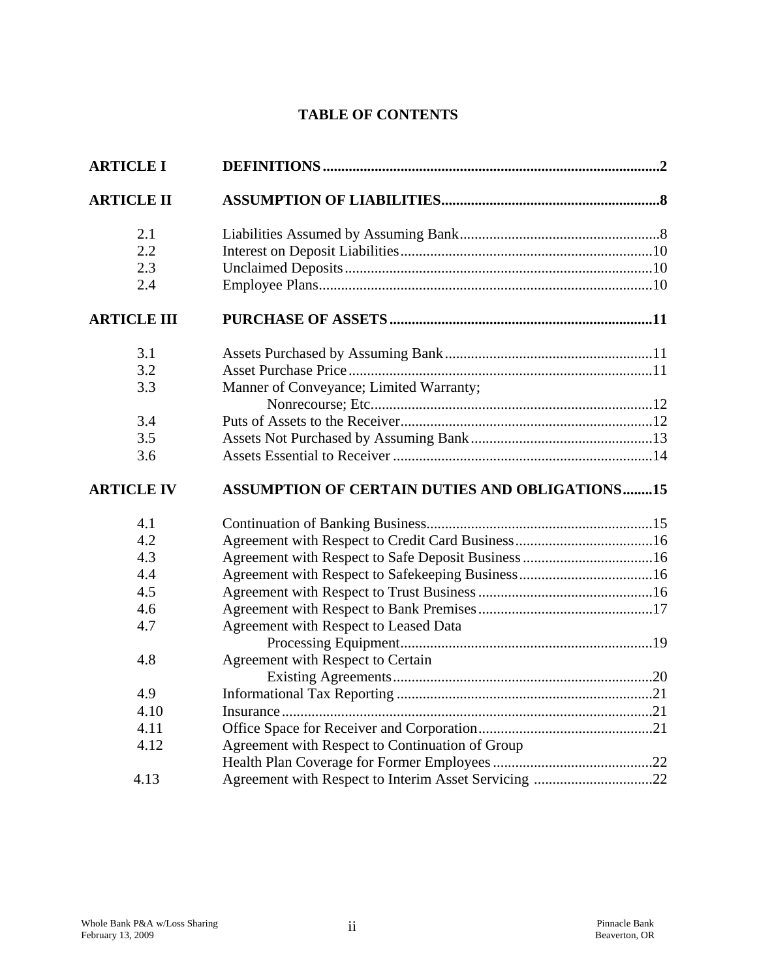# **TABLE OF CONTENTS**

| <b>ARTICLE I</b>   |                                                       |
|--------------------|-------------------------------------------------------|
| <b>ARTICLE II</b>  |                                                       |
| 2.1                |                                                       |
| 2.2                |                                                       |
| 2.3                |                                                       |
| 2.4                |                                                       |
| <b>ARTICLE III</b> |                                                       |
| 3.1                |                                                       |
| 3.2                |                                                       |
| 3.3                | Manner of Conveyance; Limited Warranty;               |
|                    |                                                       |
| 3.4                |                                                       |
| 3.5                |                                                       |
| 3.6                |                                                       |
| <b>ARTICLE IV</b>  | <b>ASSUMPTION OF CERTAIN DUTIES AND OBLIGATIONS15</b> |
| 4.1                |                                                       |
| 4.2                |                                                       |
| 4.3                |                                                       |
| 4.4                |                                                       |
| 4.5                |                                                       |
| 4.6                |                                                       |
| 4.7                | Agreement with Respect to Leased Data                 |
|                    |                                                       |
| 4.8                | Agreement with Respect to Certain                     |
|                    |                                                       |
|                    |                                                       |
| 4.9                |                                                       |
| 4.10               |                                                       |
| 4.11               |                                                       |
| 4.12               | Agreement with Respect to Continuation of Group       |
|                    |                                                       |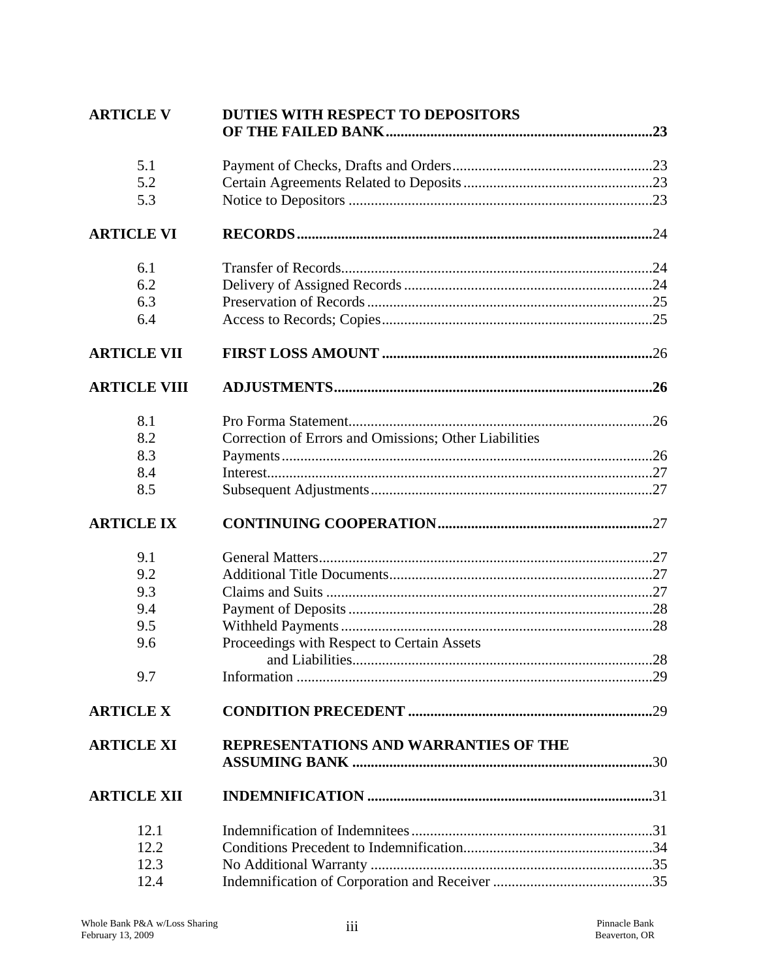| <b>ARTICLE V</b>    | <b>DUTIES WITH RESPECT TO DEPOSITORS</b>              |  |
|---------------------|-------------------------------------------------------|--|
|                     |                                                       |  |
| 5.1                 |                                                       |  |
| 5.2                 |                                                       |  |
| 5.3                 |                                                       |  |
| <b>ARTICLE VI</b>   |                                                       |  |
| 6.1                 |                                                       |  |
| 6.2                 |                                                       |  |
| 6.3                 |                                                       |  |
| 6.4                 |                                                       |  |
| <b>ARTICLE VII</b>  |                                                       |  |
| <b>ARTICLE VIII</b> |                                                       |  |
| 8.1                 |                                                       |  |
| 8.2                 | Correction of Errors and Omissions; Other Liabilities |  |
| 8.3                 |                                                       |  |
| 8.4                 |                                                       |  |
| 8.5                 |                                                       |  |
| <b>ARTICLE IX</b>   |                                                       |  |
| 9.1                 |                                                       |  |
| 9.2                 |                                                       |  |
| 9.3                 |                                                       |  |
| 9.4                 |                                                       |  |
| 9.5                 |                                                       |  |
| 9.6                 | Proceedings with Respect to Certain Assets            |  |
|                     |                                                       |  |
| 9.7                 |                                                       |  |
| <b>ARTICLE X</b>    |                                                       |  |
| <b>ARTICLE XI</b>   | REPRESENTATIONS AND WARRANTIES OF THE                 |  |
| <b>ARTICLE XII</b>  |                                                       |  |
| 12.1                |                                                       |  |
| 12.2                |                                                       |  |
| 12.3                |                                                       |  |
| 12.4                |                                                       |  |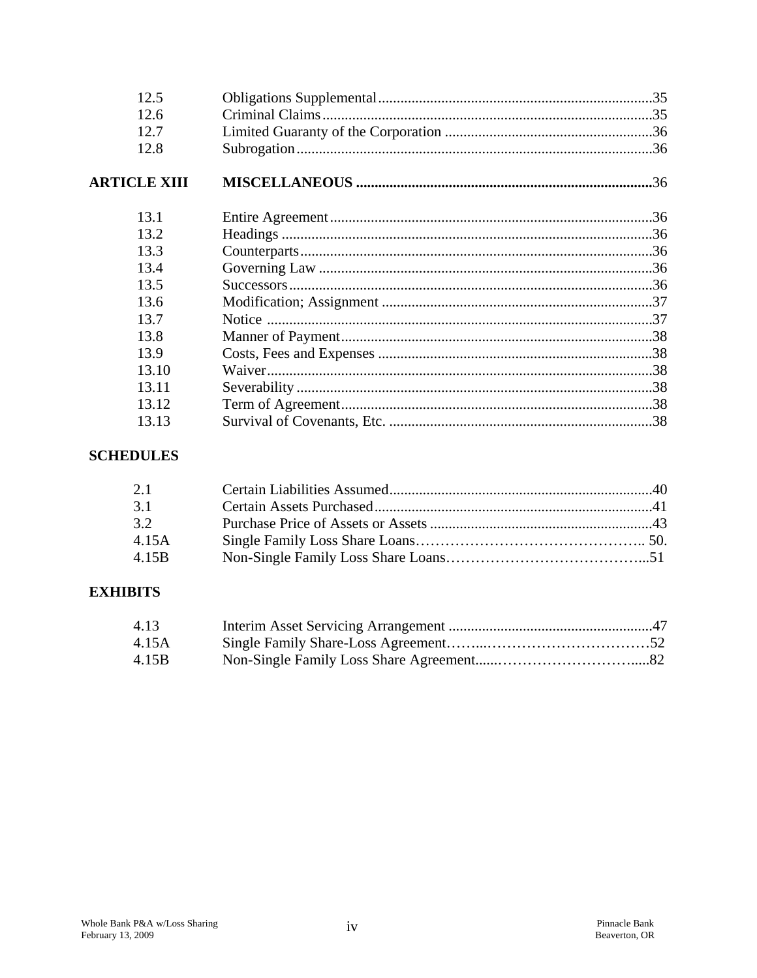| 12.5                |  |
|---------------------|--|
| 12.6                |  |
| 12.7                |  |
| 12.8                |  |
| <b>ARTICLE XIII</b> |  |
| 13.1                |  |
| 13.2                |  |
| 13.3                |  |
| 13.4                |  |
| 13.5                |  |
| 13.6                |  |
| 13.7                |  |
| 13.8                |  |
| 13.9                |  |
| 13.10               |  |
| 13.11               |  |
| 13.12               |  |
| 13.13               |  |

## **SCHEDULES**

| 2.1   |  |
|-------|--|
| 3.1   |  |
| 3.2   |  |
| 4.15A |  |
| 4.15B |  |

# **EXHIBITS**

| 4.13  |  |
|-------|--|
| 4.15A |  |
| 4.15B |  |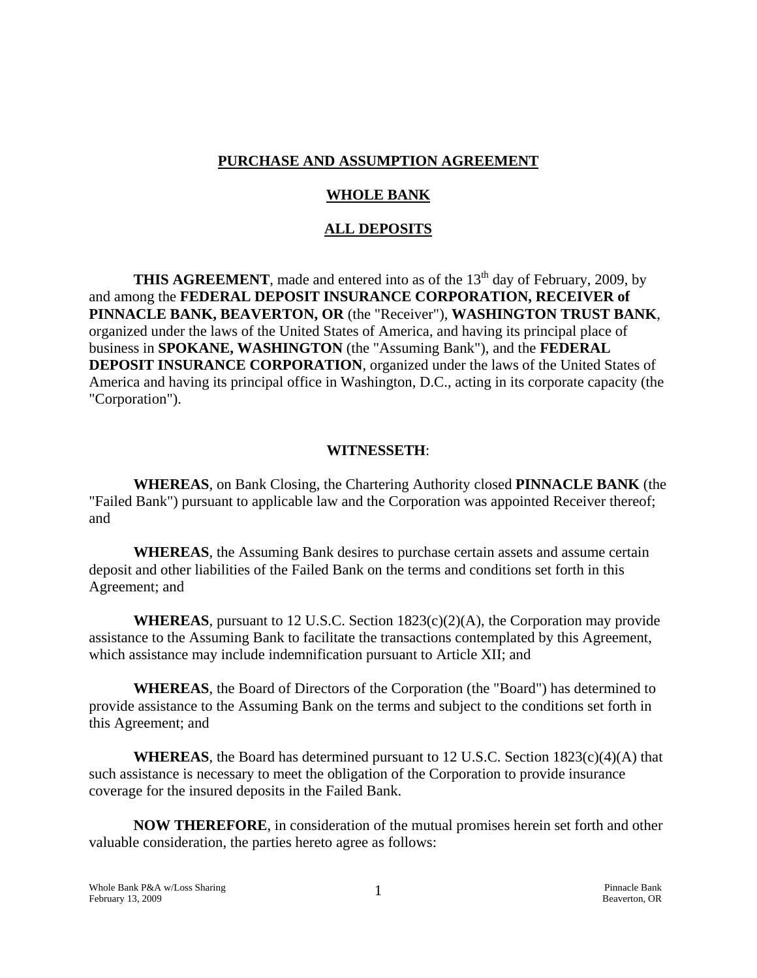#### **PURCHASE AND ASSUMPTION AGREEMENT**

#### **WHOLE BANK**

#### **ALL DEPOSITS**

**THIS AGREEMENT**, made and entered into as of the 13<sup>th</sup> day of February, 2009, by and among the **FEDERAL DEPOSIT INSURANCE CORPORATION, RECEIVER of PINNACLE BANK, BEAVERTON, OR** (the "Receiver"), **WASHINGTON TRUST BANK**, organized under the laws of the United States of America, and having its principal place of business in **SPOKANE, WASHINGTON** (the "Assuming Bank"), and the **FEDERAL DEPOSIT INSURANCE CORPORATION**, organized under the laws of the United States of America and having its principal office in Washington, D.C., acting in its corporate capacity (the "Corporation").

#### **WITNESSETH**:

**WHEREAS**, on Bank Closing, the Chartering Authority closed **PINNACLE BANK** (the "Failed Bank") pursuant to applicable law and the Corporation was appointed Receiver thereof; and

**WHEREAS**, the Assuming Bank desires to purchase certain assets and assume certain deposit and other liabilities of the Failed Bank on the terms and conditions set forth in this Agreement; and

**WHEREAS**, pursuant to 12 U.S.C. Section 1823(c)(2)(A), the Corporation may provide assistance to the Assuming Bank to facilitate the transactions contemplated by this Agreement, which assistance may include indemnification pursuant to Article XII; and

**WHEREAS**, the Board of Directors of the Corporation (the "Board") has determined to provide assistance to the Assuming Bank on the terms and subject to the conditions set forth in this Agreement; and

**WHEREAS**, the Board has determined pursuant to 12 U.S.C. Section 1823(c)(4)(A) that such assistance is necessary to meet the obligation of the Corporation to provide insurance coverage for the insured deposits in the Failed Bank.

 **NOW THEREFORE**, in consideration of the mutual promises herein set forth and other valuable consideration, the parties hereto agree as follows: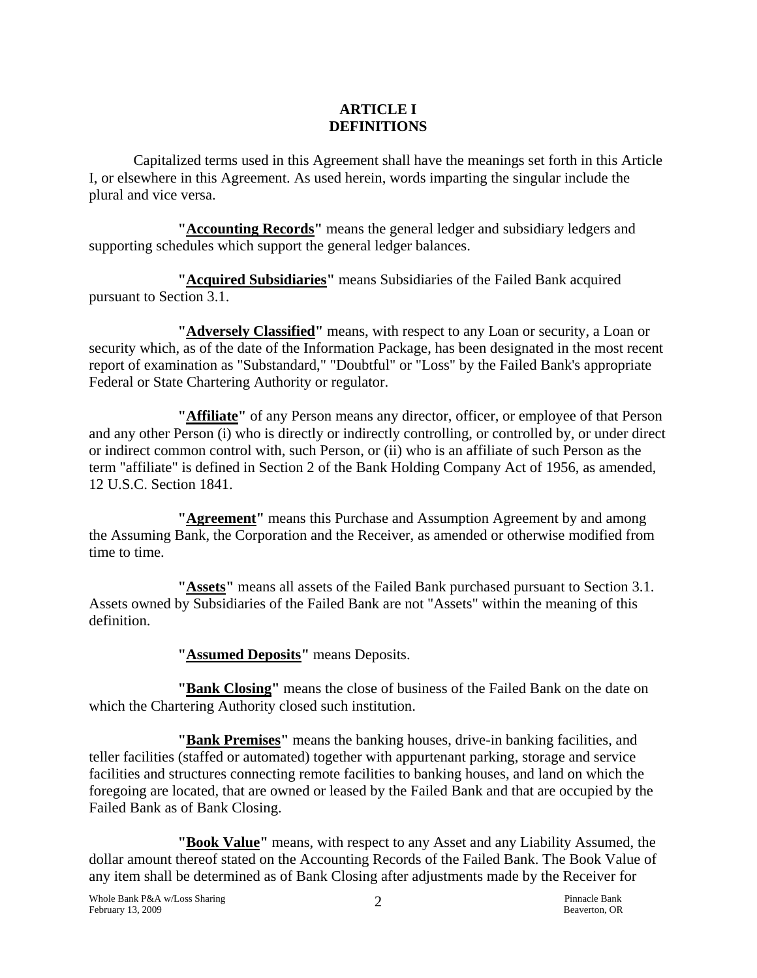### **ARTICLE I DEFINITIONS**

<span id="page-5-0"></span>Capitalized terms used in this Agreement shall have the meanings set forth in this Article I, or elsewhere in this Agreement. As used herein, words imparting the singular include the plural and vice versa.

**"Accounting Records"** means the general ledger and subsidiary ledgers and supporting schedules which support the general ledger balances.

**"Acquired Subsidiaries"** means Subsidiaries of the Failed Bank acquired pursuant to Section 3.1.

**"Adversely Classified"** means, with respect to any Loan or security, a Loan or security which, as of the date of the Information Package, has been designated in the most recent report of examination as "Substandard," "Doubtful" or "Loss" by the Failed Bank's appropriate Federal or State Chartering Authority or regulator.

**"Affiliate"** of any Person means any director, officer, or employee of that Person and any other Person (i) who is directly or indirectly controlling, or controlled by, or under direct or indirect common control with, such Person, or (ii) who is an affiliate of such Person as the term "affiliate" is defined in Section 2 of the Bank Holding Company Act of 1956, as amended, 12 U.S.C. Section 1841.

**"Agreement"** means this Purchase and Assumption Agreement by and among the Assuming Bank, the Corporation and the Receiver, as amended or otherwise modified from time to time.

**"Assets"** means all assets of the Failed Bank purchased pursuant to Section 3.1. Assets owned by Subsidiaries of the Failed Bank are not "Assets" within the meaning of this definition.

**"Assumed Deposits"** means Deposits.

**"Bank Closing"** means the close of business of the Failed Bank on the date on which the Chartering Authority closed such institution.

**"Bank Premises"** means the banking houses, drive-in banking facilities, and teller facilities (staffed or automated) together with appurtenant parking, storage and service facilities and structures connecting remote facilities to banking houses, and land on which the foregoing are located, that are owned or leased by the Failed Bank and that are occupied by the Failed Bank as of Bank Closing.

**"Book Value"** means, with respect to any Asset and any Liability Assumed, the dollar amount thereof stated on the Accounting Records of the Failed Bank. The Book Value of any item shall be determined as of Bank Closing after adjustments made by the Receiver for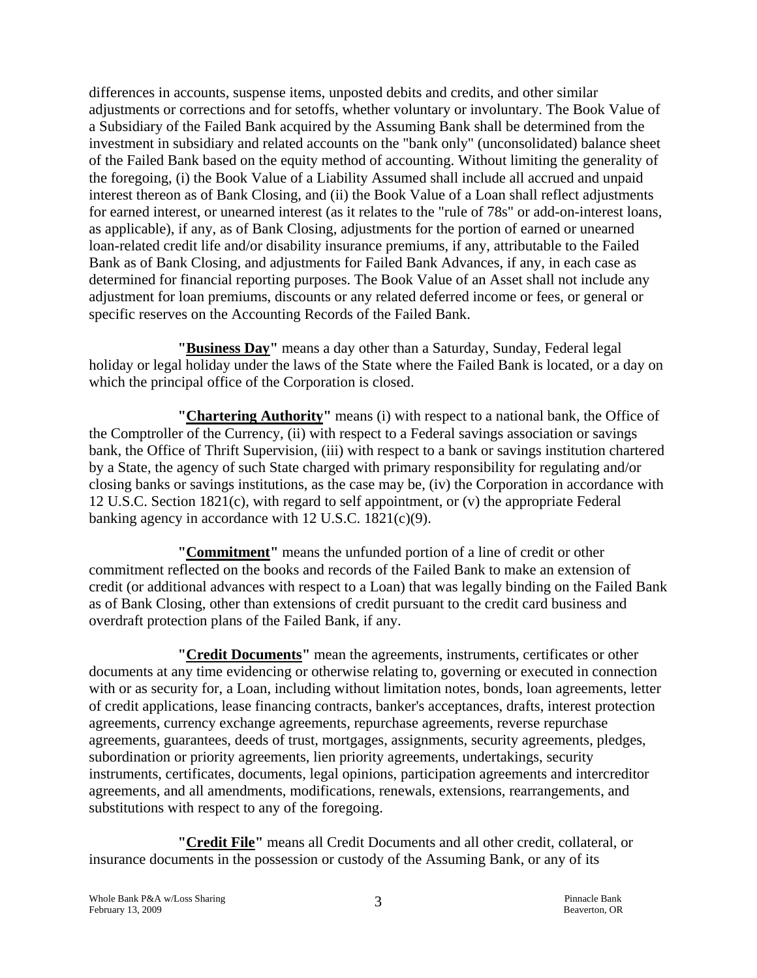differences in accounts, suspense items, unposted debits and credits, and other similar adjustments or corrections and for setoffs, whether voluntary or involuntary. The Book Value of a Subsidiary of the Failed Bank acquired by the Assuming Bank shall be determined from the investment in subsidiary and related accounts on the "bank only" (unconsolidated) balance sheet of the Failed Bank based on the equity method of accounting. Without limiting the generality of the foregoing, (i) the Book Value of a Liability Assumed shall include all accrued and unpaid interest thereon as of Bank Closing, and (ii) the Book Value of a Loan shall reflect adjustments for earned interest, or unearned interest (as it relates to the "rule of 78s" or add-on-interest loans, as applicable), if any, as of Bank Closing, adjustments for the portion of earned or unearned loan-related credit life and/or disability insurance premiums, if any, attributable to the Failed Bank as of Bank Closing, and adjustments for Failed Bank Advances, if any, in each case as determined for financial reporting purposes. The Book Value of an Asset shall not include any adjustment for loan premiums, discounts or any related deferred income or fees, or general or specific reserves on the Accounting Records of the Failed Bank.

**"Business Day"** means a day other than a Saturday, Sunday, Federal legal holiday or legal holiday under the laws of the State where the Failed Bank is located, or a day on which the principal office of the Corporation is closed.

**"Chartering Authority"** means (i) with respect to a national bank, the Office of the Comptroller of the Currency, (ii) with respect to a Federal savings association or savings bank, the Office of Thrift Supervision, (iii) with respect to a bank or savings institution chartered by a State, the agency of such State charged with primary responsibility for regulating and/or closing banks or savings institutions, as the case may be, (iv) the Corporation in accordance with 12 U.S.C. Section 1821(c), with regard to self appointment, or (v) the appropriate Federal banking agency in accordance with 12 U.S.C. 1821(c)(9).

**"Commitment"** means the unfunded portion of a line of credit or other commitment reflected on the books and records of the Failed Bank to make an extension of credit (or additional advances with respect to a Loan) that was legally binding on the Failed Bank as of Bank Closing, other than extensions of credit pursuant to the credit card business and overdraft protection plans of the Failed Bank, if any.

**"Credit Documents"** mean the agreements, instruments, certificates or other documents at any time evidencing or otherwise relating to, governing or executed in connection with or as security for, a Loan, including without limitation notes, bonds, loan agreements, letter of credit applications, lease financing contracts, banker's acceptances, drafts, interest protection agreements, currency exchange agreements, repurchase agreements, reverse repurchase agreements, guarantees, deeds of trust, mortgages, assignments, security agreements, pledges, subordination or priority agreements, lien priority agreements, undertakings, security instruments, certificates, documents, legal opinions, participation agreements and intercreditor agreements, and all amendments, modifications, renewals, extensions, rearrangements, and substitutions with respect to any of the foregoing.

**"Credit File"** means all Credit Documents and all other credit, collateral, or insurance documents in the possession or custody of the Assuming Bank, or any of its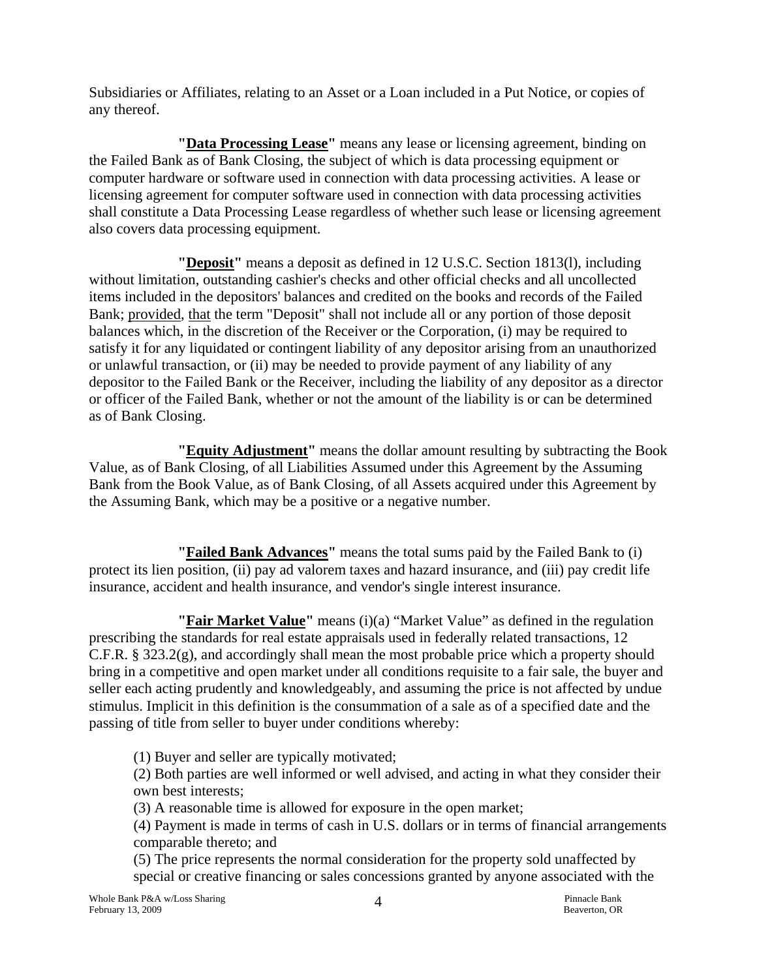Subsidiaries or Affiliates, relating to an Asset or a Loan included in a Put Notice, or copies of any thereof.

**"Data Processing Lease"** means any lease or licensing agreement, binding on the Failed Bank as of Bank Closing, the subject of which is data processing equipment or computer hardware or software used in connection with data processing activities. A lease or licensing agreement for computer software used in connection with data processing activities shall constitute a Data Processing Lease regardless of whether such lease or licensing agreement also covers data processing equipment.

**"Deposit"** means a deposit as defined in 12 U.S.C. Section 1813(l), including without limitation, outstanding cashier's checks and other official checks and all uncollected items included in the depositors' balances and credited on the books and records of the Failed Bank; provided, that the term "Deposit" shall not include all or any portion of those deposit balances which, in the discretion of the Receiver or the Corporation, (i) may be required to satisfy it for any liquidated or contingent liability of any depositor arising from an unauthorized or unlawful transaction, or (ii) may be needed to provide payment of any liability of any depositor to the Failed Bank or the Receiver, including the liability of any depositor as a director or officer of the Failed Bank, whether or not the amount of the liability is or can be determined as of Bank Closing.

**"Equity Adjustment"** means the dollar amount resulting by subtracting the Book Value, as of Bank Closing, of all Liabilities Assumed under this Agreement by the Assuming Bank from the Book Value, as of Bank Closing, of all Assets acquired under this Agreement by the Assuming Bank, which may be a positive or a negative number.

**"Failed Bank Advances"** means the total sums paid by the Failed Bank to (i) protect its lien position, (ii) pay ad valorem taxes and hazard insurance, and (iii) pay credit life insurance, accident and health insurance, and vendor's single interest insurance.

**"Fair Market Value"** means (i)(a) "Market Value" as defined in the regulation prescribing the standards for real estate appraisals used in federally related transactions, 12 C.F.R. § 323.2(g), and accordingly shall mean the most probable price which a property should bring in a competitive and open market under all conditions requisite to a fair sale, the buyer and seller each acting prudently and knowledgeably, and assuming the price is not affected by undue stimulus. Implicit in this definition is the consummation of a sale as of a specified date and the passing of title from seller to buyer under conditions whereby:

(1) Buyer and seller are typically motivated;

(2) Both parties are well informed or well advised, and acting in what they consider their own best interests;

(3) A reasonable time is allowed for exposure in the open market;

(4) Payment is made in terms of cash in U.S. dollars or in terms of financial arrangements comparable thereto; and

(5) The price represents the normal consideration for the property sold unaffected by special or creative financing or sales concessions granted by anyone associated with the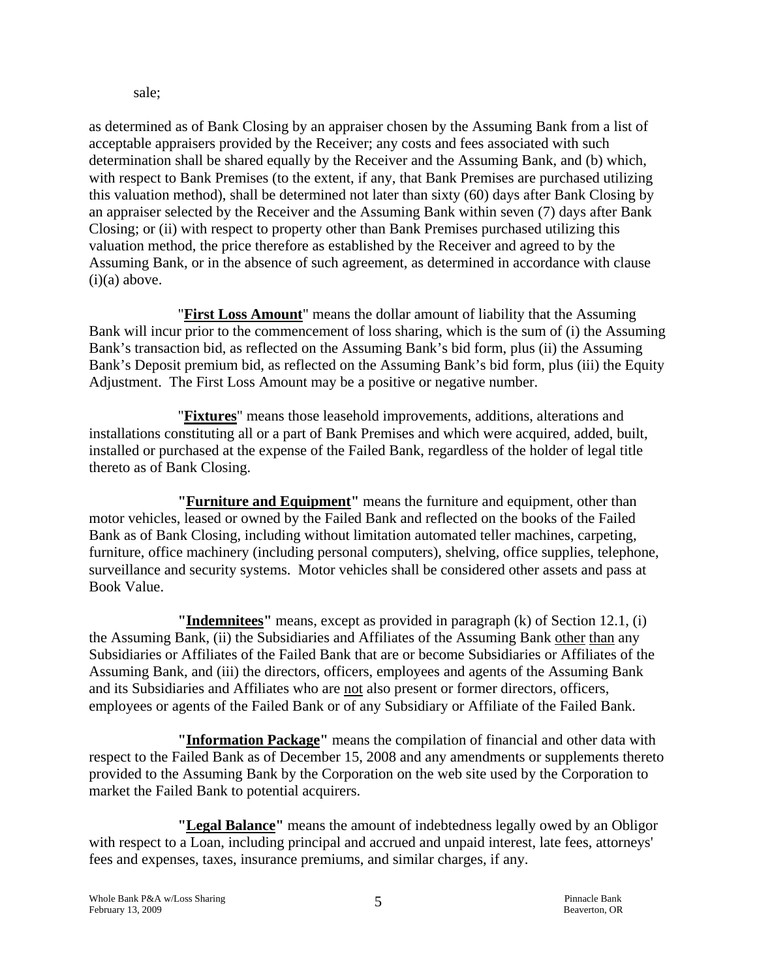#### sale;

as determined as of Bank Closing by an appraiser chosen by the Assuming Bank from a list of acceptable appraisers provided by the Receiver; any costs and fees associated with such determination shall be shared equally by the Receiver and the Assuming Bank, and (b) which, with respect to Bank Premises (to the extent, if any, that Bank Premises are purchased utilizing this valuation method), shall be determined not later than sixty (60) days after Bank Closing by an appraiser selected by the Receiver and the Assuming Bank within seven (7) days after Bank Closing; or (ii) with respect to property other than Bank Premises purchased utilizing this valuation method, the price therefore as established by the Receiver and agreed to by the Assuming Bank, or in the absence of such agreement, as determined in accordance with clause  $(i)(a)$  above.

"**First Loss Amount**" means the dollar amount of liability that the Assuming Bank will incur prior to the commencement of loss sharing, which is the sum of (i) the Assuming Bank's transaction bid, as reflected on the Assuming Bank's bid form, plus (ii) the Assuming Bank's Deposit premium bid, as reflected on the Assuming Bank's bid form, plus (iii) the Equity Adjustment. The First Loss Amount may be a positive or negative number.

"**Fixtures**" means those leasehold improvements, additions, alterations and installations constituting all or a part of Bank Premises and which were acquired, added, built, installed or purchased at the expense of the Failed Bank, regardless of the holder of legal title thereto as of Bank Closing.

**"Furniture and Equipment"** means the furniture and equipment, other than motor vehicles, leased or owned by the Failed Bank and reflected on the books of the Failed Bank as of Bank Closing, including without limitation automated teller machines, carpeting, furniture, office machinery (including personal computers), shelving, office supplies, telephone, surveillance and security systems. Motor vehicles shall be considered other assets and pass at Book Value.

**"Indemnitees"** means, except as provided in paragraph (k) of Section 12.1, (i) the Assuming Bank, (ii) the Subsidiaries and Affiliates of the Assuming Bank other than any Subsidiaries or Affiliates of the Failed Bank that are or become Subsidiaries or Affiliates of the Assuming Bank, and (iii) the directors, officers, employees and agents of the Assuming Bank and its Subsidiaries and Affiliates who are not also present or former directors, officers, employees or agents of the Failed Bank or of any Subsidiary or Affiliate of the Failed Bank.

**"Information Package"** means the compilation of financial and other data with respect to the Failed Bank as of December 15, 2008 and any amendments or supplements thereto provided to the Assuming Bank by the Corporation on the web site used by the Corporation to market the Failed Bank to potential acquirers.

**"Legal Balance"** means the amount of indebtedness legally owed by an Obligor with respect to a Loan, including principal and accrued and unpaid interest, late fees, attorneys' fees and expenses, taxes, insurance premiums, and similar charges, if any.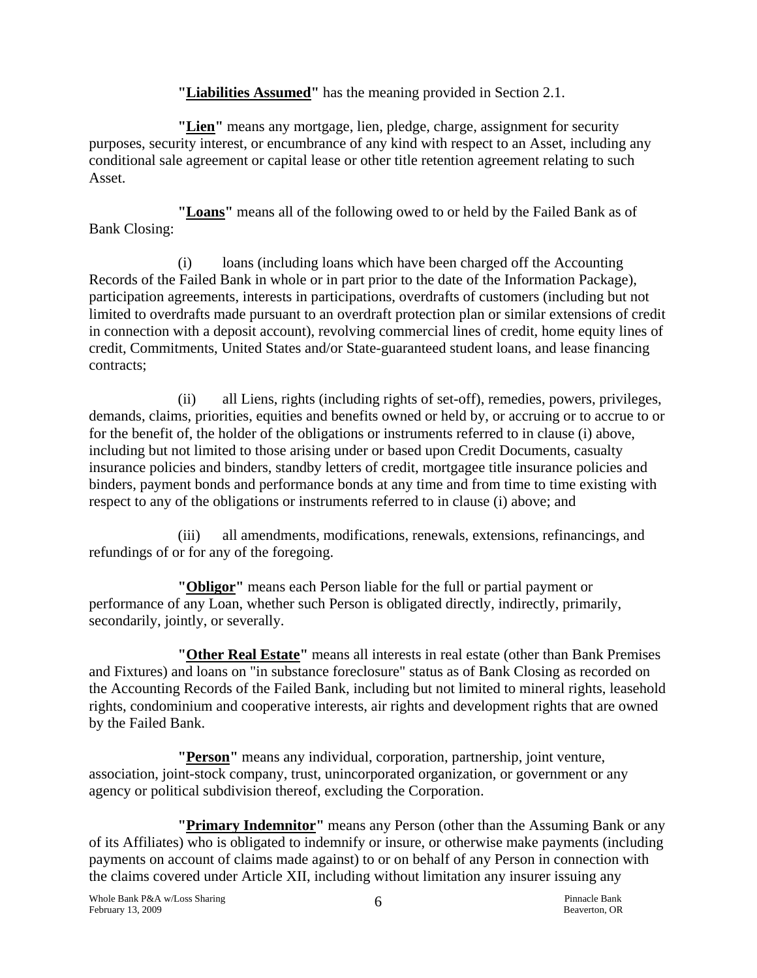**"Liabilities Assumed"** has the meaning provided in Section 2.1.

**"Lien"** means any mortgage, lien, pledge, charge, assignment for security purposes, security interest, or encumbrance of any kind with respect to an Asset, including any conditional sale agreement or capital lease or other title retention agreement relating to such Asset.

**"Loans"** means all of the following owed to or held by the Failed Bank as of Bank Closing:

(i) loans (including loans which have been charged off the Accounting Records of the Failed Bank in whole or in part prior to the date of the Information Package), participation agreements, interests in participations, overdrafts of customers (including but not limited to overdrafts made pursuant to an overdraft protection plan or similar extensions of credit in connection with a deposit account), revolving commercial lines of credit, home equity lines of credit, Commitments, United States and/or State-guaranteed student loans, and lease financing contracts;

(ii) all Liens, rights (including rights of set-off), remedies, powers, privileges, demands, claims, priorities, equities and benefits owned or held by, or accruing or to accrue to or for the benefit of, the holder of the obligations or instruments referred to in clause (i) above, including but not limited to those arising under or based upon Credit Documents, casualty insurance policies and binders, standby letters of credit, mortgagee title insurance policies and binders, payment bonds and performance bonds at any time and from time to time existing with respect to any of the obligations or instruments referred to in clause (i) above; and

(iii) all amendments, modifications, renewals, extensions, refinancings, and refundings of or for any of the foregoing.

**"Obligor"** means each Person liable for the full or partial payment or performance of any Loan, whether such Person is obligated directly, indirectly, primarily, secondarily, jointly, or severally.

**"Other Real Estate"** means all interests in real estate (other than Bank Premises and Fixtures) and loans on "in substance foreclosure" status as of Bank Closing as recorded on the Accounting Records of the Failed Bank, including but not limited to mineral rights, leasehold rights, condominium and cooperative interests, air rights and development rights that are owned by the Failed Bank.

**"Person"** means any individual, corporation, partnership, joint venture, association, joint-stock company, trust, unincorporated organization, or government or any agency or political subdivision thereof, excluding the Corporation.

**"Primary Indemnitor"** means any Person (other than the Assuming Bank or any of its Affiliates) who is obligated to indemnify or insure, or otherwise make payments (including payments on account of claims made against) to or on behalf of any Person in connection with the claims covered under Article XII, including without limitation any insurer issuing any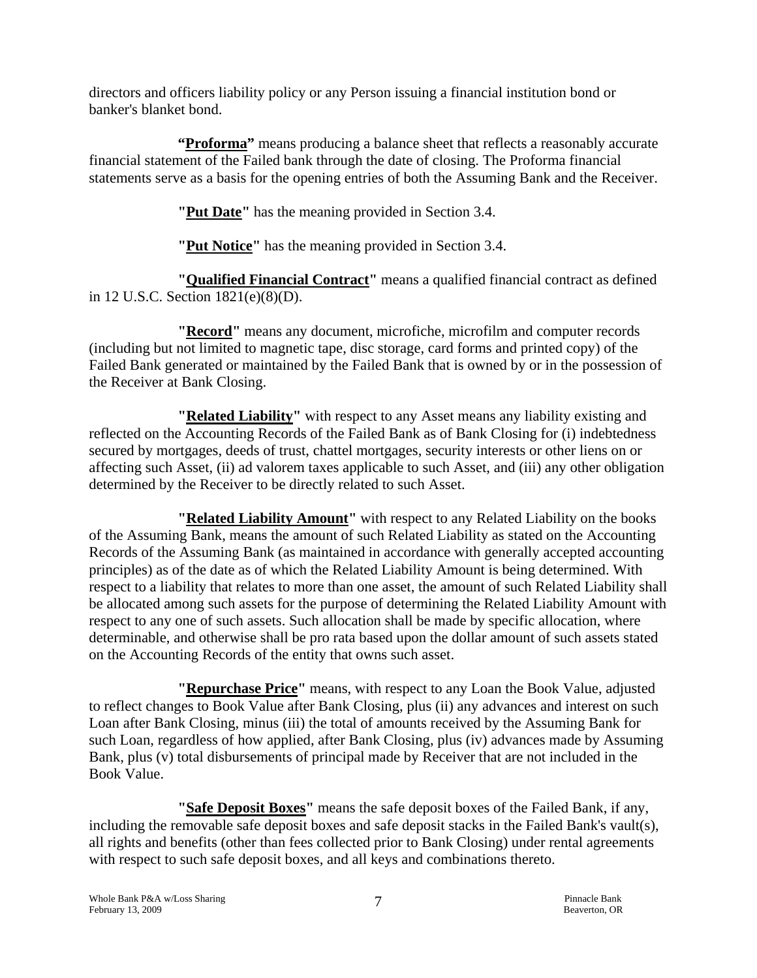directors and officers liability policy or any Person issuing a financial institution bond or banker's blanket bond.

**"Proforma"** means producing a balance sheet that reflects a reasonably accurate financial statement of the Failed bank through the date of closing. The Proforma financial statements serve as a basis for the opening entries of both the Assuming Bank and the Receiver.

**"Put Date"** has the meaning provided in Section 3.4.

**"Put Notice"** has the meaning provided in Section 3.4.

**"Qualified Financial Contract"** means a qualified financial contract as defined in 12 U.S.C. Section 1821(e)(8)(D).

**"Record"** means any document, microfiche, microfilm and computer records (including but not limited to magnetic tape, disc storage, card forms and printed copy) of the Failed Bank generated or maintained by the Failed Bank that is owned by or in the possession of the Receiver at Bank Closing.

**"Related Liability"** with respect to any Asset means any liability existing and reflected on the Accounting Records of the Failed Bank as of Bank Closing for (i) indebtedness secured by mortgages, deeds of trust, chattel mortgages, security interests or other liens on or affecting such Asset, (ii) ad valorem taxes applicable to such Asset, and (iii) any other obligation determined by the Receiver to be directly related to such Asset.

**"Related Liability Amount"** with respect to any Related Liability on the books of the Assuming Bank, means the amount of such Related Liability as stated on the Accounting Records of the Assuming Bank (as maintained in accordance with generally accepted accounting principles) as of the date as of which the Related Liability Amount is being determined. With respect to a liability that relates to more than one asset, the amount of such Related Liability shall be allocated among such assets for the purpose of determining the Related Liability Amount with respect to any one of such assets. Such allocation shall be made by specific allocation, where determinable, and otherwise shall be pro rata based upon the dollar amount of such assets stated on the Accounting Records of the entity that owns such asset.

 **"Repurchase Price"** means, with respect to any Loan the Book Value, adjusted to reflect changes to Book Value after Bank Closing, plus (ii) any advances and interest on such Loan after Bank Closing, minus (iii) the total of amounts received by the Assuming Bank for such Loan, regardless of how applied, after Bank Closing, plus (iv) advances made by Assuming Bank, plus (v) total disbursements of principal made by Receiver that are not included in the Book Value.

**"Safe Deposit Boxes"** means the safe deposit boxes of the Failed Bank, if any, including the removable safe deposit boxes and safe deposit stacks in the Failed Bank's vault(s), all rights and benefits (other than fees collected prior to Bank Closing) under rental agreements with respect to such safe deposit boxes, and all keys and combinations thereto.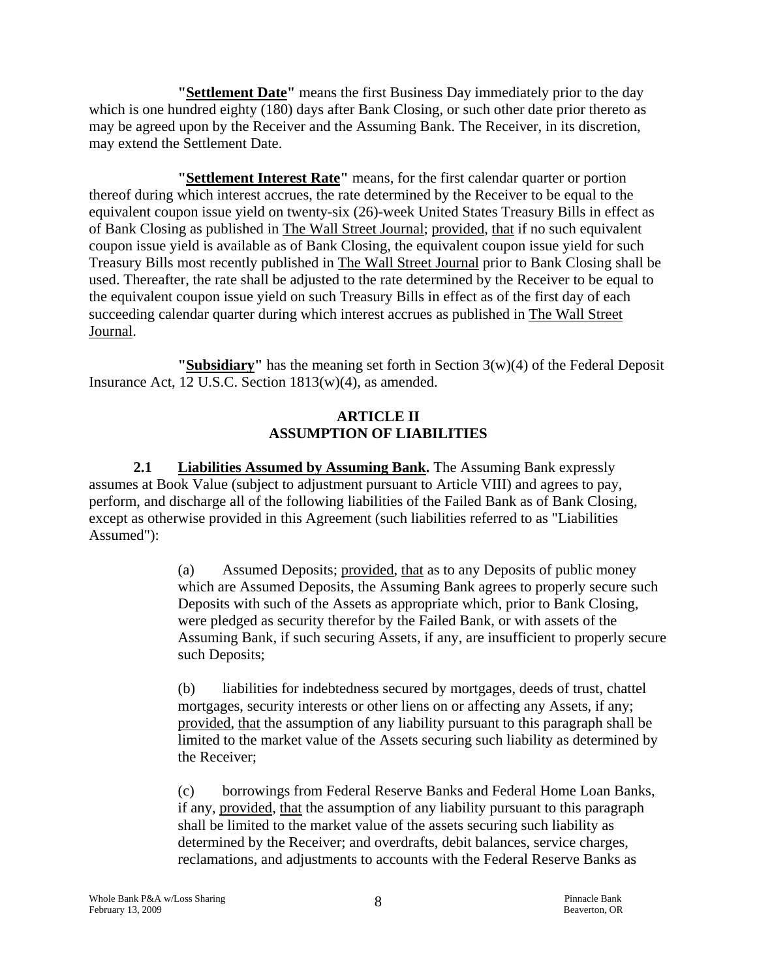<span id="page-11-0"></span> **"Settlement Date"** means the first Business Day immediately prior to the day which is one hundred eighty (180) days after Bank Closing, or such other date prior thereto as may be agreed upon by the Receiver and the Assuming Bank. The Receiver, in its discretion, may extend the Settlement Date.

**"Settlement Interest Rate"** means, for the first calendar quarter or portion thereof during which interest accrues, the rate determined by the Receiver to be equal to the equivalent coupon issue yield on twenty-six (26)-week United States Treasury Bills in effect as of Bank Closing as published in The Wall Street Journal; provided, that if no such equivalent coupon issue yield is available as of Bank Closing, the equivalent coupon issue yield for such Treasury Bills most recently published in The Wall Street Journal prior to Bank Closing shall be used. Thereafter, the rate shall be adjusted to the rate determined by the Receiver to be equal to the equivalent coupon issue yield on such Treasury Bills in effect as of the first day of each succeeding calendar quarter during which interest accrues as published in The Wall Street Journal.

**"Subsidiary"** has the meaning set forth in Section 3(w)(4) of the Federal Deposit Insurance Act, 12 U.S.C. Section 1813(w)(4), as amended.

#### **ARTICLE II ASSUMPTION OF LIABILITIES**

**2.1** Liabilities Assumed by Assuming Bank. The Assuming Bank expressly assumes at Book Value (subject to adjustment pursuant to Article VIII) and agrees to pay, perform, and discharge all of the following liabilities of the Failed Bank as of Bank Closing, except as otherwise provided in this Agreement (such liabilities referred to as "Liabilities Assumed"):

> (a) Assumed Deposits; provided, that as to any Deposits of public money which are Assumed Deposits, the Assuming Bank agrees to properly secure such Deposits with such of the Assets as appropriate which, prior to Bank Closing, were pledged as security therefor by the Failed Bank, or with assets of the Assuming Bank, if such securing Assets, if any, are insufficient to properly secure such Deposits;

(b) liabilities for indebtedness secured by mortgages, deeds of trust, chattel mortgages, security interests or other liens on or affecting any Assets, if any; provided, that the assumption of any liability pursuant to this paragraph shall be limited to the market value of the Assets securing such liability as determined by the Receiver;

(c) borrowings from Federal Reserve Banks and Federal Home Loan Banks, if any, provided, that the assumption of any liability pursuant to this paragraph shall be limited to the market value of the assets securing such liability as determined by the Receiver; and overdrafts, debit balances, service charges, reclamations, and adjustments to accounts with the Federal Reserve Banks as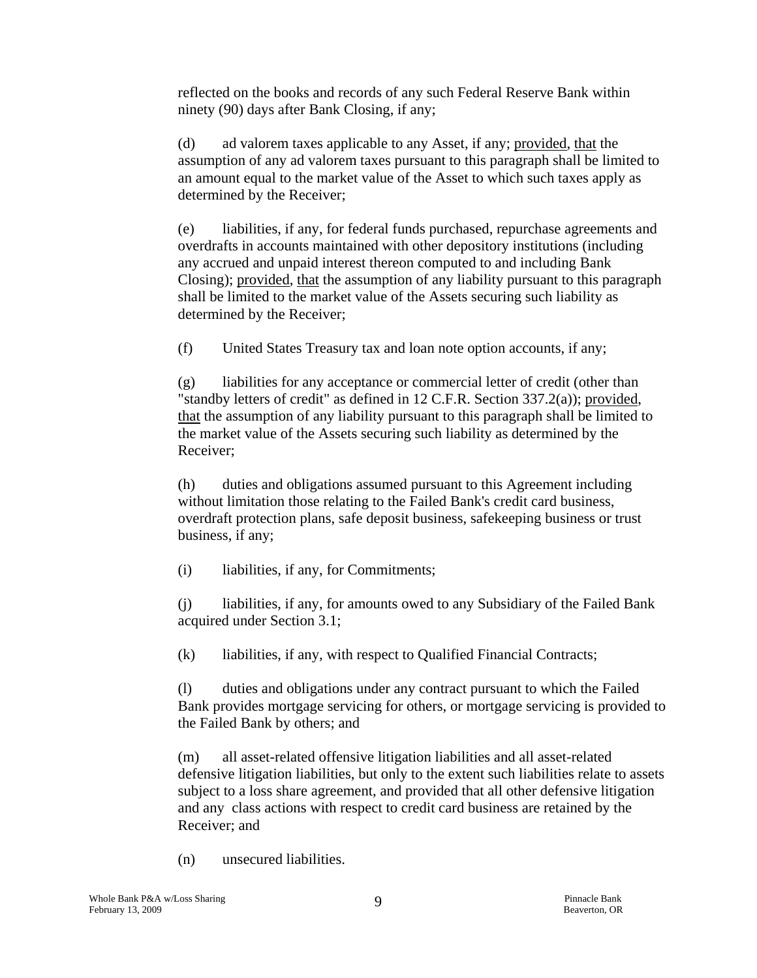reflected on the books and records of any such Federal Reserve Bank within ninety (90) days after Bank Closing, if any;

(d) ad valorem taxes applicable to any Asset, if any; provided, that the assumption of any ad valorem taxes pursuant to this paragraph shall be limited to an amount equal to the market value of the Asset to which such taxes apply as determined by the Receiver;

(e) liabilities, if any, for federal funds purchased, repurchase agreements and overdrafts in accounts maintained with other depository institutions (including any accrued and unpaid interest thereon computed to and including Bank Closing); provided, that the assumption of any liability pursuant to this paragraph shall be limited to the market value of the Assets securing such liability as determined by the Receiver;

(f) United States Treasury tax and loan note option accounts, if any;

(g) liabilities for any acceptance or commercial letter of credit (other than "standby letters of credit" as defined in 12 C.F.R. Section 337.2(a)); provided, that the assumption of any liability pursuant to this paragraph shall be limited to the market value of the Assets securing such liability as determined by the Receiver;

(h) duties and obligations assumed pursuant to this Agreement including without limitation those relating to the Failed Bank's credit card business, overdraft protection plans, safe deposit business, safekeeping business or trust business, if any;

(i) liabilities, if any, for Commitments;

(j) liabilities, if any, for amounts owed to any Subsidiary of the Failed Bank acquired under Section 3.1;

(k) liabilities, if any, with respect to Qualified Financial Contracts;

(l) duties and obligations under any contract pursuant to which the Failed Bank provides mortgage servicing for others, or mortgage servicing is provided to the Failed Bank by others; and

(m) all asset-related offensive litigation liabilities and all asset-related defensive litigation liabilities, but only to the extent such liabilities relate to assets subject to a loss share agreement, and provided that all other defensive litigation and any class actions with respect to credit card business are retained by the Receiver; and

(n) unsecured liabilities.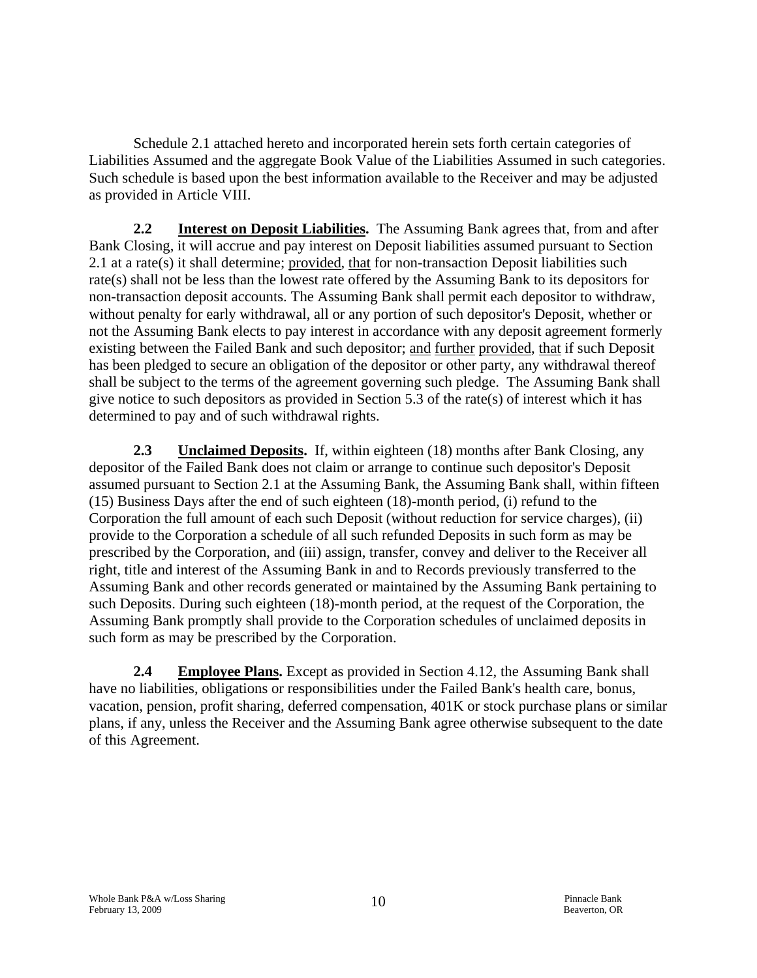<span id="page-13-0"></span>Schedule 2.1 attached hereto and incorporated herein sets forth certain categories of Liabilities Assumed and the aggregate Book Value of the Liabilities Assumed in such categories. Such schedule is based upon the best information available to the Receiver and may be adjusted as provided in Article VIII.

**2.2 Interest on Deposit Liabilities.** The Assuming Bank agrees that, from and after Bank Closing, it will accrue and pay interest on Deposit liabilities assumed pursuant to Section 2.1 at a rate(s) it shall determine; provided, that for non-transaction Deposit liabilities such rate(s) shall not be less than the lowest rate offered by the Assuming Bank to its depositors for non-transaction deposit accounts. The Assuming Bank shall permit each depositor to withdraw, without penalty for early withdrawal, all or any portion of such depositor's Deposit, whether or not the Assuming Bank elects to pay interest in accordance with any deposit agreement formerly existing between the Failed Bank and such depositor; and further provided, that if such Deposit has been pledged to secure an obligation of the depositor or other party, any withdrawal thereof shall be subject to the terms of the agreement governing such pledge. The Assuming Bank shall give notice to such depositors as provided in Section 5.3 of the rate(s) of interest which it has determined to pay and of such withdrawal rights.

**2.3 Unclaimed Deposits.** If, within eighteen (18) months after Bank Closing, any depositor of the Failed Bank does not claim or arrange to continue such depositor's Deposit assumed pursuant to Section 2.1 at the Assuming Bank, the Assuming Bank shall, within fifteen (15) Business Days after the end of such eighteen (18)-month period, (i) refund to the Corporation the full amount of each such Deposit (without reduction for service charges), (ii) provide to the Corporation a schedule of all such refunded Deposits in such form as may be prescribed by the Corporation, and (iii) assign, transfer, convey and deliver to the Receiver all right, title and interest of the Assuming Bank in and to Records previously transferred to the Assuming Bank and other records generated or maintained by the Assuming Bank pertaining to such Deposits. During such eighteen (18)-month period, at the request of the Corporation, the Assuming Bank promptly shall provide to the Corporation schedules of unclaimed deposits in such form as may be prescribed by the Corporation.

**2.4** Employee Plans. Except as provided in Section 4.12, the Assuming Bank shall have no liabilities, obligations or responsibilities under the Failed Bank's health care, bonus, vacation, pension, profit sharing, deferred compensation, 401K or stock purchase plans or similar plans, if any, unless the Receiver and the Assuming Bank agree otherwise subsequent to the date of this Agreement.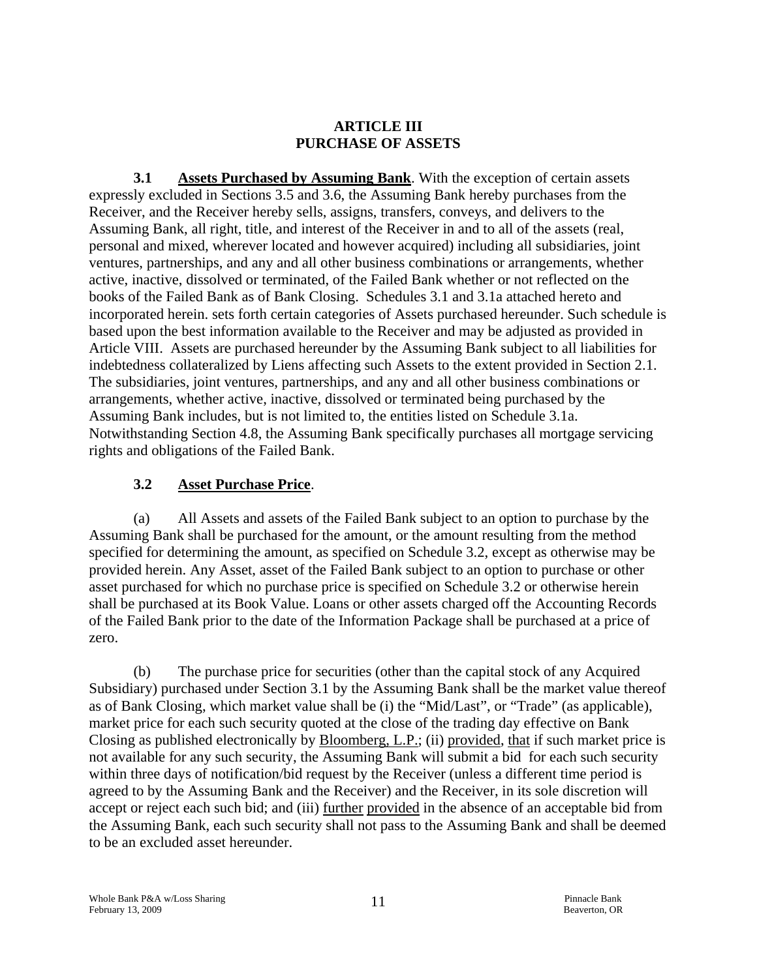### **ARTICLE III PURCHASE OF ASSETS**

<span id="page-14-0"></span>Assuming Bank includes, but is not limited to, the entities listed on Schedule 3.1a.  **3.1 Assets Purchased by Assuming Bank**. With the exception of certain assets expressly excluded in Sections 3.5 and 3.6, the Assuming Bank hereby purchases from the Receiver, and the Receiver hereby sells, assigns, transfers, conveys, and delivers to the Assuming Bank, all right, title, and interest of the Receiver in and to all of the assets (real, personal and mixed, wherever located and however acquired) including all subsidiaries, joint ventures, partnerships, and any and all other business combinations or arrangements, whether active, inactive, dissolved or terminated, of the Failed Bank whether or not reflected on the books of the Failed Bank as of Bank Closing. Schedules 3.1 and 3.1a attached hereto and incorporated herein. sets forth certain categories of Assets purchased hereunder. Such schedule is based upon the best information available to the Receiver and may be adjusted as provided in Article VIII. Assets are purchased hereunder by the Assuming Bank subject to all liabilities for indebtedness collateralized by Liens affecting such Assets to the extent provided in Section 2.1. The subsidiaries, joint ventures, partnerships, and any and all other business combinations or arrangements, whether active, inactive, dissolved or terminated being purchased by the Notwithstanding Section 4.8, the Assuming Bank specifically purchases all mortgage servicing rights and obligations of the Failed Bank.

### **3.2 Asset Purchase Price**.

(a) All Assets and assets of the Failed Bank subject to an option to purchase by the Assuming Bank shall be purchased for the amount, or the amount resulting from the method specified for determining the amount, as specified on Schedule 3.2, except as otherwise may be provided herein. Any Asset, asset of the Failed Bank subject to an option to purchase or other asset purchased for which no purchase price is specified on Schedule 3.2 or otherwise herein shall be purchased at its Book Value. Loans or other assets charged off the Accounting Records of the Failed Bank prior to the date of the Information Package shall be purchased at a price of zero.

(b) The purchase price for securities (other than the capital stock of any Acquired Subsidiary) purchased under Section 3.1 by the Assuming Bank shall be the market value thereof as of Bank Closing, which market value shall be (i) the "Mid/Last", or "Trade" (as applicable), market price for each such security quoted at the close of the trading day effective on Bank Closing as published electronically by Bloomberg, L.P.; (ii) provided, that if such market price is not available for any such security, the Assuming Bank will submit a bid for each such security within three days of notification/bid request by the Receiver (unless a different time period is agreed to by the Assuming Bank and the Receiver) and the Receiver, in its sole discretion will accept or reject each such bid; and (iii) further provided in the absence of an acceptable bid from the Assuming Bank, each such security shall not pass to the Assuming Bank and shall be deemed to be an excluded asset hereunder.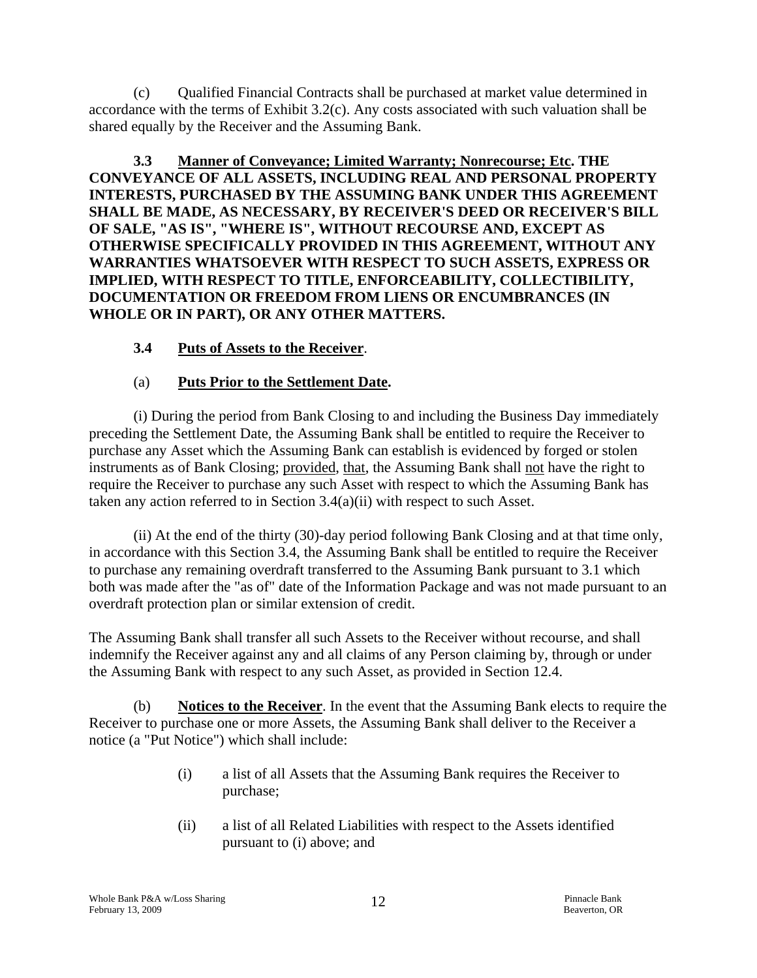<span id="page-15-0"></span>(c) Qualified Financial Contracts shall be purchased at market value determined in accordance with the terms of Exhibit 3.2(c). Any costs associated with such valuation shall be shared equally by the Receiver and the Assuming Bank.

**3.3 Manner of Conveyance; Limited Warranty; Nonrecourse; Etc. THE CONVEYANCE OF ALL ASSETS, INCLUDING REAL AND PERSONAL PROPERTY INTERESTS, PURCHASED BY THE ASSUMING BANK UNDER THIS AGREEMENT SHALL BE MADE, AS NECESSARY, BY RECEIVER'S DEED OR RECEIVER'S BILL OF SALE, "AS IS", "WHERE IS", WITHOUT RECOURSE AND, EXCEPT AS OTHERWISE SPECIFICALLY PROVIDED IN THIS AGREEMENT, WITHOUT ANY WARRANTIES WHATSOEVER WITH RESPECT TO SUCH ASSETS, EXPRESS OR IMPLIED, WITH RESPECT TO TITLE, ENFORCEABILITY, COLLECTIBILITY, DOCUMENTATION OR FREEDOM FROM LIENS OR ENCUMBRANCES (IN WHOLE OR IN PART), OR ANY OTHER MATTERS.** 

### **3.4 Puts of Assets to the Receiver**.

### (a) **Puts Prior to the Settlement Date.**

(i) During the period from Bank Closing to and including the Business Day immediately preceding the Settlement Date, the Assuming Bank shall be entitled to require the Receiver to purchase any Asset which the Assuming Bank can establish is evidenced by forged or stolen instruments as of Bank Closing; provided, that, the Assuming Bank shall not have the right to require the Receiver to purchase any such Asset with respect to which the Assuming Bank has taken any action referred to in Section 3.4(a)(ii) with respect to such Asset.

(ii) At the end of the thirty (30)-day period following Bank Closing and at that time only, in accordance with this Section 3.4, the Assuming Bank shall be entitled to require the Receiver to purchase any remaining overdraft transferred to the Assuming Bank pursuant to 3.1 which both was made after the "as of" date of the Information Package and was not made pursuant to an overdraft protection plan or similar extension of credit.

The Assuming Bank shall transfer all such Assets to the Receiver without recourse, and shall indemnify the Receiver against any and all claims of any Person claiming by, through or under the Assuming Bank with respect to any such Asset, as provided in Section 12.4.

(b) **Notices to the Receiver**. In the event that the Assuming Bank elects to require the Receiver to purchase one or more Assets, the Assuming Bank shall deliver to the Receiver a notice (a "Put Notice") which shall include:

- (i) a list of all Assets that the Assuming Bank requires the Receiver to purchase;
- (ii) a list of all Related Liabilities with respect to the Assets identified pursuant to (i) above; and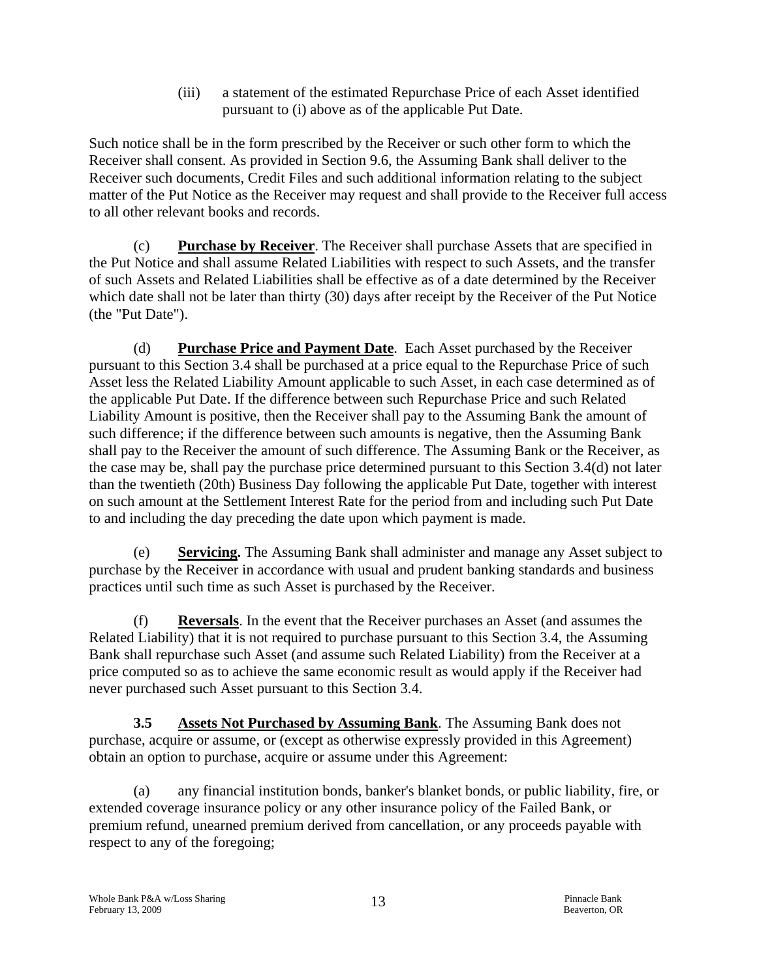(iii) a statement of the estimated Repurchase Price of each Asset identified pursuant to (i) above as of the applicable Put Date.

<span id="page-16-0"></span>Such notice shall be in the form prescribed by the Receiver or such other form to which the Receiver shall consent. As provided in Section 9.6, the Assuming Bank shall deliver to the Receiver such documents, Credit Files and such additional information relating to the subject matter of the Put Notice as the Receiver may request and shall provide to the Receiver full access to all other relevant books and records.

(c) **Purchase by Receiver**. The Receiver shall purchase Assets that are specified in the Put Notice and shall assume Related Liabilities with respect to such Assets, and the transfer of such Assets and Related Liabilities shall be effective as of a date determined by the Receiver which date shall not be later than thirty (30) days after receipt by the Receiver of the Put Notice (the "Put Date").

(d) **Purchase Price and Payment Date**. Each Asset purchased by the Receiver pursuant to this Section 3.4 shall be purchased at a price equal to the Repurchase Price of such Asset less the Related Liability Amount applicable to such Asset, in each case determined as of the applicable Put Date. If the difference between such Repurchase Price and such Related Liability Amount is positive, then the Receiver shall pay to the Assuming Bank the amount of such difference; if the difference between such amounts is negative, then the Assuming Bank shall pay to the Receiver the amount of such difference. The Assuming Bank or the Receiver, as the case may be, shall pay the purchase price determined pursuant to this Section 3.4(d) not later than the twentieth (20th) Business Day following the applicable Put Date, together with interest on such amount at the Settlement Interest Rate for the period from and including such Put Date to and including the day preceding the date upon which payment is made.

(e) **Servicing.** The Assuming Bank shall administer and manage any Asset subject to purchase by the Receiver in accordance with usual and prudent banking standards and business practices until such time as such Asset is purchased by the Receiver.

(f) **Reversals**. In the event that the Receiver purchases an Asset (and assumes the Related Liability) that it is not required to purchase pursuant to this Section 3.4, the Assuming Bank shall repurchase such Asset (and assume such Related Liability) from the Receiver at a price computed so as to achieve the same economic result as would apply if the Receiver had never purchased such Asset pursuant to this Section 3.4.

**3.5 Assets Not Purchased by Assuming Bank**. The Assuming Bank does not purchase, acquire or assume, or (except as otherwise expressly provided in this Agreement) obtain an option to purchase, acquire or assume under this Agreement:

(a) any financial institution bonds, banker's blanket bonds, or public liability, fire, or extended coverage insurance policy or any other insurance policy of the Failed Bank, or premium refund, unearned premium derived from cancellation, or any proceeds payable with respect to any of the foregoing;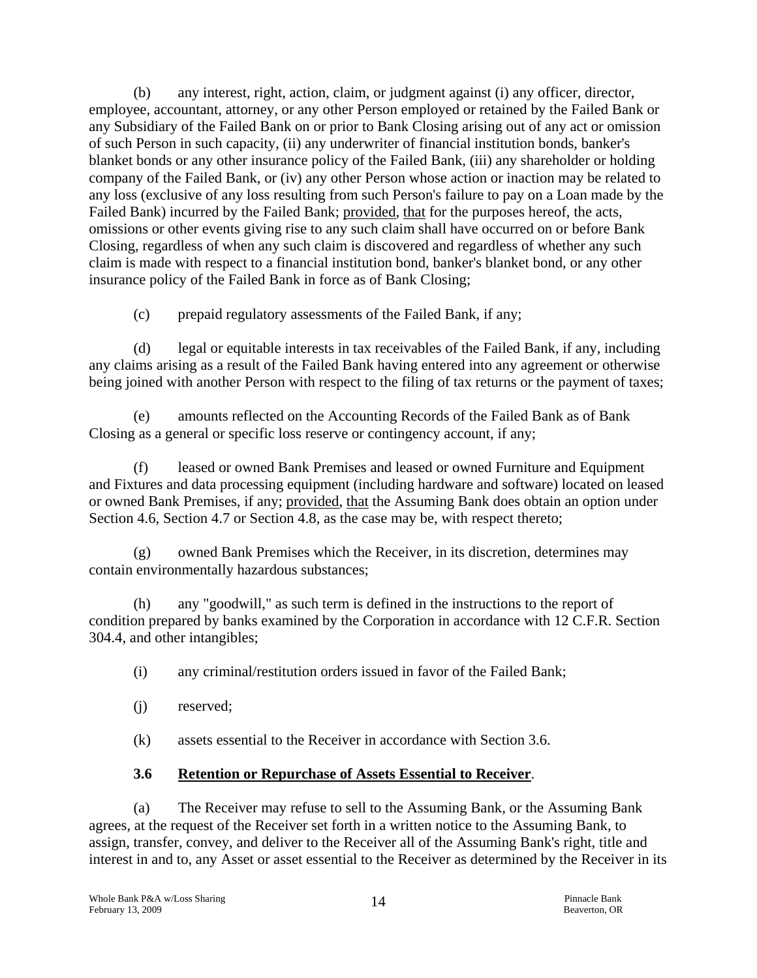(b) any interest, right, action, claim, or judgment against (i) any officer, director, employee, accountant, attorney, or any other Person employed or retained by the Failed Bank or any Subsidiary of the Failed Bank on or prior to Bank Closing arising out of any act or omission of such Person in such capacity, (ii) any underwriter of financial institution bonds, banker's blanket bonds or any other insurance policy of the Failed Bank, (iii) any shareholder or holding company of the Failed Bank, or (iv) any other Person whose action or inaction may be related to any loss (exclusive of any loss resulting from such Person's failure to pay on a Loan made by the Failed Bank) incurred by the Failed Bank; provided, that for the purposes hereof, the acts, omissions or other events giving rise to any such claim shall have occurred on or before Bank Closing, regardless of when any such claim is discovered and regardless of whether any such claim is made with respect to a financial institution bond, banker's blanket bond, or any other insurance policy of the Failed Bank in force as of Bank Closing;

(c) prepaid regulatory assessments of the Failed Bank, if any;

(d) legal or equitable interests in tax receivables of the Failed Bank, if any, including any claims arising as a result of the Failed Bank having entered into any agreement or otherwise being joined with another Person with respect to the filing of tax returns or the payment of taxes;

(e) amounts reflected on the Accounting Records of the Failed Bank as of Bank Closing as a general or specific loss reserve or contingency account, if any;

(f) leased or owned Bank Premises and leased or owned Furniture and Equipment and Fixtures and data processing equipment (including hardware and software) located on leased or owned Bank Premises, if any; provided, that the Assuming Bank does obtain an option under Section 4.6, Section 4.7 or Section 4.8, as the case may be, with respect thereto;

(g) owned Bank Premises which the Receiver, in its discretion, determines may contain environmentally hazardous substances;

(h) any "goodwill," as such term is defined in the instructions to the report of condition prepared by banks examined by the Corporation in accordance with 12 C.F.R. Section 304.4, and other intangibles;

- (i) any criminal/restitution orders issued in favor of the Failed Bank;
- (j) reserved;

(k) assets essential to the Receiver in accordance with Section 3.6.

### **3.6 Retention or Repurchase of Assets Essential to Receiver**.

(a) The Receiver may refuse to sell to the Assuming Bank, or the Assuming Bank agrees, at the request of the Receiver set forth in a written notice to the Assuming Bank, to assign, transfer, convey, and deliver to the Receiver all of the Assuming Bank's right, title and interest in and to, any Asset or asset essential to the Receiver as determined by the Receiver in its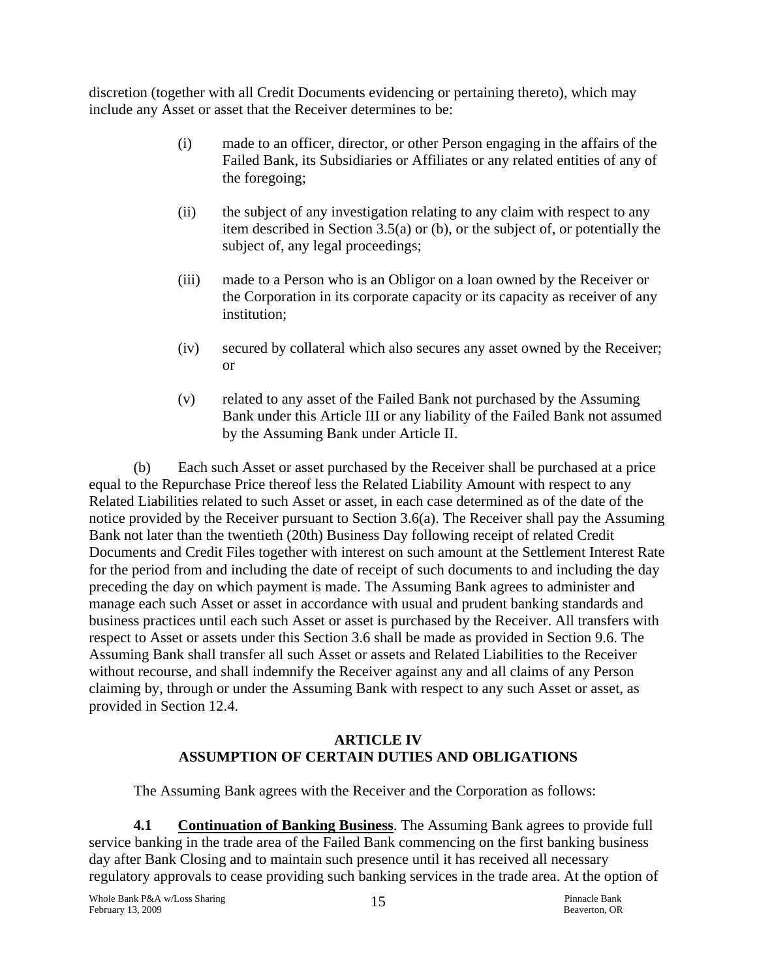<span id="page-18-0"></span>discretion (together with all Credit Documents evidencing or pertaining thereto), which may include any Asset or asset that the Receiver determines to be:

- (i) made to an officer, director, or other Person engaging in the affairs of the Failed Bank, its Subsidiaries or Affiliates or any related entities of any of the foregoing;
- (ii) the subject of any investigation relating to any claim with respect to any item described in Section 3.5(a) or (b), or the subject of, or potentially the subject of, any legal proceedings;
- (iii) made to a Person who is an Obligor on a loan owned by the Receiver or the Corporation in its corporate capacity or its capacity as receiver of any institution;
- (iv) secured by collateral which also secures any asset owned by the Receiver; or
- (v) related to any asset of the Failed Bank not purchased by the Assuming Bank under this Article III or any liability of the Failed Bank not assumed by the Assuming Bank under Article II.

(b) Each such Asset or asset purchased by the Receiver shall be purchased at a price equal to the Repurchase Price thereof less the Related Liability Amount with respect to any Related Liabilities related to such Asset or asset, in each case determined as of the date of the notice provided by the Receiver pursuant to Section 3.6(a). The Receiver shall pay the Assuming Bank not later than the twentieth (20th) Business Day following receipt of related Credit Documents and Credit Files together with interest on such amount at the Settlement Interest Rate for the period from and including the date of receipt of such documents to and including the day preceding the day on which payment is made. The Assuming Bank agrees to administer and manage each such Asset or asset in accordance with usual and prudent banking standards and business practices until each such Asset or asset is purchased by the Receiver. All transfers with respect to Asset or assets under this Section 3.6 shall be made as provided in Section 9.6. The Assuming Bank shall transfer all such Asset or assets and Related Liabilities to the Receiver without recourse, and shall indemnify the Receiver against any and all claims of any Person claiming by, through or under the Assuming Bank with respect to any such Asset or asset, as provided in Section 12.4.

## **ARTICLE IV ASSUMPTION OF CERTAIN DUTIES AND OBLIGATIONS**

The Assuming Bank agrees with the Receiver and the Corporation as follows:

**4.1 Continuation of Banking Business**. The Assuming Bank agrees to provide full service banking in the trade area of the Failed Bank commencing on the first banking business day after Bank Closing and to maintain such presence until it has received all necessary regulatory approvals to cease providing such banking services in the trade area. At the option of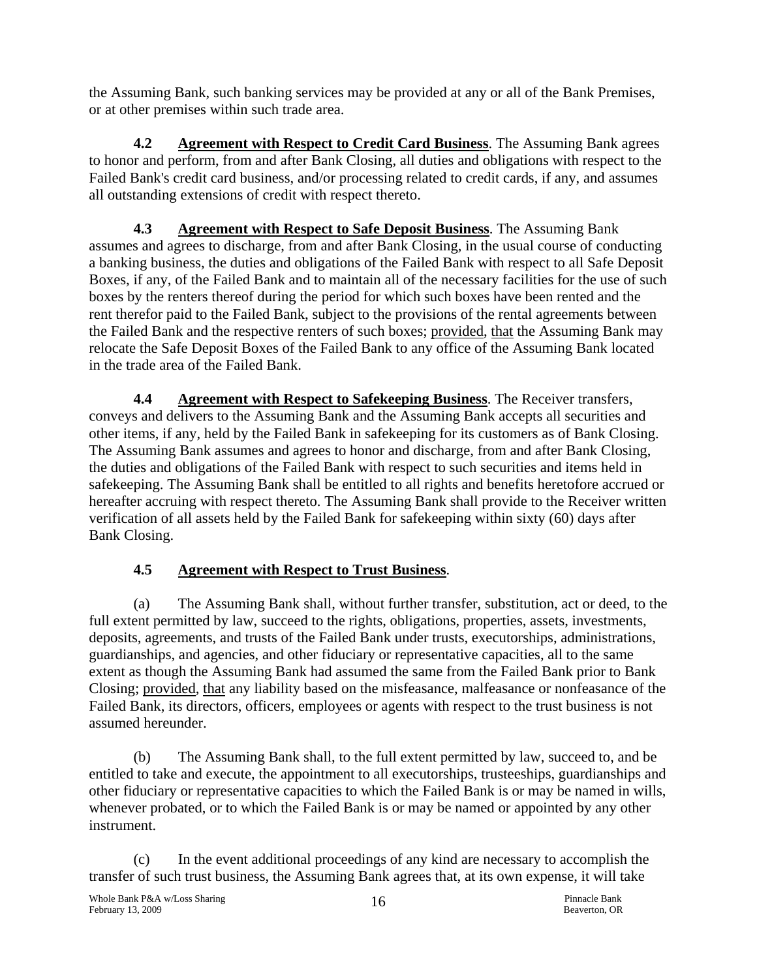<span id="page-19-0"></span>the Assuming Bank, such banking services may be provided at any or all of the Bank Premises, or at other premises within such trade area.

**4.2 Agreement with Respect to Credit Card Business**. The Assuming Bank agrees to honor and perform, from and after Bank Closing, all duties and obligations with respect to the Failed Bank's credit card business, and/or processing related to credit cards, if any, and assumes all outstanding extensions of credit with respect thereto.

**4.3 Agreement with Respect to Safe Deposit Business**. The Assuming Bank assumes and agrees to discharge, from and after Bank Closing, in the usual course of conducting a banking business, the duties and obligations of the Failed Bank with respect to all Safe Deposit Boxes, if any, of the Failed Bank and to maintain all of the necessary facilities for the use of such boxes by the renters thereof during the period for which such boxes have been rented and the rent therefor paid to the Failed Bank, subject to the provisions of the rental agreements between the Failed Bank and the respective renters of such boxes; provided, that the Assuming Bank may relocate the Safe Deposit Boxes of the Failed Bank to any office of the Assuming Bank located in the trade area of the Failed Bank.

**4.4 Agreement with Respect to Safekeeping Business**. The Receiver transfers, conveys and delivers to the Assuming Bank and the Assuming Bank accepts all securities and other items, if any, held by the Failed Bank in safekeeping for its customers as of Bank Closing. The Assuming Bank assumes and agrees to honor and discharge, from and after Bank Closing, the duties and obligations of the Failed Bank with respect to such securities and items held in safekeeping. The Assuming Bank shall be entitled to all rights and benefits heretofore accrued or hereafter accruing with respect thereto. The Assuming Bank shall provide to the Receiver written verification of all assets held by the Failed Bank for safekeeping within sixty (60) days after Bank Closing.

# **4.5 Agreement with Respect to Trust Business**.

(a) The Assuming Bank shall, without further transfer, substitution, act or deed, to the full extent permitted by law, succeed to the rights, obligations, properties, assets, investments, deposits, agreements, and trusts of the Failed Bank under trusts, executorships, administrations, guardianships, and agencies, and other fiduciary or representative capacities, all to the same extent as though the Assuming Bank had assumed the same from the Failed Bank prior to Bank Closing; provided, that any liability based on the misfeasance, malfeasance or nonfeasance of the Failed Bank, its directors, officers, employees or agents with respect to the trust business is not assumed hereunder.

(b) The Assuming Bank shall, to the full extent permitted by law, succeed to, and be entitled to take and execute, the appointment to all executorships, trusteeships, guardianships and other fiduciary or representative capacities to which the Failed Bank is or may be named in wills, whenever probated, or to which the Failed Bank is or may be named or appointed by any other instrument.

(c) In the event additional proceedings of any kind are necessary to accomplish the transfer of such trust business, the Assuming Bank agrees that, at its own expense, it will take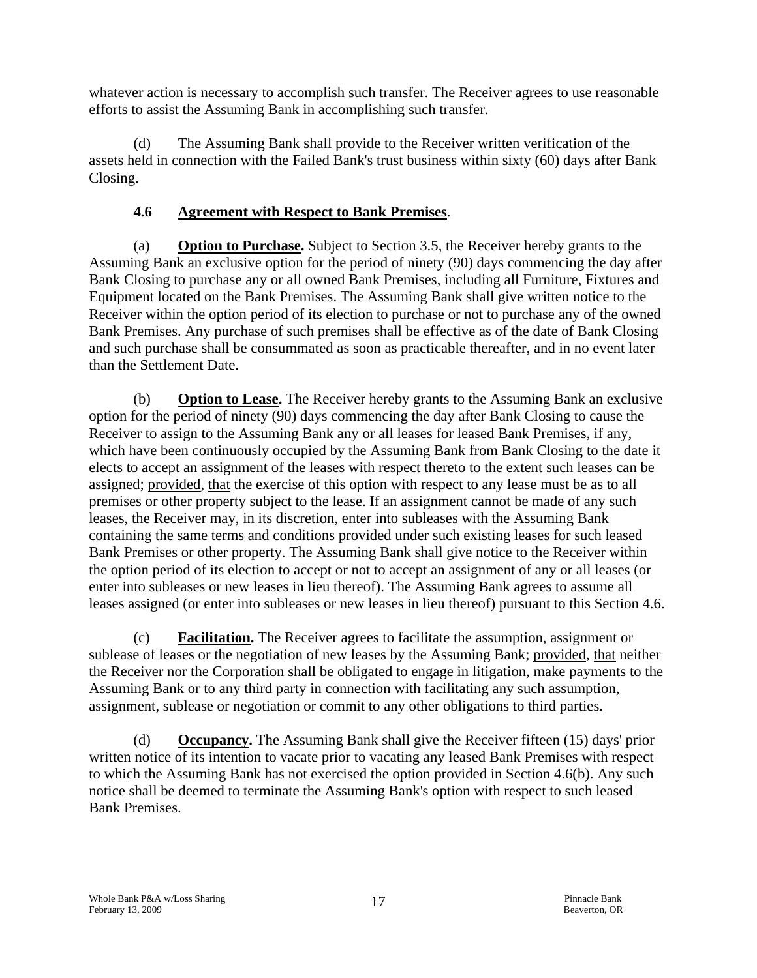<span id="page-20-0"></span>whatever action is necessary to accomplish such transfer. The Receiver agrees to use reasonable efforts to assist the Assuming Bank in accomplishing such transfer.

(d) The Assuming Bank shall provide to the Receiver written verification of the assets held in connection with the Failed Bank's trust business within sixty (60) days after Bank Closing.

### **4.6 Agreement with Respect to Bank Premises**.

(a) **Option to Purchase.** Subject to Section 3.5, the Receiver hereby grants to the Assuming Bank an exclusive option for the period of ninety (90) days commencing the day after Bank Closing to purchase any or all owned Bank Premises, including all Furniture, Fixtures and Equipment located on the Bank Premises. The Assuming Bank shall give written notice to the Receiver within the option period of its election to purchase or not to purchase any of the owned Bank Premises. Any purchase of such premises shall be effective as of the date of Bank Closing and such purchase shall be consummated as soon as practicable thereafter, and in no event later than the Settlement Date.

(b) **Option to Lease.** The Receiver hereby grants to the Assuming Bank an exclusive option for the period of ninety (90) days commencing the day after Bank Closing to cause the Receiver to assign to the Assuming Bank any or all leases for leased Bank Premises, if any, which have been continuously occupied by the Assuming Bank from Bank Closing to the date it elects to accept an assignment of the leases with respect thereto to the extent such leases can be assigned; provided, that the exercise of this option with respect to any lease must be as to all premises or other property subject to the lease. If an assignment cannot be made of any such leases, the Receiver may, in its discretion, enter into subleases with the Assuming Bank containing the same terms and conditions provided under such existing leases for such leased Bank Premises or other property. The Assuming Bank shall give notice to the Receiver within the option period of its election to accept or not to accept an assignment of any or all leases (or enter into subleases or new leases in lieu thereof). The Assuming Bank agrees to assume all leases assigned (or enter into subleases or new leases in lieu thereof) pursuant to this Section 4.6.

(c) **Facilitation.** The Receiver agrees to facilitate the assumption, assignment or sublease of leases or the negotiation of new leases by the Assuming Bank; provided, that neither the Receiver nor the Corporation shall be obligated to engage in litigation, make payments to the Assuming Bank or to any third party in connection with facilitating any such assumption, assignment, sublease or negotiation or commit to any other obligations to third parties.

(d) **Occupancy.** The Assuming Bank shall give the Receiver fifteen (15) days' prior written notice of its intention to vacate prior to vacating any leased Bank Premises with respect to which the Assuming Bank has not exercised the option provided in Section 4.6(b). Any such notice shall be deemed to terminate the Assuming Bank's option with respect to such leased Bank Premises.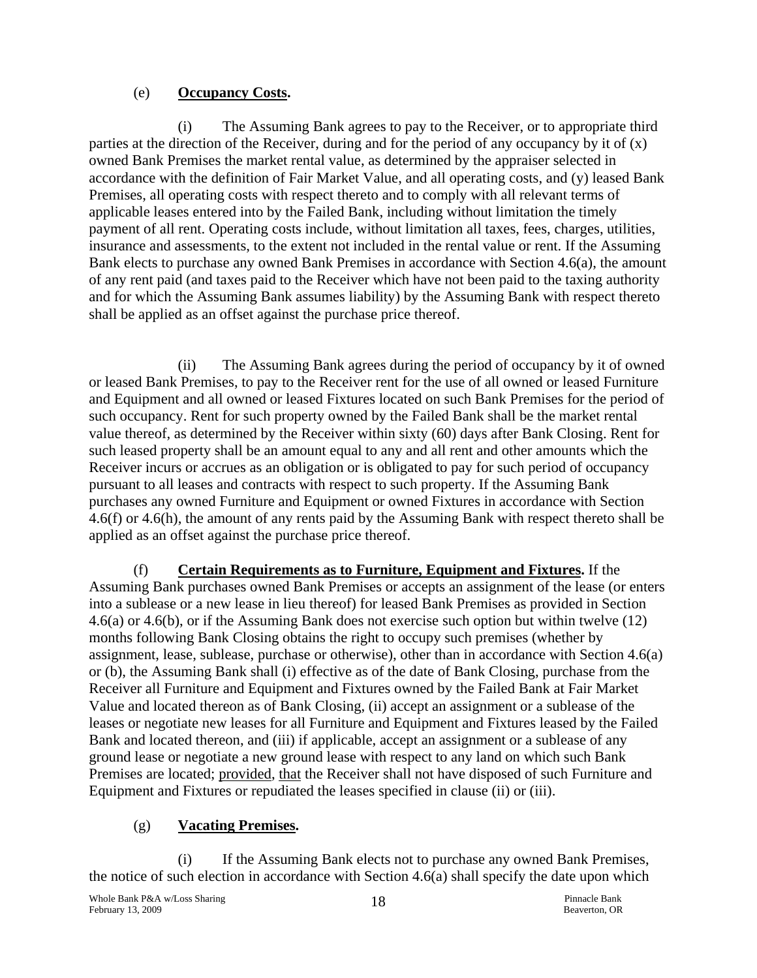## (e) **Occupancy Costs.**

(i) The Assuming Bank agrees to pay to the Receiver, or to appropriate third parties at the direction of the Receiver, during and for the period of any occupancy by it of (x) owned Bank Premises the market rental value, as determined by the appraiser selected in accordance with the definition of Fair Market Value, and all operating costs, and (y) leased Bank Premises, all operating costs with respect thereto and to comply with all relevant terms of applicable leases entered into by the Failed Bank, including without limitation the timely payment of all rent. Operating costs include, without limitation all taxes, fees, charges, utilities, insurance and assessments, to the extent not included in the rental value or rent. If the Assuming Bank elects to purchase any owned Bank Premises in accordance with Section 4.6(a), the amount of any rent paid (and taxes paid to the Receiver which have not been paid to the taxing authority and for which the Assuming Bank assumes liability) by the Assuming Bank with respect thereto shall be applied as an offset against the purchase price thereof.

(ii) The Assuming Bank agrees during the period of occupancy by it of owned or leased Bank Premises, to pay to the Receiver rent for the use of all owned or leased Furniture and Equipment and all owned or leased Fixtures located on such Bank Premises for the period of such occupancy. Rent for such property owned by the Failed Bank shall be the market rental value thereof, as determined by the Receiver within sixty (60) days after Bank Closing. Rent for such leased property shall be an amount equal to any and all rent and other amounts which the Receiver incurs or accrues as an obligation or is obligated to pay for such period of occupancy pursuant to all leases and contracts with respect to such property. If the Assuming Bank purchases any owned Furniture and Equipment or owned Fixtures in accordance with Section 4.6(f) or 4.6(h), the amount of any rents paid by the Assuming Bank with respect thereto shall be applied as an offset against the purchase price thereof.

(f) **Certain Requirements as to Furniture, Equipment and Fixtures.** If the Assuming Bank purchases owned Bank Premises or accepts an assignment of the lease (or enters into a sublease or a new lease in lieu thereof) for leased Bank Premises as provided in Section 4.6(a) or 4.6(b), or if the Assuming Bank does not exercise such option but within twelve (12) months following Bank Closing obtains the right to occupy such premises (whether by assignment, lease, sublease, purchase or otherwise), other than in accordance with Section 4.6(a) or (b), the Assuming Bank shall (i) effective as of the date of Bank Closing, purchase from the Receiver all Furniture and Equipment and Fixtures owned by the Failed Bank at Fair Market Value and located thereon as of Bank Closing, (ii) accept an assignment or a sublease of the leases or negotiate new leases for all Furniture and Equipment and Fixtures leased by the Failed Bank and located thereon, and (iii) if applicable, accept an assignment or a sublease of any ground lease or negotiate a new ground lease with respect to any land on which such Bank Premises are located; provided, that the Receiver shall not have disposed of such Furniture and Equipment and Fixtures or repudiated the leases specified in clause (ii) or (iii).

## (g) **Vacating Premises.**

(i) If the Assuming Bank elects not to purchase any owned Bank Premises, the notice of such election in accordance with Section 4.6(a) shall specify the date upon which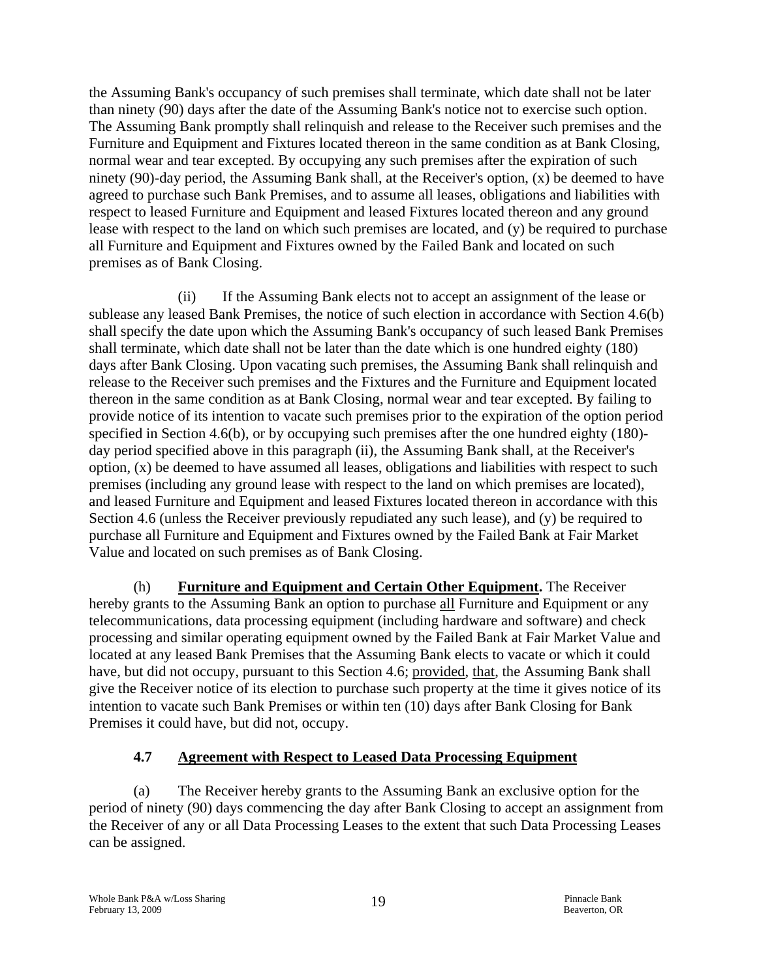<span id="page-22-0"></span>the Assuming Bank's occupancy of such premises shall terminate, which date shall not be later than ninety (90) days after the date of the Assuming Bank's notice not to exercise such option. The Assuming Bank promptly shall relinquish and release to the Receiver such premises and the Furniture and Equipment and Fixtures located thereon in the same condition as at Bank Closing, normal wear and tear excepted. By occupying any such premises after the expiration of such ninety (90)-day period, the Assuming Bank shall, at the Receiver's option, (x) be deemed to have agreed to purchase such Bank Premises, and to assume all leases, obligations and liabilities with respect to leased Furniture and Equipment and leased Fixtures located thereon and any ground lease with respect to the land on which such premises are located, and (y) be required to purchase all Furniture and Equipment and Fixtures owned by the Failed Bank and located on such premises as of Bank Closing.

(ii) If the Assuming Bank elects not to accept an assignment of the lease or sublease any leased Bank Premises, the notice of such election in accordance with Section 4.6(b) shall specify the date upon which the Assuming Bank's occupancy of such leased Bank Premises shall terminate, which date shall not be later than the date which is one hundred eighty (180) days after Bank Closing. Upon vacating such premises, the Assuming Bank shall relinquish and release to the Receiver such premises and the Fixtures and the Furniture and Equipment located thereon in the same condition as at Bank Closing, normal wear and tear excepted. By failing to provide notice of its intention to vacate such premises prior to the expiration of the option period specified in Section 4.6(b), or by occupying such premises after the one hundred eighty (180) day period specified above in this paragraph (ii), the Assuming Bank shall, at the Receiver's option, (x) be deemed to have assumed all leases, obligations and liabilities with respect to such premises (including any ground lease with respect to the land on which premises are located), and leased Furniture and Equipment and leased Fixtures located thereon in accordance with this Section 4.6 (unless the Receiver previously repudiated any such lease), and (y) be required to purchase all Furniture and Equipment and Fixtures owned by the Failed Bank at Fair Market Value and located on such premises as of Bank Closing.

(h) **Furniture and Equipment and Certain Other Equipment.** The Receiver hereby grants to the Assuming Bank an option to purchase all Furniture and Equipment or any telecommunications, data processing equipment (including hardware and software) and check processing and similar operating equipment owned by the Failed Bank at Fair Market Value and located at any leased Bank Premises that the Assuming Bank elects to vacate or which it could have, but did not occupy, pursuant to this Section 4.6; provided, that, the Assuming Bank shall give the Receiver notice of its election to purchase such property at the time it gives notice of its intention to vacate such Bank Premises or within ten (10) days after Bank Closing for Bank Premises it could have, but did not, occupy.

## **4.7 Agreement with Respect to Leased Data Processing Equipment**

(a) The Receiver hereby grants to the Assuming Bank an exclusive option for the period of ninety (90) days commencing the day after Bank Closing to accept an assignment from the Receiver of any or all Data Processing Leases to the extent that such Data Processing Leases can be assigned.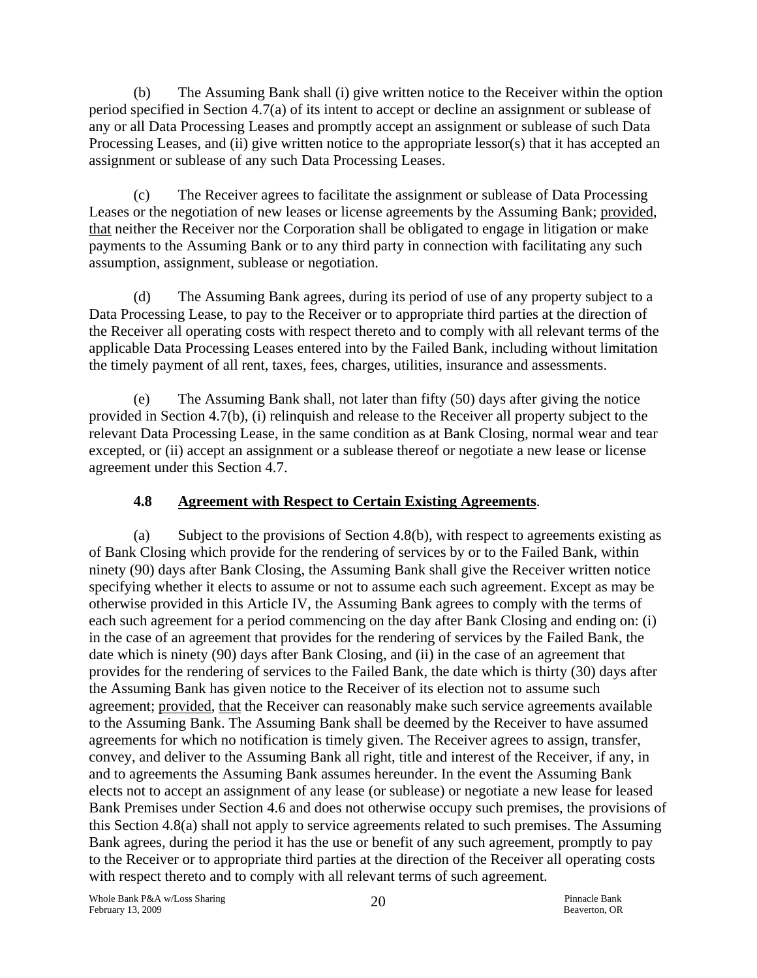<span id="page-23-0"></span>(b) The Assuming Bank shall (i) give written notice to the Receiver within the option period specified in Section 4.7(a) of its intent to accept or decline an assignment or sublease of any or all Data Processing Leases and promptly accept an assignment or sublease of such Data Processing Leases, and (ii) give written notice to the appropriate lessor(s) that it has accepted an assignment or sublease of any such Data Processing Leases.

(c) The Receiver agrees to facilitate the assignment or sublease of Data Processing Leases or the negotiation of new leases or license agreements by the Assuming Bank; provided, that neither the Receiver nor the Corporation shall be obligated to engage in litigation or make payments to the Assuming Bank or to any third party in connection with facilitating any such assumption, assignment, sublease or negotiation.

(d) The Assuming Bank agrees, during its period of use of any property subject to a Data Processing Lease, to pay to the Receiver or to appropriate third parties at the direction of the Receiver all operating costs with respect thereto and to comply with all relevant terms of the applicable Data Processing Leases entered into by the Failed Bank, including without limitation the timely payment of all rent, taxes, fees, charges, utilities, insurance and assessments.

(e) The Assuming Bank shall, not later than fifty (50) days after giving the notice provided in Section 4.7(b), (i) relinquish and release to the Receiver all property subject to the relevant Data Processing Lease, in the same condition as at Bank Closing, normal wear and tear excepted, or (ii) accept an assignment or a sublease thereof or negotiate a new lease or license agreement under this Section 4.7.

## **4.8 Agreement with Respect to Certain Existing Agreements**.

(a) Subject to the provisions of Section 4.8(b), with respect to agreements existing as of Bank Closing which provide for the rendering of services by or to the Failed Bank, within ninety (90) days after Bank Closing, the Assuming Bank shall give the Receiver written notice specifying whether it elects to assume or not to assume each such agreement. Except as may be otherwise provided in this Article IV, the Assuming Bank agrees to comply with the terms of each such agreement for a period commencing on the day after Bank Closing and ending on: (i) in the case of an agreement that provides for the rendering of services by the Failed Bank, the date which is ninety (90) days after Bank Closing, and (ii) in the case of an agreement that provides for the rendering of services to the Failed Bank, the date which is thirty (30) days after the Assuming Bank has given notice to the Receiver of its election not to assume such agreement; provided, that the Receiver can reasonably make such service agreements available to the Assuming Bank. The Assuming Bank shall be deemed by the Receiver to have assumed agreements for which no notification is timely given. The Receiver agrees to assign, transfer, convey, and deliver to the Assuming Bank all right, title and interest of the Receiver, if any, in and to agreements the Assuming Bank assumes hereunder. In the event the Assuming Bank elects not to accept an assignment of any lease (or sublease) or negotiate a new lease for leased Bank Premises under Section 4.6 and does not otherwise occupy such premises, the provisions of this Section 4.8(a) shall not apply to service agreements related to such premises. The Assuming Bank agrees, during the period it has the use or benefit of any such agreement, promptly to pay to the Receiver or to appropriate third parties at the direction of the Receiver all operating costs with respect thereto and to comply with all relevant terms of such agreement.

Whole Bank P&A w/Loss Sharing  $20$  Pinnacle Bank 20 Pinnacle Bank 20 Pinnacle Bank 20 February 13, 2009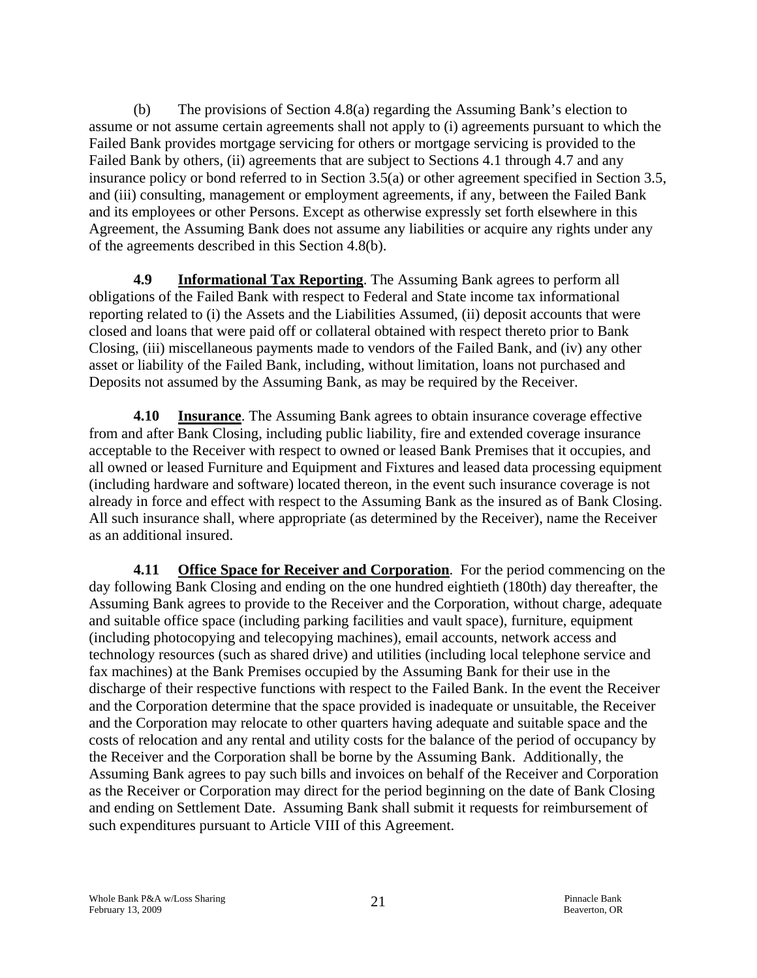<span id="page-24-0"></span>(b) The provisions of Section 4.8(a) regarding the Assuming Bank's election to assume or not assume certain agreements shall not apply to (i) agreements pursuant to which the Failed Bank provides mortgage servicing for others or mortgage servicing is provided to the Failed Bank by others, (ii) agreements that are subject to Sections 4.1 through 4.7 and any insurance policy or bond referred to in Section 3.5(a) or other agreement specified in Section 3.5, and (iii) consulting, management or employment agreements, if any, between the Failed Bank and its employees or other Persons. Except as otherwise expressly set forth elsewhere in this Agreement, the Assuming Bank does not assume any liabilities or acquire any rights under any of the agreements described in this Section 4.8(b).

**4.9** Informational Tax Reporting. The Assuming Bank agrees to perform all obligations of the Failed Bank with respect to Federal and State income tax informational reporting related to (i) the Assets and the Liabilities Assumed, (ii) deposit accounts that were closed and loans that were paid off or collateral obtained with respect thereto prior to Bank Closing, (iii) miscellaneous payments made to vendors of the Failed Bank, and (iv) any other asset or liability of the Failed Bank, including, without limitation, loans not purchased and Deposits not assumed by the Assuming Bank, as may be required by the Receiver.

**4.10 Insurance**. The Assuming Bank agrees to obtain insurance coverage effective from and after Bank Closing, including public liability, fire and extended coverage insurance acceptable to the Receiver with respect to owned or leased Bank Premises that it occupies, and all owned or leased Furniture and Equipment and Fixtures and leased data processing equipment (including hardware and software) located thereon, in the event such insurance coverage is not already in force and effect with respect to the Assuming Bank as the insured as of Bank Closing. All such insurance shall, where appropriate (as determined by the Receiver), name the Receiver as an additional insured.

**4.11 Office Space for Receiver and Corporation**. For the period commencing on the day following Bank Closing and ending on the one hundred eightieth (180th) day thereafter, the Assuming Bank agrees to provide to the Receiver and the Corporation, without charge, adequate and suitable office space (including parking facilities and vault space), furniture, equipment (including photocopying and telecopying machines), email accounts, network access and technology resources (such as shared drive) and utilities (including local telephone service and fax machines) at the Bank Premises occupied by the Assuming Bank for their use in the discharge of their respective functions with respect to the Failed Bank. In the event the Receiver and the Corporation determine that the space provided is inadequate or unsuitable, the Receiver and the Corporation may relocate to other quarters having adequate and suitable space and the costs of relocation and any rental and utility costs for the balance of the period of occupancy by the Receiver and the Corporation shall be borne by the Assuming Bank. Additionally, the Assuming Bank agrees to pay such bills and invoices on behalf of the Receiver and Corporation as the Receiver or Corporation may direct for the period beginning on the date of Bank Closing and ending on Settlement Date. Assuming Bank shall submit it requests for reimbursement of such expenditures pursuant to Article VIII of this Agreement.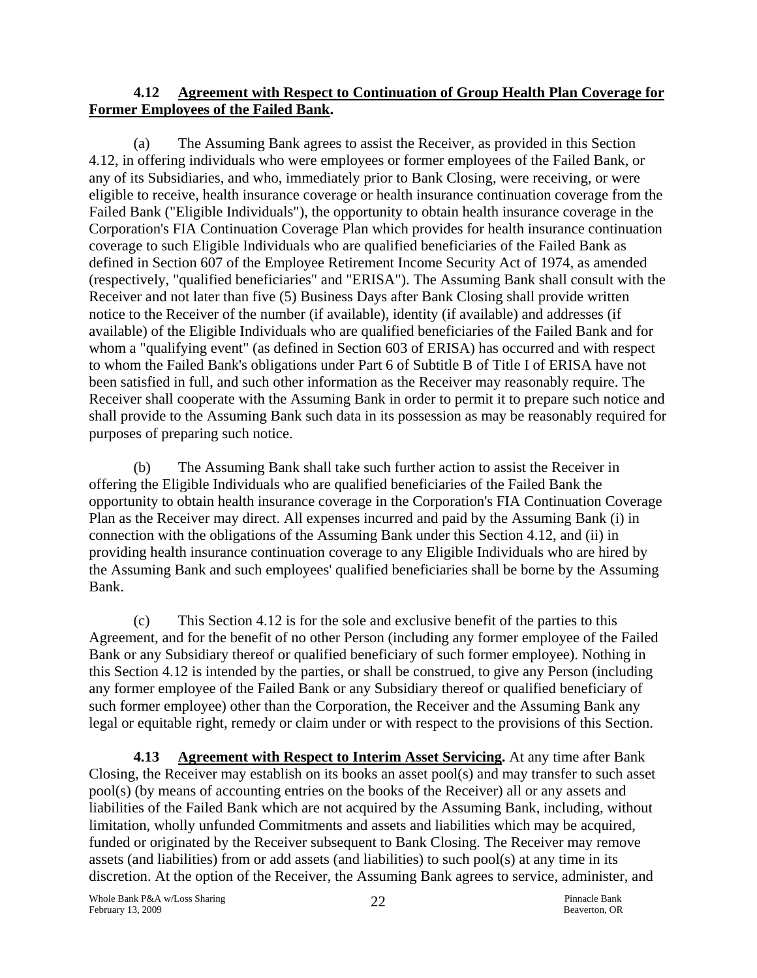### <span id="page-25-0"></span>**4.12 Agreement with Respect to Continuation of Group Health Plan Coverage for Former Employees of the Failed Bank.**

(a) The Assuming Bank agrees to assist the Receiver, as provided in this Section 4.12, in offering individuals who were employees or former employees of the Failed Bank, or any of its Subsidiaries, and who, immediately prior to Bank Closing, were receiving, or were eligible to receive, health insurance coverage or health insurance continuation coverage from the Failed Bank ("Eligible Individuals"), the opportunity to obtain health insurance coverage in the Corporation's FIA Continuation Coverage Plan which provides for health insurance continuation coverage to such Eligible Individuals who are qualified beneficiaries of the Failed Bank as defined in Section 607 of the Employee Retirement Income Security Act of 1974, as amended (respectively, "qualified beneficiaries" and "ERISA"). The Assuming Bank shall consult with the Receiver and not later than five (5) Business Days after Bank Closing shall provide written notice to the Receiver of the number (if available), identity (if available) and addresses (if available) of the Eligible Individuals who are qualified beneficiaries of the Failed Bank and for whom a "qualifying event" (as defined in Section 603 of ERISA) has occurred and with respect to whom the Failed Bank's obligations under Part 6 of Subtitle B of Title I of ERISA have not been satisfied in full, and such other information as the Receiver may reasonably require. The Receiver shall cooperate with the Assuming Bank in order to permit it to prepare such notice and shall provide to the Assuming Bank such data in its possession as may be reasonably required for purposes of preparing such notice.

(b) The Assuming Bank shall take such further action to assist the Receiver in offering the Eligible Individuals who are qualified beneficiaries of the Failed Bank the opportunity to obtain health insurance coverage in the Corporation's FIA Continuation Coverage Plan as the Receiver may direct. All expenses incurred and paid by the Assuming Bank (i) in connection with the obligations of the Assuming Bank under this Section 4.12, and (ii) in providing health insurance continuation coverage to any Eligible Individuals who are hired by the Assuming Bank and such employees' qualified beneficiaries shall be borne by the Assuming Bank.

(c) This Section 4.12 is for the sole and exclusive benefit of the parties to this Agreement, and for the benefit of no other Person (including any former employee of the Failed Bank or any Subsidiary thereof or qualified beneficiary of such former employee). Nothing in this Section 4.12 is intended by the parties, or shall be construed, to give any Person (including any former employee of the Failed Bank or any Subsidiary thereof or qualified beneficiary of such former employee) other than the Corporation, the Receiver and the Assuming Bank any legal or equitable right, remedy or claim under or with respect to the provisions of this Section.

**4.13** Agreement with Respect to Interim Asset Servicing. At any time after Bank Closing, the Receiver may establish on its books an asset pool(s) and may transfer to such asset pool(s) (by means of accounting entries on the books of the Receiver) all or any assets and liabilities of the Failed Bank which are not acquired by the Assuming Bank, including, without limitation, wholly unfunded Commitments and assets and liabilities which may be acquired, funded or originated by the Receiver subsequent to Bank Closing. The Receiver may remove assets (and liabilities) from or add assets (and liabilities) to such pool(s) at any time in its discretion. At the option of the Receiver, the Assuming Bank agrees to service, administer, and

Whole Bank P&A w/Loss Sharing  $22$  Pinnacle Bank P&A w/Loss Sharing  $22$  Pinnacle Bank Beaverton, OR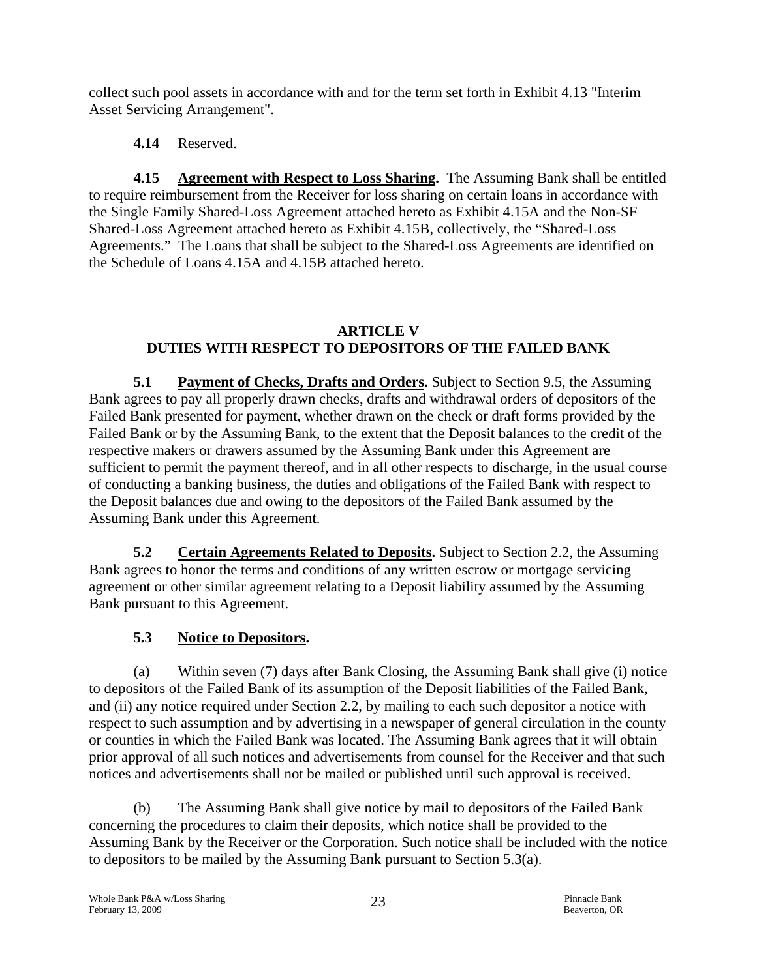<span id="page-26-0"></span>collect such pool assets in accordance with and for the term set forth in Exhibit 4.13 "Interim Asset Servicing Arrangement".

**4.14** Reserved.

**4.15 Agreement with Respect to Loss Sharing.** The Assuming Bank shall be entitled to require reimbursement from the Receiver for loss sharing on certain loans in accordance with the Single Family Shared-Loss Agreement attached hereto as Exhibit 4.15A and the Non-SF Shared-Loss Agreement attached hereto as Exhibit 4.15B, collectively, the "Shared-Loss Agreements." The Loans that shall be subject to the Shared-Loss Agreements are identified on the Schedule of Loans 4.15A and 4.15B attached hereto.

## **ARTICLE V DUTIES WITH RESPECT TO DEPOSITORS OF THE FAILED BANK**

**5.1 Payment of Checks, Drafts and Orders.** Subject to Section 9.5, the Assuming Bank agrees to pay all properly drawn checks, drafts and withdrawal orders of depositors of the Failed Bank presented for payment, whether drawn on the check or draft forms provided by the Failed Bank or by the Assuming Bank, to the extent that the Deposit balances to the credit of the respective makers or drawers assumed by the Assuming Bank under this Agreement are sufficient to permit the payment thereof, and in all other respects to discharge, in the usual course of conducting a banking business, the duties and obligations of the Failed Bank with respect to the Deposit balances due and owing to the depositors of the Failed Bank assumed by the Assuming Bank under this Agreement.

**5.2 Certain Agreements Related to Deposits.** Subject to Section 2.2, the Assuming Bank agrees to honor the terms and conditions of any written escrow or mortgage servicing agreement or other similar agreement relating to a Deposit liability assumed by the Assuming Bank pursuant to this Agreement.

# **5.3 Notice to Depositors.**

(a) Within seven (7) days after Bank Closing, the Assuming Bank shall give (i) notice to depositors of the Failed Bank of its assumption of the Deposit liabilities of the Failed Bank, and (ii) any notice required under Section 2.2, by mailing to each such depositor a notice with respect to such assumption and by advertising in a newspaper of general circulation in the county or counties in which the Failed Bank was located. The Assuming Bank agrees that it will obtain prior approval of all such notices and advertisements from counsel for the Receiver and that such notices and advertisements shall not be mailed or published until such approval is received.

(b) The Assuming Bank shall give notice by mail to depositors of the Failed Bank concerning the procedures to claim their deposits, which notice shall be provided to the Assuming Bank by the Receiver or the Corporation. Such notice shall be included with the notice to depositors to be mailed by the Assuming Bank pursuant to Section 5.3(a).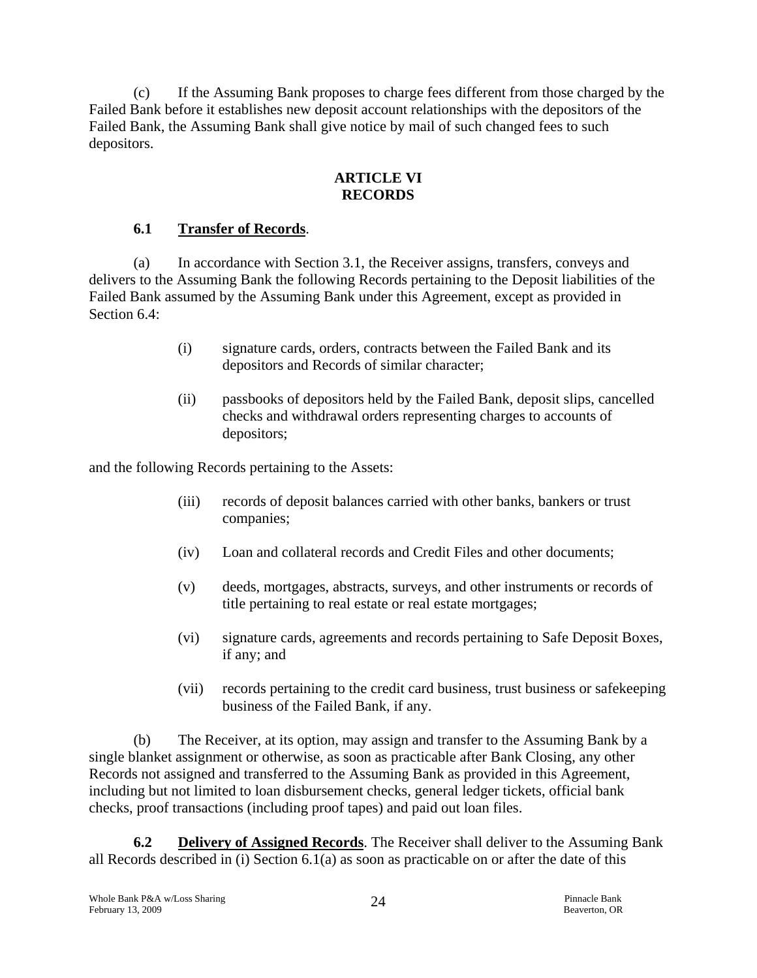<span id="page-27-0"></span>(c) If the Assuming Bank proposes to charge fees different from those charged by the Failed Bank before it establishes new deposit account relationships with the depositors of the Failed Bank, the Assuming Bank shall give notice by mail of such changed fees to such depositors.

### **ARTICLE VI RECORDS**

### **6.1 Transfer of Records**.

(a) In accordance with Section 3.1, the Receiver assigns, transfers, conveys and delivers to the Assuming Bank the following Records pertaining to the Deposit liabilities of the Failed Bank assumed by the Assuming Bank under this Agreement, except as provided in Section 6.4:

- (i) signature cards, orders, contracts between the Failed Bank and its depositors and Records of similar character;
- (ii) passbooks of depositors held by the Failed Bank, deposit slips, cancelled checks and withdrawal orders representing charges to accounts of depositors;

and the following Records pertaining to the Assets:

- (iii) records of deposit balances carried with other banks, bankers or trust companies;
- (iv) Loan and collateral records and Credit Files and other documents;
- (v) deeds, mortgages, abstracts, surveys, and other instruments or records of title pertaining to real estate or real estate mortgages;
- (vi) signature cards, agreements and records pertaining to Safe Deposit Boxes, if any; and
- (vii) records pertaining to the credit card business, trust business or safekeeping business of the Failed Bank, if any.

(b) The Receiver, at its option, may assign and transfer to the Assuming Bank by a single blanket assignment or otherwise, as soon as practicable after Bank Closing, any other Records not assigned and transferred to the Assuming Bank as provided in this Agreement, including but not limited to loan disbursement checks, general ledger tickets, official bank checks, proof transactions (including proof tapes) and paid out loan files.

**6.2 Delivery of Assigned Records**. The Receiver shall deliver to the Assuming Bank all Records described in (i) Section 6.1(a) as soon as practicable on or after the date of this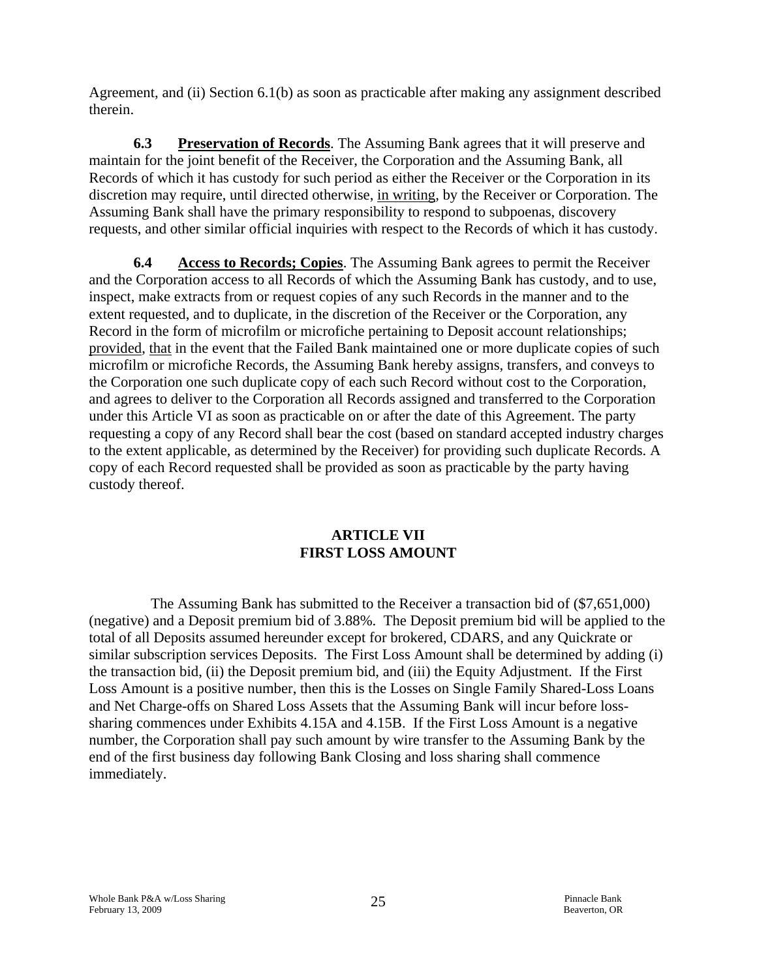<span id="page-28-0"></span>Agreement, and (ii) Section 6.1(b) as soon as practicable after making any assignment described therein.

**6.3 Preservation of Records**. The Assuming Bank agrees that it will preserve and maintain for the joint benefit of the Receiver, the Corporation and the Assuming Bank, all Records of which it has custody for such period as either the Receiver or the Corporation in its discretion may require, until directed otherwise, in writing, by the Receiver or Corporation. The Assuming Bank shall have the primary responsibility to respond to subpoenas, discovery requests, and other similar official inquiries with respect to the Records of which it has custody.

**6.4** Access to Records; Copies. The Assuming Bank agrees to permit the Receiver and the Corporation access to all Records of which the Assuming Bank has custody, and to use, inspect, make extracts from or request copies of any such Records in the manner and to the extent requested, and to duplicate, in the discretion of the Receiver or the Corporation, any Record in the form of microfilm or microfiche pertaining to Deposit account relationships; provided, that in the event that the Failed Bank maintained one or more duplicate copies of such microfilm or microfiche Records, the Assuming Bank hereby assigns, transfers, and conveys to the Corporation one such duplicate copy of each such Record without cost to the Corporation, and agrees to deliver to the Corporation all Records assigned and transferred to the Corporation under this Article VI as soon as practicable on or after the date of this Agreement. The party requesting a copy of any Record shall bear the cost (based on standard accepted industry charges to the extent applicable, as determined by the Receiver) for providing such duplicate Records. A copy of each Record requested shall be provided as soon as practicable by the party having custody thereof.

#### **ARTICLE VII FIRST LOSS AMOUNT**

 The Assuming Bank has submitted to the Receiver a transaction bid of (\$7,651,000) (negative) and a Deposit premium bid of 3.88%. The Deposit premium bid will be applied to the total of all Deposits assumed hereunder except for brokered, CDARS, and any Quickrate or similar subscription services Deposits. The First Loss Amount shall be determined by adding (i) the transaction bid, (ii) the Deposit premium bid, and (iii) the Equity Adjustment. If the First Loss Amount is a positive number, then this is the Losses on Single Family Shared-Loss Loans and Net Charge-offs on Shared Loss Assets that the Assuming Bank will incur before losssharing commences under Exhibits 4.15A and 4.15B. If the First Loss Amount is a negative number, the Corporation shall pay such amount by wire transfer to the Assuming Bank by the end of the first business day following Bank Closing and loss sharing shall commence immediately.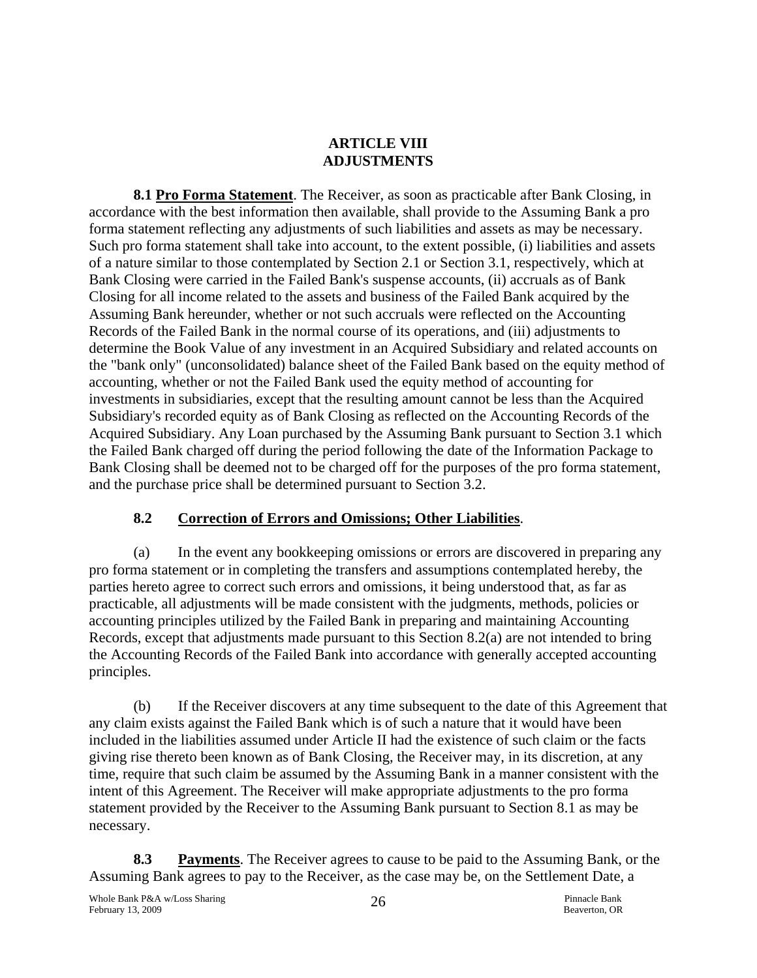### **ARTICLE VIII ADJUSTMENTS**

<span id="page-29-0"></span>**8.1 Pro Forma Statement**. The Receiver, as soon as practicable after Bank Closing, in accordance with the best information then available, shall provide to the Assuming Bank a pro forma statement reflecting any adjustments of such liabilities and assets as may be necessary. Such pro forma statement shall take into account, to the extent possible, (i) liabilities and assets of a nature similar to those contemplated by Section 2.1 or Section 3.1, respectively, which at Bank Closing were carried in the Failed Bank's suspense accounts, (ii) accruals as of Bank Closing for all income related to the assets and business of the Failed Bank acquired by the Assuming Bank hereunder, whether or not such accruals were reflected on the Accounting Records of the Failed Bank in the normal course of its operations, and (iii) adjustments to determine the Book Value of any investment in an Acquired Subsidiary and related accounts on the "bank only" (unconsolidated) balance sheet of the Failed Bank based on the equity method of accounting, whether or not the Failed Bank used the equity method of accounting for investments in subsidiaries, except that the resulting amount cannot be less than the Acquired Subsidiary's recorded equity as of Bank Closing as reflected on the Accounting Records of the Acquired Subsidiary. Any Loan purchased by the Assuming Bank pursuant to Section 3.1 which the Failed Bank charged off during the period following the date of the Information Package to Bank Closing shall be deemed not to be charged off for the purposes of the pro forma statement, and the purchase price shall be determined pursuant to Section 3.2.

## **8.2 Correction of Errors and Omissions; Other Liabilities**.

(a) In the event any bookkeeping omissions or errors are discovered in preparing any pro forma statement or in completing the transfers and assumptions contemplated hereby, the parties hereto agree to correct such errors and omissions, it being understood that, as far as practicable, all adjustments will be made consistent with the judgments, methods, policies or accounting principles utilized by the Failed Bank in preparing and maintaining Accounting Records, except that adjustments made pursuant to this Section 8.2(a) are not intended to bring the Accounting Records of the Failed Bank into accordance with generally accepted accounting principles.

(b) If the Receiver discovers at any time subsequent to the date of this Agreement that any claim exists against the Failed Bank which is of such a nature that it would have been included in the liabilities assumed under Article II had the existence of such claim or the facts giving rise thereto been known as of Bank Closing, the Receiver may, in its discretion, at any time, require that such claim be assumed by the Assuming Bank in a manner consistent with the intent of this Agreement. The Receiver will make appropriate adjustments to the pro forma statement provided by the Receiver to the Assuming Bank pursuant to Section 8.1 as may be necessary.

**8.3 Payments**. The Receiver agrees to cause to be paid to the Assuming Bank, or the Assuming Bank agrees to pay to the Receiver, as the case may be, on the Settlement Date, a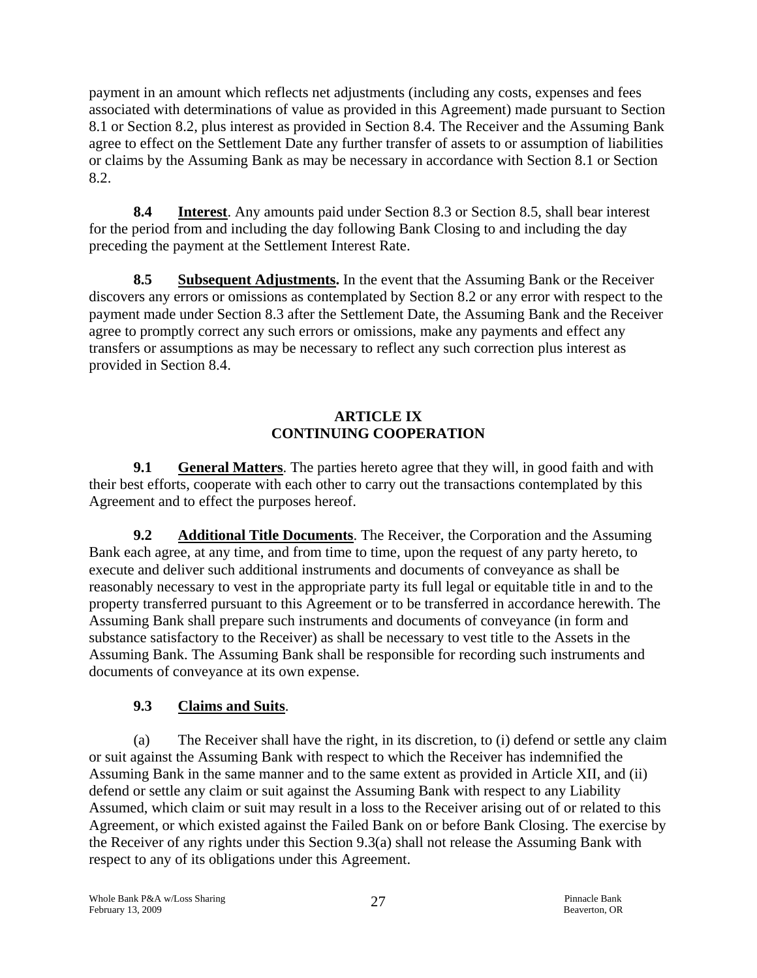<span id="page-30-0"></span>payment in an amount which reflects net adjustments (including any costs, expenses and fees associated with determinations of value as provided in this Agreement) made pursuant to Section 8.1 or Section 8.2, plus interest as provided in Section 8.4. The Receiver and the Assuming Bank agree to effect on the Settlement Date any further transfer of assets to or assumption of liabilities or claims by the Assuming Bank as may be necessary in accordance with Section 8.1 or Section 8.2.

**8.4 Interest**. Any amounts paid under Section 8.3 or Section 8.5, shall bear interest for the period from and including the day following Bank Closing to and including the day preceding the payment at the Settlement Interest Rate.

**8.5 Subsequent Adjustments.** In the event that the Assuming Bank or the Receiver discovers any errors or omissions as contemplated by Section 8.2 or any error with respect to the payment made under Section 8.3 after the Settlement Date, the Assuming Bank and the Receiver agree to promptly correct any such errors or omissions, make any payments and effect any transfers or assumptions as may be necessary to reflect any such correction plus interest as provided in Section 8.4.

### **ARTICLE IX CONTINUING COOPERATION**

**9.1** General Matters. The parties hereto agree that they will, in good faith and with their best efforts, cooperate with each other to carry out the transactions contemplated by this Agreement and to effect the purposes hereof.

**9.2 Additional Title Documents**. The Receiver, the Corporation and the Assuming Bank each agree, at any time, and from time to time, upon the request of any party hereto, to execute and deliver such additional instruments and documents of conveyance as shall be reasonably necessary to vest in the appropriate party its full legal or equitable title in and to the property transferred pursuant to this Agreement or to be transferred in accordance herewith. The Assuming Bank shall prepare such instruments and documents of conveyance (in form and substance satisfactory to the Receiver) as shall be necessary to vest title to the Assets in the Assuming Bank. The Assuming Bank shall be responsible for recording such instruments and documents of conveyance at its own expense.

# **9.3 Claims and Suits**.

(a) The Receiver shall have the right, in its discretion, to (i) defend or settle any claim or suit against the Assuming Bank with respect to which the Receiver has indemnified the Assuming Bank in the same manner and to the same extent as provided in Article XII, and (ii) defend or settle any claim or suit against the Assuming Bank with respect to any Liability Assumed, which claim or suit may result in a loss to the Receiver arising out of or related to this Agreement, or which existed against the Failed Bank on or before Bank Closing. The exercise by the Receiver of any rights under this Section 9.3(a) shall not release the Assuming Bank with respect to any of its obligations under this Agreement.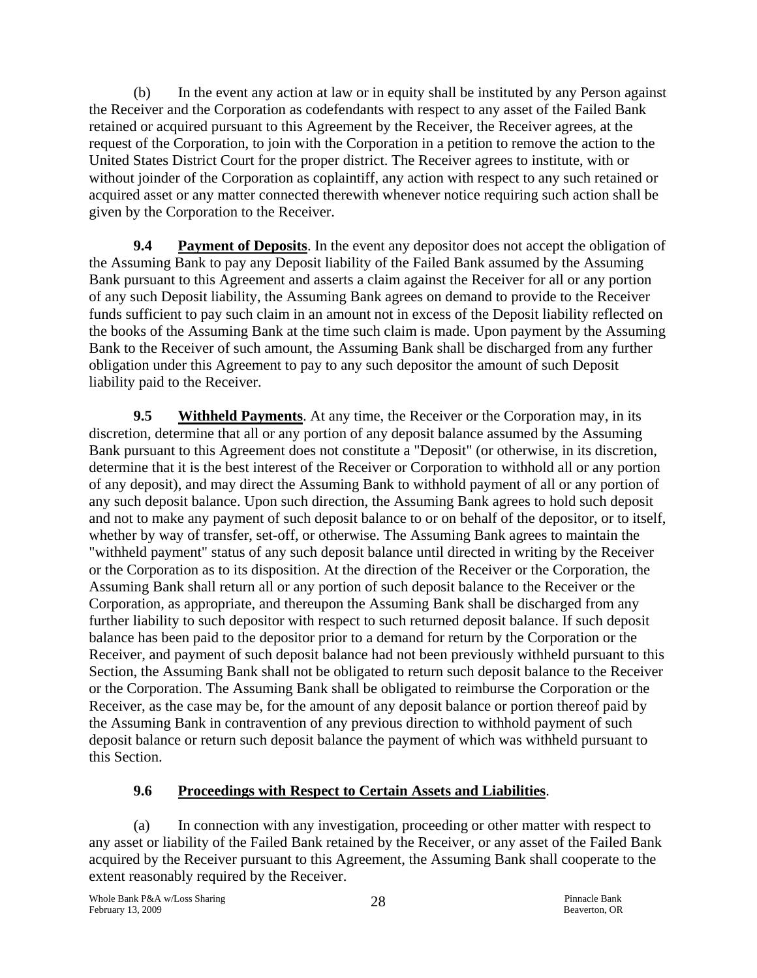<span id="page-31-0"></span>(b) In the event any action at law or in equity shall be instituted by any Person against the Receiver and the Corporation as codefendants with respect to any asset of the Failed Bank retained or acquired pursuant to this Agreement by the Receiver, the Receiver agrees, at the request of the Corporation, to join with the Corporation in a petition to remove the action to the United States District Court for the proper district. The Receiver agrees to institute, with or without joinder of the Corporation as coplaintiff, any action with respect to any such retained or acquired asset or any matter connected therewith whenever notice requiring such action shall be given by the Corporation to the Receiver.

**9.4 Payment of Deposits**. In the event any depositor does not accept the obligation of the Assuming Bank to pay any Deposit liability of the Failed Bank assumed by the Assuming Bank pursuant to this Agreement and asserts a claim against the Receiver for all or any portion of any such Deposit liability, the Assuming Bank agrees on demand to provide to the Receiver funds sufficient to pay such claim in an amount not in excess of the Deposit liability reflected on the books of the Assuming Bank at the time such claim is made. Upon payment by the Assuming Bank to the Receiver of such amount, the Assuming Bank shall be discharged from any further obligation under this Agreement to pay to any such depositor the amount of such Deposit liability paid to the Receiver.

**9.5 Withheld Payments**. At any time, the Receiver or the Corporation may, in its discretion, determine that all or any portion of any deposit balance assumed by the Assuming Bank pursuant to this Agreement does not constitute a "Deposit" (or otherwise, in its discretion, determine that it is the best interest of the Receiver or Corporation to withhold all or any portion of any deposit), and may direct the Assuming Bank to withhold payment of all or any portion of any such deposit balance. Upon such direction, the Assuming Bank agrees to hold such deposit and not to make any payment of such deposit balance to or on behalf of the depositor, or to itself, whether by way of transfer, set-off, or otherwise. The Assuming Bank agrees to maintain the "withheld payment" status of any such deposit balance until directed in writing by the Receiver or the Corporation as to its disposition. At the direction of the Receiver or the Corporation, the Assuming Bank shall return all or any portion of such deposit balance to the Receiver or the Corporation, as appropriate, and thereupon the Assuming Bank shall be discharged from any further liability to such depositor with respect to such returned deposit balance. If such deposit balance has been paid to the depositor prior to a demand for return by the Corporation or the Receiver, and payment of such deposit balance had not been previously withheld pursuant to this Section, the Assuming Bank shall not be obligated to return such deposit balance to the Receiver or the Corporation. The Assuming Bank shall be obligated to reimburse the Corporation or the Receiver, as the case may be, for the amount of any deposit balance or portion thereof paid by the Assuming Bank in contravention of any previous direction to withhold payment of such deposit balance or return such deposit balance the payment of which was withheld pursuant to this Section.

## **9.6 Proceedings with Respect to Certain Assets and Liabilities**.

(a) In connection with any investigation, proceeding or other matter with respect to any asset or liability of the Failed Bank retained by the Receiver, or any asset of the Failed Bank acquired by the Receiver pursuant to this Agreement, the Assuming Bank shall cooperate to the extent reasonably required by the Receiver.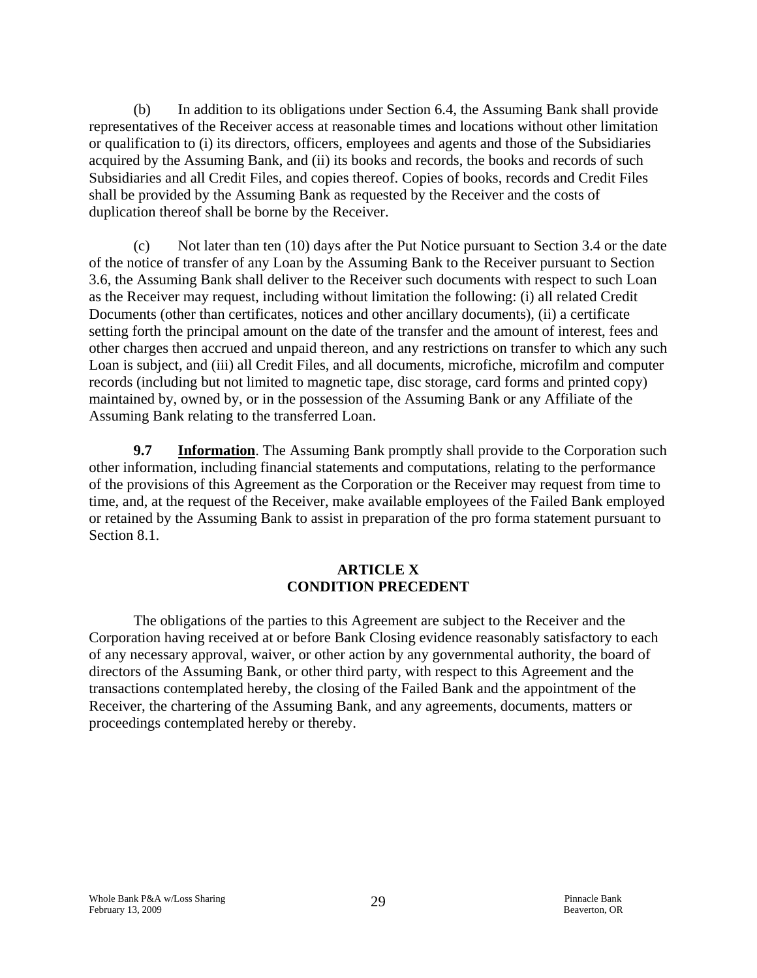<span id="page-32-0"></span>(b) In addition to its obligations under Section 6.4, the Assuming Bank shall provide representatives of the Receiver access at reasonable times and locations without other limitation or qualification to (i) its directors, officers, employees and agents and those of the Subsidiaries acquired by the Assuming Bank, and (ii) its books and records, the books and records of such Subsidiaries and all Credit Files, and copies thereof. Copies of books, records and Credit Files shall be provided by the Assuming Bank as requested by the Receiver and the costs of duplication thereof shall be borne by the Receiver.

(c) Not later than ten (10) days after the Put Notice pursuant to Section 3.4 or the date of the notice of transfer of any Loan by the Assuming Bank to the Receiver pursuant to Section 3.6, the Assuming Bank shall deliver to the Receiver such documents with respect to such Loan as the Receiver may request, including without limitation the following: (i) all related Credit Documents (other than certificates, notices and other ancillary documents), (ii) a certificate setting forth the principal amount on the date of the transfer and the amount of interest, fees and other charges then accrued and unpaid thereon, and any restrictions on transfer to which any such Loan is subject, and (iii) all Credit Files, and all documents, microfiche, microfilm and computer records (including but not limited to magnetic tape, disc storage, card forms and printed copy) maintained by, owned by, or in the possession of the Assuming Bank or any Affiliate of the Assuming Bank relating to the transferred Loan.

**9.7 Information**. The Assuming Bank promptly shall provide to the Corporation such other information, including financial statements and computations, relating to the performance of the provisions of this Agreement as the Corporation or the Receiver may request from time to time, and, at the request of the Receiver, make available employees of the Failed Bank employed or retained by the Assuming Bank to assist in preparation of the pro forma statement pursuant to Section 8.1.

### **ARTICLE X CONDITION PRECEDENT**

The obligations of the parties to this Agreement are subject to the Receiver and the Corporation having received at or before Bank Closing evidence reasonably satisfactory to each of any necessary approval, waiver, or other action by any governmental authority, the board of directors of the Assuming Bank, or other third party, with respect to this Agreement and the transactions contemplated hereby, the closing of the Failed Bank and the appointment of the Receiver, the chartering of the Assuming Bank, and any agreements, documents, matters or proceedings contemplated hereby or thereby.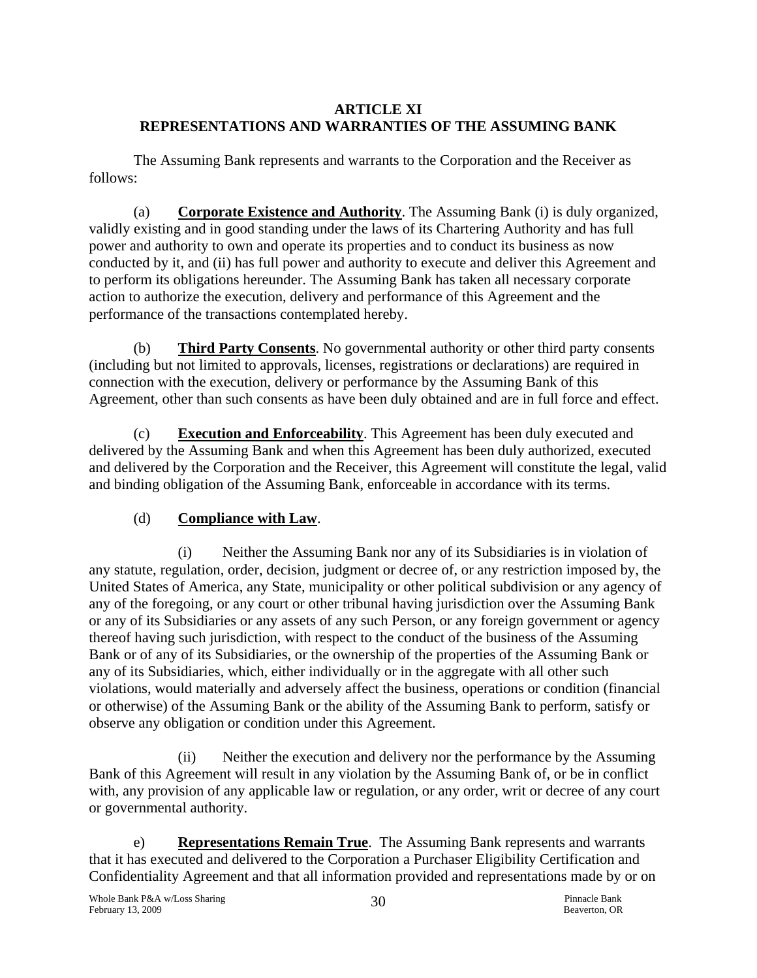### <span id="page-33-0"></span> **ARTICLE XI REPRESENTATIONS AND WARRANTIES OF THE ASSUMING BANK**

The Assuming Bank represents and warrants to the Corporation and the Receiver as follows:

(a) **Corporate Existence and Authority**. The Assuming Bank (i) is duly organized, validly existing and in good standing under the laws of its Chartering Authority and has full power and authority to own and operate its properties and to conduct its business as now conducted by it, and (ii) has full power and authority to execute and deliver this Agreement and to perform its obligations hereunder. The Assuming Bank has taken all necessary corporate action to authorize the execution, delivery and performance of this Agreement and the performance of the transactions contemplated hereby.

(b) **Third Party Consents**. No governmental authority or other third party consents (including but not limited to approvals, licenses, registrations or declarations) are required in connection with the execution, delivery or performance by the Assuming Bank of this Agreement, other than such consents as have been duly obtained and are in full force and effect.

(c) **Execution and Enforceability**. This Agreement has been duly executed and delivered by the Assuming Bank and when this Agreement has been duly authorized, executed and delivered by the Corporation and the Receiver, this Agreement will constitute the legal, valid and binding obligation of the Assuming Bank, enforceable in accordance with its terms.

# (d) **Compliance with Law**.

(i) Neither the Assuming Bank nor any of its Subsidiaries is in violation of any statute, regulation, order, decision, judgment or decree of, or any restriction imposed by, the United States of America, any State, municipality or other political subdivision or any agency of any of the foregoing, or any court or other tribunal having jurisdiction over the Assuming Bank or any of its Subsidiaries or any assets of any such Person, or any foreign government or agency thereof having such jurisdiction, with respect to the conduct of the business of the Assuming Bank or of any of its Subsidiaries, or the ownership of the properties of the Assuming Bank or any of its Subsidiaries, which, either individually or in the aggregate with all other such violations, would materially and adversely affect the business, operations or condition (financial or otherwise) of the Assuming Bank or the ability of the Assuming Bank to perform, satisfy or observe any obligation or condition under this Agreement.

(ii) Neither the execution and delivery nor the performance by the Assuming Bank of this Agreement will result in any violation by the Assuming Bank of, or be in conflict with, any provision of any applicable law or regulation, or any order, writ or decree of any court or governmental authority.

e) **Representations Remain True**. The Assuming Bank represents and warrants that it has executed and delivered to the Corporation a Purchaser Eligibility Certification and Confidentiality Agreement and that all information provided and representations made by or on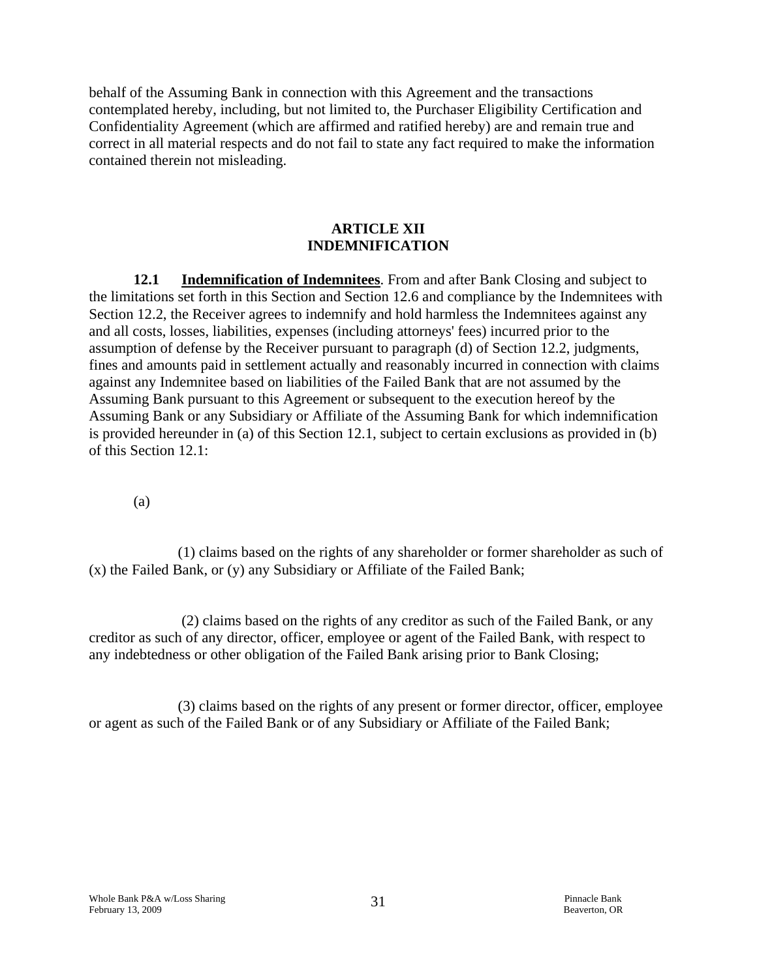<span id="page-34-0"></span>behalf of the Assuming Bank in connection with this Agreement and the transactions contemplated hereby, including, but not limited to, the Purchaser Eligibility Certification and Confidentiality Agreement (which are affirmed and ratified hereby) are and remain true and correct in all material respects and do not fail to state any fact required to make the information contained therein not misleading.

#### **ARTICLE XII INDEMNIFICATION**

**12.1 Indemnification of Indemnitees**. From and after Bank Closing and subject to the limitations set forth in this Section and Section 12.6 and compliance by the Indemnitees with Section 12.2, the Receiver agrees to indemnify and hold harmless the Indemnitees against any and all costs, losses, liabilities, expenses (including attorneys' fees) incurred prior to the assumption of defense by the Receiver pursuant to paragraph (d) of Section 12.2, judgments, fines and amounts paid in settlement actually and reasonably incurred in connection with claims against any Indemnitee based on liabilities of the Failed Bank that are not assumed by the Assuming Bank pursuant to this Agreement or subsequent to the execution hereof by the Assuming Bank or any Subsidiary or Affiliate of the Assuming Bank for which indemnification is provided hereunder in (a) of this Section 12.1, subject to certain exclusions as provided in (b) of this Section 12.1:

(a)

(1) claims based on the rights of any shareholder or former shareholder as such of (x) the Failed Bank, or (y) any Subsidiary or Affiliate of the Failed Bank;

(2) claims based on the rights of any creditor as such of the Failed Bank, or any creditor as such of any director, officer, employee or agent of the Failed Bank, with respect to any indebtedness or other obligation of the Failed Bank arising prior to Bank Closing;

(3) claims based on the rights of any present or former director, officer, employee or agent as such of the Failed Bank or of any Subsidiary or Affiliate of the Failed Bank;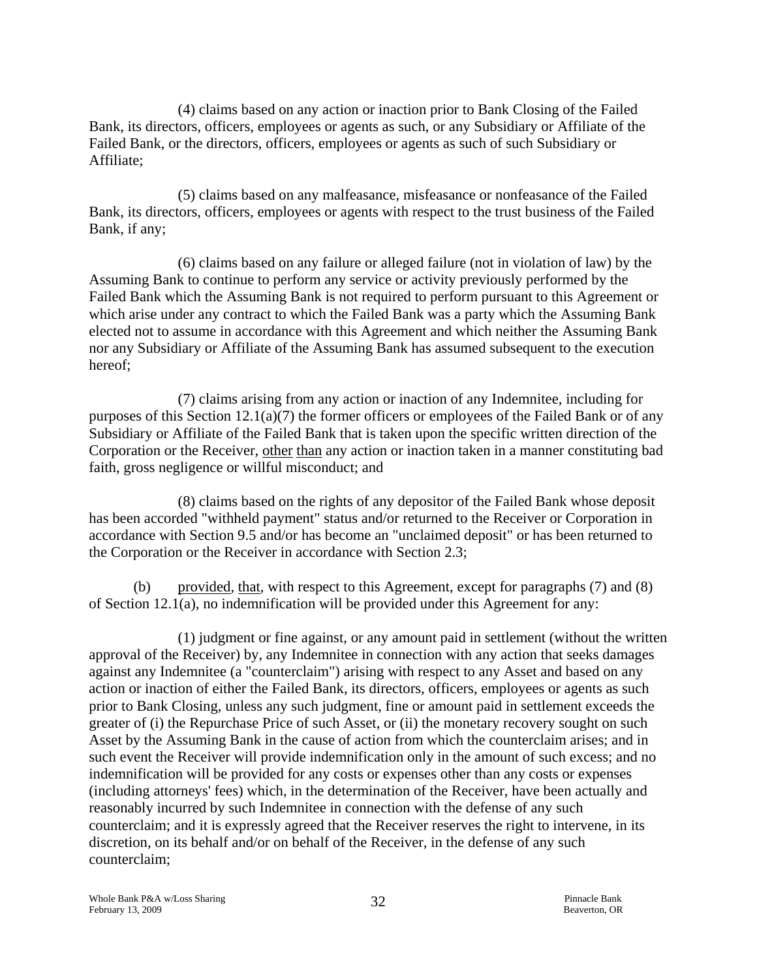(4) claims based on any action or inaction prior to Bank Closing of the Failed Bank, its directors, officers, employees or agents as such, or any Subsidiary or Affiliate of the Failed Bank, or the directors, officers, employees or agents as such of such Subsidiary or Affiliate;

(5) claims based on any malfeasance, misfeasance or nonfeasance of the Failed Bank, its directors, officers, employees or agents with respect to the trust business of the Failed Bank, if any;

(6) claims based on any failure or alleged failure (not in violation of law) by the Assuming Bank to continue to perform any service or activity previously performed by the Failed Bank which the Assuming Bank is not required to perform pursuant to this Agreement or which arise under any contract to which the Failed Bank was a party which the Assuming Bank elected not to assume in accordance with this Agreement and which neither the Assuming Bank nor any Subsidiary or Affiliate of the Assuming Bank has assumed subsequent to the execution hereof;

(7) claims arising from any action or inaction of any Indemnitee, including for purposes of this Section 12.1(a)(7) the former officers or employees of the Failed Bank or of any Subsidiary or Affiliate of the Failed Bank that is taken upon the specific written direction of the Corporation or the Receiver, other than any action or inaction taken in a manner constituting bad faith, gross negligence or willful misconduct; and

(8) claims based on the rights of any depositor of the Failed Bank whose deposit has been accorded "withheld payment" status and/or returned to the Receiver or Corporation in accordance with Section 9.5 and/or has become an "unclaimed deposit" or has been returned to the Corporation or the Receiver in accordance with Section 2.3;

(b) provided, that, with respect to this Agreement, except for paragraphs (7) and (8) of Section 12.1(a), no indemnification will be provided under this Agreement for any:

(1) judgment or fine against, or any amount paid in settlement (without the written approval of the Receiver) by, any Indemnitee in connection with any action that seeks damages against any Indemnitee (a "counterclaim") arising with respect to any Asset and based on any action or inaction of either the Failed Bank, its directors, officers, employees or agents as such prior to Bank Closing, unless any such judgment, fine or amount paid in settlement exceeds the greater of (i) the Repurchase Price of such Asset, or (ii) the monetary recovery sought on such Asset by the Assuming Bank in the cause of action from which the counterclaim arises; and in such event the Receiver will provide indemnification only in the amount of such excess; and no indemnification will be provided for any costs or expenses other than any costs or expenses (including attorneys' fees) which, in the determination of the Receiver, have been actually and reasonably incurred by such Indemnitee in connection with the defense of any such counterclaim; and it is expressly agreed that the Receiver reserves the right to intervene, in its discretion, on its behalf and/or on behalf of the Receiver, in the defense of any such counterclaim;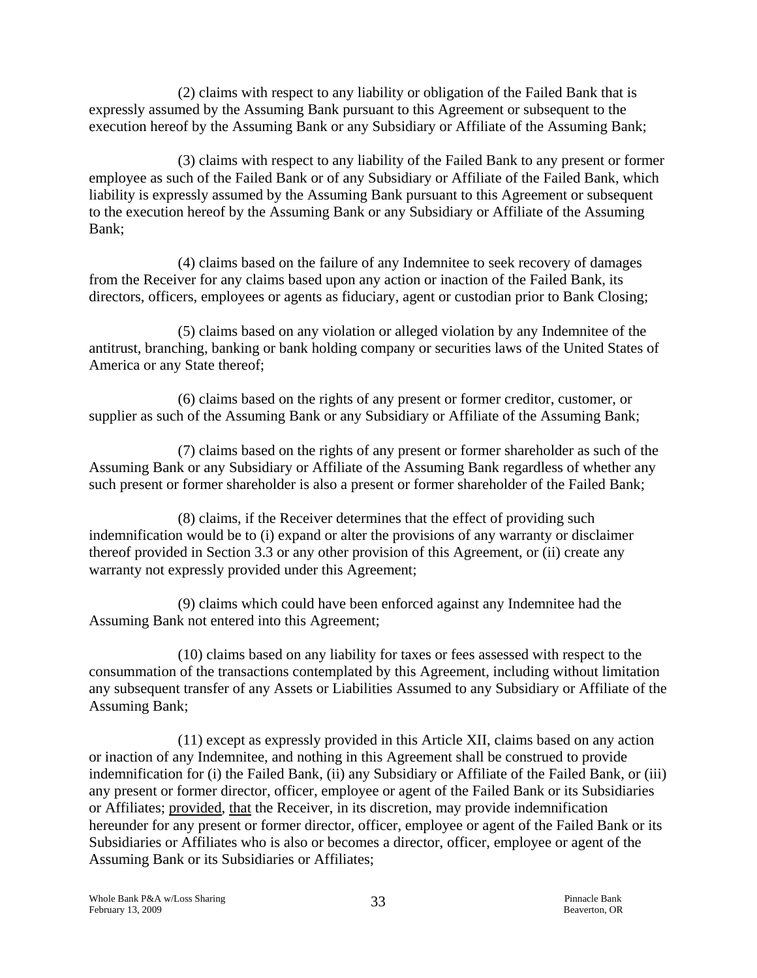(2) claims with respect to any liability or obligation of the Failed Bank that is expressly assumed by the Assuming Bank pursuant to this Agreement or subsequent to the execution hereof by the Assuming Bank or any Subsidiary or Affiliate of the Assuming Bank;

(3) claims with respect to any liability of the Failed Bank to any present or former employee as such of the Failed Bank or of any Subsidiary or Affiliate of the Failed Bank, which liability is expressly assumed by the Assuming Bank pursuant to this Agreement or subsequent to the execution hereof by the Assuming Bank or any Subsidiary or Affiliate of the Assuming Bank;

(4) claims based on the failure of any Indemnitee to seek recovery of damages from the Receiver for any claims based upon any action or inaction of the Failed Bank, its directors, officers, employees or agents as fiduciary, agent or custodian prior to Bank Closing;

(5) claims based on any violation or alleged violation by any Indemnitee of the antitrust, branching, banking or bank holding company or securities laws of the United States of America or any State thereof;

(6) claims based on the rights of any present or former creditor, customer, or supplier as such of the Assuming Bank or any Subsidiary or Affiliate of the Assuming Bank;

(7) claims based on the rights of any present or former shareholder as such of the Assuming Bank or any Subsidiary or Affiliate of the Assuming Bank regardless of whether any such present or former shareholder is also a present or former shareholder of the Failed Bank;

(8) claims, if the Receiver determines that the effect of providing such indemnification would be to (i) expand or alter the provisions of any warranty or disclaimer thereof provided in Section 3.3 or any other provision of this Agreement, or (ii) create any warranty not expressly provided under this Agreement;

(9) claims which could have been enforced against any Indemnitee had the Assuming Bank not entered into this Agreement;

(10) claims based on any liability for taxes or fees assessed with respect to the consummation of the transactions contemplated by this Agreement, including without limitation any subsequent transfer of any Assets or Liabilities Assumed to any Subsidiary or Affiliate of the Assuming Bank;

(11) except as expressly provided in this Article XII, claims based on any action or inaction of any Indemnitee, and nothing in this Agreement shall be construed to provide indemnification for (i) the Failed Bank, (ii) any Subsidiary or Affiliate of the Failed Bank, or (iii) any present or former director, officer, employee or agent of the Failed Bank or its Subsidiaries or Affiliates; provided, that the Receiver, in its discretion, may provide indemnification hereunder for any present or former director, officer, employee or agent of the Failed Bank or its Subsidiaries or Affiliates who is also or becomes a director, officer, employee or agent of the Assuming Bank or its Subsidiaries or Affiliates;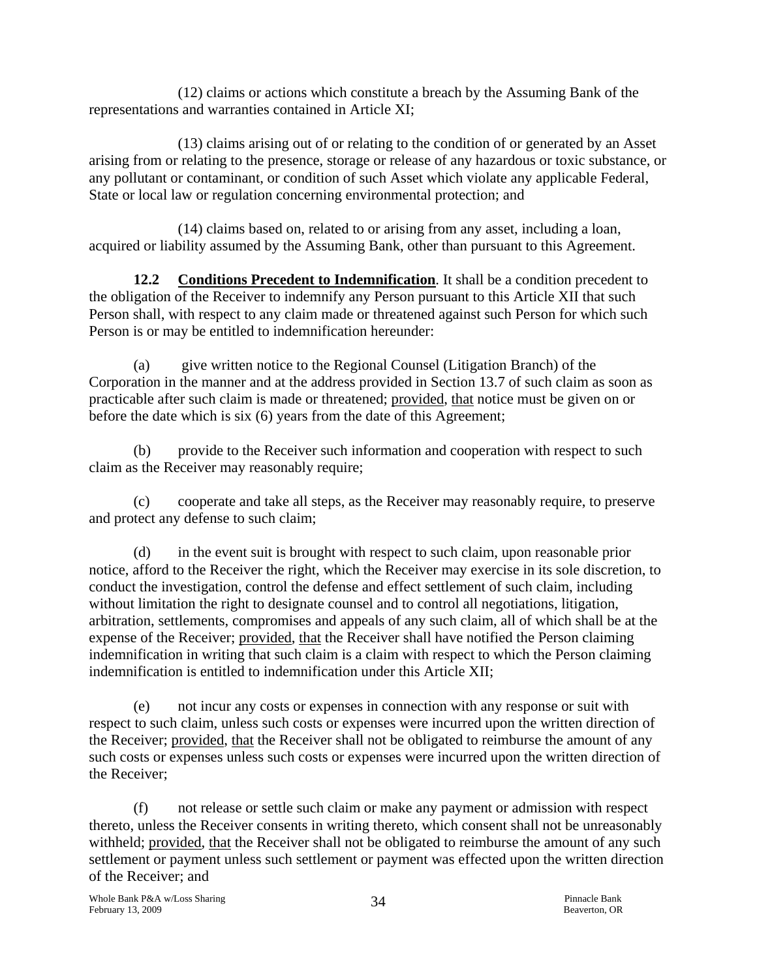(12) claims or actions which constitute a breach by the Assuming Bank of the representations and warranties contained in Article XI;

(13) claims arising out of or relating to the condition of or generated by an Asset arising from or relating to the presence, storage or release of any hazardous or toxic substance, or any pollutant or contaminant, or condition of such Asset which violate any applicable Federal, State or local law or regulation concerning environmental protection; and

(14) claims based on, related to or arising from any asset, including a loan, acquired or liability assumed by the Assuming Bank, other than pursuant to this Agreement.

**12.2 Conditions Precedent to Indemnification**. It shall be a condition precedent to the obligation of the Receiver to indemnify any Person pursuant to this Article XII that such Person shall, with respect to any claim made or threatened against such Person for which such Person is or may be entitled to indemnification hereunder:

(a) give written notice to the Regional Counsel (Litigation Branch) of the Corporation in the manner and at the address provided in Section 13.7 of such claim as soon as practicable after such claim is made or threatened; provided, that notice must be given on or before the date which is six (6) years from the date of this Agreement;

(b) provide to the Receiver such information and cooperation with respect to such claim as the Receiver may reasonably require;

(c) cooperate and take all steps, as the Receiver may reasonably require, to preserve and protect any defense to such claim;

(d) in the event suit is brought with respect to such claim, upon reasonable prior notice, afford to the Receiver the right, which the Receiver may exercise in its sole discretion, to conduct the investigation, control the defense and effect settlement of such claim, including without limitation the right to designate counsel and to control all negotiations, litigation, arbitration, settlements, compromises and appeals of any such claim, all of which shall be at the expense of the Receiver; provided, that the Receiver shall have notified the Person claiming indemnification in writing that such claim is a claim with respect to which the Person claiming indemnification is entitled to indemnification under this Article XII;

(e) not incur any costs or expenses in connection with any response or suit with respect to such claim, unless such costs or expenses were incurred upon the written direction of the Receiver; provided, that the Receiver shall not be obligated to reimburse the amount of any such costs or expenses unless such costs or expenses were incurred upon the written direction of the Receiver;

(f) not release or settle such claim or make any payment or admission with respect thereto, unless the Receiver consents in writing thereto, which consent shall not be unreasonably withheld; provided, that the Receiver shall not be obligated to reimburse the amount of any such settlement or payment unless such settlement or payment was effected upon the written direction of the Receiver; and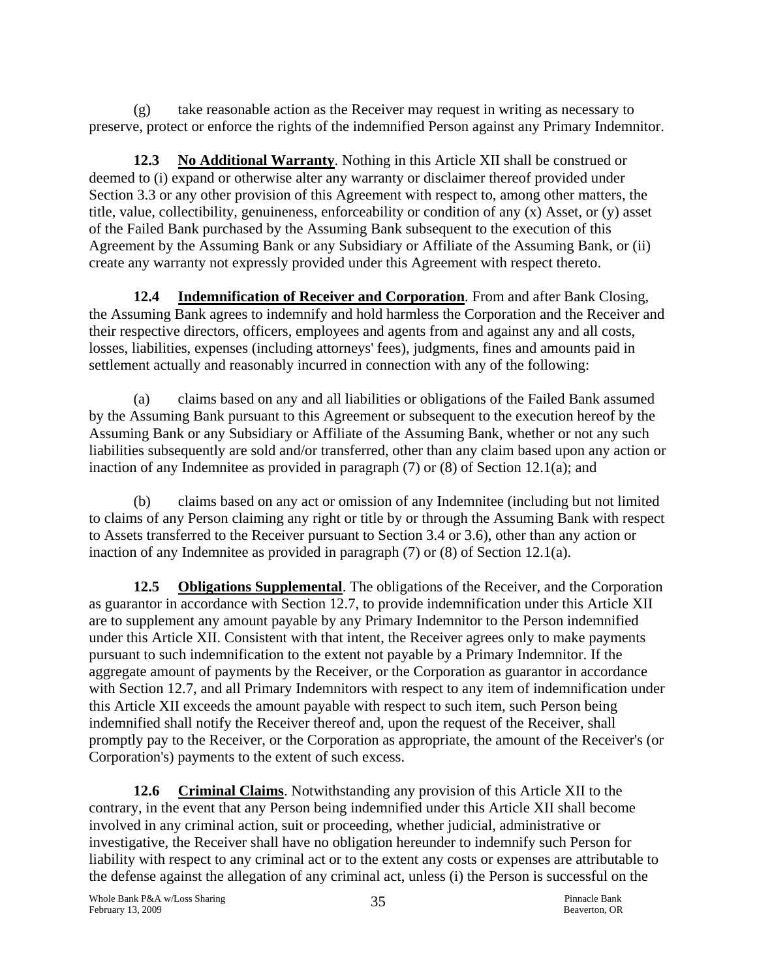(g) take reasonable action as the Receiver may request in writing as necessary to preserve, protect or enforce the rights of the indemnified Person against any Primary Indemnitor.

**12.3** No Additional Warranty. Nothing in this Article XII shall be construed or deemed to (i) expand or otherwise alter any warranty or disclaimer thereof provided under Section 3.3 or any other provision of this Agreement with respect to, among other matters, the title, value, collectibility, genuineness, enforceability or condition of any (x) Asset, or (y) asset of the Failed Bank purchased by the Assuming Bank subsequent to the execution of this Agreement by the Assuming Bank or any Subsidiary or Affiliate of the Assuming Bank, or (ii) create any warranty not expressly provided under this Agreement with respect thereto.

**12.4 Indemnification of Receiver and Corporation**. From and after Bank Closing, the Assuming Bank agrees to indemnify and hold harmless the Corporation and the Receiver and their respective directors, officers, employees and agents from and against any and all costs, losses, liabilities, expenses (including attorneys' fees), judgments, fines and amounts paid in settlement actually and reasonably incurred in connection with any of the following:

(a) claims based on any and all liabilities or obligations of the Failed Bank assumed by the Assuming Bank pursuant to this Agreement or subsequent to the execution hereof by the Assuming Bank or any Subsidiary or Affiliate of the Assuming Bank, whether or not any such liabilities subsequently are sold and/or transferred, other than any claim based upon any action or inaction of any Indemnitee as provided in paragraph (7) or (8) of Section 12.1(a); and

(b) claims based on any act or omission of any Indemnitee (including but not limited to claims of any Person claiming any right or title by or through the Assuming Bank with respect to Assets transferred to the Receiver pursuant to Section 3.4 or 3.6), other than any action or inaction of any Indemnitee as provided in paragraph (7) or (8) of Section 12.1(a).

**12.5 Obligations Supplemental**. The obligations of the Receiver, and the Corporation as guarantor in accordance with Section 12.7, to provide indemnification under this Article XII are to supplement any amount payable by any Primary Indemnitor to the Person indemnified under this Article XII. Consistent with that intent, the Receiver agrees only to make payments pursuant to such indemnification to the extent not payable by a Primary Indemnitor. If the aggregate amount of payments by the Receiver, or the Corporation as guarantor in accordance with Section 12.7, and all Primary Indemnitors with respect to any item of indemnification under this Article XII exceeds the amount payable with respect to such item, such Person being indemnified shall notify the Receiver thereof and, upon the request of the Receiver, shall promptly pay to the Receiver, or the Corporation as appropriate, the amount of the Receiver's (or Corporation's) payments to the extent of such excess.

**12.6 Criminal Claims**. Notwithstanding any provision of this Article XII to the contrary, in the event that any Person being indemnified under this Article XII shall become involved in any criminal action, suit or proceeding, whether judicial, administrative or investigative, the Receiver shall have no obligation hereunder to indemnify such Person for liability with respect to any criminal act or to the extent any costs or expenses are attributable to the defense against the allegation of any criminal act, unless (i) the Person is successful on the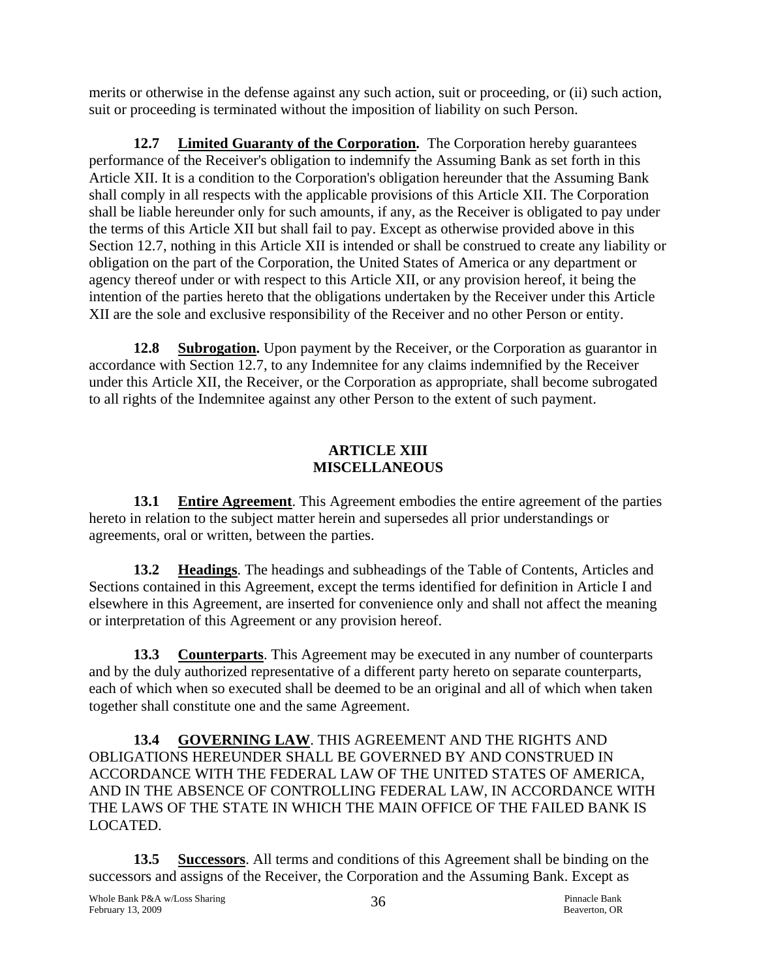merits or otherwise in the defense against any such action, suit or proceeding, or (ii) such action, suit or proceeding is terminated without the imposition of liability on such Person.

**12.7 Limited Guaranty of the Corporation.** The Corporation hereby guarantees performance of the Receiver's obligation to indemnify the Assuming Bank as set forth in this Article XII. It is a condition to the Corporation's obligation hereunder that the Assuming Bank shall comply in all respects with the applicable provisions of this Article XII. The Corporation shall be liable hereunder only for such amounts, if any, as the Receiver is obligated to pay under the terms of this Article XII but shall fail to pay. Except as otherwise provided above in this Section 12.7, nothing in this Article XII is intended or shall be construed to create any liability or obligation on the part of the Corporation, the United States of America or any department or agency thereof under or with respect to this Article XII, or any provision hereof, it being the intention of the parties hereto that the obligations undertaken by the Receiver under this Article XII are the sole and exclusive responsibility of the Receiver and no other Person or entity.

**12.8** Subrogation. Upon payment by the Receiver, or the Corporation as guarantor in accordance with Section 12.7, to any Indemnitee for any claims indemnified by the Receiver under this Article XII, the Receiver, or the Corporation as appropriate, shall become subrogated to all rights of the Indemnitee against any other Person to the extent of such payment.

## **ARTICLE XIII MISCELLANEOUS**

**13.1** Entire Agreement. This Agreement embodies the entire agreement of the parties hereto in relation to the subject matter herein and supersedes all prior understandings or agreements, oral or written, between the parties.

**13.2 Headings**. The headings and subheadings of the Table of Contents, Articles and Sections contained in this Agreement, except the terms identified for definition in Article I and elsewhere in this Agreement, are inserted for convenience only and shall not affect the meaning or interpretation of this Agreement or any provision hereof.

**13.3 Counterparts**. This Agreement may be executed in any number of counterparts and by the duly authorized representative of a different party hereto on separate counterparts, each of which when so executed shall be deemed to be an original and all of which when taken together shall constitute one and the same Agreement.

**13.4 GOVERNING LAW**. THIS AGREEMENT AND THE RIGHTS AND OBLIGATIONS HEREUNDER SHALL BE GOVERNED BY AND CONSTRUED IN ACCORDANCE WITH THE FEDERAL LAW OF THE UNITED STATES OF AMERICA, AND IN THE ABSENCE OF CONTROLLING FEDERAL LAW, IN ACCORDANCE WITH THE LAWS OF THE STATE IN WHICH THE MAIN OFFICE OF THE FAILED BANK IS LOCATED.

 **13.5 Successors**. All terms and conditions of this Agreement shall be binding on the successors and assigns of the Receiver, the Corporation and the Assuming Bank. Except as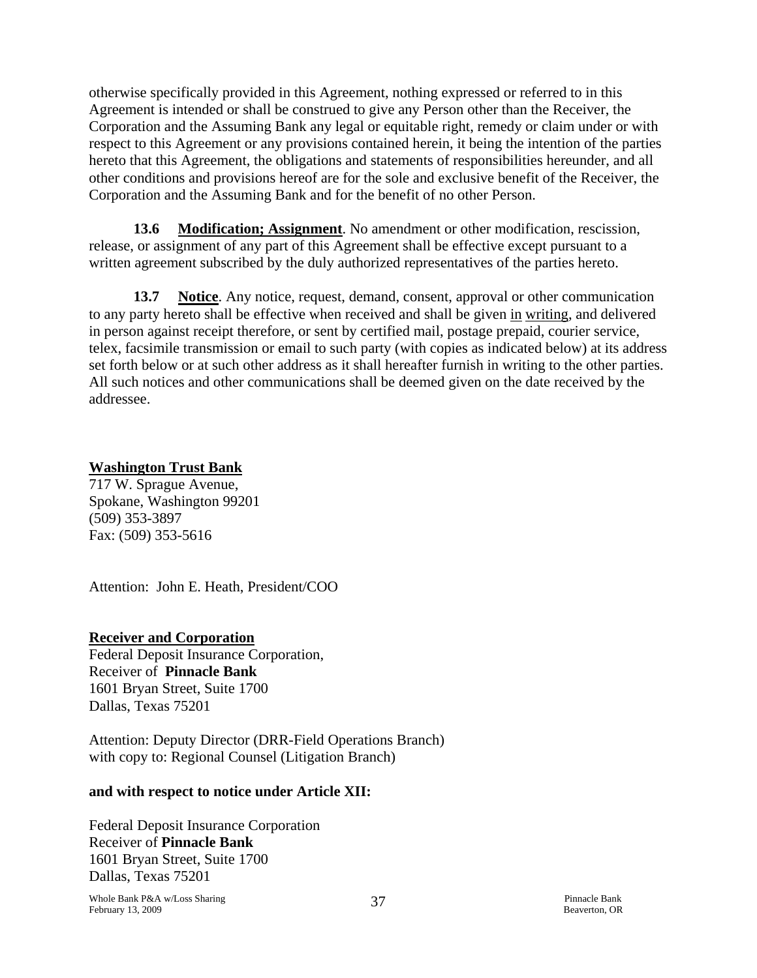otherwise specifically provided in this Agreement, nothing expressed or referred to in this Agreement is intended or shall be construed to give any Person other than the Receiver, the Corporation and the Assuming Bank any legal or equitable right, remedy or claim under or with respect to this Agreement or any provisions contained herein, it being the intention of the parties hereto that this Agreement, the obligations and statements of responsibilities hereunder, and all other conditions and provisions hereof are for the sole and exclusive benefit of the Receiver, the Corporation and the Assuming Bank and for the benefit of no other Person.

**13.6 Modification; Assignment**. No amendment or other modification, rescission, release, or assignment of any part of this Agreement shall be effective except pursuant to a written agreement subscribed by the duly authorized representatives of the parties hereto.

**13.7** Notice. Any notice, request, demand, consent, approval or other communication to any party hereto shall be effective when received and shall be given in writing, and delivered in person against receipt therefore, or sent by certified mail, postage prepaid, courier service, telex, facsimile transmission or email to such party (with copies as indicated below) at its address set forth below or at such other address as it shall hereafter furnish in writing to the other parties. All such notices and other communications shall be deemed given on the date received by the addressee.

## **Washington Trust Bank**

717 W. Sprague Avenue, Spokane, Washington 99201 (509) 353-3897 Fax: (509) 353-5616

Attention: John E. Heath, President/COO

# **Receiver and Corporation**

 Receiver of **Pinnacle Bank** Federal Deposit Insurance Corporation, 1601 Bryan Street, Suite 1700 Dallas, Texas 75201

Attention: Deputy Director (DRR-Field Operations Branch) with copy to: Regional Counsel (Litigation Branch)

## **and with respect to notice under Article XII:**

Federal Deposit Insurance Corporation Receiver of **Pinnacle Bank**  1601 Bryan Street, Suite 1700 Dallas, Texas 75201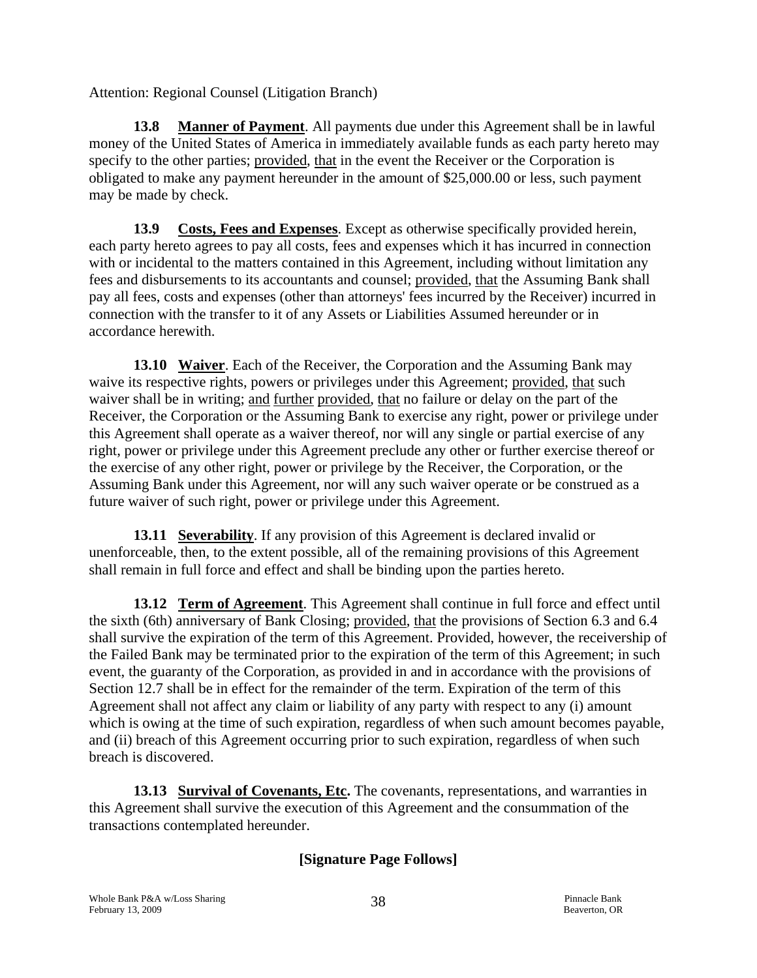Attention: Regional Counsel (Litigation Branch)

 **13.8 Manner of Payment**. All payments due under this Agreement shall be in lawful money of the United States of America in immediately available funds as each party hereto may specify to the other parties; provided, that in the event the Receiver or the Corporation is obligated to make any payment hereunder in the amount of \$25,000.00 or less, such payment may be made by check.

**13.9 Costs, Fees and Expenses**. Except as otherwise specifically provided herein, each party hereto agrees to pay all costs, fees and expenses which it has incurred in connection with or incidental to the matters contained in this Agreement, including without limitation any fees and disbursements to its accountants and counsel; provided, that the Assuming Bank shall pay all fees, costs and expenses (other than attorneys' fees incurred by the Receiver) incurred in connection with the transfer to it of any Assets or Liabilities Assumed hereunder or in accordance herewith.

**13.10 Waiver**. Each of the Receiver, the Corporation and the Assuming Bank may waive its respective rights, powers or privileges under this Agreement; provided, that such waiver shall be in writing; and further provided, that no failure or delay on the part of the Receiver, the Corporation or the Assuming Bank to exercise any right, power or privilege under this Agreement shall operate as a waiver thereof, nor will any single or partial exercise of any right, power or privilege under this Agreement preclude any other or further exercise thereof or the exercise of any other right, power or privilege by the Receiver, the Corporation, or the Assuming Bank under this Agreement, nor will any such waiver operate or be construed as a future waiver of such right, power or privilege under this Agreement.

**13.11 Severability**. If any provision of this Agreement is declared invalid or unenforceable, then, to the extent possible, all of the remaining provisions of this Agreement shall remain in full force and effect and shall be binding upon the parties hereto.

**13.12 Term of Agreement**. This Agreement shall continue in full force and effect until the sixth (6th) anniversary of Bank Closing; provided, that the provisions of Section 6.3 and 6.4 shall survive the expiration of the term of this Agreement. Provided, however, the receivership of the Failed Bank may be terminated prior to the expiration of the term of this Agreement; in such event, the guaranty of the Corporation, as provided in and in accordance with the provisions of Section 12.7 shall be in effect for the remainder of the term. Expiration of the term of this Agreement shall not affect any claim or liability of any party with respect to any (i) amount which is owing at the time of such expiration, regardless of when such amount becomes payable, and (ii) breach of this Agreement occurring prior to such expiration, regardless of when such breach is discovered.

**13.13 Survival of Covenants, Etc.** The covenants, representations, and warranties in this Agreement shall survive the execution of this Agreement and the consummation of the transactions contemplated hereunder.

# **[Signature Page Follows]**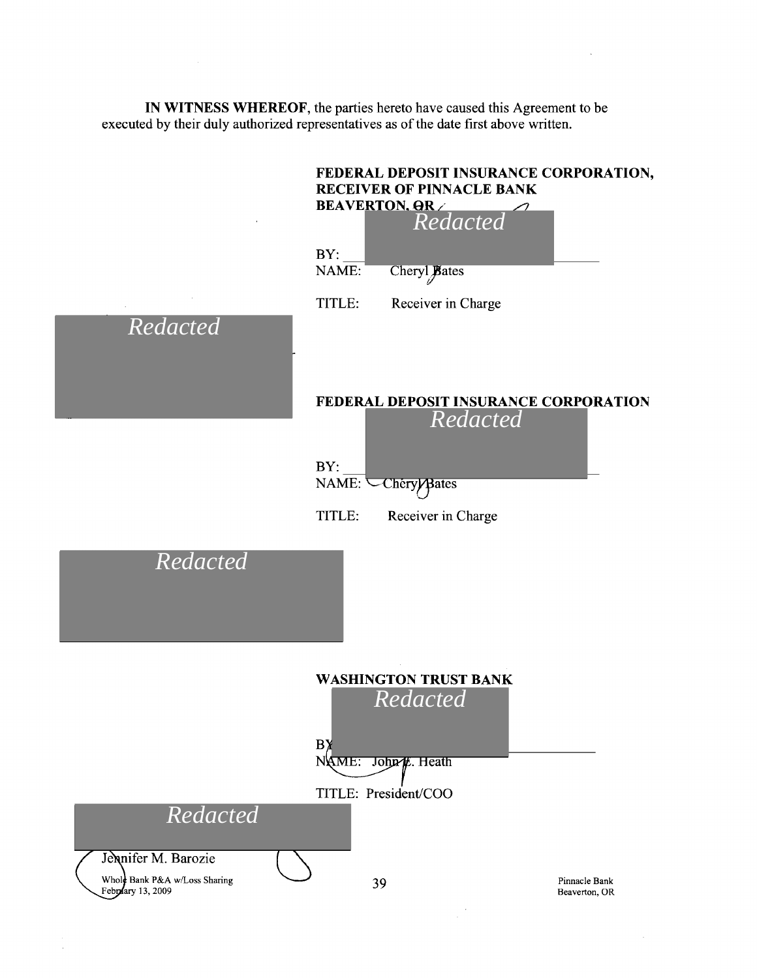**IN WITNESS WHEREOF,** the parties hereto have caused this Agreement to be executed by their duly authorized representatives as of the date first above written.

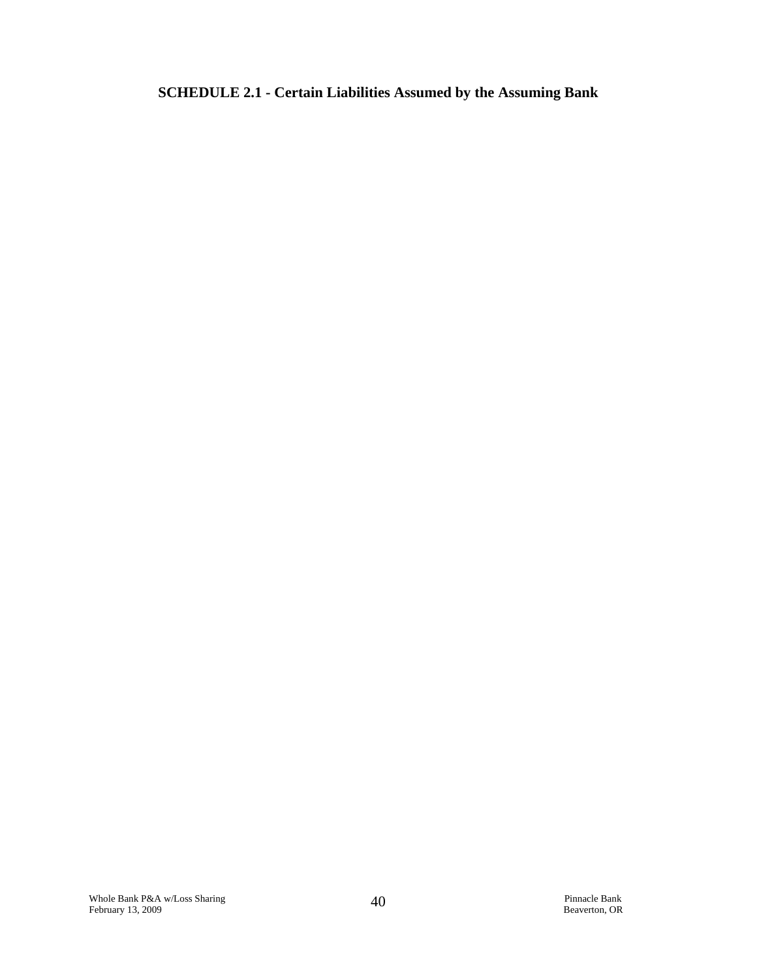**SCHEDULE 2.1 - Certain Liabilities Assumed by the Assuming Bank**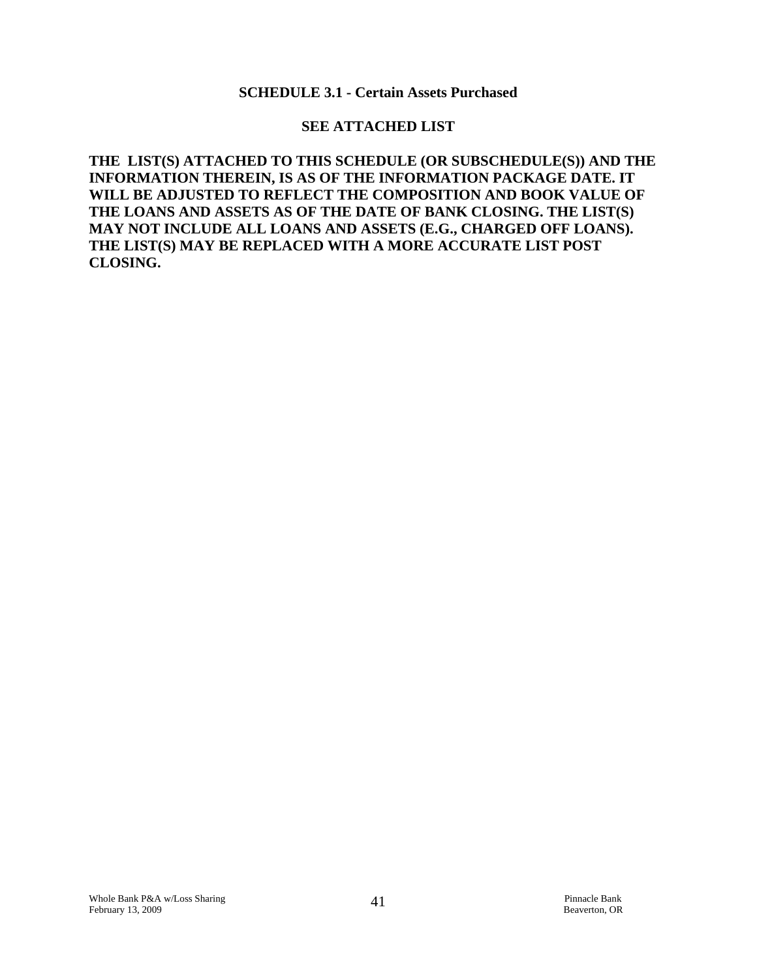#### **SCHEDULE 3.1 - Certain Assets Purchased**

#### **SEE ATTACHED LIST**

THE LIST(S) ATTACHED TO THIS SCHEDULE (OR SUBSCHEDULE(S)) AND THE **INFORMATION THEREIN, IS AS OF THE INFORMATION PACKAGE DATE. IT WILL BE ADJUSTED TO REFLECT THE COMPOSITION AND BOOK VALUE OF THE LOANS AND ASSETS AS OF THE DATE OF BANK CLOSING. THE LIST(S) MAY NOT INCLUDE ALL LOANS AND ASSETS (E.G., CHARGED OFF LOANS). THE LIST(S) MAY BE REPLACED WITH A MORE ACCURATE LIST POST CLOSING.**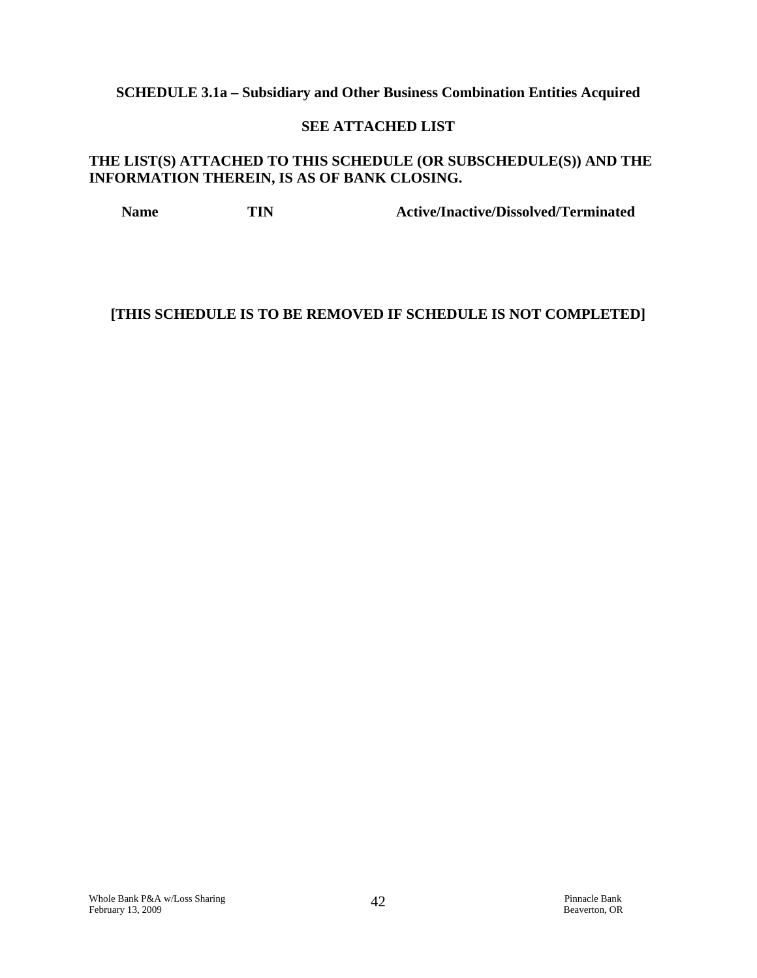## **SCHEDULE 3.1a – Subsidiary and Other Business Combination Entities Acquired**

## **SEE ATTACHED LIST**

## **THE LIST(S) ATTACHED TO THIS SCHEDULE (OR SUBSCHEDULE(S)) AND THE INFORMATION THEREIN, IS AS OF BANK CLOSING.**

**Name TIN Active/Inactive/Dissolved/Terminated** 

## **[THIS SCHEDULE IS TO BE REMOVED IF SCHEDULE IS NOT COMPLETED]**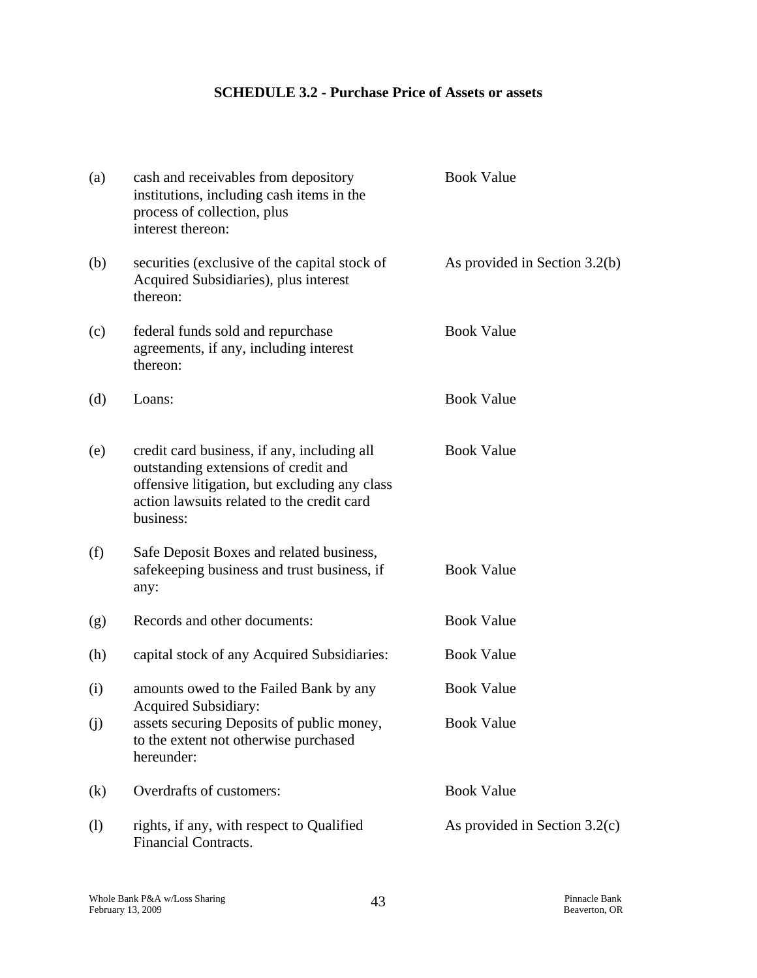# **SCHEDULE 3.2 - Purchase Price of Assets or assets**

| (a) | cash and receivables from depository<br>institutions, including cash items in the<br>process of collection, plus<br>interest thereon:                                                           | <b>Book Value</b>               |
|-----|-------------------------------------------------------------------------------------------------------------------------------------------------------------------------------------------------|---------------------------------|
| (b) | securities (exclusive of the capital stock of<br>Acquired Subsidiaries), plus interest<br>thereon:                                                                                              | As provided in Section 3.2(b)   |
| (c) | federal funds sold and repurchase<br>agreements, if any, including interest<br>thereon:                                                                                                         | <b>Book Value</b>               |
| (d) | Loans:                                                                                                                                                                                          | <b>Book Value</b>               |
| (e) | credit card business, if any, including all<br>outstanding extensions of credit and<br>offensive litigation, but excluding any class<br>action lawsuits related to the credit card<br>business: | <b>Book Value</b>               |
| (f) | Safe Deposit Boxes and related business,<br>safekeeping business and trust business, if<br>any:                                                                                                 | <b>Book Value</b>               |
| (g) | Records and other documents:                                                                                                                                                                    | <b>Book Value</b>               |
| (h) | capital stock of any Acquired Subsidiaries:                                                                                                                                                     | <b>Book Value</b>               |
| (i) | amounts owed to the Failed Bank by any                                                                                                                                                          | <b>Book Value</b>               |
| (j) | <b>Acquired Subsidiary:</b><br>assets securing Deposits of public money,<br>to the extent not otherwise purchased<br>hereunder:                                                                 | <b>Book Value</b>               |
| (k) | Overdrafts of customers:                                                                                                                                                                        | <b>Book Value</b>               |
| (1) | rights, if any, with respect to Qualified<br>Financial Contracts.                                                                                                                               | As provided in Section $3.2(c)$ |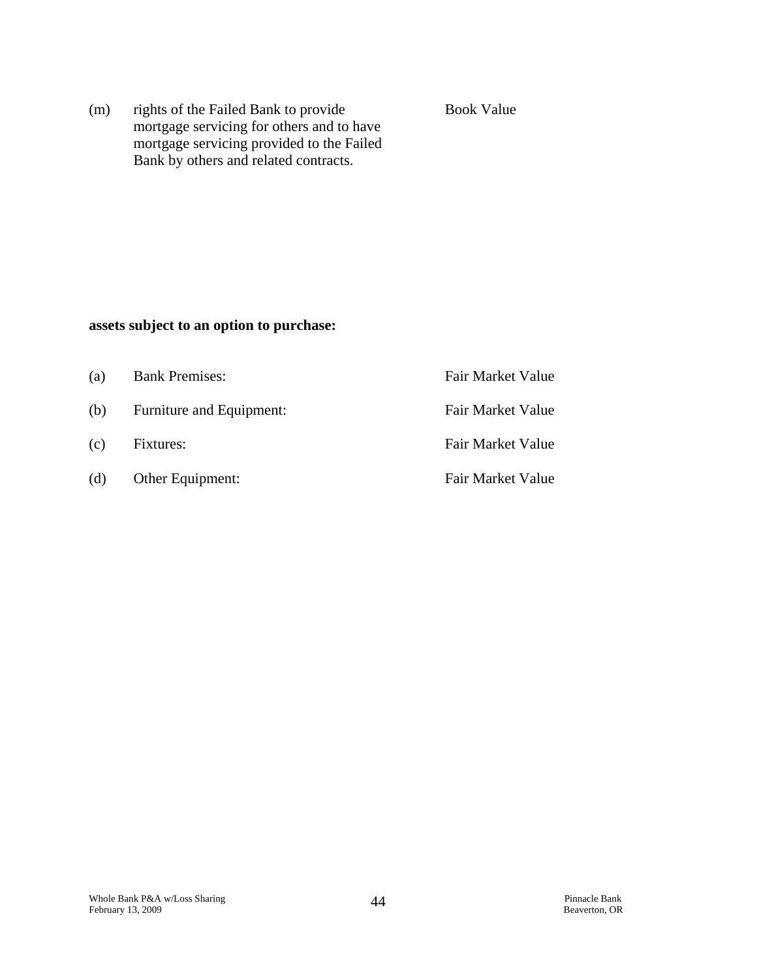(m) rights of the Failed Bank to provide Book Value mortgage servicing for others and to have mortgage servicing provided to the Failed Bank by others and related contracts.

## **assets subject to an option to purchase:**

| (a) | <b>Bank Premises:</b>    | Fair Market Value |
|-----|--------------------------|-------------------|
| (b) | Furniture and Equipment: | Fair Market Value |
| (c) | Fixtures:                | Fair Market Value |
| (d) | Other Equipment:         | Fair Market Value |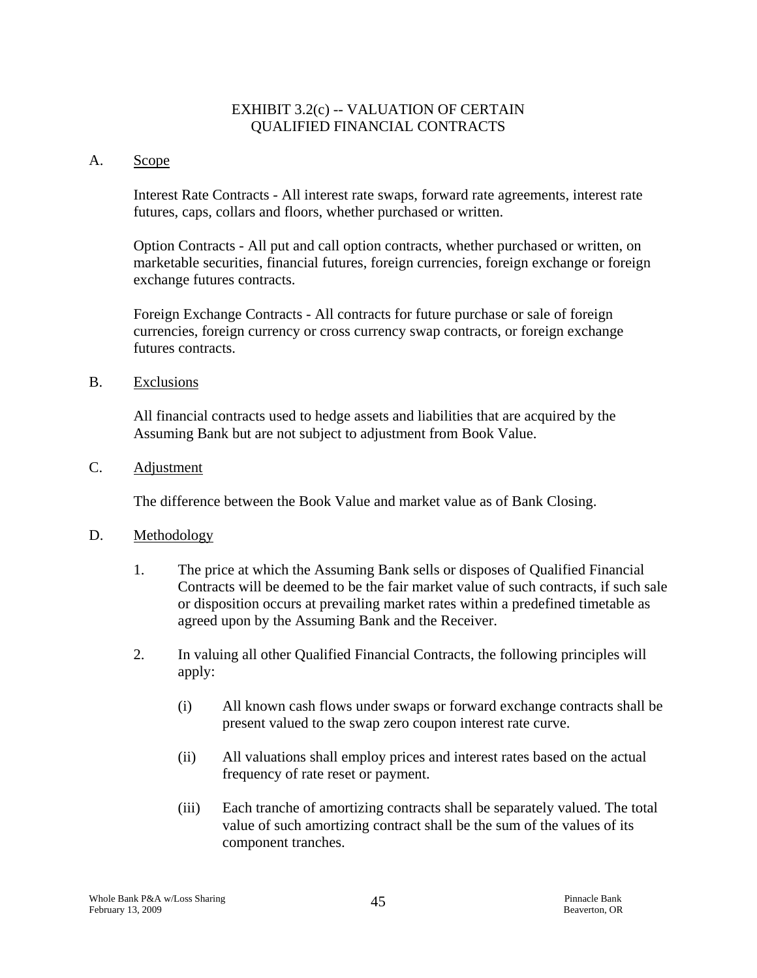## EXHIBIT 3.2(c) -- VALUATION OF CERTAIN QUALIFIED FINANCIAL CONTRACTS

#### A. Scope

Interest Rate Contracts - All interest rate swaps, forward rate agreements, interest rate futures, caps, collars and floors, whether purchased or written.

Option Contracts - All put and call option contracts, whether purchased or written, on marketable securities, financial futures, foreign currencies, foreign exchange or foreign exchange futures contracts.

Foreign Exchange Contracts - All contracts for future purchase or sale of foreign currencies, foreign currency or cross currency swap contracts, or foreign exchange futures contracts.

#### B. Exclusions

All financial contracts used to hedge assets and liabilities that are acquired by the Assuming Bank but are not subject to adjustment from Book Value.

C. Adjustment

The difference between the Book Value and market value as of Bank Closing.

### D. Methodology

- 1. The price at which the Assuming Bank sells or disposes of Qualified Financial Contracts will be deemed to be the fair market value of such contracts, if such sale or disposition occurs at prevailing market rates within a predefined timetable as agreed upon by the Assuming Bank and the Receiver.
- 2. In valuing all other Qualified Financial Contracts, the following principles will apply:
	- (i) All known cash flows under swaps or forward exchange contracts shall be present valued to the swap zero coupon interest rate curve.
	- (ii) All valuations shall employ prices and interest rates based on the actual frequency of rate reset or payment.
	- (iii) Each tranche of amortizing contracts shall be separately valued. The total value of such amortizing contract shall be the sum of the values of its component tranches.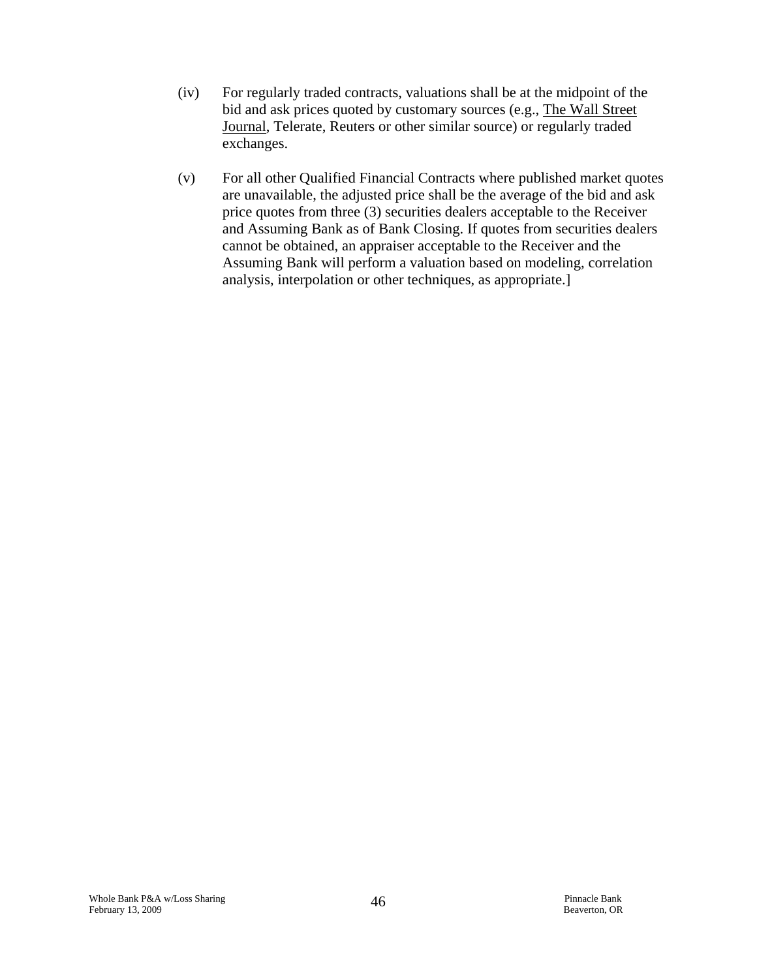- (iv) For regularly traded contracts, valuations shall be at the midpoint of the bid and ask prices quoted by customary sources (e.g., The Wall Street Journal, Telerate, Reuters or other similar source) or regularly traded exchanges.
- (v) For all other Qualified Financial Contracts where published market quotes are unavailable, the adjusted price shall be the average of the bid and ask price quotes from three (3) securities dealers acceptable to the Receiver and Assuming Bank as of Bank Closing. If quotes from securities dealers cannot be obtained, an appraiser acceptable to the Receiver and the Assuming Bank will perform a valuation based on modeling, correlation analysis, interpolation or other techniques, as appropriate.]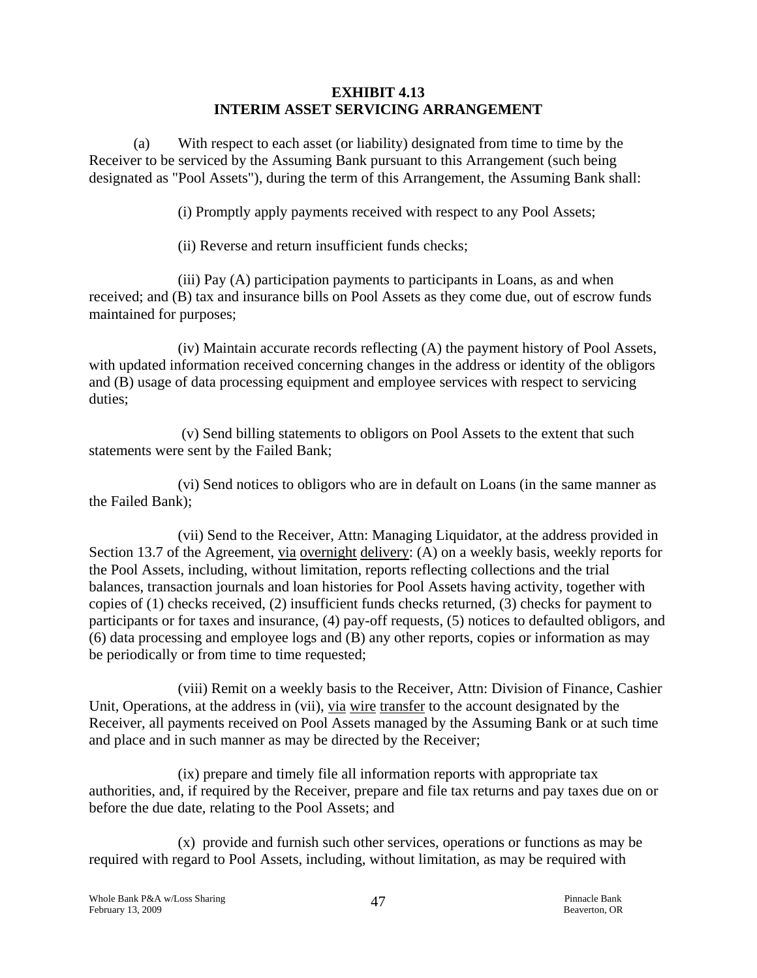## **EXHIBIT 4.13 INTERIM ASSET SERVICING ARRANGEMENT**

(a) With respect to each asset (or liability) designated from time to time by the Receiver to be serviced by the Assuming Bank pursuant to this Arrangement (such being designated as "Pool Assets"), during the term of this Arrangement, the Assuming Bank shall:

(i) Promptly apply payments received with respect to any Pool Assets;

(ii) Reverse and return insufficient funds checks;

(iii) Pay (A) participation payments to participants in Loans, as and when received; and (B) tax and insurance bills on Pool Assets as they come due, out of escrow funds maintained for purposes;

(iv) Maintain accurate records reflecting (A) the payment history of Pool Assets, with updated information received concerning changes in the address or identity of the obligors and (B) usage of data processing equipment and employee services with respect to servicing duties;

 (v) Send billing statements to obligors on Pool Assets to the extent that such statements were sent by the Failed Bank;

(vi) Send notices to obligors who are in default on Loans (in the same manner as the Failed Bank);

(vii) Send to the Receiver, Attn: Managing Liquidator, at the address provided in Section 13.7 of the Agreement, via overnight delivery: (A) on a weekly basis, weekly reports for the Pool Assets, including, without limitation, reports reflecting collections and the trial balances, transaction journals and loan histories for Pool Assets having activity, together with copies of (1) checks received, (2) insufficient funds checks returned, (3) checks for payment to participants or for taxes and insurance, (4) pay-off requests, (5) notices to defaulted obligors, and (6) data processing and employee logs and (B) any other reports, copies or information as may be periodically or from time to time requested;

(viii) Remit on a weekly basis to the Receiver, Attn: Division of Finance, Cashier Unit, Operations, at the address in (vii), via wire transfer to the account designated by the Receiver, all payments received on Pool Assets managed by the Assuming Bank or at such time and place and in such manner as may be directed by the Receiver;

(ix) prepare and timely file all information reports with appropriate tax authorities, and, if required by the Receiver, prepare and file tax returns and pay taxes due on or before the due date, relating to the Pool Assets; and

(x) provide and furnish such other services, operations or functions as may be required with regard to Pool Assets, including, without limitation, as may be required with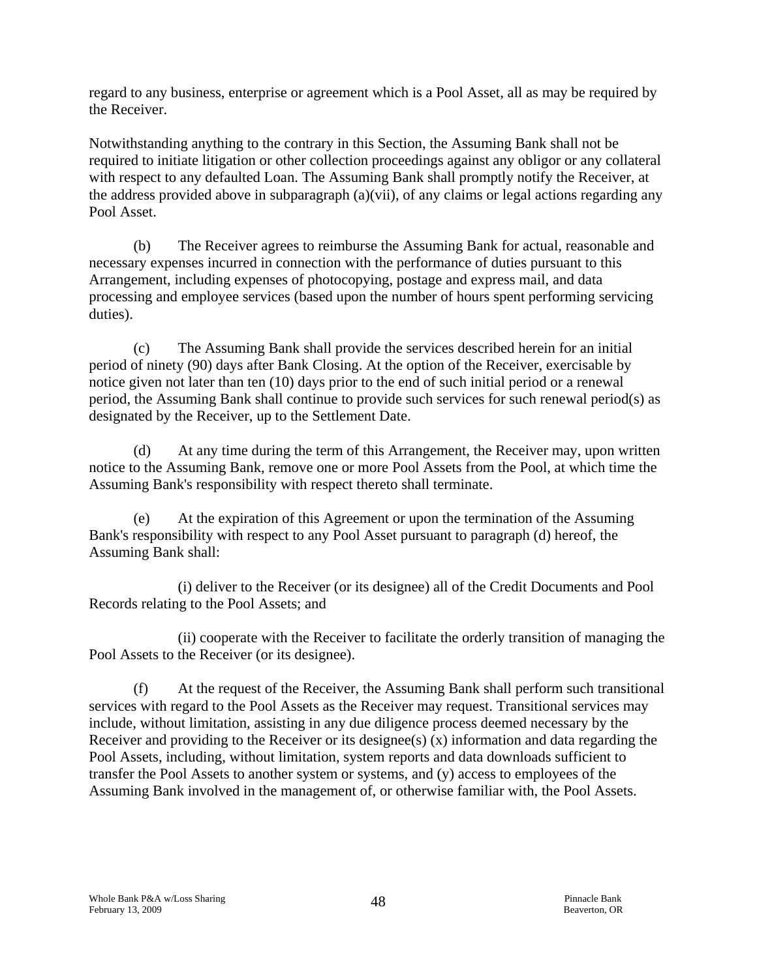regard to any business, enterprise or agreement which is a Pool Asset, all as may be required by the Receiver.

Notwithstanding anything to the contrary in this Section, the Assuming Bank shall not be required to initiate litigation or other collection proceedings against any obligor or any collateral with respect to any defaulted Loan. The Assuming Bank shall promptly notify the Receiver, at the address provided above in subparagraph (a)(vii), of any claims or legal actions regarding any Pool Asset.

(b) The Receiver agrees to reimburse the Assuming Bank for actual, reasonable and necessary expenses incurred in connection with the performance of duties pursuant to this Arrangement, including expenses of photocopying, postage and express mail, and data processing and employee services (based upon the number of hours spent performing servicing duties).

(c) The Assuming Bank shall provide the services described herein for an initial period of ninety (90) days after Bank Closing. At the option of the Receiver, exercisable by notice given not later than ten (10) days prior to the end of such initial period or a renewal period, the Assuming Bank shall continue to provide such services for such renewal period(s) as designated by the Receiver, up to the Settlement Date.

(d) At any time during the term of this Arrangement, the Receiver may, upon written notice to the Assuming Bank, remove one or more Pool Assets from the Pool, at which time the Assuming Bank's responsibility with respect thereto shall terminate.

(e) At the expiration of this Agreement or upon the termination of the Assuming Bank's responsibility with respect to any Pool Asset pursuant to paragraph (d) hereof, the Assuming Bank shall:

(i) deliver to the Receiver (or its designee) all of the Credit Documents and Pool Records relating to the Pool Assets; and

(ii) cooperate with the Receiver to facilitate the orderly transition of managing the Pool Assets to the Receiver (or its designee).

(f) At the request of the Receiver, the Assuming Bank shall perform such transitional services with regard to the Pool Assets as the Receiver may request. Transitional services may include, without limitation, assisting in any due diligence process deemed necessary by the Receiver and providing to the Receiver or its designee(s) (x) information and data regarding the Pool Assets, including, without limitation, system reports and data downloads sufficient to transfer the Pool Assets to another system or systems, and (y) access to employees of the Assuming Bank involved in the management of, or otherwise familiar with, the Pool Assets.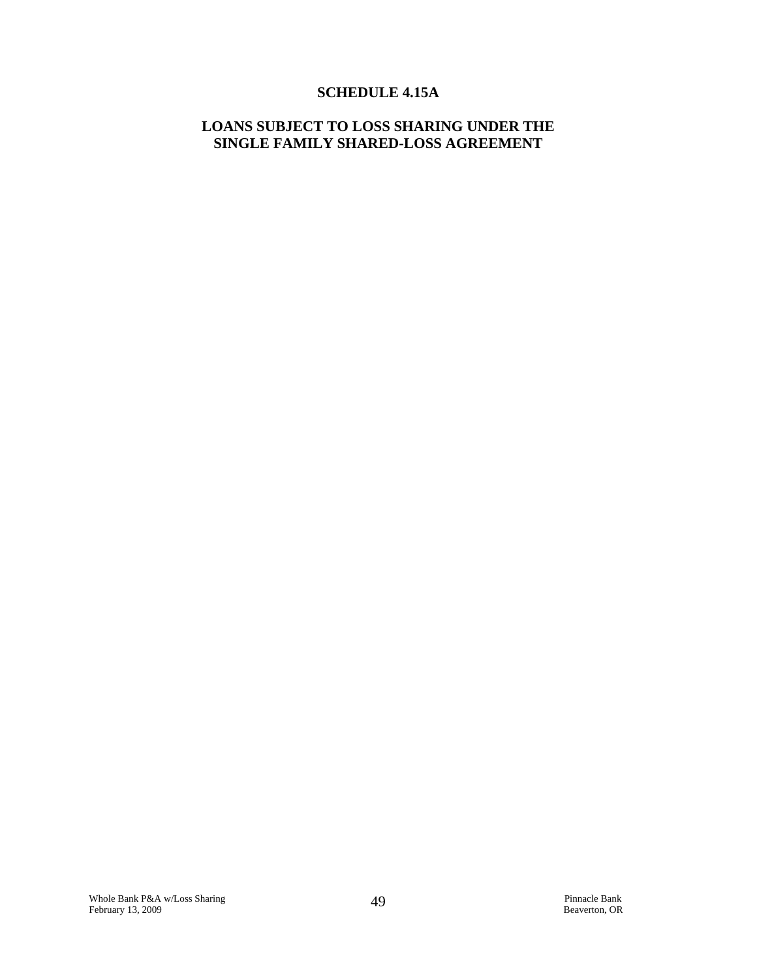## **SCHEDULE 4.15A**

## **LOANS SUBJECT TO LOSS SHARING UNDER THE SINGLE FAMILY SHARED-LOSS AGREEMENT**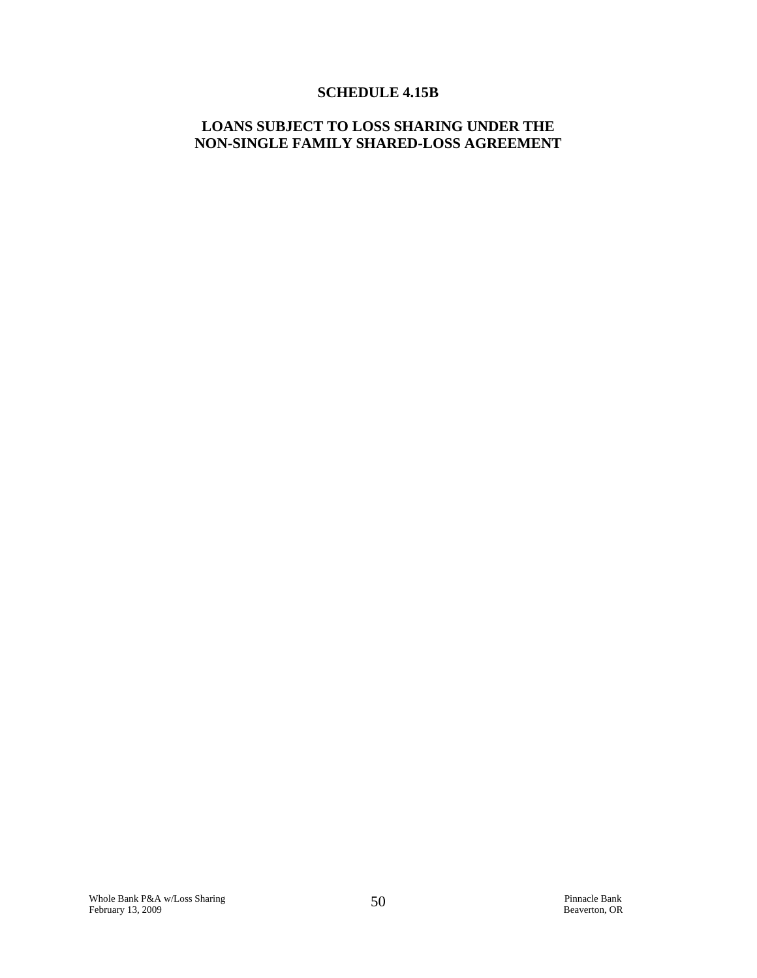#### **SCHEDULE 4.15B**

## **LOANS SUBJECT TO LOSS SHARING UNDER THE NON-SINGLE FAMILY SHARED-LOSS AGREEMENT**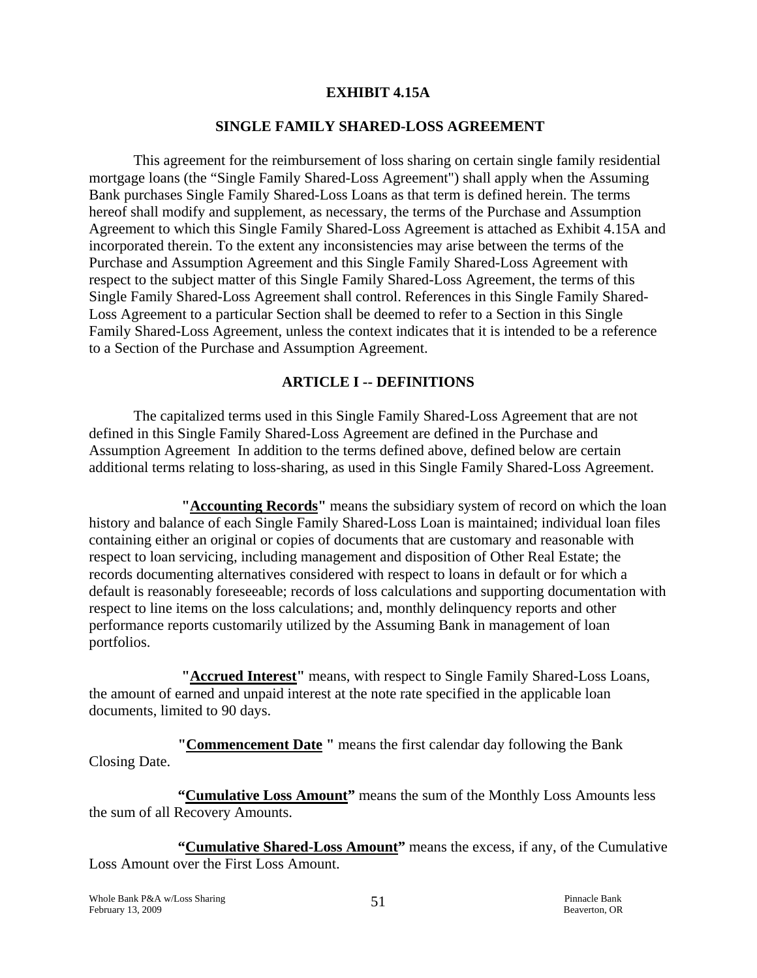#### **EXHIBIT 4.15A**

#### **SINGLE FAMILY SHARED-LOSS AGREEMENT**

This agreement for the reimbursement of loss sharing on certain single family residential mortgage loans (the "Single Family Shared-Loss Agreement") shall apply when the Assuming Bank purchases Single Family Shared-Loss Loans as that term is defined herein. The terms hereof shall modify and supplement, as necessary, the terms of the Purchase and Assumption Agreement to which this Single Family Shared-Loss Agreement is attached as Exhibit 4.15A and incorporated therein. To the extent any inconsistencies may arise between the terms of the Purchase and Assumption Agreement and this Single Family Shared-Loss Agreement with respect to the subject matter of this Single Family Shared-Loss Agreement, the terms of this Single Family Shared-Loss Agreement shall control. References in this Single Family Shared-Loss Agreement to a particular Section shall be deemed to refer to a Section in this Single Family Shared-Loss Agreement, unless the context indicates that it is intended to be a reference to a Section of the Purchase and Assumption Agreement.

#### **ARTICLE I -- DEFINITIONS**

The capitalized terms used in this Single Family Shared-Loss Agreement that are not defined in this Single Family Shared-Loss Agreement are defined in the Purchase and Assumption Agreement In addition to the terms defined above, defined below are certain additional terms relating to loss-sharing, as used in this Single Family Shared-Loss Agreement.

**"Accounting Records"** means the subsidiary system of record on which the loan history and balance of each Single Family Shared-Loss Loan is maintained; individual loan files containing either an original or copies of documents that are customary and reasonable with respect to loan servicing, including management and disposition of Other Real Estate; the records documenting alternatives considered with respect to loans in default or for which a default is reasonably foreseeable; records of loss calculations and supporting documentation with respect to line items on the loss calculations; and, monthly delinquency reports and other performance reports customarily utilized by the Assuming Bank in management of loan portfolios.

**"Accrued Interest"** means, with respect to Single Family Shared-Loss Loans, the amount of earned and unpaid interest at the note rate specified in the applicable loan documents, limited to 90 days.

**"Commencement Date "** means the first calendar day following the Bank Closing Date.

**"Cumulative Loss Amount"** means the sum of the Monthly Loss Amounts less the sum of all Recovery Amounts.

**"Cumulative Shared-Loss Amount"** means the excess, if any, of the Cumulative Loss Amount over the First Loss Amount.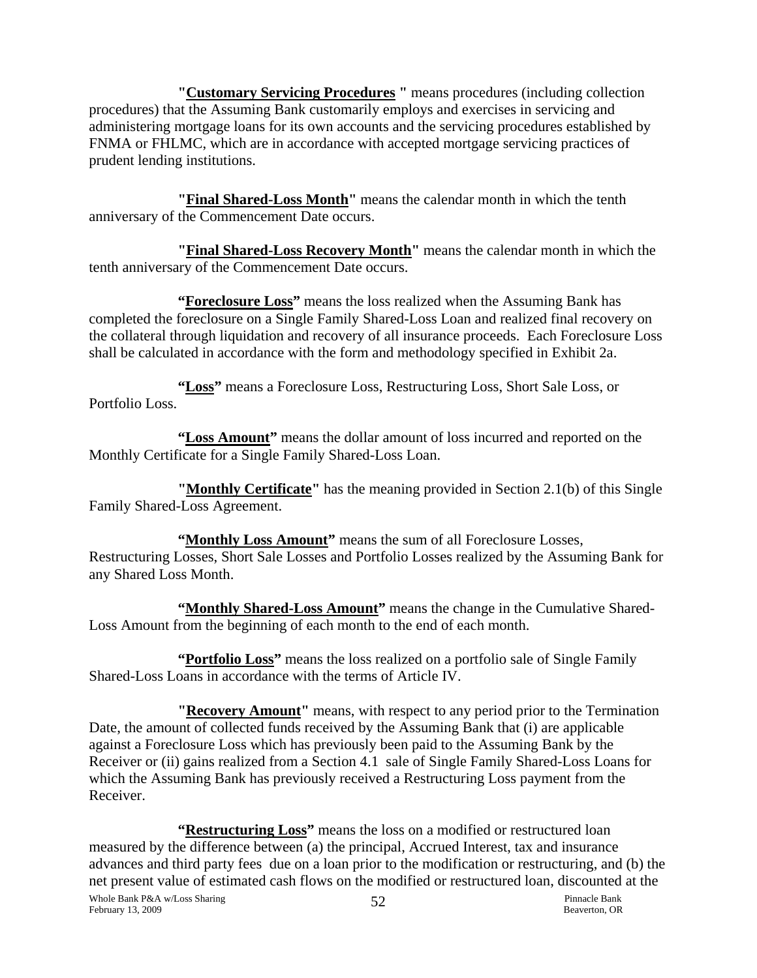**"Customary Servicing Procedures "** means procedures (including collection procedures) that the Assuming Bank customarily employs and exercises in servicing and administering mortgage loans for its own accounts and the servicing procedures established by FNMA or FHLMC, which are in accordance with accepted mortgage servicing practices of prudent lending institutions.

 anniversary of the Commencement Date occurs. **"Final Shared-Loss Month"** means the calendar month in which the tenth

**"Final Shared-Loss Recovery Month"** means the calendar month in which the tenth anniversary of the Commencement Date occurs.

**"Foreclosure Loss"** means the loss realized when the Assuming Bank has completed the foreclosure on a Single Family Shared-Loss Loan and realized final recovery on the collateral through liquidation and recovery of all insurance proceeds. Each Foreclosure Loss shall be calculated in accordance with the form and methodology specified in Exhibit 2a.

**"Loss"** means a Foreclosure Loss, Restructuring Loss, Short Sale Loss, or Portfolio Loss.

**"Loss Amount"** means the dollar amount of loss incurred and reported on the Monthly Certificate for a Single Family Shared-Loss Loan.

**"Monthly Certificate"** has the meaning provided in Section 2.1(b) of this Single Family Shared-Loss Agreement.

"Monthly Loss Amount" means the sum of all Foreclosure Losses, Restructuring Losses, Short Sale Losses and Portfolio Losses realized by the Assuming Bank for any Shared Loss Month.

**"Monthly Shared-Loss Amount"** means the change in the Cumulative Shared-Loss Amount from the beginning of each month to the end of each month.

**"Portfolio Loss"** means the loss realized on a portfolio sale of Single Family Shared-Loss Loans in accordance with the terms of Article IV.

**"Recovery Amount"** means, with respect to any period prior to the Termination Date, the amount of collected funds received by the Assuming Bank that (i) are applicable against a Foreclosure Loss which has previously been paid to the Assuming Bank by the Receiver or (ii) gains realized from a Section 4.1 sale of Single Family Shared-Loss Loans for which the Assuming Bank has previously received a Restructuring Loss payment from the Receiver.

**"Restructuring Loss"** means the loss on a modified or restructured loan measured by the difference between (a) the principal, Accrued Interest, tax and insurance advances and third party fees due on a loan prior to the modification or restructuring, and (b) the net present value of estimated cash flows on the modified or restructured loan, discounted at the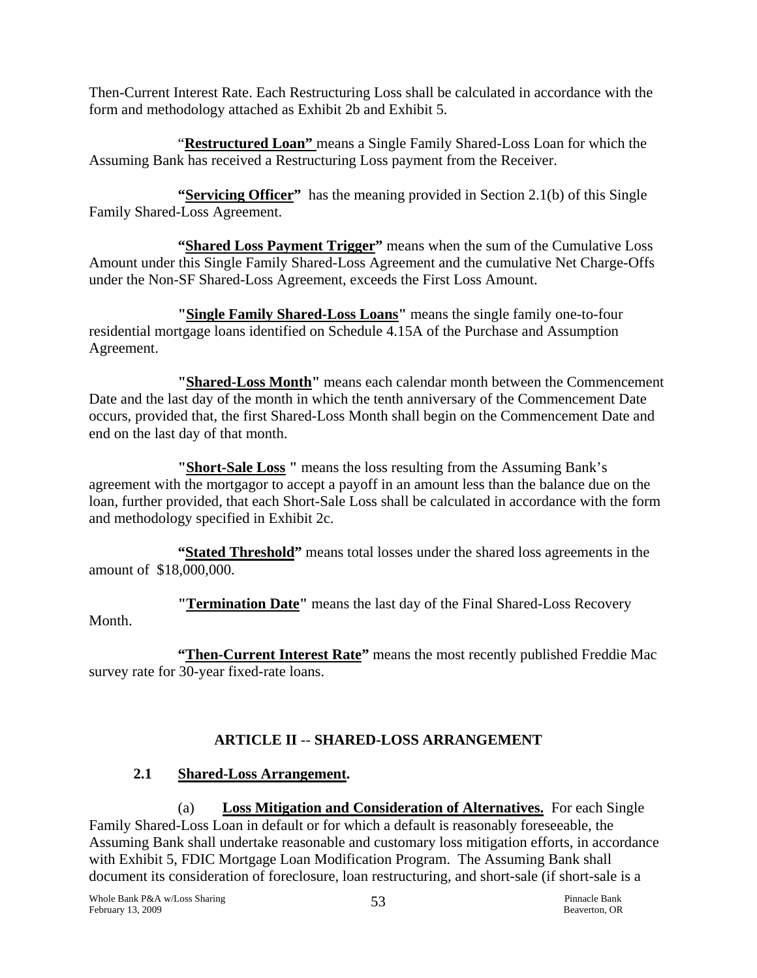Then-Current Interest Rate. Each Restructuring Loss shall be calculated in accordance with the form and methodology attached as Exhibit 2b and Exhibit 5.

"**Restructured Loan"** means a Single Family Shared-Loss Loan for which the Assuming Bank has received a Restructuring Loss payment from the Receiver.

**"Servicing Officer"** has the meaning provided in Section 2.1(b) of this Single Family Shared-Loss Agreement.

**"Shared Loss Payment Trigger"** means when the sum of the Cumulative Loss Amount under this Single Family Shared-Loss Agreement and the cumulative Net Charge-Offs under the Non-SF Shared-Loss Agreement, exceeds the First Loss Amount.

**"Single Family Shared-Loss Loans"** means the single family one-to-four residential mortgage loans identified on Schedule 4.15A of the Purchase and Assumption Agreement.

**"Shared-Loss Month"** means each calendar month between the Commencement Date and the last day of the month in which the tenth anniversary of the Commencement Date occurs, provided that, the first Shared-Loss Month shall begin on the Commencement Date and end on the last day of that month.

**"Short-Sale Loss "** means the loss resulting from the Assuming Bank's agreement with the mortgagor to accept a payoff in an amount less than the balance due on the loan, further provided, that each Short-Sale Loss shall be calculated in accordance with the form and methodology specified in Exhibit 2c.

**"Stated Threshold"** means total losses under the shared loss agreements in the amount of \$18,000,000.

**"Termination Date"** means the last day of the Final Shared-Loss Recovery Month.

**"Then-Current Interest Rate"** means the most recently published Freddie Mac survey rate for 30-year fixed-rate loans.

# **ARTICLE II** -- **SHARED-LOSS ARRANGEMENT**

# **2.1 Shared-Loss Arrangement.**

 (a) **Loss Mitigation and Consideration of Alternatives.** For each Single Family Shared-Loss Loan in default or for which a default is reasonably foreseeable, the Assuming Bank shall undertake reasonable and customary loss mitigation efforts, in accordance with Exhibit 5, FDIC Mortgage Loan Modification Program. The Assuming Bank shall document its consideration of foreclosure, loan restructuring, and short-sale (if short-sale is a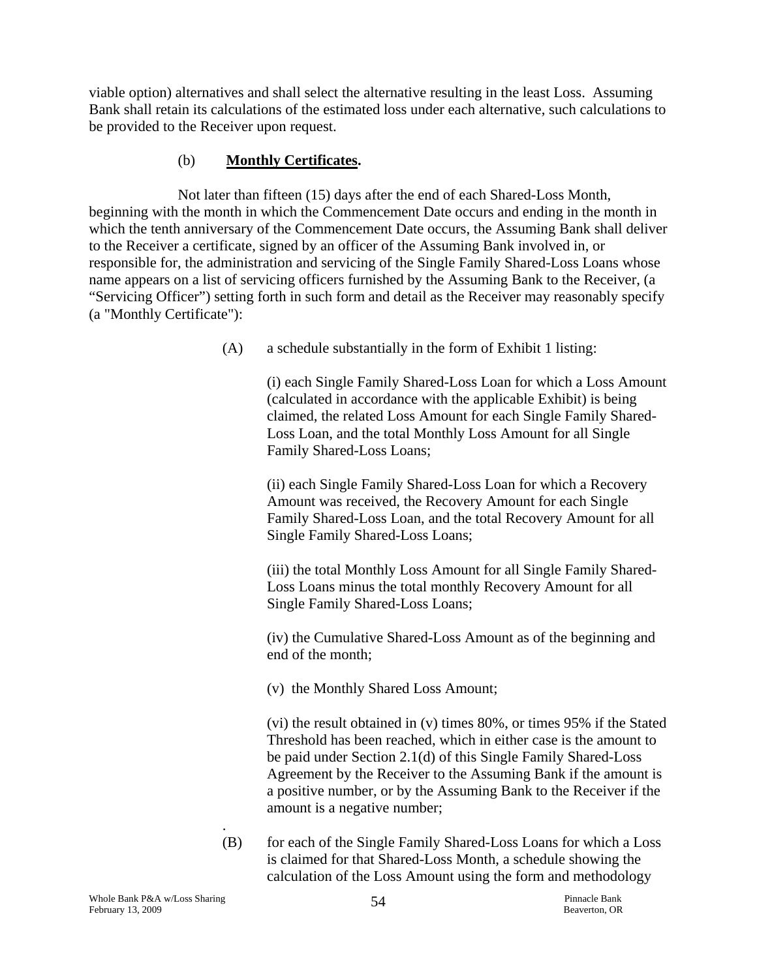viable option) alternatives and shall select the alternative resulting in the least Loss. Assuming Bank shall retain its calculations of the estimated loss under each alternative, such calculations to be provided to the Receiver upon request.

## (b) **Monthly Certificates.**

Not later than fifteen (15) days after the end of each Shared-Loss Month, beginning with the month in which the Commencement Date occurs and ending in the month in which the tenth anniversary of the Commencement Date occurs, the Assuming Bank shall deliver to the Receiver a certificate, signed by an officer of the Assuming Bank involved in, or responsible for, the administration and servicing of the Single Family Shared-Loss Loans whose name appears on a list of servicing officers furnished by the Assuming Bank to the Receiver, (a "Servicing Officer") setting forth in such form and detail as the Receiver may reasonably specify (a "Monthly Certificate"):

(A) a schedule substantially in the form of Exhibit 1 listing:

(i) each Single Family Shared-Loss Loan for which a Loss Amount (calculated in accordance with the applicable Exhibit) is being claimed, the related Loss Amount for each Single Family Shared-Loss Loan, and the total Monthly Loss Amount for all Single Family Shared-Loss Loans;

(ii) each Single Family Shared-Loss Loan for which a Recovery Amount was received, the Recovery Amount for each Single Family Shared-Loss Loan, and the total Recovery Amount for all Single Family Shared-Loss Loans;

(iii) the total Monthly Loss Amount for all Single Family Shared-Loss Loans minus the total monthly Recovery Amount for all Single Family Shared-Loss Loans;

(iv) the Cumulative Shared-Loss Amount as of the beginning and end of the month;

(v) the Monthly Shared Loss Amount;

(vi) the result obtained in (v) times 80%, or times 95% if the Stated Threshold has been reached, which in either case is the amount to be paid under Section 2.1(d) of this Single Family Shared-Loss Agreement by the Receiver to the Assuming Bank if the amount is a positive number, or by the Assuming Bank to the Receiver if the amount is a negative number;

(B) for each of the Single Family Shared-Loss Loans for which a Loss is claimed for that Shared-Loss Month, a schedule showing the calculation of the Loss Amount using the form and methodology

.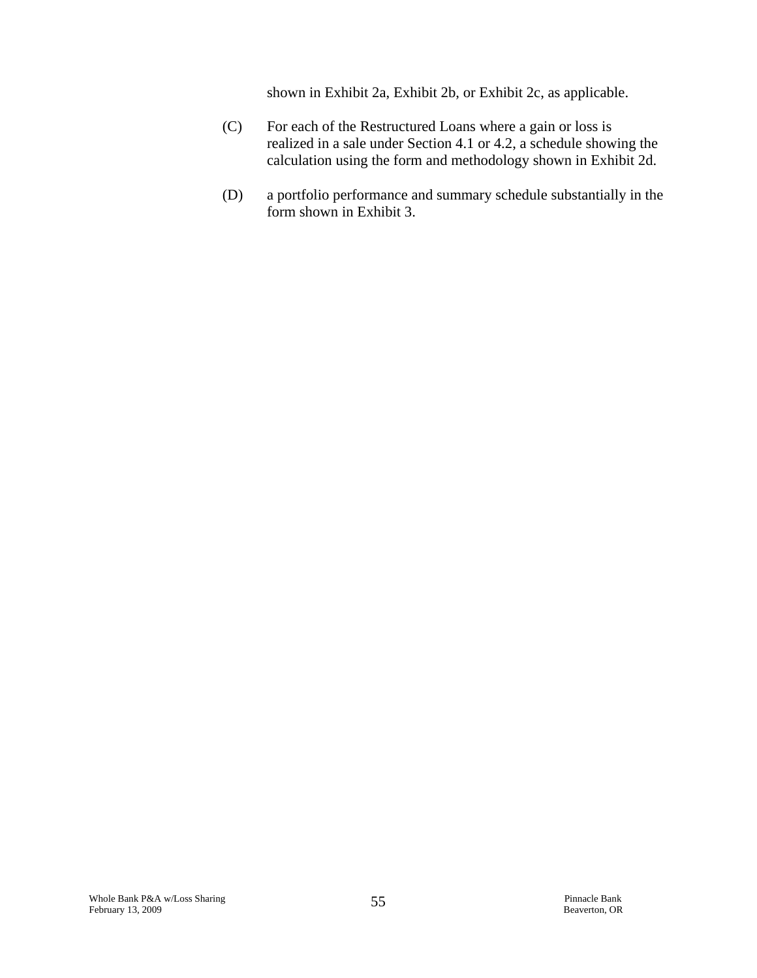shown in Exhibit 2a, Exhibit 2b, or Exhibit 2c, as applicable.

- (C) For each of the Restructured Loans where a gain or loss is realized in a sale under Section 4.1 or 4.2, a schedule showing the calculation using the form and methodology shown in Exhibit 2d.
- (D) a portfolio performance and summary schedule substantially in the form shown in Exhibit 3.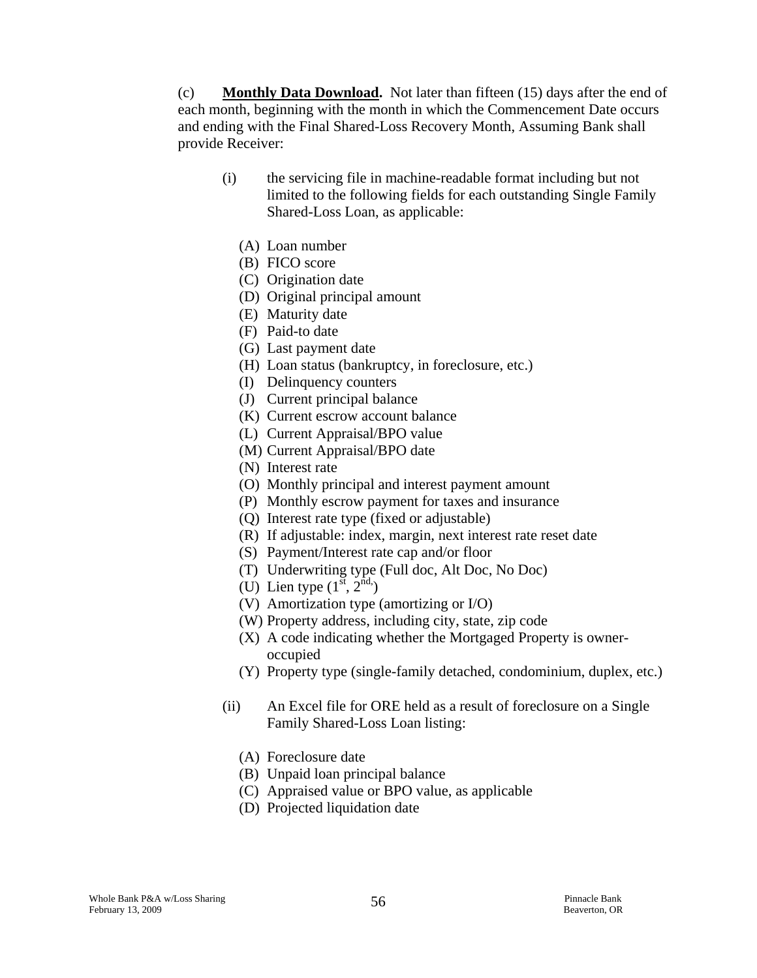(c) **Monthly Data Download.** Not later than fifteen (15) days after the end of each month, beginning with the month in which the Commencement Date occurs and ending with the Final Shared-Loss Recovery Month, Assuming Bank shall provide Receiver:

- (i) the servicing file in machine-readable format including but not limited to the following fields for each outstanding Single Family Shared-Loss Loan, as applicable:
	- (A) Loan number
	- (B) FICO score
	- (C) Origination date
	- (D) Original principal amount
	- (E) Maturity date
	- (F) Paid-to date
	- (G) Last payment date
	- (H) Loan status (bankruptcy, in foreclosure, etc.)
	- (I) Delinquency counters
	- (J) Current principal balance
	- (K) Current escrow account balance
	- (L) Current Appraisal/BPO value
	- (M) Current Appraisal/BPO date
	- (N) Interest rate
	- (O) Monthly principal and interest payment amount
	- (P) Monthly escrow payment for taxes and insurance
	- (Q) Interest rate type (fixed or adjustable)
	- (R) If adjustable: index, margin, next interest rate reset date
	- (S) Payment/Interest rate cap and/or floor
	- (T) Underwriting type (Full doc, Alt Doc, No Doc)
	- (U) Lien type  $(1<sup>st</sup>, 2<sup>nd</sup>)$
	- (V) Amortization type (amortizing or I/O)
	- (W) Property address, including city, state, zip code
	- (X) A code indicating whether the Mortgaged Property is owneroccupied
	- (Y) Property type (single-family detached, condominium, duplex, etc.)
- (ii) An Excel file for ORE held as a result of foreclosure on a Single Family Shared-Loss Loan listing:
	- (A) Foreclosure date
	- (B) Unpaid loan principal balance
	- (C) Appraised value or BPO value, as applicable
	- (D) Projected liquidation date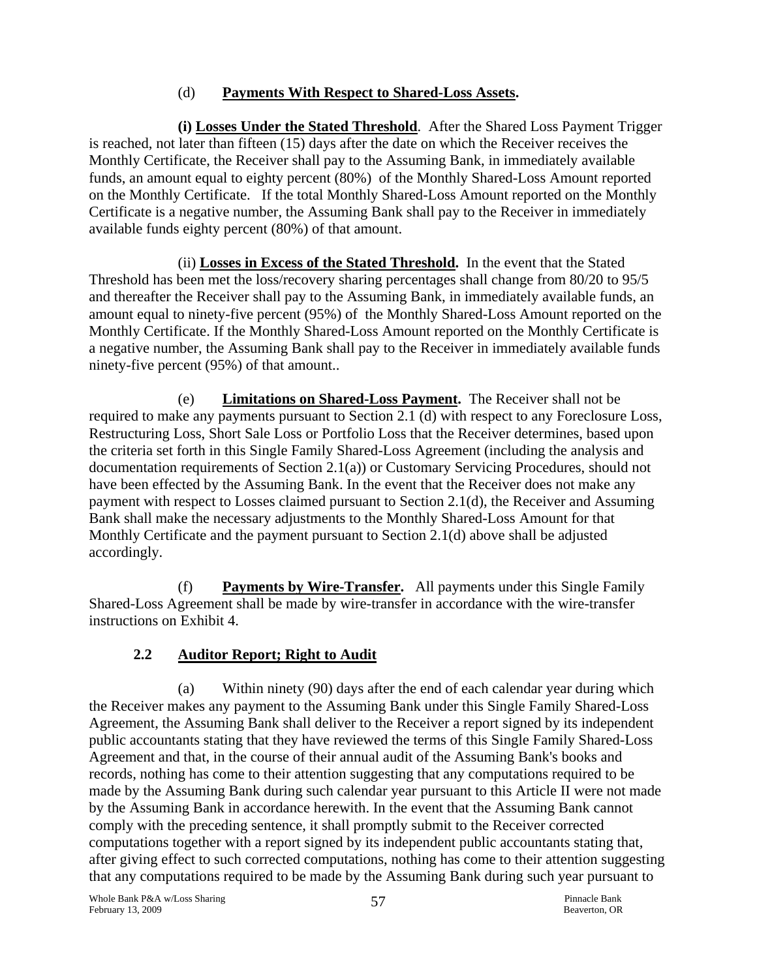## (d) **Payments With Respect to Shared-Loss Assets.**

**(i) Losses Under the Stated Threshold**. After the Shared Loss Payment Trigger is reached, not later than fifteen (15) days after the date on which the Receiver receives the Monthly Certificate, the Receiver shall pay to the Assuming Bank, in immediately available funds, an amount equal to eighty percent (80%) of the Monthly Shared-Loss Amount reported on the Monthly Certificate. If the total Monthly Shared-Loss Amount reported on the Monthly Certificate is a negative number, the Assuming Bank shall pay to the Receiver in immediately available funds eighty percent (80%) of that amount.

(ii) **Losses in Excess of the Stated Threshold.** In the event that the Stated Threshold has been met the loss/recovery sharing percentages shall change from 80/20 to 95/5 and thereafter the Receiver shall pay to the Assuming Bank, in immediately available funds, an amount equal to ninety-five percent (95%) of the Monthly Shared-Loss Amount reported on the Monthly Certificate. If the Monthly Shared-Loss Amount reported on the Monthly Certificate is a negative number, the Assuming Bank shall pay to the Receiver in immediately available funds ninety-five percent (95%) of that amount..

 accordingly. (e) **Limitations on Shared-Loss Payment.** The Receiver shall not be required to make any payments pursuant to Section 2.1 (d) with respect to any Foreclosure Loss, Restructuring Loss, Short Sale Loss or Portfolio Loss that the Receiver determines, based upon the criteria set forth in this Single Family Shared-Loss Agreement (including the analysis and documentation requirements of Section 2.1(a)) or Customary Servicing Procedures, should not have been effected by the Assuming Bank. In the event that the Receiver does not make any payment with respect to Losses claimed pursuant to Section 2.1(d), the Receiver and Assuming Bank shall make the necessary adjustments to the Monthly Shared-Loss Amount for that Monthly Certificate and the payment pursuant to Section 2.1(d) above shall be adjusted

 (f) **Payments by Wire-Transfer.** All payments under this Single Family Shared-Loss Agreement shall be made by wire-transfer in accordance with the wire-transfer instructions on Exhibit 4.

## **2.2 Auditor Report; Right to Audit**

(a) Within ninety (90) days after the end of each calendar year during which the Receiver makes any payment to the Assuming Bank under this Single Family Shared-Loss Agreement, the Assuming Bank shall deliver to the Receiver a report signed by its independent public accountants stating that they have reviewed the terms of this Single Family Shared-Loss Agreement and that, in the course of their annual audit of the Assuming Bank's books and records, nothing has come to their attention suggesting that any computations required to be made by the Assuming Bank during such calendar year pursuant to this Article II were not made by the Assuming Bank in accordance herewith. In the event that the Assuming Bank cannot comply with the preceding sentence, it shall promptly submit to the Receiver corrected computations together with a report signed by its independent public accountants stating that, after giving effect to such corrected computations, nothing has come to their attention suggesting that any computations required to be made by the Assuming Bank during such year pursuant to

Whole Bank P&A w/Loss Sharing  $57$  Pinnacle Bank P&A w/Loss Sharing  $57$  Pinnacle Bank Beaverton, OR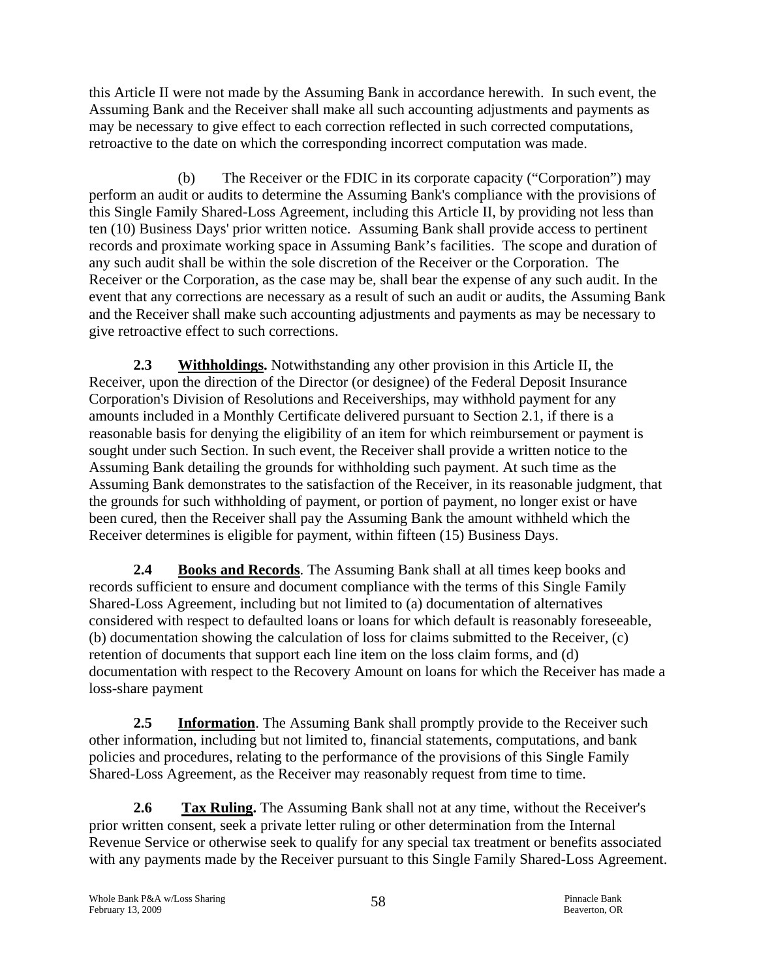this Article II were not made by the Assuming Bank in accordance herewith. In such event, the Assuming Bank and the Receiver shall make all such accounting adjustments and payments as may be necessary to give effect to each correction reflected in such corrected computations, retroactive to the date on which the corresponding incorrect computation was made.

(b) The Receiver or the FDIC in its corporate capacity ("Corporation") may perform an audit or audits to determine the Assuming Bank's compliance with the provisions of this Single Family Shared-Loss Agreement, including this Article II, by providing not less than ten (10) Business Days' prior written notice. Assuming Bank shall provide access to pertinent records and proximate working space in Assuming Bank's facilities. The scope and duration of any such audit shall be within the sole discretion of the Receiver or the Corporation. The Receiver or the Corporation, as the case may be, shall bear the expense of any such audit. In the event that any corrections are necessary as a result of such an audit or audits, the Assuming Bank and the Receiver shall make such accounting adjustments and payments as may be necessary to give retroactive effect to such corrections.

**2.3 Withholdings.** Notwithstanding any other provision in this Article II, the Receiver, upon the direction of the Director (or designee) of the Federal Deposit Insurance Corporation's Division of Resolutions and Receiverships, may withhold payment for any amounts included in a Monthly Certificate delivered pursuant to Section 2.1, if there is a reasonable basis for denying the eligibility of an item for which reimbursement or payment is sought under such Section. In such event, the Receiver shall provide a written notice to the Assuming Bank detailing the grounds for withholding such payment. At such time as the Assuming Bank demonstrates to the satisfaction of the Receiver, in its reasonable judgment, that the grounds for such withholding of payment, or portion of payment, no longer exist or have been cured, then the Receiver shall pay the Assuming Bank the amount withheld which the Receiver determines is eligible for payment, within fifteen (15) Business Days.

**2.4 Books and Records**. The Assuming Bank shall at all times keep books and records sufficient to ensure and document compliance with the terms of this Single Family Shared-Loss Agreement, including but not limited to (a) documentation of alternatives considered with respect to defaulted loans or loans for which default is reasonably foreseeable, (b) documentation showing the calculation of loss for claims submitted to the Receiver, (c) retention of documents that support each line item on the loss claim forms, and (d) documentation with respect to the Recovery Amount on loans for which the Receiver has made a loss-share payment

**2.5 Information**. The Assuming Bank shall promptly provide to the Receiver such other information, including but not limited to, financial statements, computations, and bank policies and procedures, relating to the performance of the provisions of this Single Family Shared-Loss Agreement, as the Receiver may reasonably request from time to time.

**2.6 Tax Ruling.** The Assuming Bank shall not at any time, without the Receiver's prior written consent, seek a private letter ruling or other determination from the Internal Revenue Service or otherwise seek to qualify for any special tax treatment or benefits associated with any payments made by the Receiver pursuant to this Single Family Shared-Loss Agreement.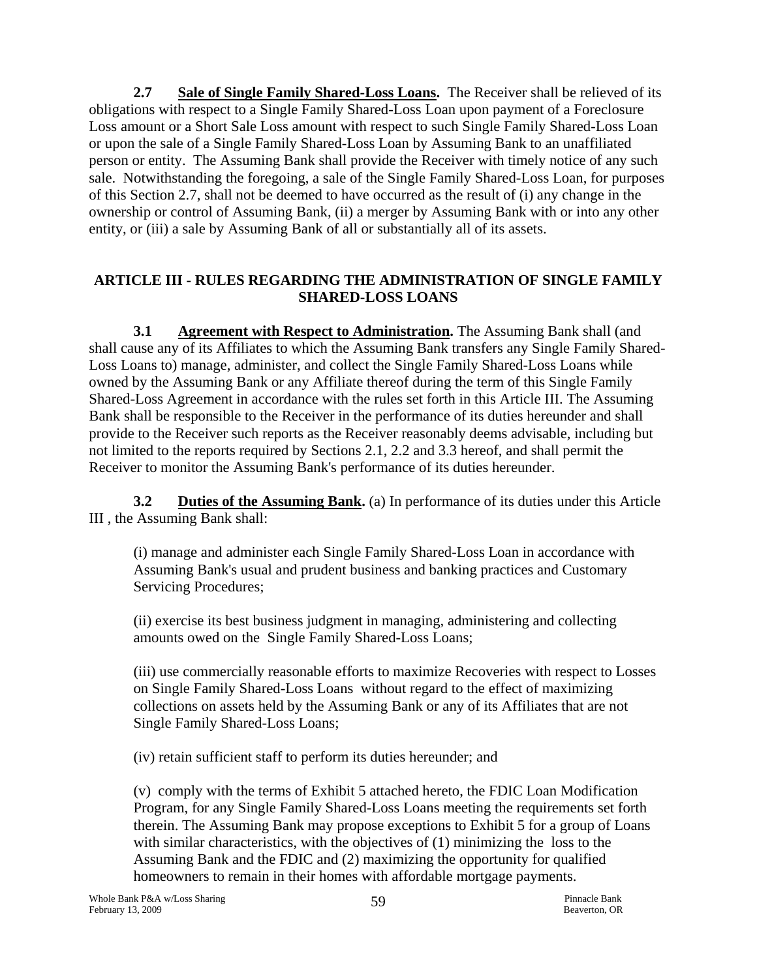**2.7 Sale of Single Family Shared-Loss Loans.** The Receiver shall be relieved of its obligations with respect to a Single Family Shared-Loss Loan upon payment of a Foreclosure Loss amount or a Short Sale Loss amount with respect to such Single Family Shared-Loss Loan or upon the sale of a Single Family Shared-Loss Loan by Assuming Bank to an unaffiliated person or entity. The Assuming Bank shall provide the Receiver with timely notice of any such sale. Notwithstanding the foregoing, a sale of the Single Family Shared-Loss Loan, for purposes of this Section 2.7, shall not be deemed to have occurred as the result of (i) any change in the ownership or control of Assuming Bank, (ii) a merger by Assuming Bank with or into any other entity, or (iii) a sale by Assuming Bank of all or substantially all of its assets.

## **ARTICLE III - RULES REGARDING THE ADMINISTRATION OF SINGLE FAMILY SHARED-LOSS LOANS**

**3.1 Agreement with Respect to Administration.** The Assuming Bank shall (and shall cause any of its Affiliates to which the Assuming Bank transfers any Single Family Shared-Loss Loans to) manage, administer, and collect the Single Family Shared-Loss Loans while owned by the Assuming Bank or any Affiliate thereof during the term of this Single Family Shared-Loss Agreement in accordance with the rules set forth in this Article III. The Assuming Bank shall be responsible to the Receiver in the performance of its duties hereunder and shall provide to the Receiver such reports as the Receiver reasonably deems advisable, including but not limited to the reports required by Sections 2.1, 2.2 and 3.3 hereof, and shall permit the Receiver to monitor the Assuming Bank's performance of its duties hereunder.

**3.2 Duties of the Assuming Bank.** (a) In performance of its duties under this Article III , the Assuming Bank shall:

(i) manage and administer each Single Family Shared-Loss Loan in accordance with Assuming Bank's usual and prudent business and banking practices and Customary Servicing Procedures;

(ii) exercise its best business judgment in managing, administering and collecting amounts owed on the Single Family Shared-Loss Loans;

(iii) use commercially reasonable efforts to maximize Recoveries with respect to Losses on Single Family Shared-Loss Loans without regard to the effect of maximizing collections on assets held by the Assuming Bank or any of its Affiliates that are not Single Family Shared-Loss Loans;

(iv) retain sufficient staff to perform its duties hereunder; and

(v) comply with the terms of Exhibit 5 attached hereto, the FDIC Loan Modification Program, for any Single Family Shared-Loss Loans meeting the requirements set forth therein. The Assuming Bank may propose exceptions to Exhibit 5 for a group of Loans with similar characteristics, with the objectives of (1) minimizing the loss to the Assuming Bank and the FDIC and (2) maximizing the opportunity for qualified homeowners to remain in their homes with affordable mortgage payments.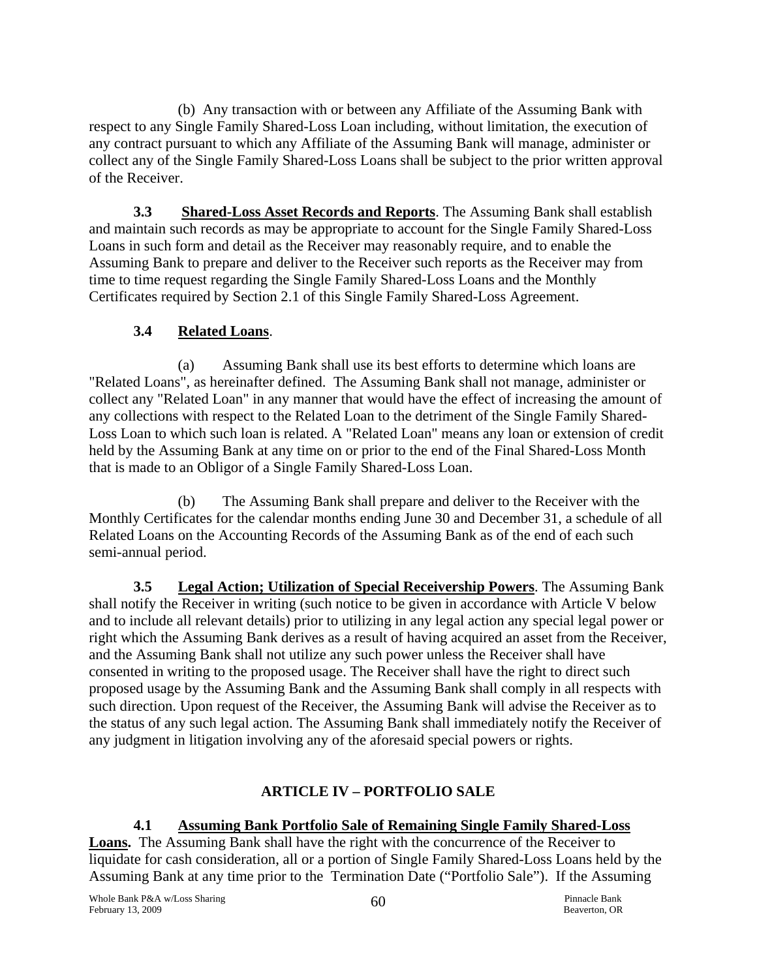(b) Any transaction with or between any Affiliate of the Assuming Bank with respect to any Single Family Shared-Loss Loan including, without limitation, the execution of any contract pursuant to which any Affiliate of the Assuming Bank will manage, administer or collect any of the Single Family Shared-Loss Loans shall be subject to the prior written approval of the Receiver.

**3.3 Shared-Loss Asset Records and Reports**. The Assuming Bank shall establish and maintain such records as may be appropriate to account for the Single Family Shared-Loss Loans in such form and detail as the Receiver may reasonably require, and to enable the Assuming Bank to prepare and deliver to the Receiver such reports as the Receiver may from time to time request regarding the Single Family Shared-Loss Loans and the Monthly Certificates required by Section 2.1 of this Single Family Shared-Loss Agreement.

# **3.4 Related Loans**.

(a) Assuming Bank shall use its best efforts to determine which loans are "Related Loans", as hereinafter defined. The Assuming Bank shall not manage, administer or collect any "Related Loan" in any manner that would have the effect of increasing the amount of any collections with respect to the Related Loan to the detriment of the Single Family Shared-Loss Loan to which such loan is related. A "Related Loan" means any loan or extension of credit held by the Assuming Bank at any time on or prior to the end of the Final Shared-Loss Month that is made to an Obligor of a Single Family Shared-Loss Loan.

(b) The Assuming Bank shall prepare and deliver to the Receiver with the Monthly Certificates for the calendar months ending June 30 and December 31, a schedule of all Related Loans on the Accounting Records of the Assuming Bank as of the end of each such semi-annual period.

**3.5 Legal Action; Utilization of Special Receivership Powers**. The Assuming Bank shall notify the Receiver in writing (such notice to be given in accordance with Article V below and to include all relevant details) prior to utilizing in any legal action any special legal power or right which the Assuming Bank derives as a result of having acquired an asset from the Receiver, and the Assuming Bank shall not utilize any such power unless the Receiver shall have consented in writing to the proposed usage. The Receiver shall have the right to direct such proposed usage by the Assuming Bank and the Assuming Bank shall comply in all respects with such direction. Upon request of the Receiver, the Assuming Bank will advise the Receiver as to the status of any such legal action. The Assuming Bank shall immediately notify the Receiver of any judgment in litigation involving any of the aforesaid special powers or rights.

# **ARTICLE IV – PORTFOLIO SALE**

# **4.1 Assuming Bank Portfolio Sale of Remaining Single Family Shared-Loss**

**Loans.** The Assuming Bank shall have the right with the concurrence of the Receiver to liquidate for cash consideration, all or a portion of Single Family Shared-Loss Loans held by the Assuming Bank at any time prior to the Termination Date ("Portfolio Sale"). If the Assuming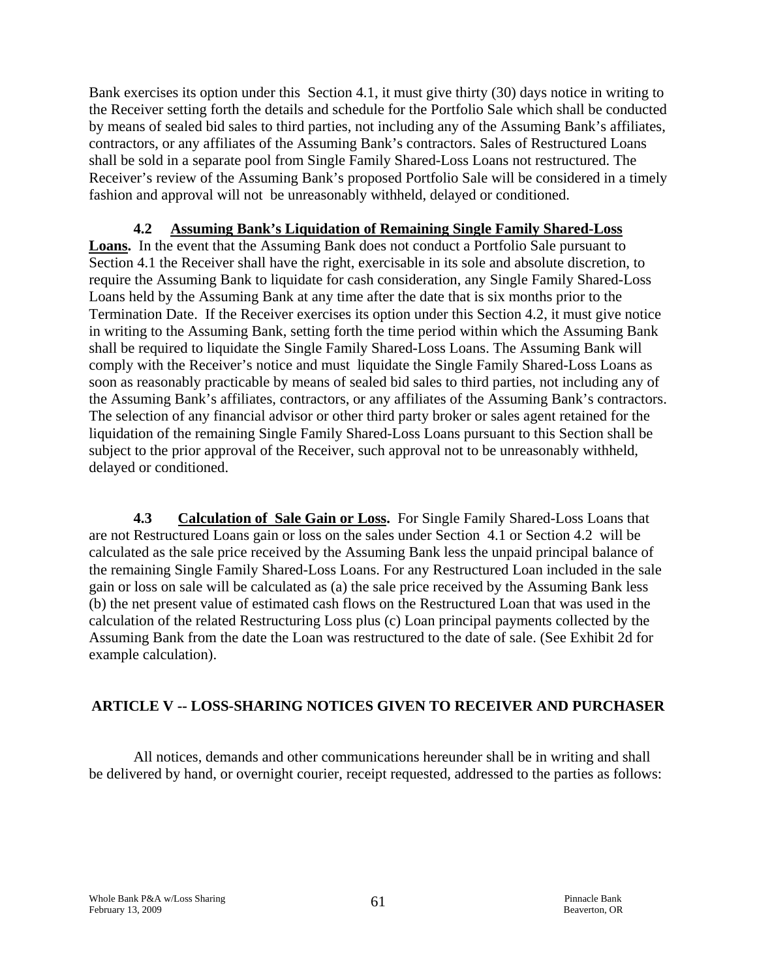Bank exercises its option under this Section 4.1, it must give thirty (30) days notice in writing to the Receiver setting forth the details and schedule for the Portfolio Sale which shall be conducted by means of sealed bid sales to third parties, not including any of the Assuming Bank's affiliates, contractors, or any affiliates of the Assuming Bank's contractors. Sales of Restructured Loans shall be sold in a separate pool from Single Family Shared-Loss Loans not restructured. The Receiver's review of the Assuming Bank's proposed Portfolio Sale will be considered in a timely fashion and approval will not be unreasonably withheld, delayed or conditioned.

## **4.2 Assuming Bank's Liquidation of Remaining Single Family Shared-Loss**

**Loans.** In the event that the Assuming Bank does not conduct a Portfolio Sale pursuant to Section 4.1 the Receiver shall have the right, exercisable in its sole and absolute discretion, to require the Assuming Bank to liquidate for cash consideration, any Single Family Shared-Loss Loans held by the Assuming Bank at any time after the date that is six months prior to the Termination Date. If the Receiver exercises its option under this Section 4.2, it must give notice in writing to the Assuming Bank, setting forth the time period within which the Assuming Bank shall be required to liquidate the Single Family Shared-Loss Loans. The Assuming Bank will comply with the Receiver's notice and must liquidate the Single Family Shared-Loss Loans as soon as reasonably practicable by means of sealed bid sales to third parties, not including any of the Assuming Bank's affiliates, contractors, or any affiliates of the Assuming Bank's contractors. The selection of any financial advisor or other third party broker or sales agent retained for the liquidation of the remaining Single Family Shared-Loss Loans pursuant to this Section shall be subject to the prior approval of the Receiver, such approval not to be unreasonably withheld, delayed or conditioned.

**4.3 Calculation of Sale Gain or Loss.** For Single Family Shared-Loss Loans that are not Restructured Loans gain or loss on the sales under Section 4.1 or Section 4.2 will be calculated as the sale price received by the Assuming Bank less the unpaid principal balance of the remaining Single Family Shared-Loss Loans. For any Restructured Loan included in the sale gain or loss on sale will be calculated as (a) the sale price received by the Assuming Bank less (b) the net present value of estimated cash flows on the Restructured Loan that was used in the calculation of the related Restructuring Loss plus (c) Loan principal payments collected by the Assuming Bank from the date the Loan was restructured to the date of sale. (See Exhibit 2d for example calculation).

# **ARTICLE V -- LOSS-SHARING NOTICES GIVEN TO RECEIVER AND PURCHASER**

All notices, demands and other communications hereunder shall be in writing and shall be delivered by hand, or overnight courier, receipt requested, addressed to the parties as follows: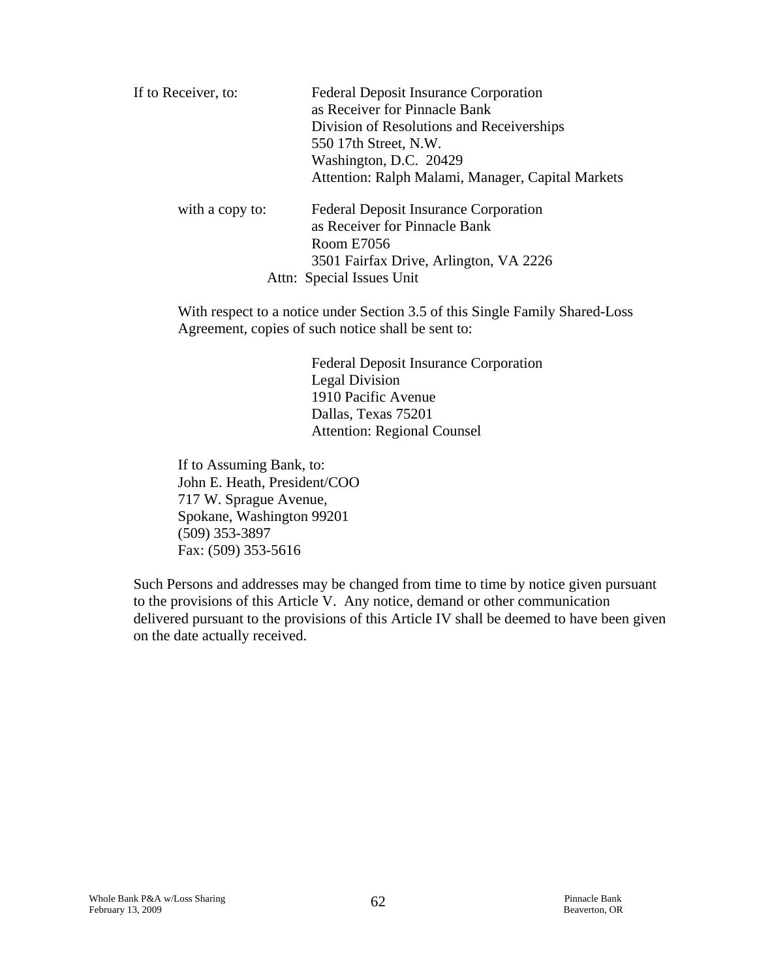| If to Receiver, to: | <b>Federal Deposit Insurance Corporation</b>      |  |  |  |  |
|---------------------|---------------------------------------------------|--|--|--|--|
|                     | as Receiver for Pinnacle Bank                     |  |  |  |  |
|                     | Division of Resolutions and Receiverships         |  |  |  |  |
|                     | 550 17th Street, N.W.                             |  |  |  |  |
|                     | Washington, D.C. 20429                            |  |  |  |  |
|                     | Attention: Ralph Malami, Manager, Capital Markets |  |  |  |  |
| with a copy to:     | <b>Federal Deposit Insurance Corporation</b>      |  |  |  |  |
|                     | as Receiver for Pinnacle Bank                     |  |  |  |  |
|                     | Room E7056                                        |  |  |  |  |
|                     | 3501 Fairfax Drive, Arlington, VA 2226            |  |  |  |  |
|                     | Attn: Special Issues Unit                         |  |  |  |  |

With respect to a notice under Section 3.5 of this Single Family Shared-Loss Agreement, copies of such notice shall be sent to:

> Federal Deposit Insurance Corporation Legal Division 1910 Pacific Avenue Dallas, Texas 75201 Attention: Regional Counsel

If to Assuming Bank, to: John E. Heath, President/COO 717 W. Sprague Avenue, Spokane, Washington 99201 (509) 353-3897 Fax: (509) 353-5616

Such Persons and addresses may be changed from time to time by notice given pursuant to the provisions of this Article V. Any notice, demand or other communication delivered pursuant to the provisions of this Article IV shall be deemed to have been given on the date actually received.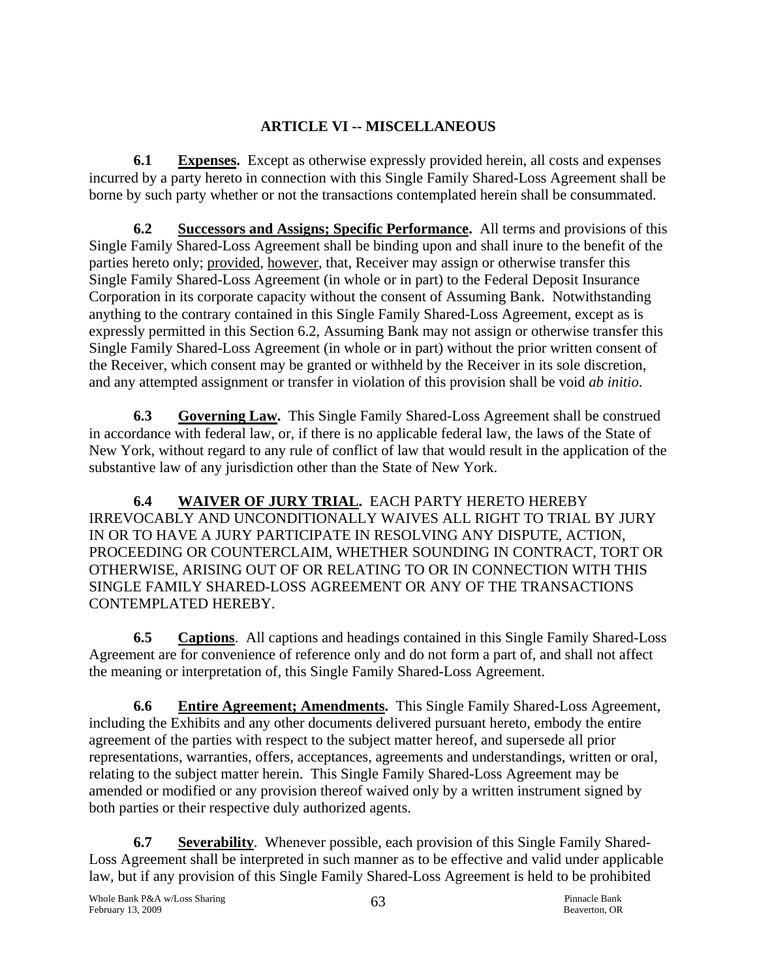# **ARTICLE VI -- MISCELLANEOUS**

**6.1** Expenses. Except as otherwise expressly provided herein, all costs and expenses incurred by a party hereto in connection with this Single Family Shared-Loss Agreement shall be borne by such party whether or not the transactions contemplated herein shall be consummated.

**6.2 Successors and Assigns; Specific Performance.** All terms and provisions of this Single Family Shared-Loss Agreement shall be binding upon and shall inure to the benefit of the parties hereto only; provided, however, that, Receiver may assign or otherwise transfer this Single Family Shared-Loss Agreement (in whole or in part) to the Federal Deposit Insurance Corporation in its corporate capacity without the consent of Assuming Bank. Notwithstanding anything to the contrary contained in this Single Family Shared-Loss Agreement, except as is expressly permitted in this Section 6.2, Assuming Bank may not assign or otherwise transfer this Single Family Shared-Loss Agreement (in whole or in part) without the prior written consent of the Receiver, which consent may be granted or withheld by the Receiver in its sole discretion, and any attempted assignment or transfer in violation of this provision shall be void *ab initio*.

**6.3 Governing Law.** This Single Family Shared-Loss Agreement shall be construed in accordance with federal law, or, if there is no applicable federal law, the laws of the State of New York, without regard to any rule of conflict of law that would result in the application of the substantive law of any jurisdiction other than the State of New York.

**6.4 WAIVER OF JURY TRIAL.** EACH PARTY HERETO HEREBY IRREVOCABLY AND UNCONDITIONALLY WAIVES ALL RIGHT TO TRIAL BY JURY IN OR TO HAVE A JURY PARTICIPATE IN RESOLVING ANY DISPUTE, ACTION, PROCEEDING OR COUNTERCLAIM, WHETHER SOUNDING IN CONTRACT, TORT OR OTHERWISE, ARISING OUT OF OR RELATING TO OR IN CONNECTION WITH THIS SINGLE FAMILY SHARED-LOSS AGREEMENT OR ANY OF THE TRANSACTIONS CONTEMPLATED HEREBY.

**6.5 Captions**. All captions and headings contained in this Single Family Shared-Loss Agreement are for convenience of reference only and do not form a part of, and shall not affect the meaning or interpretation of, this Single Family Shared-Loss Agreement.

**6.6 Entire Agreement; Amendments.** This Single Family Shared-Loss Agreement, including the Exhibits and any other documents delivered pursuant hereto, embody the entire agreement of the parties with respect to the subject matter hereof, and supersede all prior representations, warranties, offers, acceptances, agreements and understandings, written or oral, relating to the subject matter herein. This Single Family Shared-Loss Agreement may be amended or modified or any provision thereof waived only by a written instrument signed by both parties or their respective duly authorized agents.

**6.7 Severability**. Whenever possible, each provision of this Single Family Shared-Loss Agreement shall be interpreted in such manner as to be effective and valid under applicable law, but if any provision of this Single Family Shared-Loss Agreement is held to be prohibited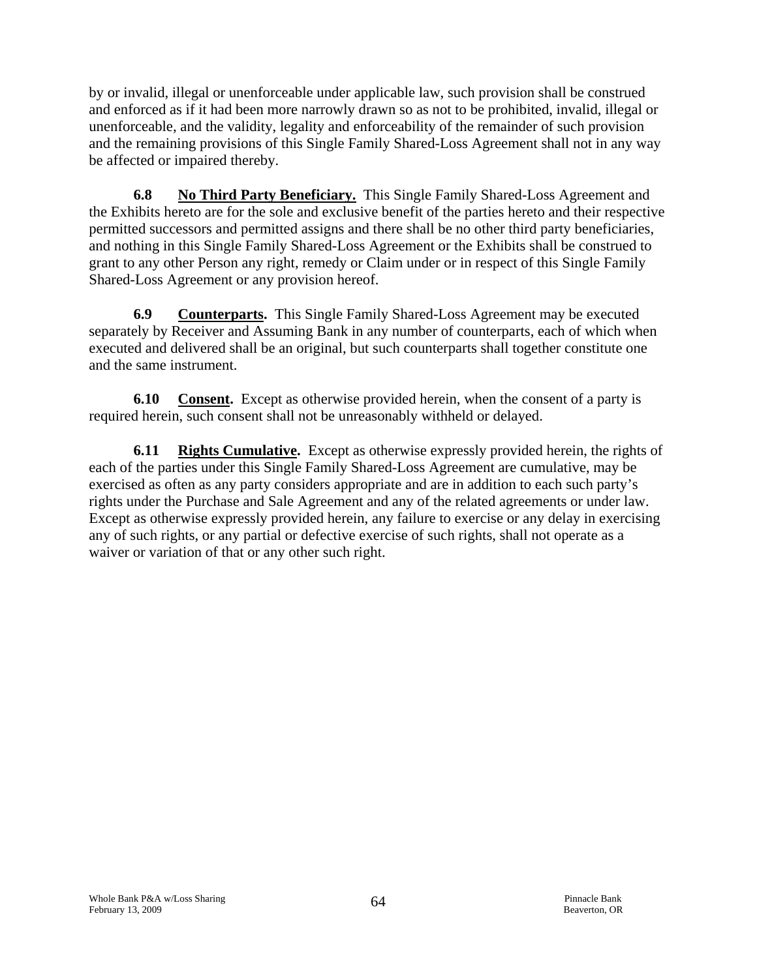by or invalid, illegal or unenforceable under applicable law, such provision shall be construed and enforced as if it had been more narrowly drawn so as not to be prohibited, invalid, illegal or unenforceable, and the validity, legality and enforceability of the remainder of such provision and the remaining provisions of this Single Family Shared-Loss Agreement shall not in any way be affected or impaired thereby.

6.8 No Third Party Beneficiary. This Single Family Shared-Loss Agreement and the Exhibits hereto are for the sole and exclusive benefit of the parties hereto and their respective permitted successors and permitted assigns and there shall be no other third party beneficiaries, and nothing in this Single Family Shared-Loss Agreement or the Exhibits shall be construed to grant to any other Person any right, remedy or Claim under or in respect of this Single Family Shared-Loss Agreement or any provision hereof.

**6.9 Counterparts.** This Single Family Shared-Loss Agreement may be executed separately by Receiver and Assuming Bank in any number of counterparts, each of which when executed and delivered shall be an original, but such counterparts shall together constitute one and the same instrument.

**6.10 Consent.** Except as otherwise provided herein, when the consent of a party is required herein, such consent shall not be unreasonably withheld or delayed.

**6.11 Rights Cumulative.** Except as otherwise expressly provided herein, the rights of each of the parties under this Single Family Shared-Loss Agreement are cumulative, may be exercised as often as any party considers appropriate and are in addition to each such party's rights under the Purchase and Sale Agreement and any of the related agreements or under law. Except as otherwise expressly provided herein, any failure to exercise or any delay in exercising any of such rights, or any partial or defective exercise of such rights, shall not operate as a waiver or variation of that or any other such right.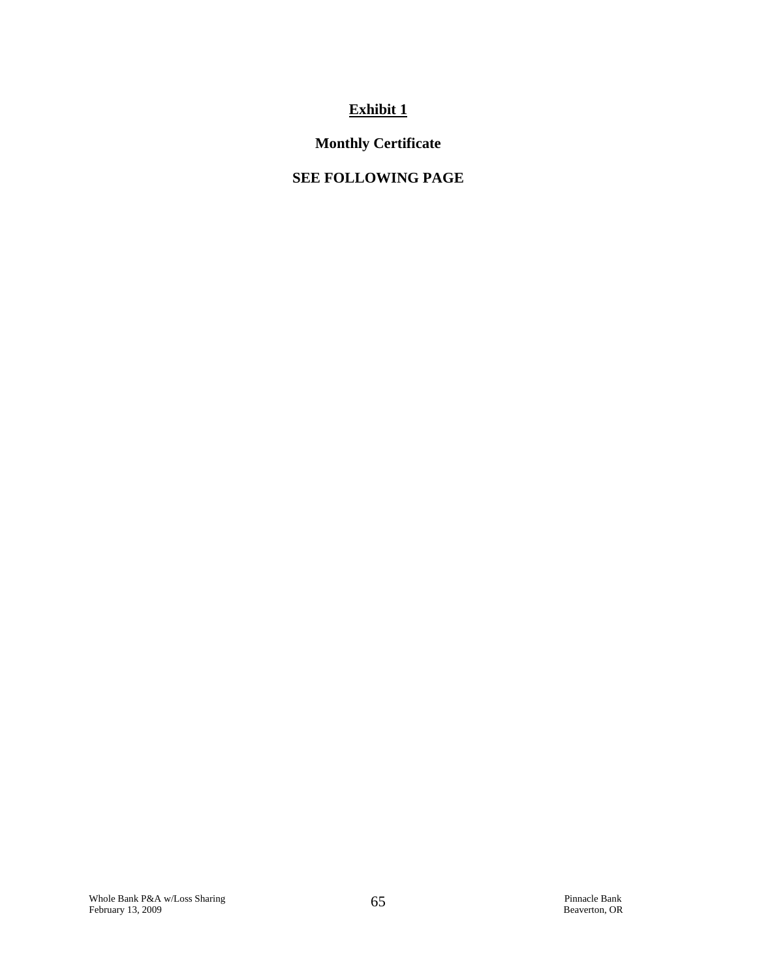# **Exhibit 1**

# **Monthly Certificate**

# **SEE FOLLOWING PAGE**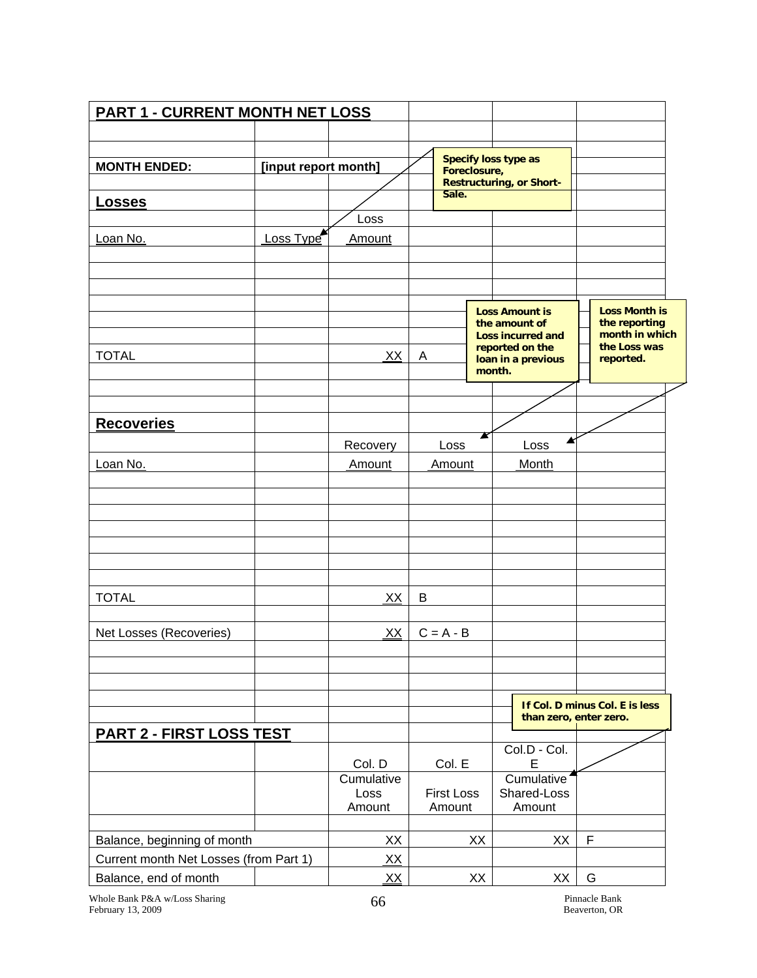| <b>PART 1 - CURRENT MONTH NET LOSS</b> |                      |            |   |                                          |                                                                    |                                       |                                       |
|----------------------------------------|----------------------|------------|---|------------------------------------------|--------------------------------------------------------------------|---------------------------------------|---------------------------------------|
|                                        |                      |            |   |                                          |                                                                    |                                       |                                       |
|                                        |                      |            |   |                                          |                                                                    | <b>Specify loss type as</b>           |                                       |
| <b>MONTH ENDED:</b>                    | [input report month] |            |   | Foreclosure,                             |                                                                    |                                       |                                       |
|                                        |                      |            |   | <b>Restructuring, or Short-</b><br>Sale. |                                                                    |                                       |                                       |
| <b>Losses</b>                          |                      |            |   |                                          |                                                                    |                                       |                                       |
|                                        |                      | Loss       |   |                                          |                                                                    |                                       |                                       |
| Loan No.                               | Loss Type            | Amount     |   |                                          |                                                                    |                                       |                                       |
|                                        |                      |            |   |                                          |                                                                    |                                       |                                       |
|                                        |                      |            |   |                                          |                                                                    |                                       |                                       |
|                                        |                      |            |   |                                          |                                                                    |                                       |                                       |
|                                        |                      |            |   |                                          | <b>Loss Amount is</b><br>the amount of<br><b>Loss incurred and</b> |                                       | <b>Loss Month is</b><br>the reporting |
|                                        |                      |            |   |                                          |                                                                    |                                       | month in which                        |
| <b>TOTAL</b>                           |                      | XX         | A |                                          |                                                                    | reported on the<br>loan in a previous | the Loss was<br>reported.             |
|                                        |                      |            |   |                                          |                                                                    | month.                                |                                       |
|                                        |                      |            |   |                                          |                                                                    |                                       |                                       |
|                                        |                      |            |   |                                          |                                                                    |                                       |                                       |
| <b>Recoveries</b>                      |                      |            |   |                                          |                                                                    |                                       |                                       |
|                                        |                      | Recovery   |   | Loss                                     |                                                                    | ▲<br>Loss                             |                                       |
| Loan No.                               |                      | Amount     |   | Amount                                   |                                                                    | Month                                 |                                       |
|                                        |                      |            |   |                                          |                                                                    |                                       |                                       |
|                                        |                      |            |   |                                          |                                                                    |                                       |                                       |
|                                        |                      |            |   |                                          |                                                                    |                                       |                                       |
|                                        |                      |            |   |                                          |                                                                    |                                       |                                       |
|                                        |                      |            |   |                                          |                                                                    |                                       |                                       |
|                                        |                      |            |   |                                          |                                                                    |                                       |                                       |
| <b>TOTAL</b>                           |                      | XX         | B |                                          |                                                                    |                                       |                                       |
|                                        |                      |            |   |                                          |                                                                    |                                       |                                       |
| Net Losses (Recoveries)                |                      | XX         |   | $C = A - B$                              |                                                                    |                                       |                                       |
|                                        |                      |            |   |                                          |                                                                    |                                       |                                       |
|                                        |                      |            |   |                                          |                                                                    |                                       |                                       |
|                                        |                      |            |   |                                          |                                                                    |                                       |                                       |
|                                        |                      |            |   |                                          |                                                                    |                                       | If Col. D minus Col. E is less        |
|                                        |                      |            |   |                                          |                                                                    | than zero, enter zero.                |                                       |
| <b>PART 2 - FIRST LOSS TEST</b>        |                      |            |   |                                          |                                                                    |                                       |                                       |
|                                        |                      | Col. D     |   | Col. E                                   |                                                                    | Col.D - Col.<br>E                     |                                       |
|                                        |                      | Cumulative |   |                                          |                                                                    | Cumulative                            |                                       |
|                                        |                      | Loss       |   | <b>First Loss</b>                        |                                                                    | Shared-Loss                           |                                       |
|                                        |                      | Amount     |   | Amount                                   |                                                                    | Amount                                |                                       |
|                                        |                      |            |   |                                          |                                                                    |                                       |                                       |
| Balance, beginning of month            |                      | XX         |   |                                          | XX                                                                 | XX                                    | F                                     |
| Current month Net Losses (from Part 1) |                      | XX         |   |                                          |                                                                    |                                       |                                       |
| Balance, end of month                  |                      | XX         |   |                                          | XX                                                                 | XX                                    | G                                     |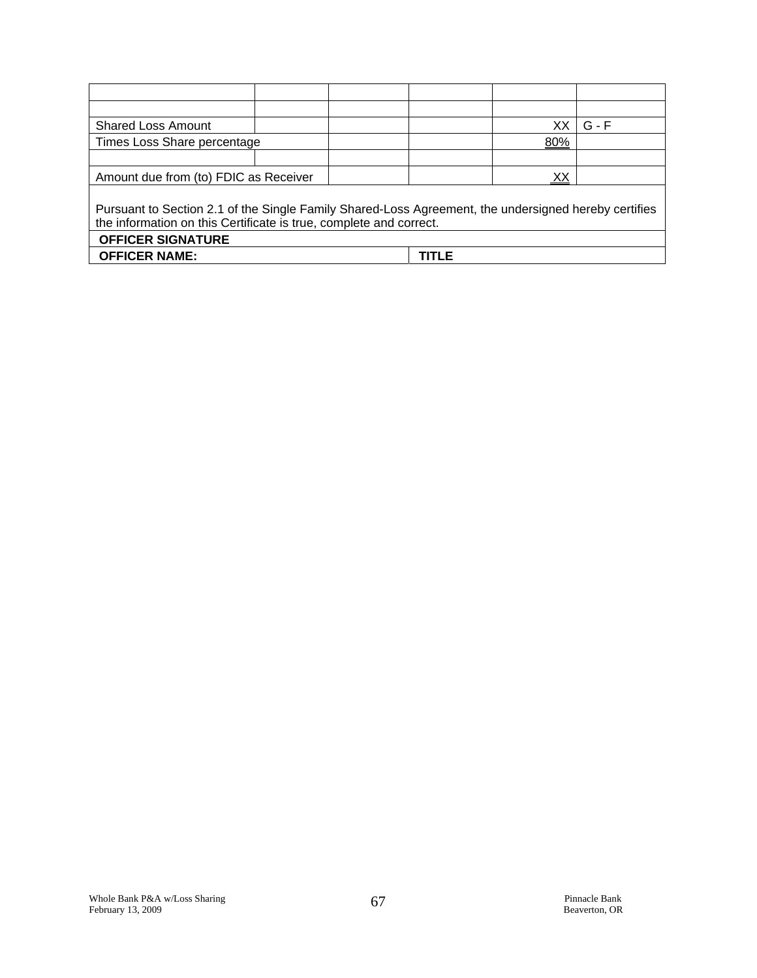| <b>Shared Loss Amount</b>                                                                                                                                                  |  |  |  | xх  | $G - F$ |  |  |
|----------------------------------------------------------------------------------------------------------------------------------------------------------------------------|--|--|--|-----|---------|--|--|
| Times Loss Share percentage                                                                                                                                                |  |  |  | 80% |         |  |  |
|                                                                                                                                                                            |  |  |  |     |         |  |  |
| XX<br>Amount due from (to) FDIC as Receiver                                                                                                                                |  |  |  |     |         |  |  |
| Pursuant to Section 2.1 of the Single Family Shared-Loss Agreement, the undersigned hereby certifies<br>the information on this Certificate is true, complete and correct. |  |  |  |     |         |  |  |
| <b>OFFICER SIGNATURE</b>                                                                                                                                                   |  |  |  |     |         |  |  |
| <b>OFFICER NAME:</b>                                                                                                                                                       |  |  |  |     |         |  |  |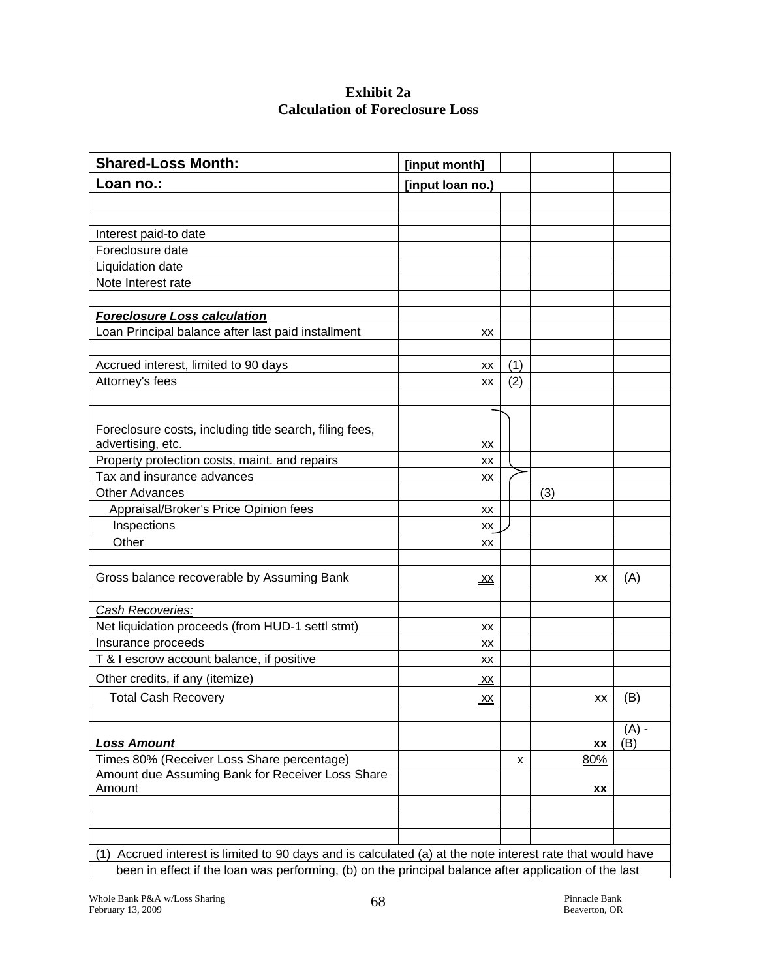# **Exhibit 2a Calculation of Foreclosure Loss**

| <b>Shared-Loss Month:</b>                                                                                  | [input month]    |     |           |         |
|------------------------------------------------------------------------------------------------------------|------------------|-----|-----------|---------|
| Loan no.:                                                                                                  | [input loan no.) |     |           |         |
|                                                                                                            |                  |     |           |         |
|                                                                                                            |                  |     |           |         |
| Interest paid-to date                                                                                      |                  |     |           |         |
| Foreclosure date                                                                                           |                  |     |           |         |
| Liquidation date                                                                                           |                  |     |           |         |
| Note Interest rate                                                                                         |                  |     |           |         |
|                                                                                                            |                  |     |           |         |
| <b>Foreclosure Loss calculation</b>                                                                        |                  |     |           |         |
| Loan Principal balance after last paid installment                                                         | XХ               |     |           |         |
|                                                                                                            |                  |     |           |         |
| Accrued interest, limited to 90 days                                                                       | XX               | (1) |           |         |
| Attorney's fees                                                                                            | XX               | (2) |           |         |
|                                                                                                            |                  |     |           |         |
|                                                                                                            |                  |     |           |         |
| Foreclosure costs, including title search, filing fees,                                                    |                  |     |           |         |
| advertising, etc.                                                                                          | XХ               |     |           |         |
| Property protection costs, maint. and repairs                                                              | XX               |     |           |         |
| Tax and insurance advances                                                                                 | XX               |     |           |         |
| <b>Other Advances</b>                                                                                      |                  |     | (3)       |         |
| Appraisal/Broker's Price Opinion fees                                                                      | XX               |     |           |         |
| Inspections                                                                                                | XX               |     |           |         |
| Other                                                                                                      | ХX               |     |           |         |
|                                                                                                            |                  |     |           |         |
| Gross balance recoverable by Assuming Bank                                                                 | <u>XX</u>        |     | XX        | (A)     |
|                                                                                                            |                  |     |           |         |
| Cash Recoveries:                                                                                           |                  |     |           |         |
| Net liquidation proceeds (from HUD-1 settl stmt)                                                           | XX               |     |           |         |
| Insurance proceeds                                                                                         | XX               |     |           |         |
| T & I escrow account balance, if positive                                                                  | XX               |     |           |         |
| Other credits, if any (itemize)                                                                            | xх               |     |           |         |
| <b>Total Cash Recovery</b>                                                                                 | <u>XX</u>        |     | <u>XX</u> | (B)     |
|                                                                                                            |                  |     |           |         |
|                                                                                                            |                  |     |           | $(A)$ - |
| <b>Loss Amount</b>                                                                                         |                  |     | XX        | (B)     |
| Times 80% (Receiver Loss Share percentage)                                                                 |                  | x   | 80%       |         |
| Amount due Assuming Bank for Receiver Loss Share                                                           |                  |     |           |         |
| Amount                                                                                                     |                  |     | <u>XX</u> |         |
|                                                                                                            |                  |     |           |         |
|                                                                                                            |                  |     |           |         |
|                                                                                                            |                  |     |           |         |
| (1) Accrued interest is limited to 90 days and is calculated (a) at the note interest rate that would have |                  |     |           |         |
| been in effect if the loan was performing, (b) on the principal balance after application of the last      |                  |     |           |         |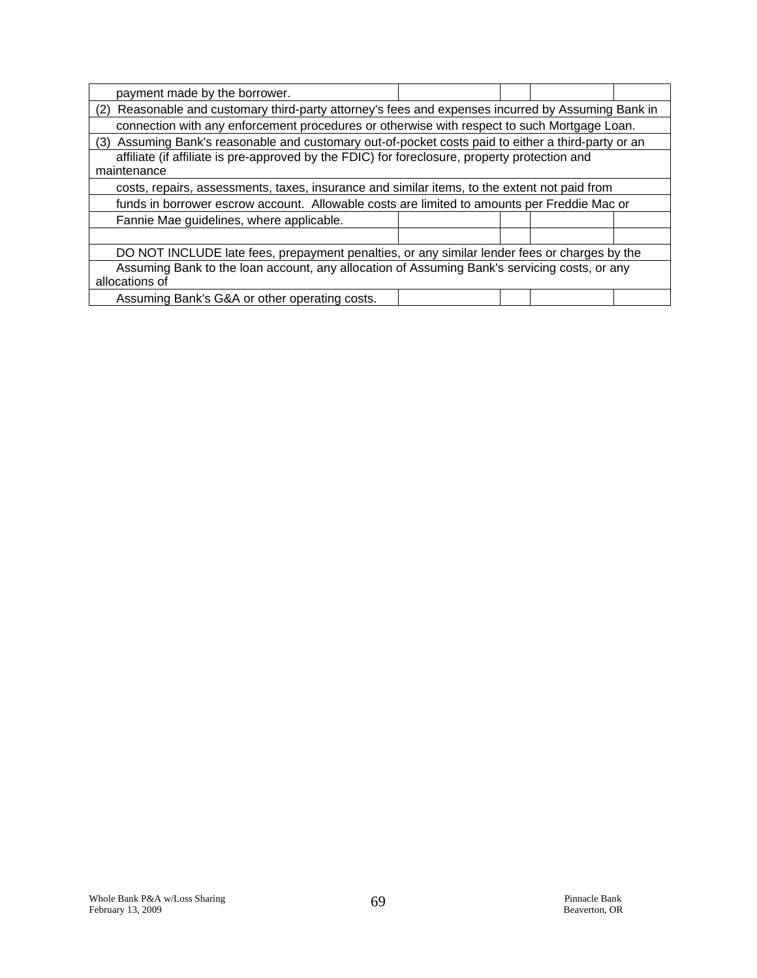| payment made by the borrower.                                                                                |  |  |  |  |  |
|--------------------------------------------------------------------------------------------------------------|--|--|--|--|--|
| (2) Reasonable and customary third-party attorney's fees and expenses incurred by Assuming Bank in           |  |  |  |  |  |
| connection with any enforcement procedures or otherwise with respect to such Mortgage Loan.                  |  |  |  |  |  |
| (3) Assuming Bank's reasonable and customary out-of-pocket costs paid to either a third-party or an          |  |  |  |  |  |
| affiliate (if affiliate is pre-approved by the FDIC) for foreclosure, property protection and<br>maintenance |  |  |  |  |  |
| costs, repairs, assessments, taxes, insurance and similar items, to the extent not paid from                 |  |  |  |  |  |
| funds in borrower escrow account. Allowable costs are limited to amounts per Freddie Mac or                  |  |  |  |  |  |
| Fannie Mae guidelines, where applicable.                                                                     |  |  |  |  |  |
|                                                                                                              |  |  |  |  |  |
| DO NOT INCLUDE late fees, prepayment penalties, or any similar lender fees or charges by the                 |  |  |  |  |  |
| Assuming Bank to the loan account, any allocation of Assuming Bank's servicing costs, or any                 |  |  |  |  |  |
| allocations of                                                                                               |  |  |  |  |  |
| Assuming Bank's G&A or other operating costs.                                                                |  |  |  |  |  |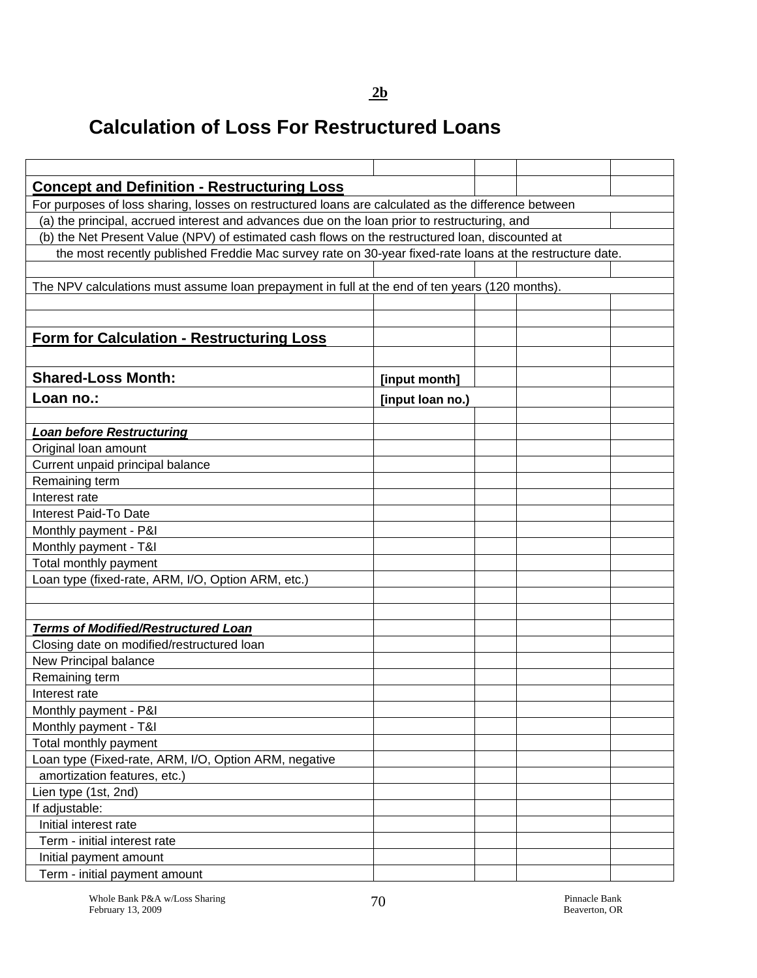# **Calculation of Loss For Restructured Loans**

| <b>Concept and Definition - Restructuring Loss</b>                                                       |                  |  |  |
|----------------------------------------------------------------------------------------------------------|------------------|--|--|
| For purposes of loss sharing, losses on restructured loans are calculated as the difference between      |                  |  |  |
| (a) the principal, accrued interest and advances due on the loan prior to restructuring, and             |                  |  |  |
| (b) the Net Present Value (NPV) of estimated cash flows on the restructured loan, discounted at          |                  |  |  |
| the most recently published Freddie Mac survey rate on 30-year fixed-rate loans at the restructure date. |                  |  |  |
|                                                                                                          |                  |  |  |
| The NPV calculations must assume loan prepayment in full at the end of ten years (120 months).           |                  |  |  |
|                                                                                                          |                  |  |  |
|                                                                                                          |                  |  |  |
| <b>Form for Calculation - Restructuring Loss</b>                                                         |                  |  |  |
|                                                                                                          |                  |  |  |
| <b>Shared-Loss Month:</b>                                                                                | [input month]    |  |  |
| Loan no.:                                                                                                |                  |  |  |
|                                                                                                          | [input loan no.) |  |  |
|                                                                                                          |                  |  |  |
| <b>Loan before Restructuring</b>                                                                         |                  |  |  |
| Original loan amount<br>Current unpaid principal balance                                                 |                  |  |  |
| Remaining term                                                                                           |                  |  |  |
| Interest rate                                                                                            |                  |  |  |
| Interest Paid-To Date                                                                                    |                  |  |  |
| Monthly payment - P&I                                                                                    |                  |  |  |
| Monthly payment - T&I                                                                                    |                  |  |  |
| Total monthly payment                                                                                    |                  |  |  |
| Loan type (fixed-rate, ARM, I/O, Option ARM, etc.)                                                       |                  |  |  |
|                                                                                                          |                  |  |  |
|                                                                                                          |                  |  |  |
| <b>Terms of Modified/Restructured Loan</b>                                                               |                  |  |  |
| Closing date on modified/restructured loan                                                               |                  |  |  |
| New Principal balance                                                                                    |                  |  |  |
| Remaining term                                                                                           |                  |  |  |
| Interest rate                                                                                            |                  |  |  |
| Monthly payment - P&I                                                                                    |                  |  |  |
| Monthly payment - T&I                                                                                    |                  |  |  |
| Total monthly payment                                                                                    |                  |  |  |
| Loan type (Fixed-rate, ARM, I/O, Option ARM, negative                                                    |                  |  |  |
| amortization features, etc.)                                                                             |                  |  |  |
| Lien type (1st, 2nd)                                                                                     |                  |  |  |
| If adjustable:                                                                                           |                  |  |  |
| Initial interest rate                                                                                    |                  |  |  |
| Term - initial interest rate                                                                             |                  |  |  |
| Initial payment amount                                                                                   |                  |  |  |
| Term - initial payment amount                                                                            |                  |  |  |
|                                                                                                          |                  |  |  |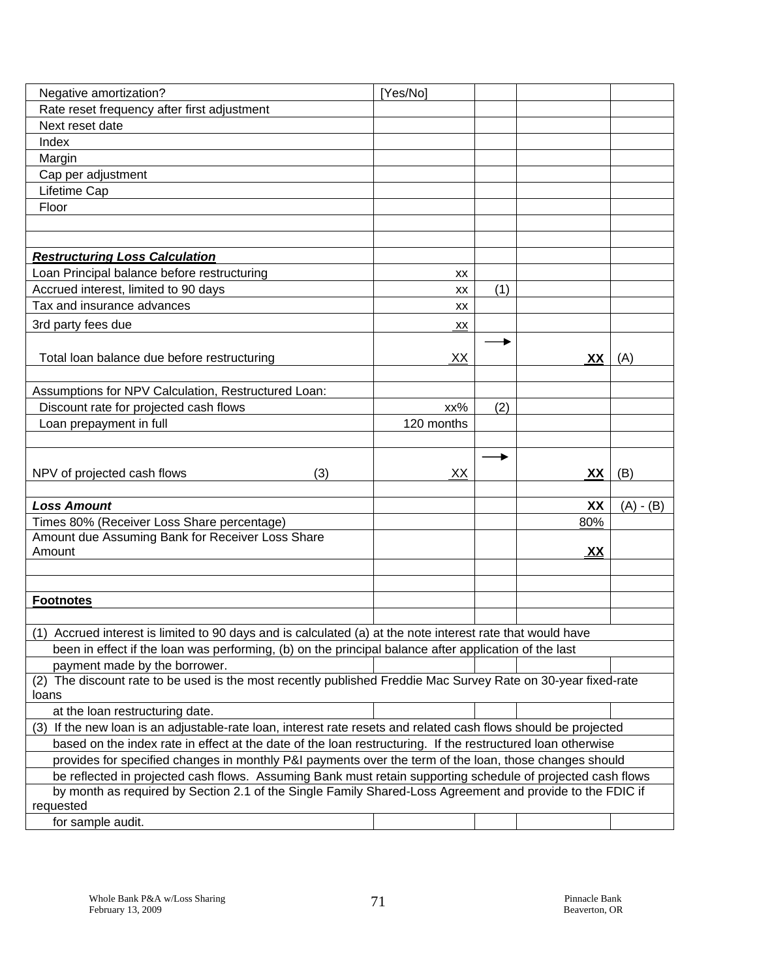| Rate reset frequency after first adjustment<br>Next reset date<br>Index<br>Margin<br>Cap per adjustment<br>Lifetime Cap<br>Floor<br><b>Restructuring Loss Calculation</b><br>Loan Principal balance before restructuring<br>XX<br>Accrued interest, limited to 90 days<br>(1)<br>XX<br>Tax and insurance advances<br>XX<br>3rd party fees due<br>XХ<br>Total loan balance due before restructuring<br>XX<br>XX<br>(A)<br>Assumptions for NPV Calculation, Restructured Loan:<br>Discount rate for projected cash flows<br>xx%<br>(2)<br>120 months<br>Loan prepayment in full<br>NPV of projected cash flows<br>XX<br>(3)<br>(B)<br>XX<br><b>Loss Amount</b><br>XX<br>$(A) - (B)$<br>Times 80% (Receiver Loss Share percentage)<br>80%<br>Amount due Assuming Bank for Receiver Loss Share<br>Amount<br><u>XX</u><br><b>Footnotes</b><br>(1) Accrued interest is limited to 90 days and is calculated (a) at the note interest rate that would have<br>been in effect if the loan was performing, (b) on the principal balance after application of the last<br>payment made by the borrower.<br>(2) The discount rate to be used is the most recently published Freddie Mac Survey Rate on 30-year fixed-rate<br>loans<br>at the loan restructuring date.<br>(3) If the new loan is an adjustable-rate loan, interest rate resets and related cash flows should be projected<br>based on the index rate in effect at the date of the loan restructuring. If the restructured loan otherwise<br>provides for specified changes in monthly P&I payments over the term of the loan, those changes should<br>be reflected in projected cash flows. Assuming Bank must retain supporting schedule of projected cash flows<br>by month as required by Section 2.1 of the Single Family Shared-Loss Agreement and provide to the FDIC if<br>requested<br>for sample audit. | Negative amortization? | [Yes/No] |  |  |
|----------------------------------------------------------------------------------------------------------------------------------------------------------------------------------------------------------------------------------------------------------------------------------------------------------------------------------------------------------------------------------------------------------------------------------------------------------------------------------------------------------------------------------------------------------------------------------------------------------------------------------------------------------------------------------------------------------------------------------------------------------------------------------------------------------------------------------------------------------------------------------------------------------------------------------------------------------------------------------------------------------------------------------------------------------------------------------------------------------------------------------------------------------------------------------------------------------------------------------------------------------------------------------------------------------------------------------------------------------------------------------------------------------------------------------------------------------------------------------------------------------------------------------------------------------------------------------------------------------------------------------------------------------------------------------------------------------------------------------------------------------------------------------------------------------------------------------------------------------------------|------------------------|----------|--|--|
|                                                                                                                                                                                                                                                                                                                                                                                                                                                                                                                                                                                                                                                                                                                                                                                                                                                                                                                                                                                                                                                                                                                                                                                                                                                                                                                                                                                                                                                                                                                                                                                                                                                                                                                                                                                                                                                                      |                        |          |  |  |
|                                                                                                                                                                                                                                                                                                                                                                                                                                                                                                                                                                                                                                                                                                                                                                                                                                                                                                                                                                                                                                                                                                                                                                                                                                                                                                                                                                                                                                                                                                                                                                                                                                                                                                                                                                                                                                                                      |                        |          |  |  |
|                                                                                                                                                                                                                                                                                                                                                                                                                                                                                                                                                                                                                                                                                                                                                                                                                                                                                                                                                                                                                                                                                                                                                                                                                                                                                                                                                                                                                                                                                                                                                                                                                                                                                                                                                                                                                                                                      |                        |          |  |  |
|                                                                                                                                                                                                                                                                                                                                                                                                                                                                                                                                                                                                                                                                                                                                                                                                                                                                                                                                                                                                                                                                                                                                                                                                                                                                                                                                                                                                                                                                                                                                                                                                                                                                                                                                                                                                                                                                      |                        |          |  |  |
|                                                                                                                                                                                                                                                                                                                                                                                                                                                                                                                                                                                                                                                                                                                                                                                                                                                                                                                                                                                                                                                                                                                                                                                                                                                                                                                                                                                                                                                                                                                                                                                                                                                                                                                                                                                                                                                                      |                        |          |  |  |
|                                                                                                                                                                                                                                                                                                                                                                                                                                                                                                                                                                                                                                                                                                                                                                                                                                                                                                                                                                                                                                                                                                                                                                                                                                                                                                                                                                                                                                                                                                                                                                                                                                                                                                                                                                                                                                                                      |                        |          |  |  |
|                                                                                                                                                                                                                                                                                                                                                                                                                                                                                                                                                                                                                                                                                                                                                                                                                                                                                                                                                                                                                                                                                                                                                                                                                                                                                                                                                                                                                                                                                                                                                                                                                                                                                                                                                                                                                                                                      |                        |          |  |  |
|                                                                                                                                                                                                                                                                                                                                                                                                                                                                                                                                                                                                                                                                                                                                                                                                                                                                                                                                                                                                                                                                                                                                                                                                                                                                                                                                                                                                                                                                                                                                                                                                                                                                                                                                                                                                                                                                      |                        |          |  |  |
|                                                                                                                                                                                                                                                                                                                                                                                                                                                                                                                                                                                                                                                                                                                                                                                                                                                                                                                                                                                                                                                                                                                                                                                                                                                                                                                                                                                                                                                                                                                                                                                                                                                                                                                                                                                                                                                                      |                        |          |  |  |
|                                                                                                                                                                                                                                                                                                                                                                                                                                                                                                                                                                                                                                                                                                                                                                                                                                                                                                                                                                                                                                                                                                                                                                                                                                                                                                                                                                                                                                                                                                                                                                                                                                                                                                                                                                                                                                                                      |                        |          |  |  |
|                                                                                                                                                                                                                                                                                                                                                                                                                                                                                                                                                                                                                                                                                                                                                                                                                                                                                                                                                                                                                                                                                                                                                                                                                                                                                                                                                                                                                                                                                                                                                                                                                                                                                                                                                                                                                                                                      |                        |          |  |  |
|                                                                                                                                                                                                                                                                                                                                                                                                                                                                                                                                                                                                                                                                                                                                                                                                                                                                                                                                                                                                                                                                                                                                                                                                                                                                                                                                                                                                                                                                                                                                                                                                                                                                                                                                                                                                                                                                      |                        |          |  |  |
|                                                                                                                                                                                                                                                                                                                                                                                                                                                                                                                                                                                                                                                                                                                                                                                                                                                                                                                                                                                                                                                                                                                                                                                                                                                                                                                                                                                                                                                                                                                                                                                                                                                                                                                                                                                                                                                                      |                        |          |  |  |
|                                                                                                                                                                                                                                                                                                                                                                                                                                                                                                                                                                                                                                                                                                                                                                                                                                                                                                                                                                                                                                                                                                                                                                                                                                                                                                                                                                                                                                                                                                                                                                                                                                                                                                                                                                                                                                                                      |                        |          |  |  |
|                                                                                                                                                                                                                                                                                                                                                                                                                                                                                                                                                                                                                                                                                                                                                                                                                                                                                                                                                                                                                                                                                                                                                                                                                                                                                                                                                                                                                                                                                                                                                                                                                                                                                                                                                                                                                                                                      |                        |          |  |  |
|                                                                                                                                                                                                                                                                                                                                                                                                                                                                                                                                                                                                                                                                                                                                                                                                                                                                                                                                                                                                                                                                                                                                                                                                                                                                                                                                                                                                                                                                                                                                                                                                                                                                                                                                                                                                                                                                      |                        |          |  |  |
|                                                                                                                                                                                                                                                                                                                                                                                                                                                                                                                                                                                                                                                                                                                                                                                                                                                                                                                                                                                                                                                                                                                                                                                                                                                                                                                                                                                                                                                                                                                                                                                                                                                                                                                                                                                                                                                                      |                        |          |  |  |
|                                                                                                                                                                                                                                                                                                                                                                                                                                                                                                                                                                                                                                                                                                                                                                                                                                                                                                                                                                                                                                                                                                                                                                                                                                                                                                                                                                                                                                                                                                                                                                                                                                                                                                                                                                                                                                                                      |                        |          |  |  |
|                                                                                                                                                                                                                                                                                                                                                                                                                                                                                                                                                                                                                                                                                                                                                                                                                                                                                                                                                                                                                                                                                                                                                                                                                                                                                                                                                                                                                                                                                                                                                                                                                                                                                                                                                                                                                                                                      |                        |          |  |  |
|                                                                                                                                                                                                                                                                                                                                                                                                                                                                                                                                                                                                                                                                                                                                                                                                                                                                                                                                                                                                                                                                                                                                                                                                                                                                                                                                                                                                                                                                                                                                                                                                                                                                                                                                                                                                                                                                      |                        |          |  |  |
|                                                                                                                                                                                                                                                                                                                                                                                                                                                                                                                                                                                                                                                                                                                                                                                                                                                                                                                                                                                                                                                                                                                                                                                                                                                                                                                                                                                                                                                                                                                                                                                                                                                                                                                                                                                                                                                                      |                        |          |  |  |
|                                                                                                                                                                                                                                                                                                                                                                                                                                                                                                                                                                                                                                                                                                                                                                                                                                                                                                                                                                                                                                                                                                                                                                                                                                                                                                                                                                                                                                                                                                                                                                                                                                                                                                                                                                                                                                                                      |                        |          |  |  |
|                                                                                                                                                                                                                                                                                                                                                                                                                                                                                                                                                                                                                                                                                                                                                                                                                                                                                                                                                                                                                                                                                                                                                                                                                                                                                                                                                                                                                                                                                                                                                                                                                                                                                                                                                                                                                                                                      |                        |          |  |  |
|                                                                                                                                                                                                                                                                                                                                                                                                                                                                                                                                                                                                                                                                                                                                                                                                                                                                                                                                                                                                                                                                                                                                                                                                                                                                                                                                                                                                                                                                                                                                                                                                                                                                                                                                                                                                                                                                      |                        |          |  |  |
|                                                                                                                                                                                                                                                                                                                                                                                                                                                                                                                                                                                                                                                                                                                                                                                                                                                                                                                                                                                                                                                                                                                                                                                                                                                                                                                                                                                                                                                                                                                                                                                                                                                                                                                                                                                                                                                                      |                        |          |  |  |
|                                                                                                                                                                                                                                                                                                                                                                                                                                                                                                                                                                                                                                                                                                                                                                                                                                                                                                                                                                                                                                                                                                                                                                                                                                                                                                                                                                                                                                                                                                                                                                                                                                                                                                                                                                                                                                                                      |                        |          |  |  |
|                                                                                                                                                                                                                                                                                                                                                                                                                                                                                                                                                                                                                                                                                                                                                                                                                                                                                                                                                                                                                                                                                                                                                                                                                                                                                                                                                                                                                                                                                                                                                                                                                                                                                                                                                                                                                                                                      |                        |          |  |  |
|                                                                                                                                                                                                                                                                                                                                                                                                                                                                                                                                                                                                                                                                                                                                                                                                                                                                                                                                                                                                                                                                                                                                                                                                                                                                                                                                                                                                                                                                                                                                                                                                                                                                                                                                                                                                                                                                      |                        |          |  |  |
|                                                                                                                                                                                                                                                                                                                                                                                                                                                                                                                                                                                                                                                                                                                                                                                                                                                                                                                                                                                                                                                                                                                                                                                                                                                                                                                                                                                                                                                                                                                                                                                                                                                                                                                                                                                                                                                                      |                        |          |  |  |
|                                                                                                                                                                                                                                                                                                                                                                                                                                                                                                                                                                                                                                                                                                                                                                                                                                                                                                                                                                                                                                                                                                                                                                                                                                                                                                                                                                                                                                                                                                                                                                                                                                                                                                                                                                                                                                                                      |                        |          |  |  |
|                                                                                                                                                                                                                                                                                                                                                                                                                                                                                                                                                                                                                                                                                                                                                                                                                                                                                                                                                                                                                                                                                                                                                                                                                                                                                                                                                                                                                                                                                                                                                                                                                                                                                                                                                                                                                                                                      |                        |          |  |  |
|                                                                                                                                                                                                                                                                                                                                                                                                                                                                                                                                                                                                                                                                                                                                                                                                                                                                                                                                                                                                                                                                                                                                                                                                                                                                                                                                                                                                                                                                                                                                                                                                                                                                                                                                                                                                                                                                      |                        |          |  |  |
|                                                                                                                                                                                                                                                                                                                                                                                                                                                                                                                                                                                                                                                                                                                                                                                                                                                                                                                                                                                                                                                                                                                                                                                                                                                                                                                                                                                                                                                                                                                                                                                                                                                                                                                                                                                                                                                                      |                        |          |  |  |
|                                                                                                                                                                                                                                                                                                                                                                                                                                                                                                                                                                                                                                                                                                                                                                                                                                                                                                                                                                                                                                                                                                                                                                                                                                                                                                                                                                                                                                                                                                                                                                                                                                                                                                                                                                                                                                                                      |                        |          |  |  |
|                                                                                                                                                                                                                                                                                                                                                                                                                                                                                                                                                                                                                                                                                                                                                                                                                                                                                                                                                                                                                                                                                                                                                                                                                                                                                                                                                                                                                                                                                                                                                                                                                                                                                                                                                                                                                                                                      |                        |          |  |  |
|                                                                                                                                                                                                                                                                                                                                                                                                                                                                                                                                                                                                                                                                                                                                                                                                                                                                                                                                                                                                                                                                                                                                                                                                                                                                                                                                                                                                                                                                                                                                                                                                                                                                                                                                                                                                                                                                      |                        |          |  |  |
|                                                                                                                                                                                                                                                                                                                                                                                                                                                                                                                                                                                                                                                                                                                                                                                                                                                                                                                                                                                                                                                                                                                                                                                                                                                                                                                                                                                                                                                                                                                                                                                                                                                                                                                                                                                                                                                                      |                        |          |  |  |
|                                                                                                                                                                                                                                                                                                                                                                                                                                                                                                                                                                                                                                                                                                                                                                                                                                                                                                                                                                                                                                                                                                                                                                                                                                                                                                                                                                                                                                                                                                                                                                                                                                                                                                                                                                                                                                                                      |                        |          |  |  |
|                                                                                                                                                                                                                                                                                                                                                                                                                                                                                                                                                                                                                                                                                                                                                                                                                                                                                                                                                                                                                                                                                                                                                                                                                                                                                                                                                                                                                                                                                                                                                                                                                                                                                                                                                                                                                                                                      |                        |          |  |  |
|                                                                                                                                                                                                                                                                                                                                                                                                                                                                                                                                                                                                                                                                                                                                                                                                                                                                                                                                                                                                                                                                                                                                                                                                                                                                                                                                                                                                                                                                                                                                                                                                                                                                                                                                                                                                                                                                      |                        |          |  |  |
|                                                                                                                                                                                                                                                                                                                                                                                                                                                                                                                                                                                                                                                                                                                                                                                                                                                                                                                                                                                                                                                                                                                                                                                                                                                                                                                                                                                                                                                                                                                                                                                                                                                                                                                                                                                                                                                                      |                        |          |  |  |
|                                                                                                                                                                                                                                                                                                                                                                                                                                                                                                                                                                                                                                                                                                                                                                                                                                                                                                                                                                                                                                                                                                                                                                                                                                                                                                                                                                                                                                                                                                                                                                                                                                                                                                                                                                                                                                                                      |                        |          |  |  |
|                                                                                                                                                                                                                                                                                                                                                                                                                                                                                                                                                                                                                                                                                                                                                                                                                                                                                                                                                                                                                                                                                                                                                                                                                                                                                                                                                                                                                                                                                                                                                                                                                                                                                                                                                                                                                                                                      |                        |          |  |  |
|                                                                                                                                                                                                                                                                                                                                                                                                                                                                                                                                                                                                                                                                                                                                                                                                                                                                                                                                                                                                                                                                                                                                                                                                                                                                                                                                                                                                                                                                                                                                                                                                                                                                                                                                                                                                                                                                      |                        |          |  |  |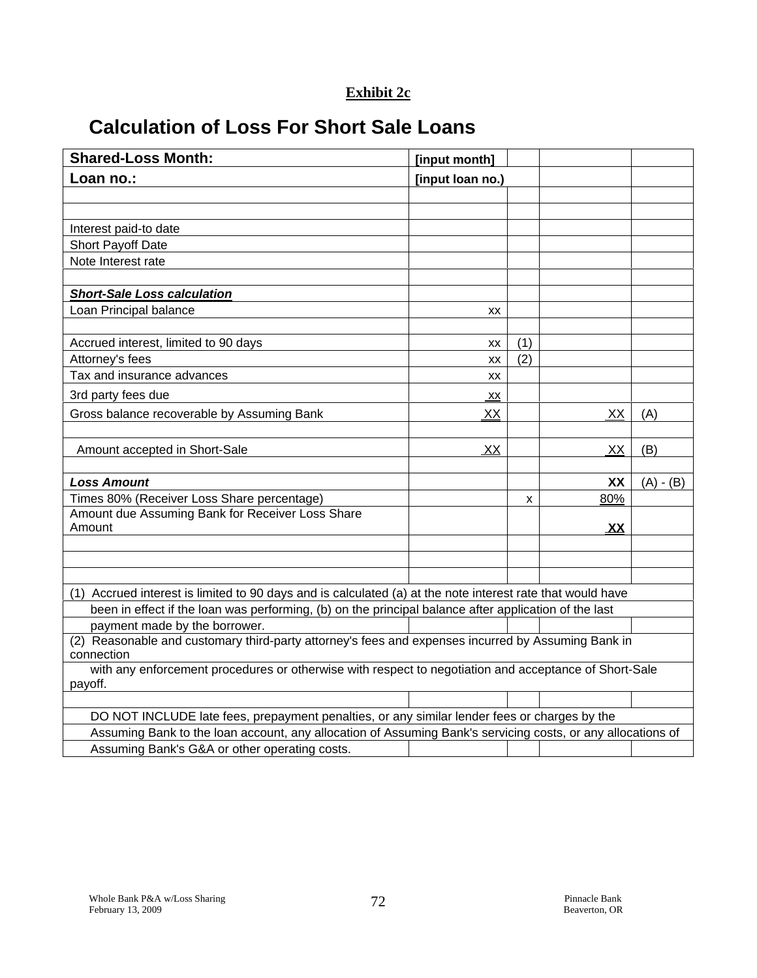| <b>Shared-Loss Month:</b>                                                                                        | [input month]    |     |     |             |
|------------------------------------------------------------------------------------------------------------------|------------------|-----|-----|-------------|
| Loan no.:                                                                                                        | [input loan no.) |     |     |             |
|                                                                                                                  |                  |     |     |             |
| Interest paid-to date                                                                                            |                  |     |     |             |
| Short Payoff Date                                                                                                |                  |     |     |             |
| Note Interest rate                                                                                               |                  |     |     |             |
| <b>Short-Sale Loss calculation</b>                                                                               |                  |     |     |             |
| Loan Principal balance                                                                                           | XX               |     |     |             |
| Accrued interest, limited to 90 days                                                                             | XX               | (1) |     |             |
| Attorney's fees                                                                                                  | XX               | (2) |     |             |
| Tax and insurance advances                                                                                       | XX               |     |     |             |
| 3rd party fees due                                                                                               | XX               |     |     |             |
| Gross balance recoverable by Assuming Bank                                                                       | XX               |     | XX  | (A)         |
| Amount accepted in Short-Sale                                                                                    | XX               |     | XX  | (B)         |
| <b>Loss Amount</b>                                                                                               |                  |     | XX  | $(A) - (B)$ |
| Times 80% (Receiver Loss Share percentage)                                                                       |                  | X   | 80% |             |
| Amount due Assuming Bank for Receiver Loss Share<br>Amount                                                       |                  |     | XX  |             |
|                                                                                                                  |                  |     |     |             |
|                                                                                                                  |                  |     |     |             |
| (1) Accrued interest is limited to 90 days and is calculated (a) at the note interest rate that would have       |                  |     |     |             |
| been in effect if the loan was performing, (b) on the principal balance after application of the last            |                  |     |     |             |
| payment made by the borrower.                                                                                    |                  |     |     |             |
| (2) Reasonable and customary third-party attorney's fees and expenses incurred by Assuming Bank in<br>connection |                  |     |     |             |
| with any enforcement procedures or otherwise with respect to negotiation and acceptance of Short-Sale<br>payoff. |                  |     |     |             |
|                                                                                                                  |                  |     |     |             |
| DO NOT INCLUDE late fees, prepayment penalties, or any similar lender fees or charges by the                     |                  |     |     |             |
| Assuming Bank to the loan account, any allocation of Assuming Bank's servicing costs, or any allocations of      |                  |     |     |             |
| Assuming Bank's G&A or other operating costs.                                                                    |                  |     |     |             |

**Exhibit 2c** 

# **Calculation of Loss For Short Sale Loans**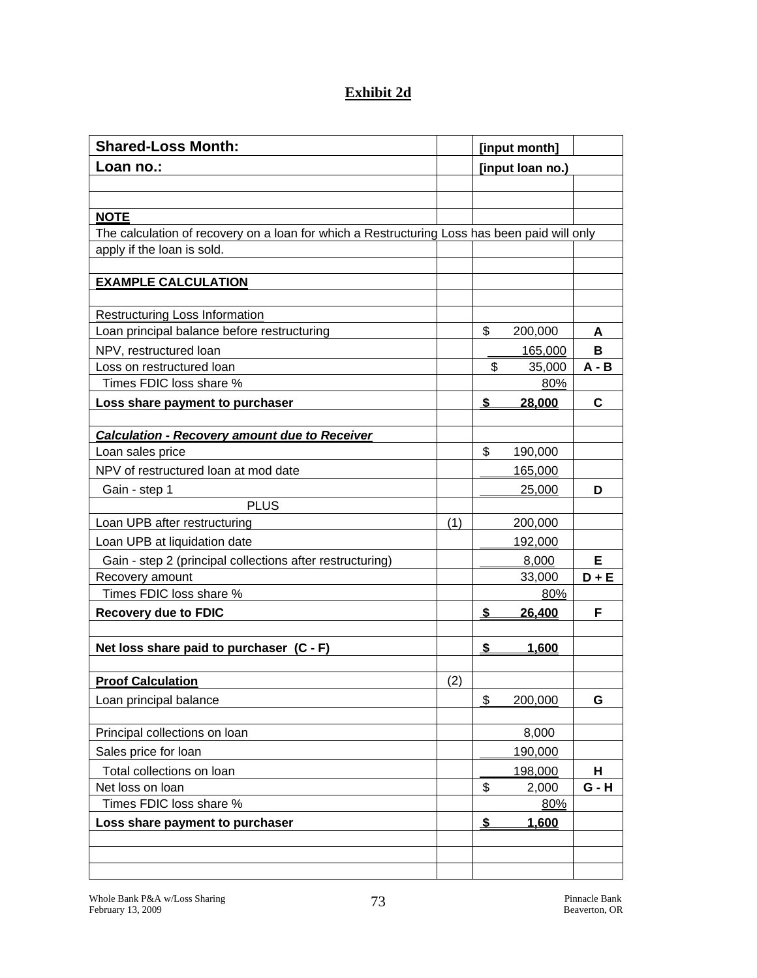# **Exhibit 2d**

| <b>Shared-Loss Month:</b>                                                                    |                  |                           | [input month] |         |
|----------------------------------------------------------------------------------------------|------------------|---------------------------|---------------|---------|
| Loan no.:                                                                                    | [input loan no.) |                           |               |         |
|                                                                                              |                  |                           |               |         |
|                                                                                              |                  |                           |               |         |
| <b>NOTE</b>                                                                                  |                  |                           |               |         |
| The calculation of recovery on a loan for which a Restructuring Loss has been paid will only |                  |                           |               |         |
| apply if the loan is sold.                                                                   |                  |                           |               |         |
|                                                                                              |                  |                           |               |         |
| <b>EXAMPLE CALCULATION</b>                                                                   |                  |                           |               |         |
| Restructuring Loss Information                                                               |                  |                           |               |         |
| Loan principal balance before restructuring                                                  |                  | \$                        | 200,000       | A       |
| NPV, restructured loan                                                                       |                  |                           | 165,000       | B       |
| Loss on restructured loan                                                                    |                  | \$                        | 35,000        | $A - B$ |
| Times FDIC loss share %                                                                      |                  |                           | 80%           |         |
| Loss share payment to purchaser                                                              |                  | $\mathbf{\mathfrak{L}}$   | 28.000        | C       |
|                                                                                              |                  |                           |               |         |
| <b>Calculation - Recovery amount due to Receiver</b>                                         |                  |                           |               |         |
| Loan sales price                                                                             |                  | \$                        | 190,000       |         |
| NPV of restructured loan at mod date                                                         |                  |                           | 165,000       |         |
| Gain - step 1                                                                                |                  |                           | 25,000        | D       |
| <b>PLUS</b>                                                                                  |                  |                           |               |         |
| Loan UPB after restructuring                                                                 | (1)              |                           | 200,000       |         |
| Loan UPB at liquidation date                                                                 |                  |                           | 192,000       |         |
| Gain - step 2 (principal collections after restructuring)                                    |                  |                           | 8,000         | Е       |
| Recovery amount                                                                              |                  |                           | 33,000        | $D + E$ |
| Times FDIC loss share %                                                                      |                  |                           | 80%           |         |
| <b>Recovery due to FDIC</b>                                                                  |                  | $\mathbf{\hat{s}}$        | 26,400        | F       |
| Net loss share paid to purchaser (C - F)                                                     |                  | <u>\$</u>                 | 1,600         |         |
|                                                                                              |                  |                           |               |         |
| <b>Proof Calculation</b>                                                                     | (2)              |                           |               |         |
| Loan principal balance                                                                       |                  | \$                        | 200,000       | G       |
|                                                                                              |                  |                           |               |         |
| Principal collections on loan                                                                |                  |                           | 8,000         |         |
| Sales price for loan                                                                         |                  |                           | 190,000       |         |
| Total collections on loan                                                                    |                  |                           | 198,000       | н       |
| Net loss on loan                                                                             |                  | \$                        | 2,000         | G - H   |
| Times FDIC loss share %                                                                      |                  |                           | 80%           |         |
| Loss share payment to purchaser                                                              |                  | $\boldsymbol{\mathsf{s}}$ | 1,600         |         |
|                                                                                              |                  |                           |               |         |
|                                                                                              |                  |                           |               |         |
|                                                                                              |                  |                           |               |         |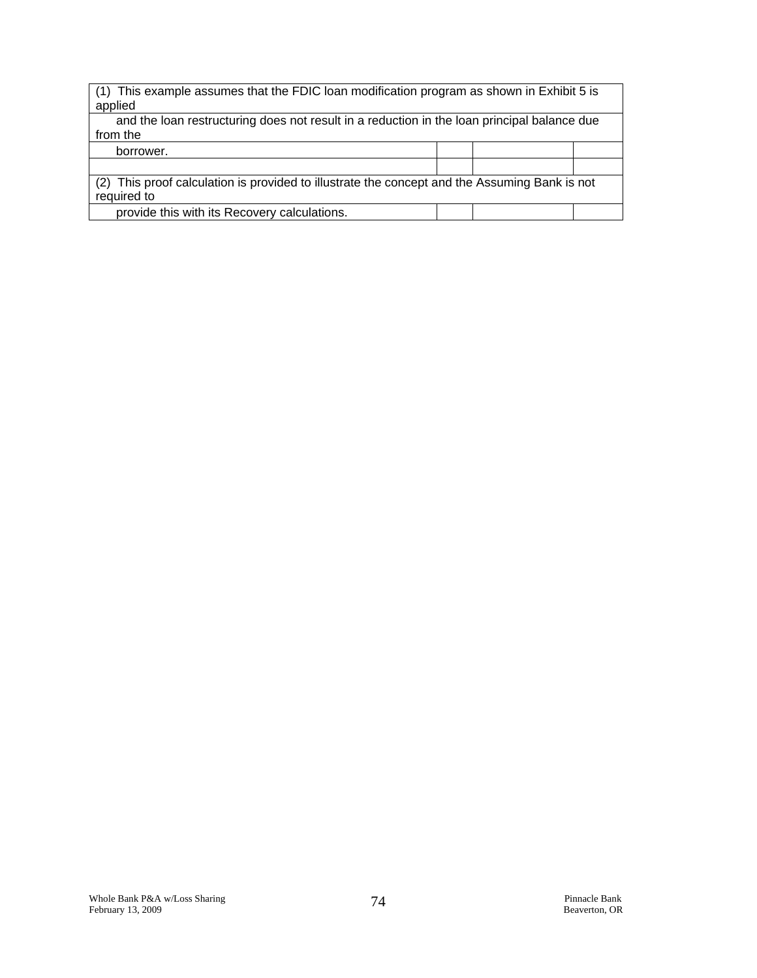| (1) This example assumes that the FDIC loan modification program as shown in Exhibit 5 is<br>applied         |  |  |
|--------------------------------------------------------------------------------------------------------------|--|--|
| and the loan restructuring does not result in a reduction in the loan principal balance due                  |  |  |
| from the                                                                                                     |  |  |
| borrower.                                                                                                    |  |  |
|                                                                                                              |  |  |
| (2) This proof calculation is provided to illustrate the concept and the Assuming Bank is not<br>required to |  |  |
| provide this with its Recovery calculations.                                                                 |  |  |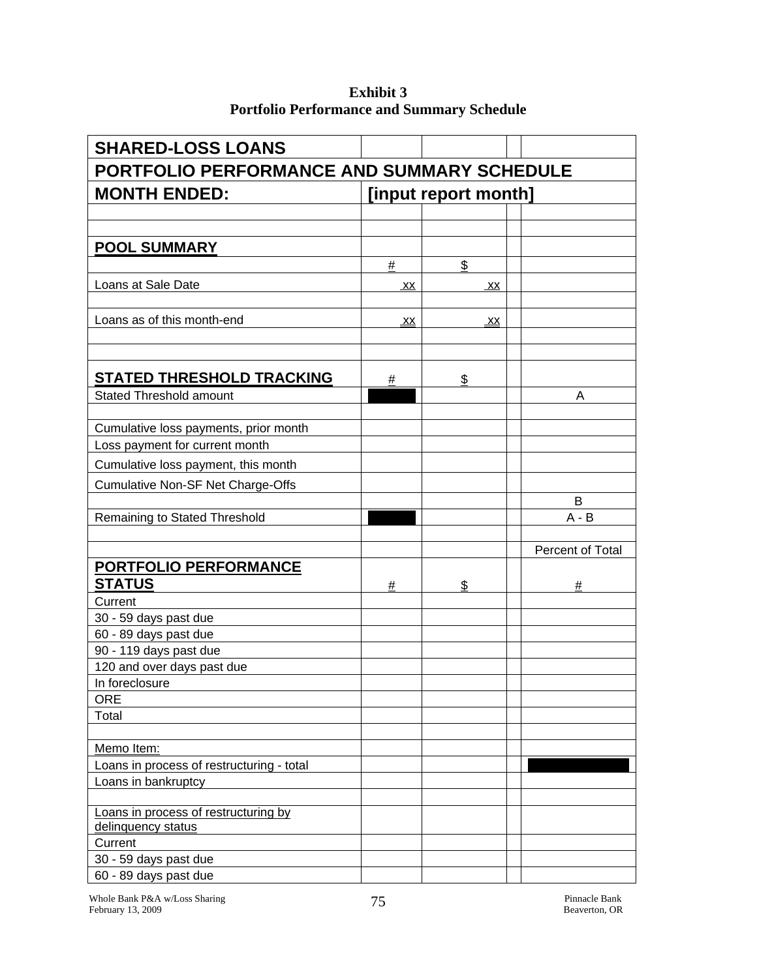| <b>Exhibit 3</b>                                  |  |
|---------------------------------------------------|--|
| <b>Portfolio Performance and Summary Schedule</b> |  |

| <b>SHARED-LOSS LOANS</b>                                   |           |                      |           |                  |
|------------------------------------------------------------|-----------|----------------------|-----------|------------------|
| PORTFOLIO PERFORMANCE AND SUMMARY SCHEDULE                 |           |                      |           |                  |
| <b>MONTH ENDED:</b>                                        |           | [input report month] |           |                  |
|                                                            |           |                      |           |                  |
|                                                            |           |                      |           |                  |
| <b>POOL SUMMARY</b>                                        |           |                      |           |                  |
|                                                            | #         | $\mathfrak{D}$       |           |                  |
| Loans at Sale Date                                         |           |                      |           |                  |
|                                                            | <u>xx</u> |                      | <u>xx</u> |                  |
| Loans as of this month-end                                 |           |                      |           |                  |
|                                                            | ХX        |                      | xх        |                  |
|                                                            |           |                      |           |                  |
|                                                            |           |                      |           |                  |
| STATED THRESHOLD TRACKING                                  | #         | \$                   |           |                  |
| <b>Stated Threshold amount</b>                             |           |                      |           | A                |
|                                                            |           |                      |           |                  |
| Cumulative loss payments, prior month                      |           |                      |           |                  |
| Loss payment for current month                             |           |                      |           |                  |
| Cumulative loss payment, this month                        |           |                      |           |                  |
| <b>Cumulative Non-SF Net Charge-Offs</b>                   |           |                      |           |                  |
|                                                            |           |                      |           | B                |
| Remaining to Stated Threshold                              |           |                      |           | $A - B$          |
|                                                            |           |                      |           |                  |
| PORTFOLIO PERFORMANCE                                      |           |                      |           | Percent of Total |
| <b>STATUS</b>                                              |           |                      |           |                  |
| Current                                                    | #         | \$                   |           | #                |
| 30 - 59 days past due                                      |           |                      |           |                  |
| 60 - 89 days past due                                      |           |                      |           |                  |
| 90 - 119 days past due                                     |           |                      |           |                  |
| 120 and over days past due                                 |           |                      |           |                  |
| In foreclosure                                             |           |                      |           |                  |
| <b>ORE</b>                                                 |           |                      |           |                  |
| Total                                                      |           |                      |           |                  |
|                                                            |           |                      |           |                  |
| Memo Item:                                                 |           |                      |           |                  |
| Loans in process of restructuring - total                  |           |                      |           |                  |
| Loans in bankruptcy                                        |           |                      |           |                  |
|                                                            |           |                      |           |                  |
| Loans in process of restructuring by<br>delinquency status |           |                      |           |                  |
| Current                                                    |           |                      |           |                  |
| 30 - 59 days past due                                      |           |                      |           |                  |
| 60 - 89 days past due                                      |           |                      |           |                  |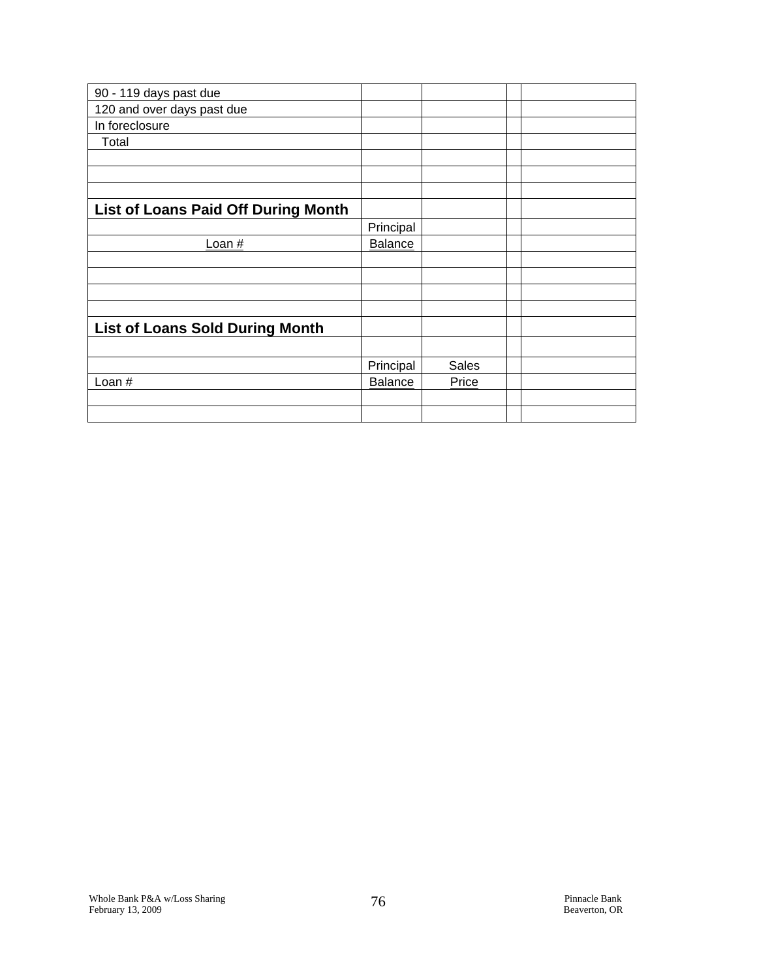| 90 - 119 days past due                     |                |       |  |
|--------------------------------------------|----------------|-------|--|
| 120 and over days past due                 |                |       |  |
| In foreclosure                             |                |       |  |
| Total                                      |                |       |  |
|                                            |                |       |  |
|                                            |                |       |  |
|                                            |                |       |  |
| <b>List of Loans Paid Off During Month</b> |                |       |  |
|                                            | Principal      |       |  |
| Loan #                                     | <b>Balance</b> |       |  |
|                                            |                |       |  |
|                                            |                |       |  |
|                                            |                |       |  |
|                                            |                |       |  |
| <b>List of Loans Sold During Month</b>     |                |       |  |
|                                            |                |       |  |
|                                            | Principal      | Sales |  |
| Loan #                                     | Balance        | Price |  |
|                                            |                |       |  |
|                                            |                |       |  |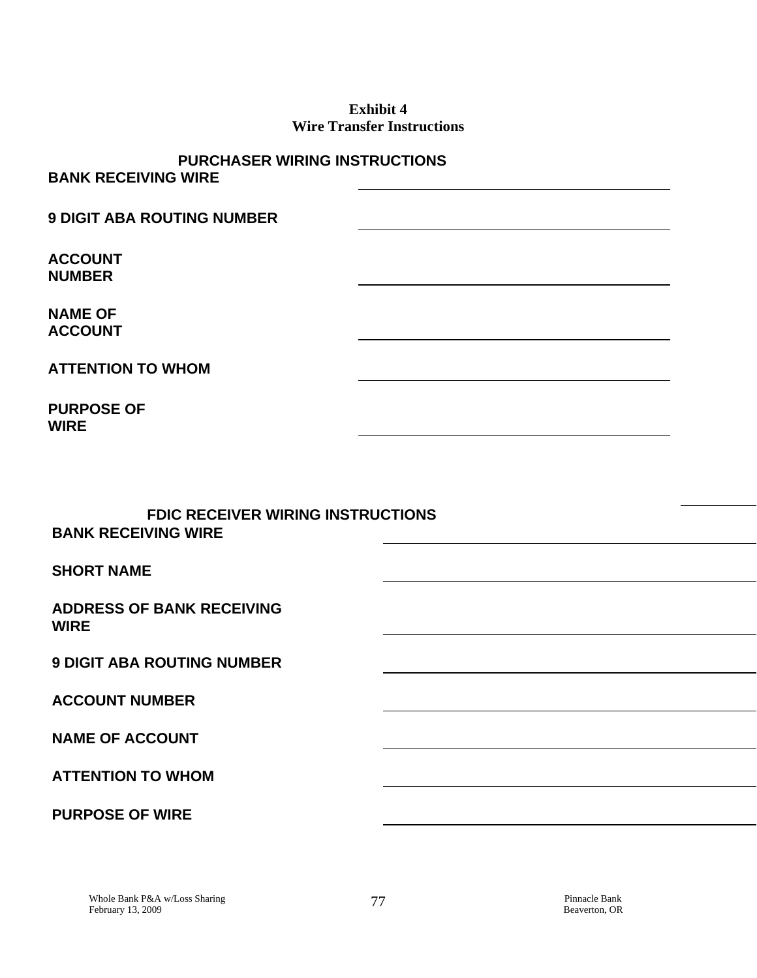#### **Exhibit 4 Wire Transfer Instructions**

#### **PURCHASER WIRING INSTRUCTIONS BANK RECEIVING WIRE**

**9 DIGIT ABA ROUTING NUMBER** 

**ACCOUNT NUMBER** 

**NAME OF ACCOUNT** 

**ATTENTION TO WHOM** 

**PURPOSE OF WIRE** 

#### **FDIC RECEIVER WIRING INSTRUCTIONS BANK RECEIVING WIRE**

**SHORT NAME** 

**ADDRESS OF BANK RECEIVING WIRE** 

**9 DIGIT ABA ROUTING NUMBER** 

**ACCOUNT NUMBER** 

**NAME OF ACCOUNT** 

**ATTENTION TO WHOM** 

**PURPOSE OF WIRE**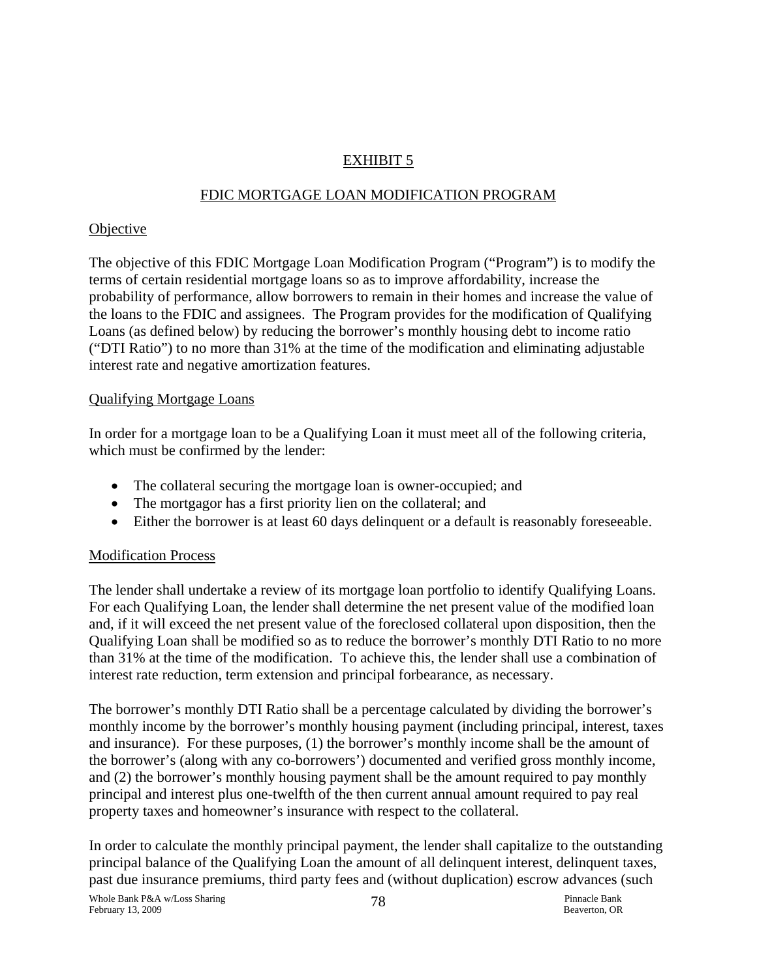# EXHIBIT 5

# FDIC MORTGAGE LOAN MODIFICATION PROGRAM

# **Objective**

The objective of this FDIC Mortgage Loan Modification Program ("Program") is to modify the terms of certain residential mortgage loans so as to improve affordability, increase the probability of performance, allow borrowers to remain in their homes and increase the value of the loans to the FDIC and assignees. The Program provides for the modification of Qualifying Loans (as defined below) by reducing the borrower's monthly housing debt to income ratio ("DTI Ratio") to no more than 31% at the time of the modification and eliminating adjustable interest rate and negative amortization features.

## Qualifying Mortgage Loans

In order for a mortgage loan to be a Qualifying Loan it must meet all of the following criteria, which must be confirmed by the lender:

- The collateral securing the mortgage loan is owner-occupied; and
- The mortgagor has a first priority lien on the collateral; and
- Either the borrower is at least 60 days delinquent or a default is reasonably foreseeable. Modification Process

The lender shall undertake a review of its mortgage loan portfolio to identify Qualifying Loans. For each Qualifying Loan, the lender shall determine the net present value of the modified loan and, if it will exceed the net present value of the foreclosed collateral upon disposition, then the Qualifying Loan shall be modified so as to reduce the borrower's monthly DTI Ratio to no more than 31% at the time of the modification. To achieve this, the lender shall use a combination of interest rate reduction, term extension and principal forbearance, as necessary.

The borrower's monthly DTI Ratio shall be a percentage calculated by dividing the borrower's monthly income by the borrower's monthly housing payment (including principal, interest, taxes and insurance). For these purposes, (1) the borrower's monthly income shall be the amount of the borrower's (along with any co-borrowers') documented and verified gross monthly income, and (2) the borrower's monthly housing payment shall be the amount required to pay monthly principal and interest plus one-twelfth of the then current annual amount required to pay real property taxes and homeowner's insurance with respect to the collateral.

In order to calculate the monthly principal payment, the lender shall capitalize to the outstanding principal balance of the Qualifying Loan the amount of all delinquent interest, delinquent taxes, past due insurance premiums, third party fees and (without duplication) escrow advances (such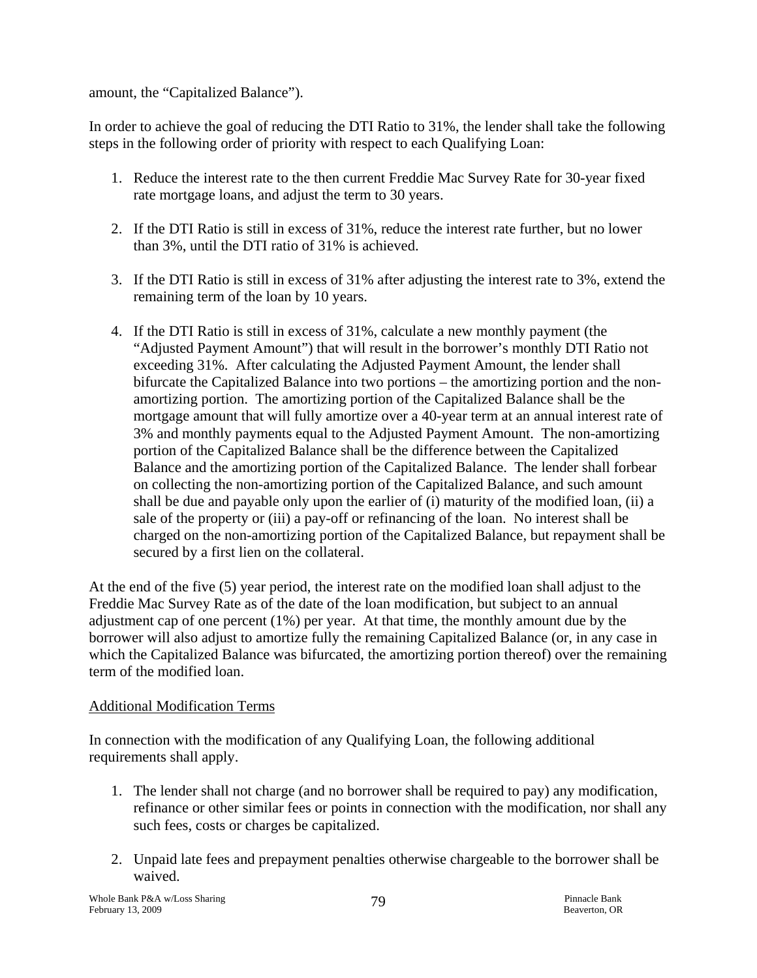amount, the "Capitalized Balance").

In order to achieve the goal of reducing the DTI Ratio to 31%, the lender shall take the following steps in the following order of priority with respect to each Qualifying Loan:

- 1. Reduce the interest rate to the then current Freddie Mac Survey Rate for 30-year fixed rate mortgage loans, and adjust the term to 30 years.
- 2. If the DTI Ratio is still in excess of 31%, reduce the interest rate further, but no lower than 3%, until the DTI ratio of 31% is achieved.
- 3. If the DTI Ratio is still in excess of 31% after adjusting the interest rate to 3%, extend the remaining term of the loan by 10 years.
- 4. If the DTI Ratio is still in excess of 31%, calculate a new monthly payment (the "Adjusted Payment Amount") that will result in the borrower's monthly DTI Ratio not exceeding 31%. After calculating the Adjusted Payment Amount, the lender shall bifurcate the Capitalized Balance into two portions – the amortizing portion and the nonamortizing portion. The amortizing portion of the Capitalized Balance shall be the mortgage amount that will fully amortize over a 40-year term at an annual interest rate of 3% and monthly payments equal to the Adjusted Payment Amount. The non-amortizing portion of the Capitalized Balance shall be the difference between the Capitalized Balance and the amortizing portion of the Capitalized Balance. The lender shall forbear on collecting the non-amortizing portion of the Capitalized Balance, and such amount shall be due and payable only upon the earlier of (i) maturity of the modified loan, (ii) a sale of the property or (iii) a pay-off or refinancing of the loan. No interest shall be charged on the non-amortizing portion of the Capitalized Balance, but repayment shall be secured by a first lien on the collateral.

At the end of the five (5) year period, the interest rate on the modified loan shall adjust to the Freddie Mac Survey Rate as of the date of the loan modification, but subject to an annual adjustment cap of one percent (1%) per year. At that time, the monthly amount due by the borrower will also adjust to amortize fully the remaining Capitalized Balance (or, in any case in which the Capitalized Balance was bifurcated, the amortizing portion thereof) over the remaining term of the modified loan.

# Additional Modification Terms

In connection with the modification of any Qualifying Loan, the following additional requirements shall apply.

- 1. The lender shall not charge (and no borrower shall be required to pay) any modification, refinance or other similar fees or points in connection with the modification, nor shall any such fees, costs or charges be capitalized.
- 2. Unpaid late fees and prepayment penalties otherwise chargeable to the borrower shall be waived.

Whole Bank P&A w/Loss Sharing **Pinnacle Bank** 79 Finnacle Bank 79 February 13, 2009 Pinnacle Bank **Permitial Pinnacle Bank** Beaverton, OR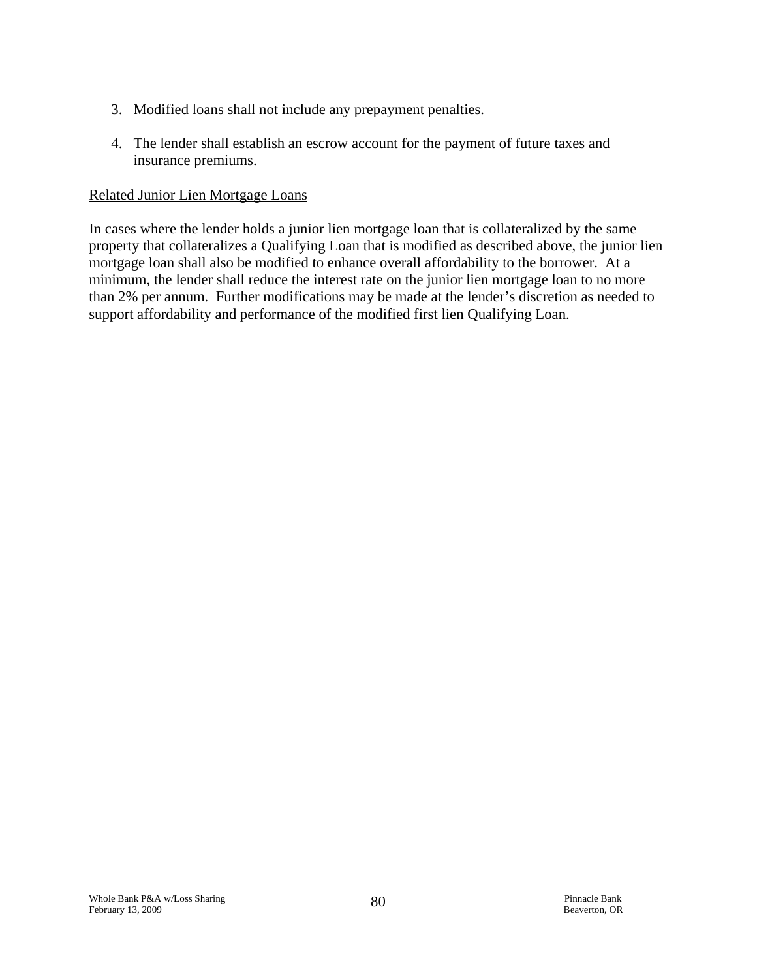- 3. Modified loans shall not include any prepayment penalties.
- 4. The lender shall establish an escrow account for the payment of future taxes and insurance premiums.

#### Related Junior Lien Mortgage Loans

In cases where the lender holds a junior lien mortgage loan that is collateralized by the same property that collateralizes a Qualifying Loan that is modified as described above, the junior lien mortgage loan shall also be modified to enhance overall affordability to the borrower. At a minimum, the lender shall reduce the interest rate on the junior lien mortgage loan to no more than 2% per annum. Further modifications may be made at the lender's discretion as needed to support affordability and performance of the modified first lien Qualifying Loan.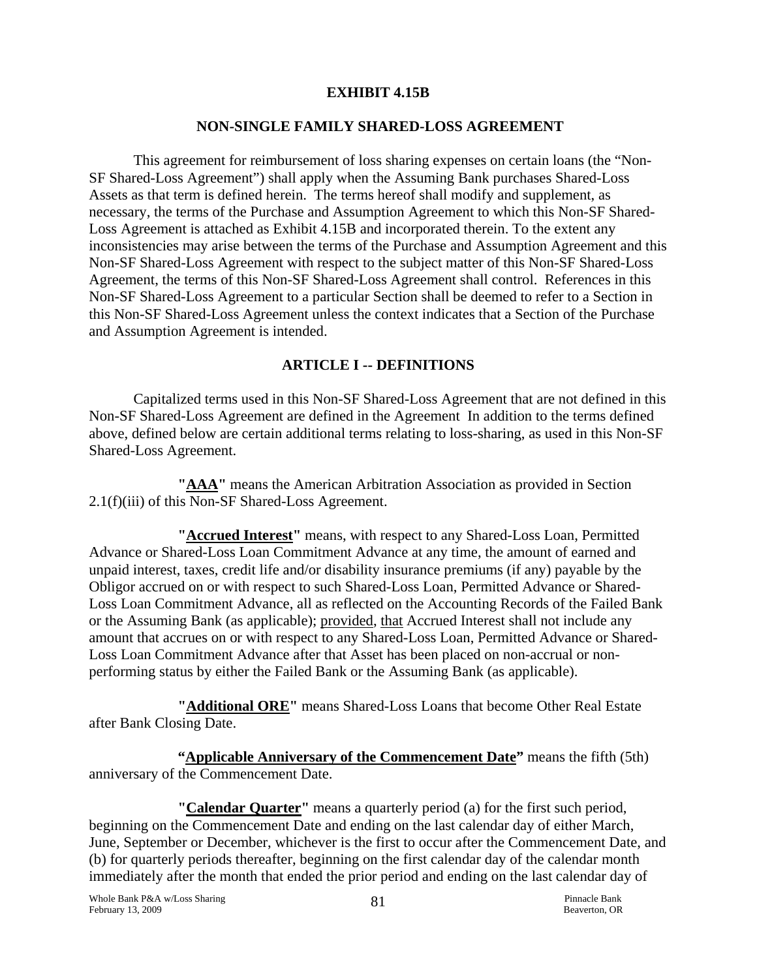#### **EXHIBIT 4.15B**

#### **NON-SINGLE FAMILY SHARED-LOSS AGREEMENT**

This agreement for reimbursement of loss sharing expenses on certain loans (the "Non-SF Shared-Loss Agreement") shall apply when the Assuming Bank purchases Shared-Loss Assets as that term is defined herein. The terms hereof shall modify and supplement, as necessary, the terms of the Purchase and Assumption Agreement to which this Non-SF Shared-Loss Agreement is attached as Exhibit 4.15B and incorporated therein. To the extent any inconsistencies may arise between the terms of the Purchase and Assumption Agreement and this Non-SF Shared-Loss Agreement with respect to the subject matter of this Non-SF Shared-Loss Agreement, the terms of this Non-SF Shared-Loss Agreement shall control. References in this Non-SF Shared-Loss Agreement to a particular Section shall be deemed to refer to a Section in this Non-SF Shared-Loss Agreement unless the context indicates that a Section of the Purchase and Assumption Agreement is intended.

#### **ARTICLE I -- DEFINITIONS**

Capitalized terms used in this Non-SF Shared-Loss Agreement that are not defined in this Non-SF Shared-Loss Agreement are defined in the Agreement In addition to the terms defined above, defined below are certain additional terms relating to loss-sharing, as used in this Non-SF Shared-Loss Agreement.

**"AAA"** means the American Arbitration Association as provided in Section 2.1(f)(iii) of this Non-SF Shared-Loss Agreement.

**"Accrued Interest"** means, with respect to any Shared-Loss Loan, Permitted Advance or Shared-Loss Loan Commitment Advance at any time, the amount of earned and unpaid interest, taxes, credit life and/or disability insurance premiums (if any) payable by the Obligor accrued on or with respect to such Shared-Loss Loan, Permitted Advance or Shared-Loss Loan Commitment Advance, all as reflected on the Accounting Records of the Failed Bank or the Assuming Bank (as applicable); provided, that Accrued Interest shall not include any amount that accrues on or with respect to any Shared-Loss Loan, Permitted Advance or Shared-Loss Loan Commitment Advance after that Asset has been placed on non-accrual or nonperforming status by either the Failed Bank or the Assuming Bank (as applicable).

**"Additional ORE"** means Shared-Loss Loans that become Other Real Estate after Bank Closing Date.

**Examplicable Anniversary of the Commencement Date**" means the fifth (5th) anniversary of the Commencement Date.

**"Calendar Quarter"** means a quarterly period (a) for the first such period, beginning on the Commencement Date and ending on the last calendar day of either March, June, September or December, whichever is the first to occur after the Commencement Date, and (b) for quarterly periods thereafter, beginning on the first calendar day of the calendar month immediately after the month that ended the prior period and ending on the last calendar day of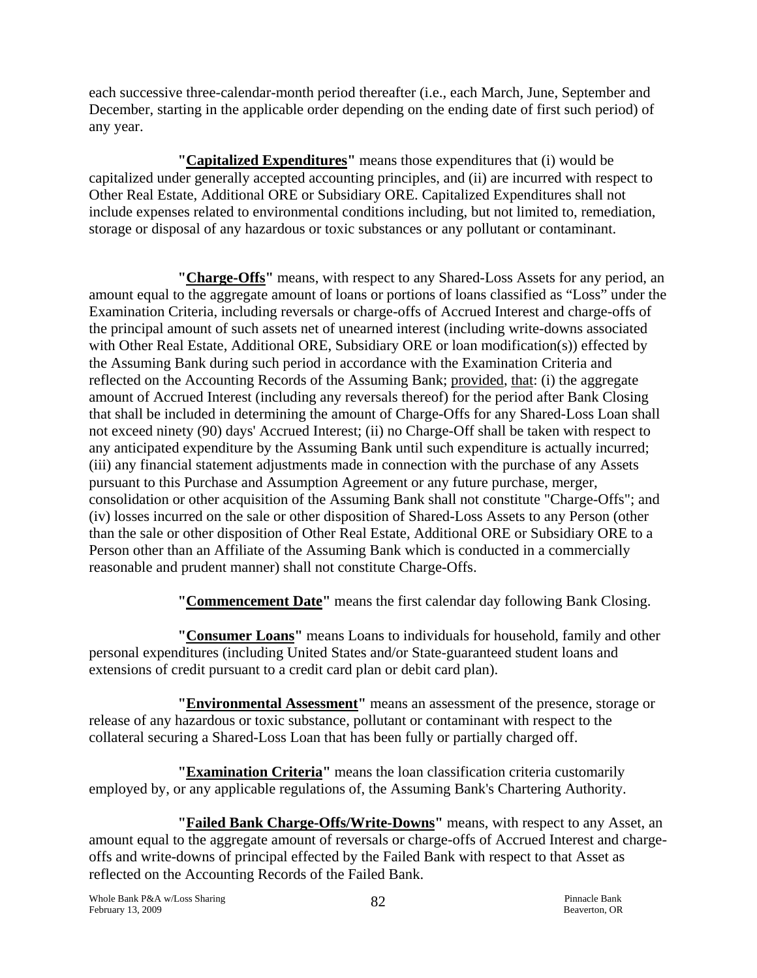each successive three-calendar-month period thereafter (i.e., each March, June, September and December, starting in the applicable order depending on the ending date of first such period) of any year.

**"Capitalized Expenditures"** means those expenditures that (i) would be capitalized under generally accepted accounting principles, and (ii) are incurred with respect to Other Real Estate, Additional ORE or Subsidiary ORE. Capitalized Expenditures shall not include expenses related to environmental conditions including, but not limited to, remediation, storage or disposal of any hazardous or toxic substances or any pollutant or contaminant.

**"Charge-Offs"** means, with respect to any Shared-Loss Assets for any period, an amount equal to the aggregate amount of loans or portions of loans classified as "Loss" under the Examination Criteria, including reversals or charge-offs of Accrued Interest and charge-offs of the principal amount of such assets net of unearned interest (including write-downs associated with Other Real Estate, Additional ORE, Subsidiary ORE or loan modification(s)) effected by the Assuming Bank during such period in accordance with the Examination Criteria and reflected on the Accounting Records of the Assuming Bank; provided, that: (i) the aggregate amount of Accrued Interest (including any reversals thereof) for the period after Bank Closing that shall be included in determining the amount of Charge-Offs for any Shared-Loss Loan shall not exceed ninety (90) days' Accrued Interest; (ii) no Charge-Off shall be taken with respect to any anticipated expenditure by the Assuming Bank until such expenditure is actually incurred; (iii) any financial statement adjustments made in connection with the purchase of any Assets pursuant to this Purchase and Assumption Agreement or any future purchase, merger, consolidation or other acquisition of the Assuming Bank shall not constitute "Charge-Offs"; and (iv) losses incurred on the sale or other disposition of Shared-Loss Assets to any Person (other than the sale or other disposition of Other Real Estate, Additional ORE or Subsidiary ORE to a Person other than an Affiliate of the Assuming Bank which is conducted in a commercially reasonable and prudent manner) shall not constitute Charge-Offs.

**"Commencement Date"** means the first calendar day following Bank Closing.

**"Consumer Loans"** means Loans to individuals for household, family and other personal expenditures (including United States and/or State-guaranteed student loans and extensions of credit pursuant to a credit card plan or debit card plan).

**"Environmental Assessment"** means an assessment of the presence, storage or release of any hazardous or toxic substance, pollutant or contaminant with respect to the collateral securing a Shared-Loss Loan that has been fully or partially charged off.

**"Examination Criteria"** means the loan classification criteria customarily employed by, or any applicable regulations of, the Assuming Bank's Chartering Authority.

**"Failed Bank Charge-Offs/Write-Downs"** means, with respect to any Asset, an amount equal to the aggregate amount of reversals or charge-offs of Accrued Interest and chargeoffs and write-downs of principal effected by the Failed Bank with respect to that Asset as reflected on the Accounting Records of the Failed Bank.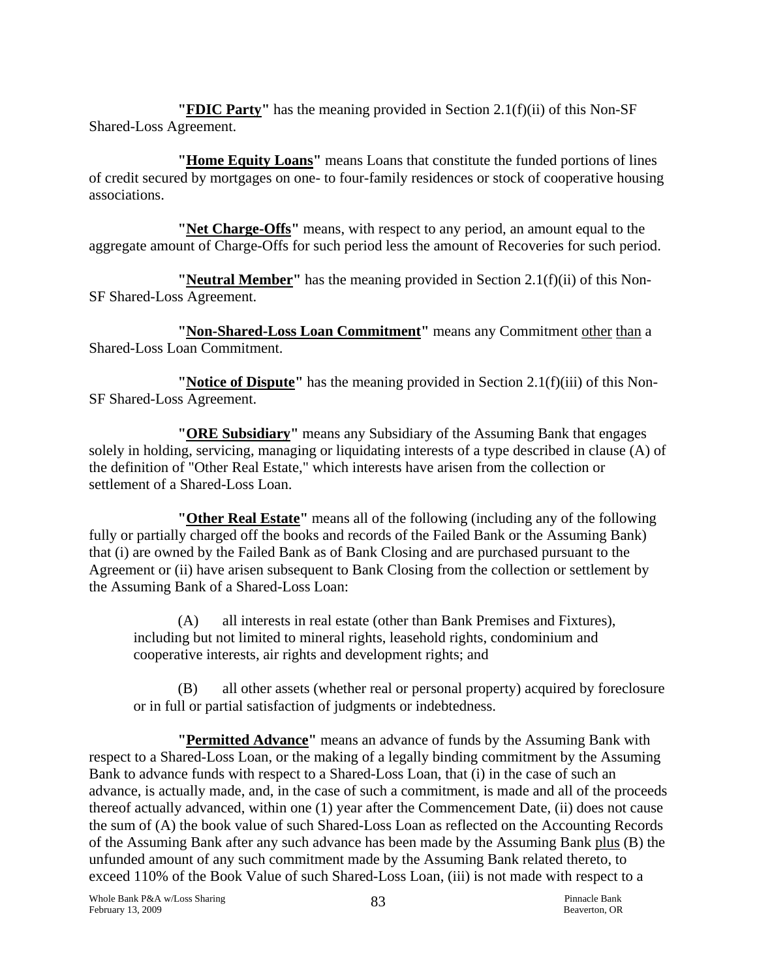**"FDIC Party"** has the meaning provided in Section 2.1(f)(ii) of this Non-SF Shared-Loss Agreement.

**"Home Equity Loans"** means Loans that constitute the funded portions of lines of credit secured by mortgages on one- to four-family residences or stock of cooperative housing associations.

**"Net Charge-Offs"** means, with respect to any period, an amount equal to the aggregate amount of Charge-Offs for such period less the amount of Recoveries for such period.

 SF Shared-Loss Agreement. **"Neutral Member"** has the meaning provided in Section 2.1(f)(ii) of this Non-

**"Non-Shared-Loss Loan Commitment"** means any Commitment other than a Shared-Loss Loan Commitment.

**"Notice of Dispute"** has the meaning provided in Section 2.1(f)(iii) of this Non-SF Shared-Loss Agreement.

**"ORE Subsidiary"** means any Subsidiary of the Assuming Bank that engages solely in holding, servicing, managing or liquidating interests of a type described in clause (A) of the definition of "Other Real Estate," which interests have arisen from the collection or settlement of a Shared-Loss Loan.

**"Other Real Estate"** means all of the following (including any of the following fully or partially charged off the books and records of the Failed Bank or the Assuming Bank) that (i) are owned by the Failed Bank as of Bank Closing and are purchased pursuant to the Agreement or (ii) have arisen subsequent to Bank Closing from the collection or settlement by the Assuming Bank of a Shared-Loss Loan:

(A) all interests in real estate (other than Bank Premises and Fixtures), including but not limited to mineral rights, leasehold rights, condominium and cooperative interests, air rights and development rights; and

(B) all other assets (whether real or personal property) acquired by foreclosure or in full or partial satisfaction of judgments or indebtedness.

**"Permitted Advance"** means an advance of funds by the Assuming Bank with respect to a Shared-Loss Loan, or the making of a legally binding commitment by the Assuming Bank to advance funds with respect to a Shared-Loss Loan, that (i) in the case of such an advance, is actually made, and, in the case of such a commitment, is made and all of the proceeds thereof actually advanced, within one (1) year after the Commencement Date, (ii) does not cause the sum of (A) the book value of such Shared-Loss Loan as reflected on the Accounting Records of the Assuming Bank after any such advance has been made by the Assuming Bank plus (B) the unfunded amount of any such commitment made by the Assuming Bank related thereto, to exceed 110% of the Book Value of such Shared-Loss Loan, (iii) is not made with respect to a

Whole Bank P&A w/Loss Sharing  $83$  Pinnacle Bank 83 Pinnacle Bank 83 Pebruary 13, 2009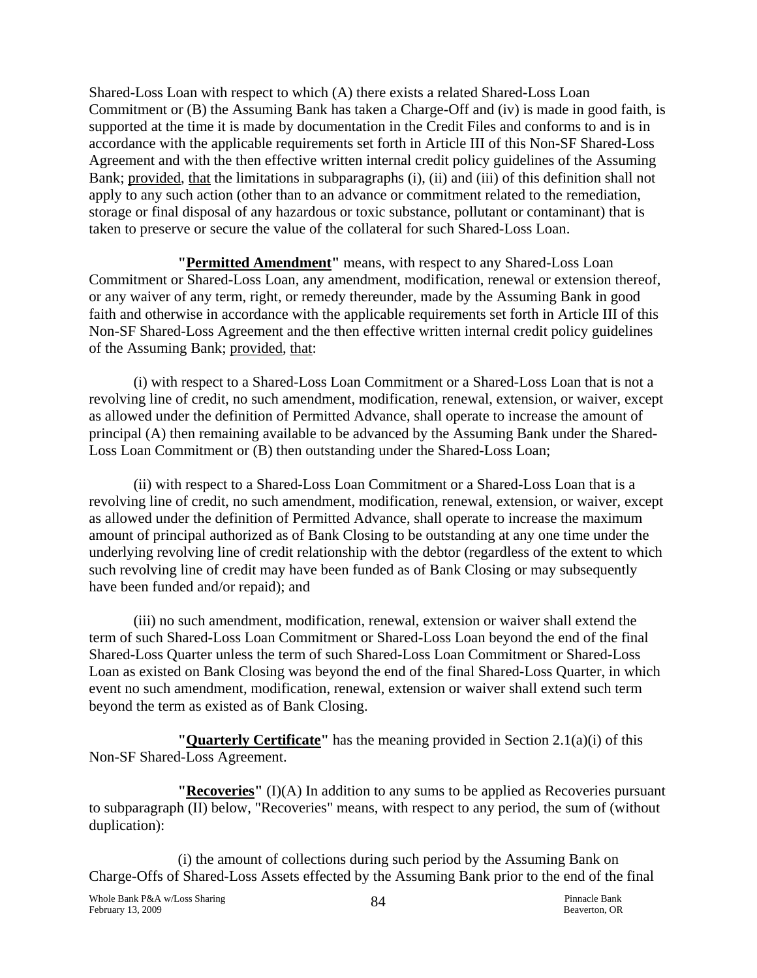Shared-Loss Loan with respect to which (A) there exists a related Shared-Loss Loan Commitment or (B) the Assuming Bank has taken a Charge-Off and (iv) is made in good faith, is supported at the time it is made by documentation in the Credit Files and conforms to and is in accordance with the applicable requirements set forth in Article III of this Non-SF Shared-Loss Agreement and with the then effective written internal credit policy guidelines of the Assuming Bank; provided, that the limitations in subparagraphs (i), (ii) and (iii) of this definition shall not apply to any such action (other than to an advance or commitment related to the remediation, storage or final disposal of any hazardous or toxic substance, pollutant or contaminant) that is taken to preserve or secure the value of the collateral for such Shared-Loss Loan.

**"Permitted Amendment"** means, with respect to any Shared-Loss Loan Commitment or Shared-Loss Loan, any amendment, modification, renewal or extension thereof, or any waiver of any term, right, or remedy thereunder, made by the Assuming Bank in good faith and otherwise in accordance with the applicable requirements set forth in Article III of this Non-SF Shared-Loss Agreement and the then effective written internal credit policy guidelines of the Assuming Bank; provided, that:

(i) with respect to a Shared-Loss Loan Commitment or a Shared-Loss Loan that is not a revolving line of credit, no such amendment, modification, renewal, extension, or waiver, except as allowed under the definition of Permitted Advance, shall operate to increase the amount of principal (A) then remaining available to be advanced by the Assuming Bank under the Shared-Loss Loan Commitment or (B) then outstanding under the Shared-Loss Loan;

(ii) with respect to a Shared-Loss Loan Commitment or a Shared-Loss Loan that is a revolving line of credit, no such amendment, modification, renewal, extension, or waiver, except as allowed under the definition of Permitted Advance, shall operate to increase the maximum amount of principal authorized as of Bank Closing to be outstanding at any one time under the underlying revolving line of credit relationship with the debtor (regardless of the extent to which such revolving line of credit may have been funded as of Bank Closing or may subsequently have been funded and/or repaid); and

(iii) no such amendment, modification, renewal, extension or waiver shall extend the term of such Shared-Loss Loan Commitment or Shared-Loss Loan beyond the end of the final Shared-Loss Quarter unless the term of such Shared-Loss Loan Commitment or Shared-Loss Loan as existed on Bank Closing was beyond the end of the final Shared-Loss Quarter, in which event no such amendment, modification, renewal, extension or waiver shall extend such term beyond the term as existed as of Bank Closing.

**"Quarterly Certificate"** has the meaning provided in Section 2.1(a)(i) of this Non-SF Shared-Loss Agreement.

**"Recoveries"** (I)(A) In addition to any sums to be applied as Recoveries pursuant to subparagraph (II) below, "Recoveries" means, with respect to any period, the sum of (without duplication):

(i) the amount of collections during such period by the Assuming Bank on Charge-Offs of Shared-Loss Assets effected by the Assuming Bank prior to the end of the final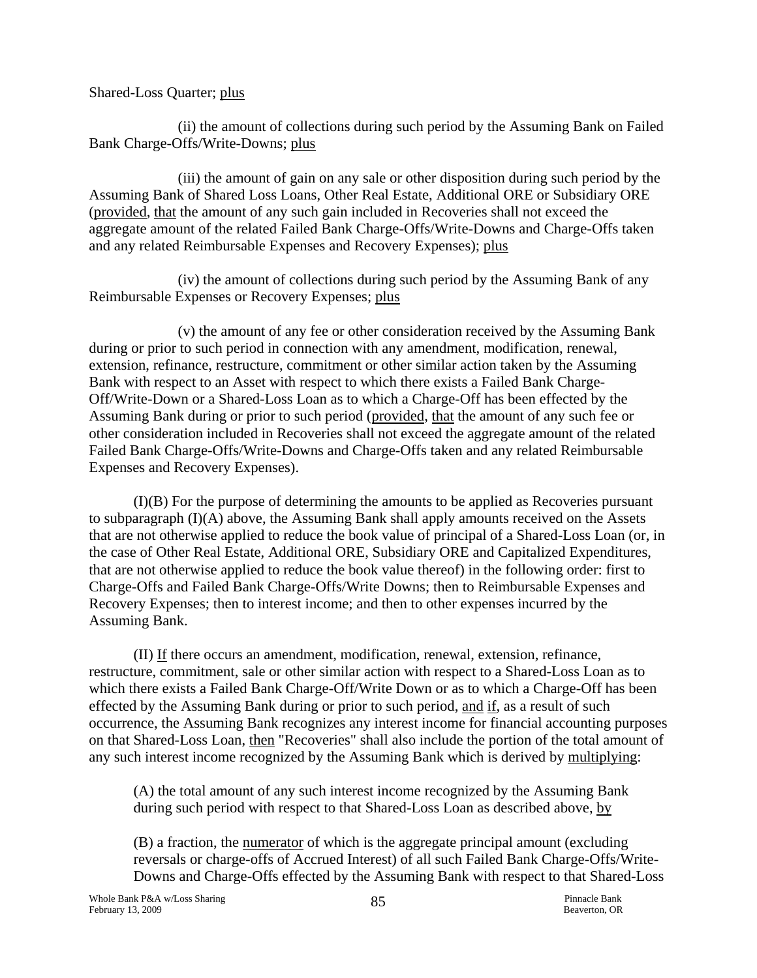Shared-Loss Quarter; plus

(ii) the amount of collections during such period by the Assuming Bank on Failed Bank Charge-Offs/Write-Downs; plus

(iii) the amount of gain on any sale or other disposition during such period by the Assuming Bank of Shared Loss Loans, Other Real Estate, Additional ORE or Subsidiary ORE (provided, that the amount of any such gain included in Recoveries shall not exceed the aggregate amount of the related Failed Bank Charge-Offs/Write-Downs and Charge-Offs taken and any related Reimbursable Expenses and Recovery Expenses); plus

(iv) the amount of collections during such period by the Assuming Bank of any Reimbursable Expenses or Recovery Expenses; plus

(v) the amount of any fee or other consideration received by the Assuming Bank during or prior to such period in connection with any amendment, modification, renewal, extension, refinance, restructure, commitment or other similar action taken by the Assuming Bank with respect to an Asset with respect to which there exists a Failed Bank Charge-Off/Write-Down or a Shared-Loss Loan as to which a Charge-Off has been effected by the Assuming Bank during or prior to such period (provided, that the amount of any such fee or other consideration included in Recoveries shall not exceed the aggregate amount of the related Failed Bank Charge-Offs/Write-Downs and Charge-Offs taken and any related Reimbursable Expenses and Recovery Expenses).

(I)(B) For the purpose of determining the amounts to be applied as Recoveries pursuant to subparagraph (I)(A) above, the Assuming Bank shall apply amounts received on the Assets that are not otherwise applied to reduce the book value of principal of a Shared-Loss Loan (or, in the case of Other Real Estate, Additional ORE, Subsidiary ORE and Capitalized Expenditures, that are not otherwise applied to reduce the book value thereof) in the following order: first to Charge-Offs and Failed Bank Charge-Offs/Write Downs; then to Reimbursable Expenses and Recovery Expenses; then to interest income; and then to other expenses incurred by the Assuming Bank.

(II) If there occurs an amendment, modification, renewal, extension, refinance, restructure, commitment, sale or other similar action with respect to a Shared-Loss Loan as to which there exists a Failed Bank Charge-Off/Write Down or as to which a Charge-Off has been effected by the Assuming Bank during or prior to such period, and if, as a result of such occurrence, the Assuming Bank recognizes any interest income for financial accounting purposes on that Shared-Loss Loan, then "Recoveries" shall also include the portion of the total amount of any such interest income recognized by the Assuming Bank which is derived by multiplying:

(A) the total amount of any such interest income recognized by the Assuming Bank during such period with respect to that Shared-Loss Loan as described above, by

(B) a fraction, the numerator of which is the aggregate principal amount (excluding reversals or charge-offs of Accrued Interest) of all such Failed Bank Charge-Offs/Write-Downs and Charge-Offs effected by the Assuming Bank with respect to that Shared-Loss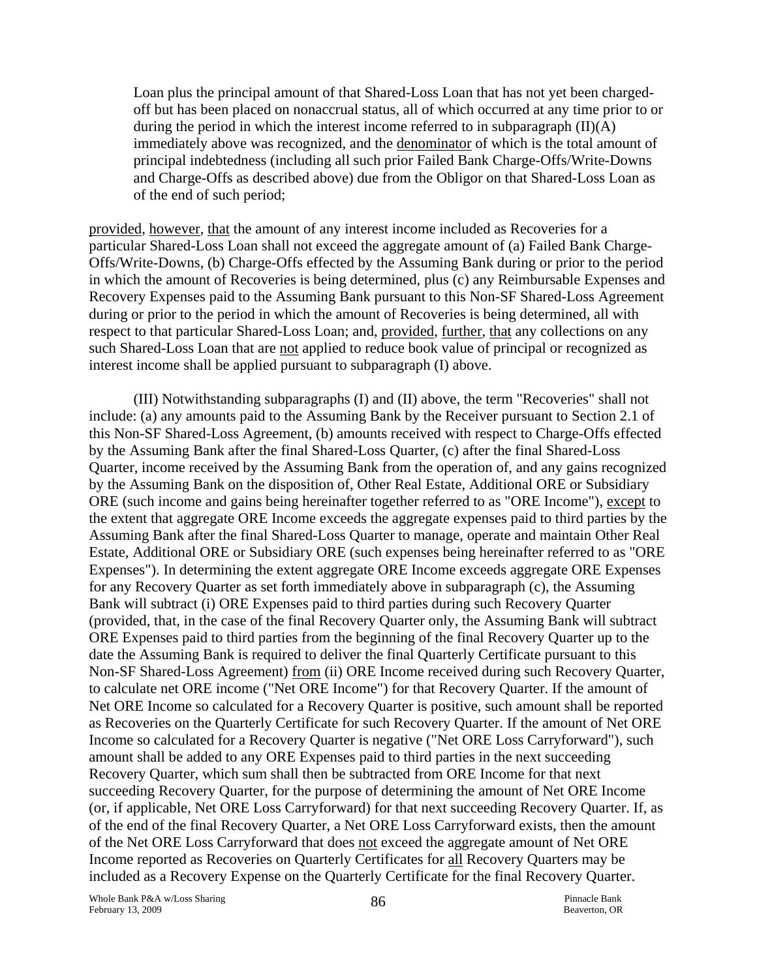Loan plus the principal amount of that Shared-Loss Loan that has not yet been chargedoff but has been placed on nonaccrual status, all of which occurred at any time prior to or during the period in which the interest income referred to in subparagraph  $(II)(A)$ immediately above was recognized, and the denominator of which is the total amount of principal indebtedness (including all such prior Failed Bank Charge-Offs/Write-Downs and Charge-Offs as described above) due from the Obligor on that Shared-Loss Loan as of the end of such period;

provided, however, that the amount of any interest income included as Recoveries for a particular Shared-Loss Loan shall not exceed the aggregate amount of (a) Failed Bank Charge-Offs/Write-Downs, (b) Charge-Offs effected by the Assuming Bank during or prior to the period in which the amount of Recoveries is being determined, plus (c) any Reimbursable Expenses and Recovery Expenses paid to the Assuming Bank pursuant to this Non-SF Shared-Loss Agreement during or prior to the period in which the amount of Recoveries is being determined, all with respect to that particular Shared-Loss Loan; and, provided, further, that any collections on any such Shared-Loss Loan that are not applied to reduce book value of principal or recognized as interest income shall be applied pursuant to subparagraph (I) above.

(III) Notwithstanding subparagraphs (I) and (II) above, the term "Recoveries" shall not include: (a) any amounts paid to the Assuming Bank by the Receiver pursuant to Section 2.1 of this Non-SF Shared-Loss Agreement, (b) amounts received with respect to Charge-Offs effected by the Assuming Bank after the final Shared-Loss Quarter, (c) after the final Shared-Loss Quarter, income received by the Assuming Bank from the operation of, and any gains recognized by the Assuming Bank on the disposition of, Other Real Estate, Additional ORE or Subsidiary ORE (such income and gains being hereinafter together referred to as "ORE Income"), except to the extent that aggregate ORE Income exceeds the aggregate expenses paid to third parties by the Assuming Bank after the final Shared-Loss Quarter to manage, operate and maintain Other Real Estate, Additional ORE or Subsidiary ORE (such expenses being hereinafter referred to as "ORE Expenses"). In determining the extent aggregate ORE Income exceeds aggregate ORE Expenses for any Recovery Quarter as set forth immediately above in subparagraph (c), the Assuming Bank will subtract (i) ORE Expenses paid to third parties during such Recovery Quarter (provided, that, in the case of the final Recovery Quarter only, the Assuming Bank will subtract ORE Expenses paid to third parties from the beginning of the final Recovery Quarter up to the date the Assuming Bank is required to deliver the final Quarterly Certificate pursuant to this Non-SF Shared-Loss Agreement) from (ii) ORE Income received during such Recovery Quarter, to calculate net ORE income ("Net ORE Income") for that Recovery Quarter. If the amount of Net ORE Income so calculated for a Recovery Quarter is positive, such amount shall be reported as Recoveries on the Quarterly Certificate for such Recovery Quarter. If the amount of Net ORE Income so calculated for a Recovery Quarter is negative ("Net ORE Loss Carryforward"), such amount shall be added to any ORE Expenses paid to third parties in the next succeeding Recovery Quarter, which sum shall then be subtracted from ORE Income for that next succeeding Recovery Quarter, for the purpose of determining the amount of Net ORE Income (or, if applicable, Net ORE Loss Carryforward) for that next succeeding Recovery Quarter. If, as of the end of the final Recovery Quarter, a Net ORE Loss Carryforward exists, then the amount of the Net ORE Loss Carryforward that does not exceed the aggregate amount of Net ORE Income reported as Recoveries on Quarterly Certificates for all Recovery Quarters may be included as a Recovery Expense on the Quarterly Certificate for the final Recovery Quarter.

Whole Bank P&A w/Loss Sharing  $86$  Pinnacle Bank 86 February 13, 2009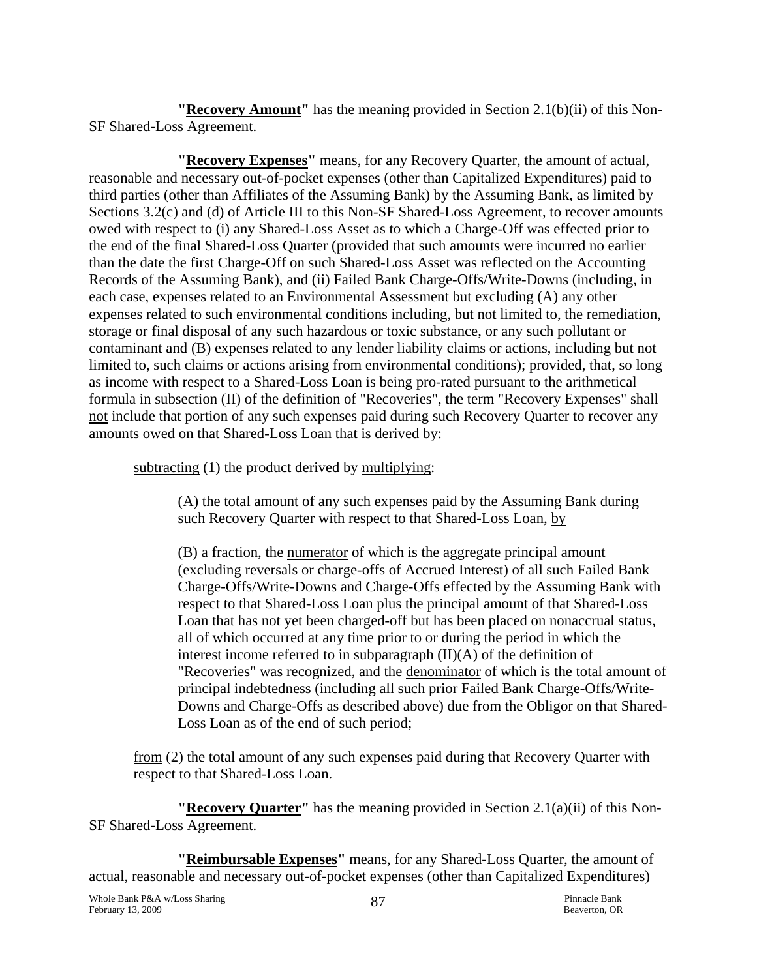**"Recovery Amount"** has the meaning provided in Section 2.1(b)(ii) of this Non-SF Shared-Loss Agreement.

**"Recovery Expenses"** means, for any Recovery Quarter, the amount of actual, reasonable and necessary out-of-pocket expenses (other than Capitalized Expenditures) paid to third parties (other than Affiliates of the Assuming Bank) by the Assuming Bank, as limited by Sections 3.2(c) and (d) of Article III to this Non-SF Shared-Loss Agreement, to recover amounts owed with respect to (i) any Shared-Loss Asset as to which a Charge-Off was effected prior to the end of the final Shared-Loss Quarter (provided that such amounts were incurred no earlier than the date the first Charge-Off on such Shared-Loss Asset was reflected on the Accounting Records of the Assuming Bank), and (ii) Failed Bank Charge-Offs/Write-Downs (including, in each case, expenses related to an Environmental Assessment but excluding (A) any other expenses related to such environmental conditions including, but not limited to, the remediation, storage or final disposal of any such hazardous or toxic substance, or any such pollutant or contaminant and (B) expenses related to any lender liability claims or actions, including but not limited to, such claims or actions arising from environmental conditions); provided, that, so long as income with respect to a Shared-Loss Loan is being pro-rated pursuant to the arithmetical formula in subsection (II) of the definition of "Recoveries", the term "Recovery Expenses" shall not include that portion of any such expenses paid during such Recovery Quarter to recover any amounts owed on that Shared-Loss Loan that is derived by:

subtracting (1) the product derived by multiplying:

(A) the total amount of any such expenses paid by the Assuming Bank during such Recovery Quarter with respect to that Shared-Loss Loan, by

(B) a fraction, the numerator of which is the aggregate principal amount (excluding reversals or charge-offs of Accrued Interest) of all such Failed Bank Charge-Offs/Write-Downs and Charge-Offs effected by the Assuming Bank with respect to that Shared-Loss Loan plus the principal amount of that Shared-Loss Loan that has not yet been charged-off but has been placed on nonaccrual status, all of which occurred at any time prior to or during the period in which the interest income referred to in subparagraph (II)(A) of the definition of "Recoveries" was recognized, and the denominator of which is the total amount of principal indebtedness (including all such prior Failed Bank Charge-Offs/Write-Downs and Charge-Offs as described above) due from the Obligor on that Shared-Loss Loan as of the end of such period;

from (2) the total amount of any such expenses paid during that Recovery Quarter with respect to that Shared-Loss Loan.

**"Recovery Quarter"** has the meaning provided in Section 2.1(a)(ii) of this Non-SF Shared-Loss Agreement.

**"Reimbursable Expenses"** means, for any Shared-Loss Quarter, the amount of actual, reasonable and necessary out-of-pocket expenses (other than Capitalized Expenditures)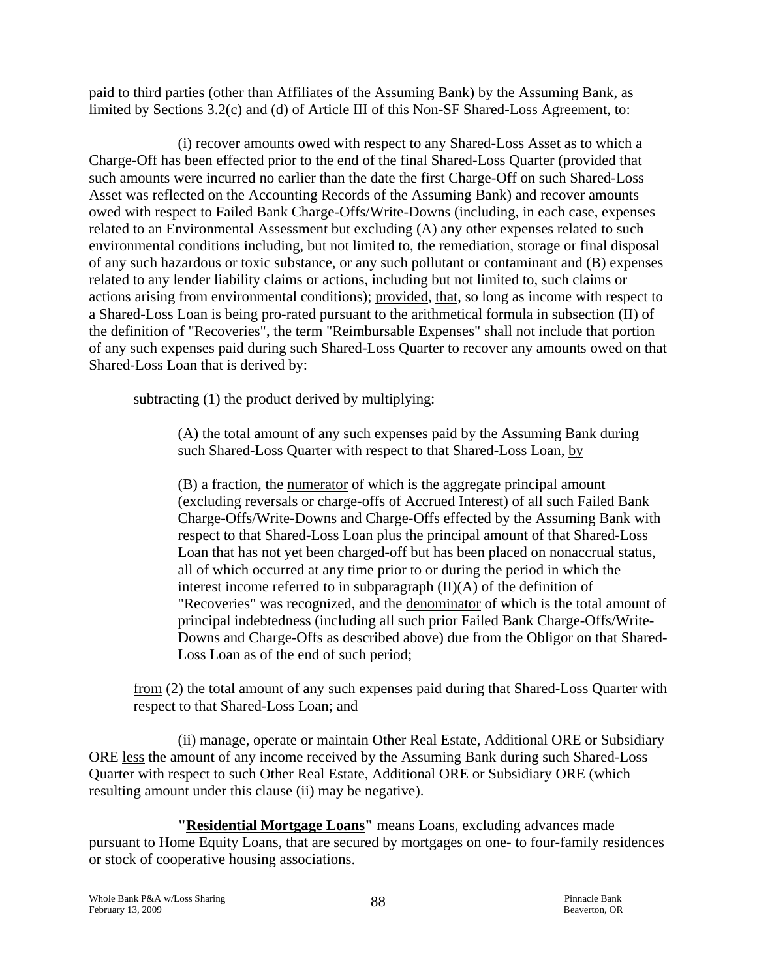paid to third parties (other than Affiliates of the Assuming Bank) by the Assuming Bank, as limited by Sections 3.2(c) and (d) of Article III of this Non-SF Shared-Loss Agreement, to:

(i) recover amounts owed with respect to any Shared-Loss Asset as to which a Charge-Off has been effected prior to the end of the final Shared-Loss Quarter (provided that such amounts were incurred no earlier than the date the first Charge-Off on such Shared-Loss Asset was reflected on the Accounting Records of the Assuming Bank) and recover amounts owed with respect to Failed Bank Charge-Offs/Write-Downs (including, in each case, expenses related to an Environmental Assessment but excluding (A) any other expenses related to such environmental conditions including, but not limited to, the remediation, storage or final disposal of any such hazardous or toxic substance, or any such pollutant or contaminant and (B) expenses related to any lender liability claims or actions, including but not limited to, such claims or actions arising from environmental conditions); provided, that, so long as income with respect to a Shared-Loss Loan is being pro-rated pursuant to the arithmetical formula in subsection (II) of the definition of "Recoveries", the term "Reimbursable Expenses" shall not include that portion of any such expenses paid during such Shared-Loss Quarter to recover any amounts owed on that Shared-Loss Loan that is derived by:

subtracting (1) the product derived by multiplying:

(A) the total amount of any such expenses paid by the Assuming Bank during such Shared-Loss Quarter with respect to that Shared-Loss Loan, by

(B) a fraction, the numerator of which is the aggregate principal amount (excluding reversals or charge-offs of Accrued Interest) of all such Failed Bank Charge-Offs/Write-Downs and Charge-Offs effected by the Assuming Bank with respect to that Shared-Loss Loan plus the principal amount of that Shared-Loss Loan that has not yet been charged-off but has been placed on nonaccrual status, all of which occurred at any time prior to or during the period in which the interest income referred to in subparagraph (II)(A) of the definition of "Recoveries" was recognized, and the denominator of which is the total amount of principal indebtedness (including all such prior Failed Bank Charge-Offs/Write-Downs and Charge-Offs as described above) due from the Obligor on that Shared-Loss Loan as of the end of such period;

from (2) the total amount of any such expenses paid during that Shared-Loss Quarter with respect to that Shared-Loss Loan; and

(ii) manage, operate or maintain Other Real Estate, Additional ORE or Subsidiary ORE less the amount of any income received by the Assuming Bank during such Shared-Loss Quarter with respect to such Other Real Estate, Additional ORE or Subsidiary ORE (which resulting amount under this clause (ii) may be negative).

**"Residential Mortgage Loans"** means Loans, excluding advances made pursuant to Home Equity Loans, that are secured by mortgages on one- to four-family residences or stock of cooperative housing associations.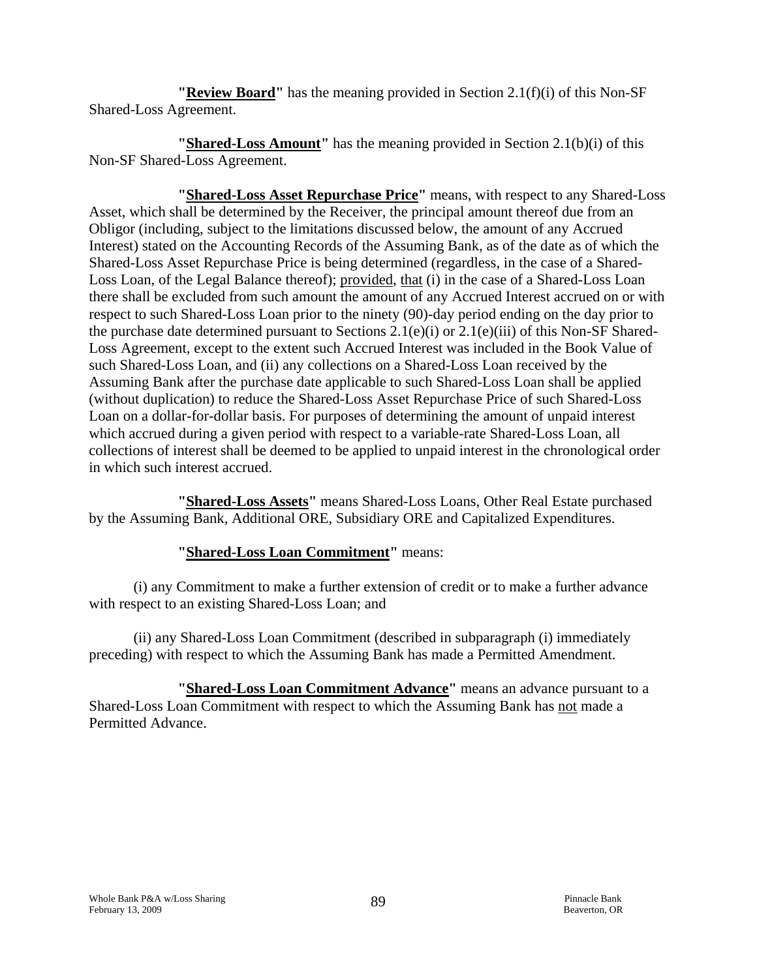**"Review Board"** has the meaning provided in Section 2.1(f)(i) of this Non-SF Shared-Loss Agreement.

**"Shared-Loss Amount"** has the meaning provided in Section 2.1(b)(i) of this Non-SF Shared-Loss Agreement.

 in which such interest accrued. **"Shared-Loss Asset Repurchase Price"** means, with respect to any Shared-Loss Asset, which shall be determined by the Receiver, the principal amount thereof due from an Obligor (including, subject to the limitations discussed below, the amount of any Accrued Interest) stated on the Accounting Records of the Assuming Bank, as of the date as of which the Shared-Loss Asset Repurchase Price is being determined (regardless, in the case of a Shared-Loss Loan, of the Legal Balance thereof); provided, that (i) in the case of a Shared-Loss Loan there shall be excluded from such amount the amount of any Accrued Interest accrued on or with respect to such Shared-Loss Loan prior to the ninety (90)-day period ending on the day prior to the purchase date determined pursuant to Sections  $2.1(e)(i)$  or  $2.1(e)(iii)$  of this Non-SF Shared-Loss Agreement, except to the extent such Accrued Interest was included in the Book Value of such Shared-Loss Loan, and (ii) any collections on a Shared-Loss Loan received by the Assuming Bank after the purchase date applicable to such Shared-Loss Loan shall be applied (without duplication) to reduce the Shared-Loss Asset Repurchase Price of such Shared-Loss Loan on a dollar-for-dollar basis. For purposes of determining the amount of unpaid interest which accrued during a given period with respect to a variable-rate Shared-Loss Loan, all collections of interest shall be deemed to be applied to unpaid interest in the chronological order

**"Shared-Loss Assets"** means Shared-Loss Loans, Other Real Estate purchased by the Assuming Bank, Additional ORE, Subsidiary ORE and Capitalized Expenditures.

### **"Shared-Loss Loan Commitment"** means:

(i) any Commitment to make a further extension of credit or to make a further advance with respect to an existing Shared-Loss Loan; and

(ii) any Shared-Loss Loan Commitment (described in subparagraph (i) immediately preceding) with respect to which the Assuming Bank has made a Permitted Amendment.

**"Shared-Loss Loan Commitment Advance"** means an advance pursuant to a Shared-Loss Loan Commitment with respect to which the Assuming Bank has not made a Permitted Advance.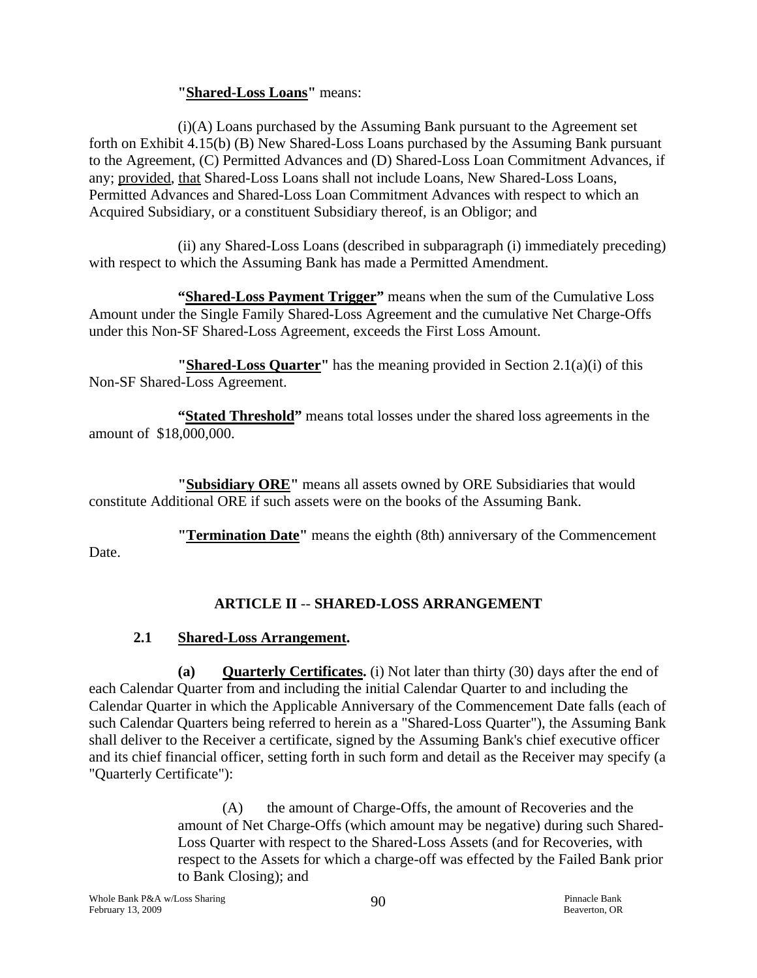#### **"Shared-Loss Loans"** means:

(i)(A) Loans purchased by the Assuming Bank pursuant to the Agreement set forth on Exhibit 4.15(b) (B) New Shared-Loss Loans purchased by the Assuming Bank pursuant to the Agreement, (C) Permitted Advances and (D) Shared-Loss Loan Commitment Advances, if any; provided, that Shared-Loss Loans shall not include Loans, New Shared-Loss Loans, Permitted Advances and Shared-Loss Loan Commitment Advances with respect to which an Acquired Subsidiary, or a constituent Subsidiary thereof, is an Obligor; and

(ii) any Shared-Loss Loans (described in subparagraph (i) immediately preceding) with respect to which the Assuming Bank has made a Permitted Amendment.

**"Shared-Loss Payment Trigger"** means when the sum of the Cumulative Loss Amount under the Single Family Shared-Loss Agreement and the cumulative Net Charge-Offs under this Non-SF Shared-Loss Agreement, exceeds the First Loss Amount.

**"Shared-Loss Quarter"** has the meaning provided in Section 2.1(a)(i) of this Non-SF Shared-Loss Agreement.

**"Stated Threshold"** means total losses under the shared loss agreements in the amount of \$18,000,000.

**"Subsidiary ORE"** means all assets owned by ORE Subsidiaries that would constitute Additional ORE if such assets were on the books of the Assuming Bank.

**"Termination Date"** means the eighth (8th) anniversary of the Commencement Date.

# **ARTICLE II** -- **SHARED-LOSS ARRANGEMENT**

### **2.1 Shared-Loss Arrangement.**

**(a) Quarterly Certificates.** (i) Not later than thirty (30) days after the end of each Calendar Quarter from and including the initial Calendar Quarter to and including the Calendar Quarter in which the Applicable Anniversary of the Commencement Date falls (each of such Calendar Quarters being referred to herein as a "Shared-Loss Quarter"), the Assuming Bank shall deliver to the Receiver a certificate, signed by the Assuming Bank's chief executive officer and its chief financial officer, setting forth in such form and detail as the Receiver may specify (a "Quarterly Certificate"):

> (A) the amount of Charge-Offs, the amount of Recoveries and the amount of Net Charge-Offs (which amount may be negative) during such Shared-Loss Quarter with respect to the Shared-Loss Assets (and for Recoveries, with respect to the Assets for which a charge-off was effected by the Failed Bank prior to Bank Closing); and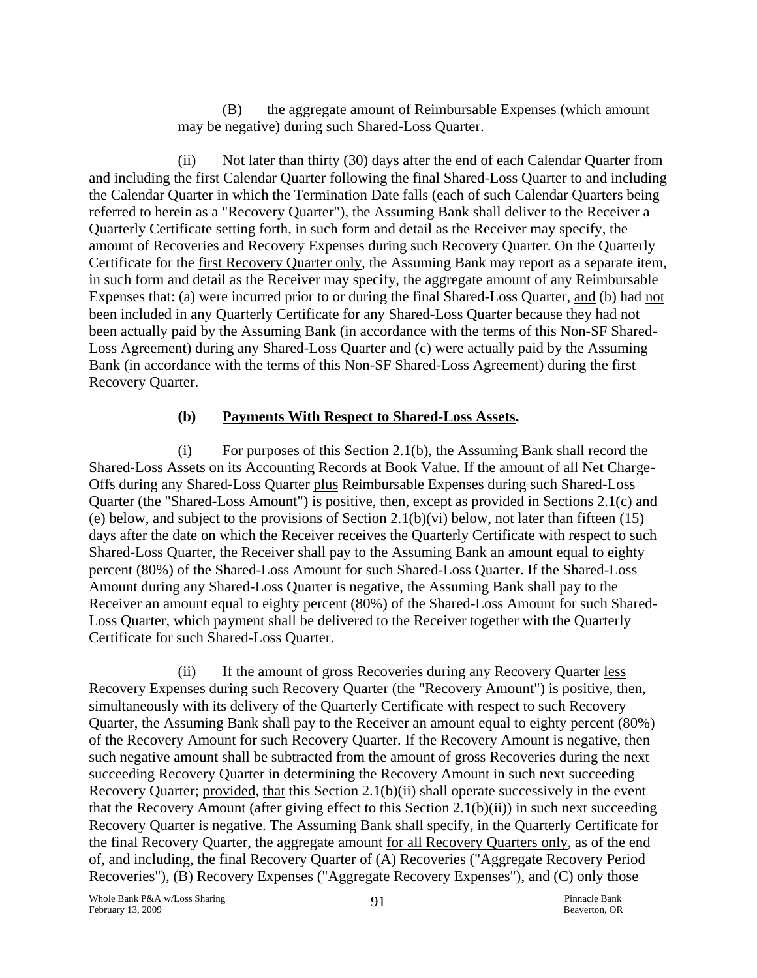(B) the aggregate amount of Reimbursable Expenses (which amount may be negative) during such Shared-Loss Quarter.

(ii) Not later than thirty (30) days after the end of each Calendar Quarter from and including the first Calendar Quarter following the final Shared-Loss Quarter to and including the Calendar Quarter in which the Termination Date falls (each of such Calendar Quarters being referred to herein as a "Recovery Quarter"), the Assuming Bank shall deliver to the Receiver a Quarterly Certificate setting forth, in such form and detail as the Receiver may specify, the amount of Recoveries and Recovery Expenses during such Recovery Quarter. On the Quarterly Certificate for the first Recovery Quarter only, the Assuming Bank may report as a separate item, in such form and detail as the Receiver may specify, the aggregate amount of any Reimbursable Expenses that: (a) were incurred prior to or during the final Shared-Loss Quarter, and (b) had not been included in any Quarterly Certificate for any Shared-Loss Quarter because they had not been actually paid by the Assuming Bank (in accordance with the terms of this Non-SF Shared-Loss Agreement) during any Shared-Loss Quarter and (c) were actually paid by the Assuming Bank (in accordance with the terms of this Non-SF Shared-Loss Agreement) during the first Recovery Quarter.

### **(b) Payments With Respect to Shared-Loss Assets.**

 $(i)$  For purposes of this Section 2.1(b), the Assuming Bank shall record the Shared-Loss Assets on its Accounting Records at Book Value. If the amount of all Net Charge-Offs during any Shared-Loss Quarter plus Reimbursable Expenses during such Shared-Loss Quarter (the "Shared-Loss Amount") is positive, then, except as provided in Sections 2.1(c) and (e) below, and subject to the provisions of Section 2.1(b)(vi) below, not later than fifteen (15) days after the date on which the Receiver receives the Quarterly Certificate with respect to such Shared-Loss Quarter, the Receiver shall pay to the Assuming Bank an amount equal to eighty percent (80%) of the Shared-Loss Amount for such Shared-Loss Quarter. If the Shared-Loss Amount during any Shared-Loss Quarter is negative, the Assuming Bank shall pay to the Receiver an amount equal to eighty percent (80%) of the Shared-Loss Amount for such Shared-Loss Quarter, which payment shall be delivered to the Receiver together with the Quarterly Certificate for such Shared-Loss Quarter.

(ii) If the amount of gross Recoveries during any Recovery Quarter less Recovery Expenses during such Recovery Quarter (the "Recovery Amount") is positive, then, simultaneously with its delivery of the Quarterly Certificate with respect to such Recovery Quarter, the Assuming Bank shall pay to the Receiver an amount equal to eighty percent (80%) of the Recovery Amount for such Recovery Quarter. If the Recovery Amount is negative, then such negative amount shall be subtracted from the amount of gross Recoveries during the next succeeding Recovery Quarter in determining the Recovery Amount in such next succeeding Recovery Quarter; provided, that this Section 2.1(b)(ii) shall operate successively in the event that the Recovery Amount (after giving effect to this Section 2.1(b)(ii)) in such next succeeding Recovery Quarter is negative. The Assuming Bank shall specify, in the Quarterly Certificate for the final Recovery Quarter, the aggregate amount for all Recovery Quarters only, as of the end of, and including, the final Recovery Quarter of (A) Recoveries ("Aggregate Recovery Period Recoveries"), (B) Recovery Expenses ("Aggregate Recovery Expenses"), and (C) only those

Whole Bank P&A w/Loss Sharing  $91$  Pinnacle Bank 91 Pinnacle Bank 91 Pinnacle Bank 91 Pinnacle Bank 91 Pinnacle Bank 91 Pinnacle Bank 91 Pinnacle Bank 91 Pinnacle Bank 91 Pinnacle Bank 91 Pinnacle Bank 91 Pinnacle Bank 91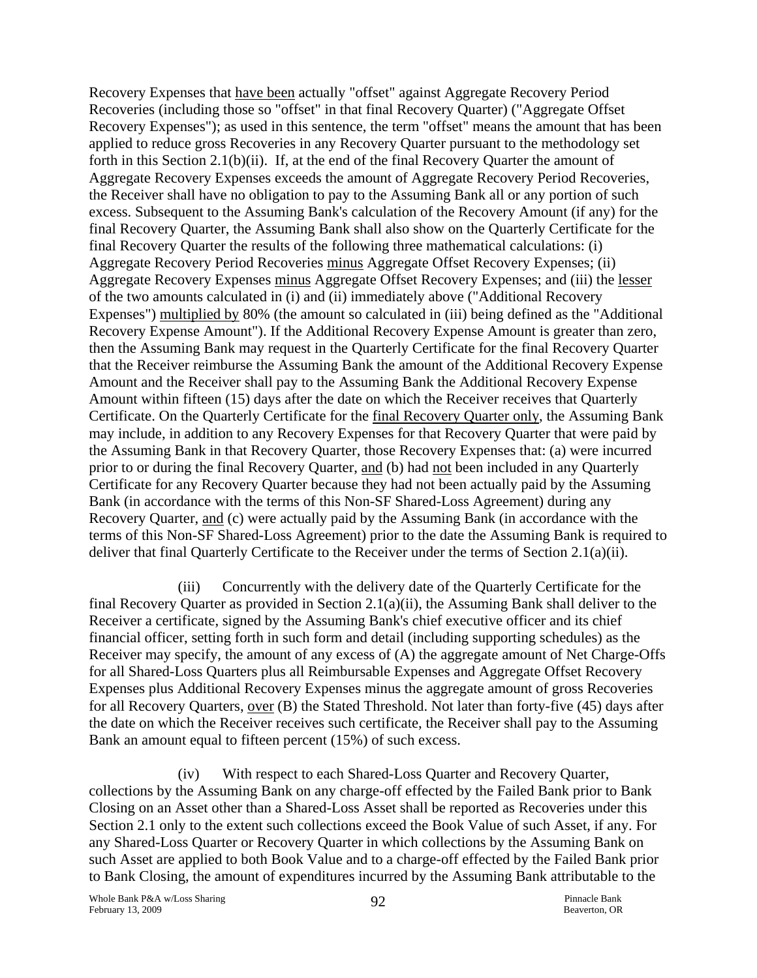Recovery Expenses that have been actually "offset" against Aggregate Recovery Period Recoveries (including those so "offset" in that final Recovery Quarter) ("Aggregate Offset Recovery Expenses"); as used in this sentence, the term "offset" means the amount that has been applied to reduce gross Recoveries in any Recovery Quarter pursuant to the methodology set forth in this Section 2.1(b)(ii). If, at the end of the final Recovery Quarter the amount of Aggregate Recovery Expenses exceeds the amount of Aggregate Recovery Period Recoveries, the Receiver shall have no obligation to pay to the Assuming Bank all or any portion of such excess. Subsequent to the Assuming Bank's calculation of the Recovery Amount (if any) for the final Recovery Quarter, the Assuming Bank shall also show on the Quarterly Certificate for the final Recovery Quarter the results of the following three mathematical calculations: (i) Aggregate Recovery Period Recoveries minus Aggregate Offset Recovery Expenses; (ii) Aggregate Recovery Expenses minus Aggregate Offset Recovery Expenses; and (iii) the lesser of the two amounts calculated in (i) and (ii) immediately above ("Additional Recovery Expenses") multiplied by 80% (the amount so calculated in (iii) being defined as the "Additional Recovery Expense Amount"). If the Additional Recovery Expense Amount is greater than zero, then the Assuming Bank may request in the Quarterly Certificate for the final Recovery Quarter that the Receiver reimburse the Assuming Bank the amount of the Additional Recovery Expense Amount and the Receiver shall pay to the Assuming Bank the Additional Recovery Expense Amount within fifteen (15) days after the date on which the Receiver receives that Quarterly Certificate. On the Quarterly Certificate for the final Recovery Quarter only, the Assuming Bank may include, in addition to any Recovery Expenses for that Recovery Quarter that were paid by the Assuming Bank in that Recovery Quarter, those Recovery Expenses that: (a) were incurred prior to or during the final Recovery Quarter, and (b) had not been included in any Quarterly Certificate for any Recovery Quarter because they had not been actually paid by the Assuming Bank (in accordance with the terms of this Non-SF Shared-Loss Agreement) during any Recovery Quarter, and (c) were actually paid by the Assuming Bank (in accordance with the terms of this Non-SF Shared-Loss Agreement) prior to the date the Assuming Bank is required to deliver that final Quarterly Certificate to the Receiver under the terms of Section 2.1(a)(ii).

(iii) Concurrently with the delivery date of the Quarterly Certificate for the final Recovery Quarter as provided in Section 2.1(a)(ii), the Assuming Bank shall deliver to the Receiver a certificate, signed by the Assuming Bank's chief executive officer and its chief financial officer, setting forth in such form and detail (including supporting schedules) as the Receiver may specify, the amount of any excess of (A) the aggregate amount of Net Charge-Offs for all Shared-Loss Quarters plus all Reimbursable Expenses and Aggregate Offset Recovery Expenses plus Additional Recovery Expenses minus the aggregate amount of gross Recoveries for all Recovery Quarters, over (B) the Stated Threshold. Not later than forty-five (45) days after the date on which the Receiver receives such certificate, the Receiver shall pay to the Assuming Bank an amount equal to fifteen percent (15%) of such excess.

(iv) With respect to each Shared-Loss Quarter and Recovery Quarter, collections by the Assuming Bank on any charge-off effected by the Failed Bank prior to Bank Closing on an Asset other than a Shared-Loss Asset shall be reported as Recoveries under this Section 2.1 only to the extent such collections exceed the Book Value of such Asset, if any. For any Shared-Loss Quarter or Recovery Quarter in which collections by the Assuming Bank on such Asset are applied to both Book Value and to a charge-off effected by the Failed Bank prior to Bank Closing, the amount of expenditures incurred by the Assuming Bank attributable to the

Whole Bank P&A w/Loss Sharing  $92$  Pinnacle Bank 93. Pebruary 13, 2009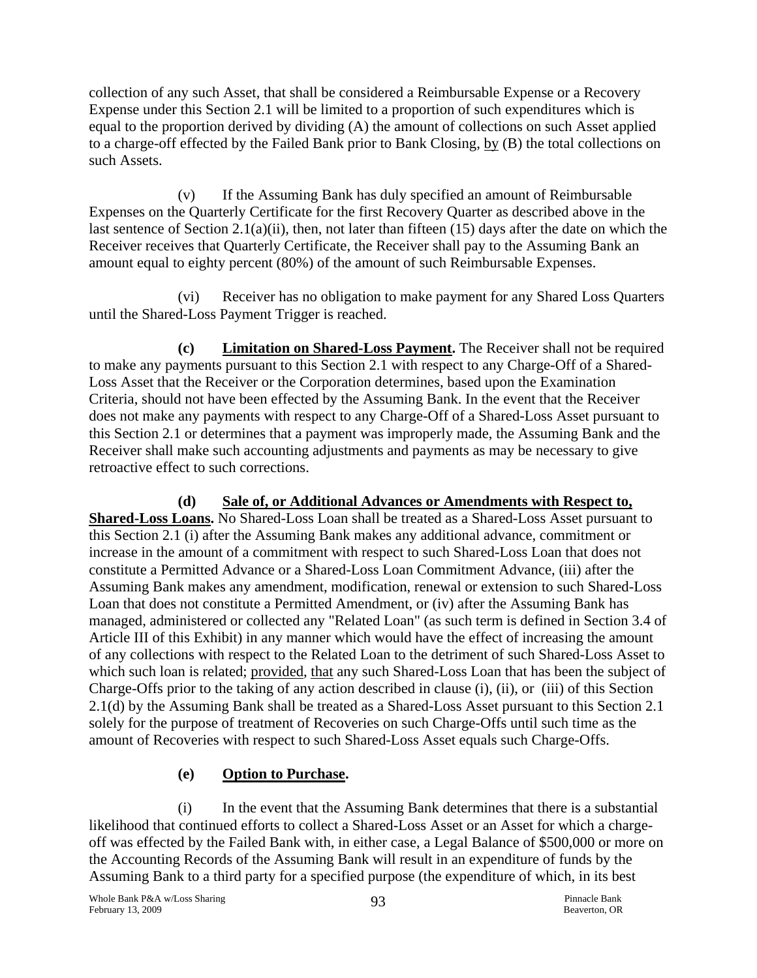collection of any such Asset, that shall be considered a Reimbursable Expense or a Recovery Expense under this Section 2.1 will be limited to a proportion of such expenditures which is equal to the proportion derived by dividing (A) the amount of collections on such Asset applied to a charge-off effected by the Failed Bank prior to Bank Closing, by (B) the total collections on such Assets.

(v) If the Assuming Bank has duly specified an amount of Reimbursable Expenses on the Quarterly Certificate for the first Recovery Quarter as described above in the last sentence of Section 2.1(a)(ii), then, not later than fifteen  $(15)$  days after the date on which the Receiver receives that Quarterly Certificate, the Receiver shall pay to the Assuming Bank an amount equal to eighty percent (80%) of the amount of such Reimbursable Expenses.

(vi) Receiver has no obligation to make payment for any Shared Loss Quarters until the Shared-Loss Payment Trigger is reached.

**(c) Limitation on Shared-Loss Payment.** The Receiver shall not be required to make any payments pursuant to this Section 2.1 with respect to any Charge-Off of a Shared-Loss Asset that the Receiver or the Corporation determines, based upon the Examination Criteria, should not have been effected by the Assuming Bank. In the event that the Receiver does not make any payments with respect to any Charge-Off of a Shared-Loss Asset pursuant to this Section 2.1 or determines that a payment was improperly made, the Assuming Bank and the Receiver shall make such accounting adjustments and payments as may be necessary to give retroactive effect to such corrections.

**(d) Sale of, or Additional Advances or Amendments with Respect to, Shared-Loss Loans.** No Shared-Loss Loan shall be treated as a Shared-Loss Asset pursuant to this Section 2.1 (i) after the Assuming Bank makes any additional advance, commitment or increase in the amount of a commitment with respect to such Shared-Loss Loan that does not constitute a Permitted Advance or a Shared-Loss Loan Commitment Advance, (iii) after the Assuming Bank makes any amendment, modification, renewal or extension to such Shared-Loss Loan that does not constitute a Permitted Amendment, or (iv) after the Assuming Bank has managed, administered or collected any "Related Loan" (as such term is defined in Section 3.4 of Article III of this Exhibit) in any manner which would have the effect of increasing the amount of any collections with respect to the Related Loan to the detriment of such Shared-Loss Asset to which such loan is related; provided, that any such Shared-Loss Loan that has been the subject of Charge-Offs prior to the taking of any action described in clause (i), (ii), or (iii) of this Section 2.1(d) by the Assuming Bank shall be treated as a Shared-Loss Asset pursuant to this Section 2.1 solely for the purpose of treatment of Recoveries on such Charge-Offs until such time as the amount of Recoveries with respect to such Shared-Loss Asset equals such Charge-Offs.

# **(e) Option to Purchase.**

(i) In the event that the Assuming Bank determines that there is a substantial likelihood that continued efforts to collect a Shared-Loss Asset or an Asset for which a chargeoff was effected by the Failed Bank with, in either case, a Legal Balance of \$500,000 or more on the Accounting Records of the Assuming Bank will result in an expenditure of funds by the Assuming Bank to a third party for a specified purpose (the expenditure of which, in its best

Whole Bank P&A w/Loss Sharing  $93$ <br>Pinnacle Bank 93 February 13, 2009 Beaverton, OR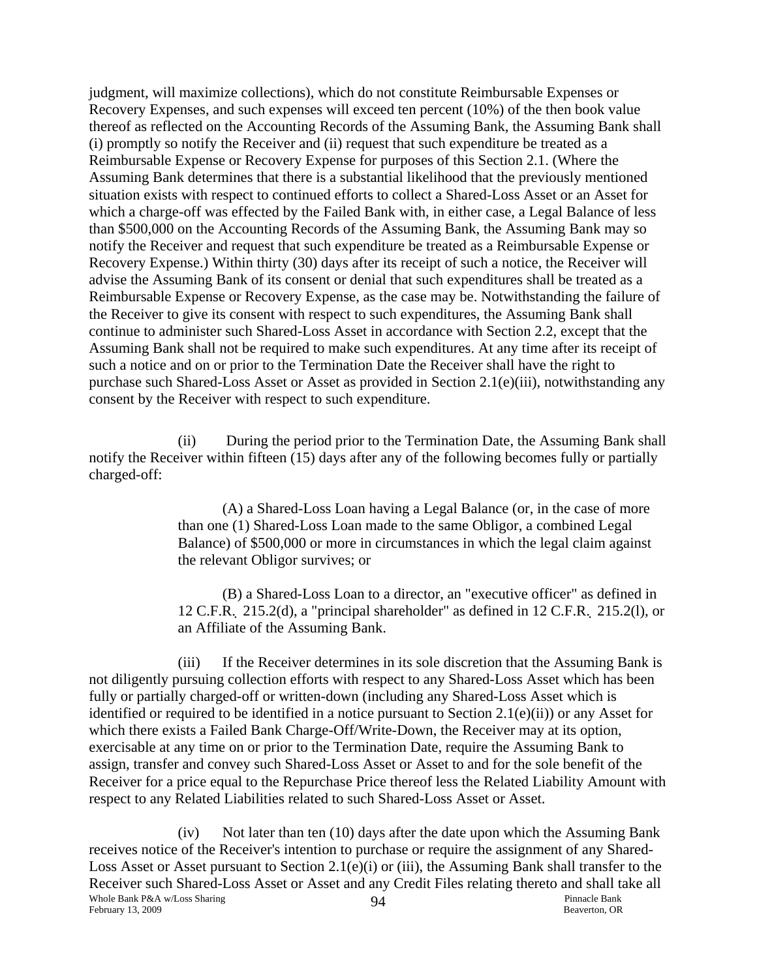judgment, will maximize collections), which do not constitute Reimbursable Expenses or Recovery Expenses, and such expenses will exceed ten percent (10%) of the then book value thereof as reflected on the Accounting Records of the Assuming Bank, the Assuming Bank shall (i) promptly so notify the Receiver and (ii) request that such expenditure be treated as a Reimbursable Expense or Recovery Expense for purposes of this Section 2.1. (Where the Assuming Bank determines that there is a substantial likelihood that the previously mentioned situation exists with respect to continued efforts to collect a Shared-Loss Asset or an Asset for which a charge-off was effected by the Failed Bank with, in either case, a Legal Balance of less than \$500,000 on the Accounting Records of the Assuming Bank, the Assuming Bank may so notify the Receiver and request that such expenditure be treated as a Reimbursable Expense or Recovery Expense.) Within thirty (30) days after its receipt of such a notice, the Receiver will advise the Assuming Bank of its consent or denial that such expenditures shall be treated as a Reimbursable Expense or Recovery Expense, as the case may be. Notwithstanding the failure of the Receiver to give its consent with respect to such expenditures, the Assuming Bank shall continue to administer such Shared-Loss Asset in accordance with Section 2.2, except that the Assuming Bank shall not be required to make such expenditures. At any time after its receipt of such a notice and on or prior to the Termination Date the Receiver shall have the right to purchase such Shared-Loss Asset or Asset as provided in Section 2.1(e)(iii), notwithstanding any consent by the Receiver with respect to such expenditure.

(ii) During the period prior to the Termination Date, the Assuming Bank shall notify the Receiver within fifteen (15) days after any of the following becomes fully or partially charged-off:

> (A) a Shared-Loss Loan having a Legal Balance (or, in the case of more than one (1) Shared-Loss Loan made to the same Obligor, a combined Legal Balance) of \$500,000 or more in circumstances in which the legal claim against the relevant Obligor survives; or

(B) a Shared-Loss Loan to a director, an "executive officer" as defined in 12 C.F.R. 215.2(d), a "principal shareholder" as defined in 12 C.F.R. 215.2(l), or an Affiliate of the Assuming Bank.

(iii) If the Receiver determines in its sole discretion that the Assuming Bank is not diligently pursuing collection efforts with respect to any Shared-Loss Asset which has been fully or partially charged-off or written-down (including any Shared-Loss Asset which is identified or required to be identified in a notice pursuant to Section 2.1(e)(ii)) or any Asset for which there exists a Failed Bank Charge-Off/Write-Down, the Receiver may at its option, exercisable at any time on or prior to the Termination Date, require the Assuming Bank to assign, transfer and convey such Shared-Loss Asset or Asset to and for the sole benefit of the Receiver for a price equal to the Repurchase Price thereof less the Related Liability Amount with respect to any Related Liabilities related to such Shared-Loss Asset or Asset.

Whole Bank P&A w/Loss Sharing **Pinnacle Bank** 94 February 13, 2009 Pinnacle Bank 94 February 13, 2009 (iv) Not later than ten (10) days after the date upon which the Assuming Bank receives notice of the Receiver's intention to purchase or require the assignment of any Shared-Loss Asset or Asset pursuant to Section 2.1(e)(i) or (iii), the Assuming Bank shall transfer to the Receiver such Shared-Loss Asset or Asset and any Credit Files relating thereto and shall take all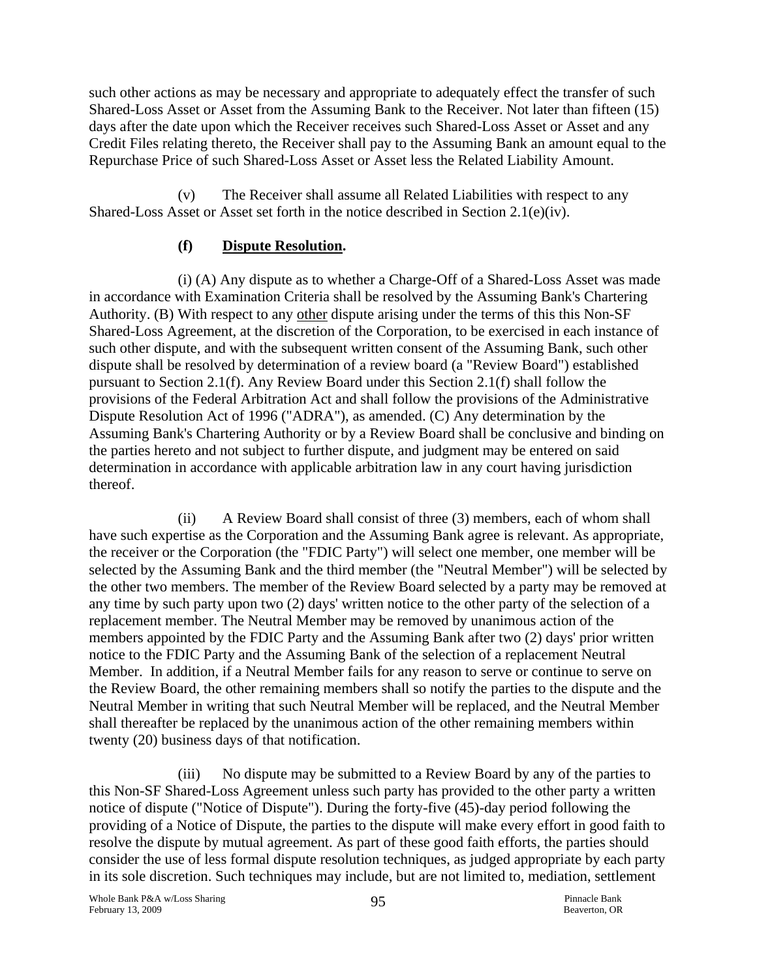such other actions as may be necessary and appropriate to adequately effect the transfer of such Shared-Loss Asset or Asset from the Assuming Bank to the Receiver. Not later than fifteen (15) days after the date upon which the Receiver receives such Shared-Loss Asset or Asset and any Credit Files relating thereto, the Receiver shall pay to the Assuming Bank an amount equal to the Repurchase Price of such Shared-Loss Asset or Asset less the Related Liability Amount.

(v) The Receiver shall assume all Related Liabilities with respect to any Shared-Loss Asset or Asset set forth in the notice described in Section 2.1(e)(iv).

#### **(f) Dispute Resolution.**

(i) (A) Any dispute as to whether a Charge-Off of a Shared-Loss Asset was made in accordance with Examination Criteria shall be resolved by the Assuming Bank's Chartering Authority. (B) With respect to any other dispute arising under the terms of this this Non-SF Shared-Loss Agreement, at the discretion of the Corporation, to be exercised in each instance of such other dispute, and with the subsequent written consent of the Assuming Bank, such other dispute shall be resolved by determination of a review board (a "Review Board") established pursuant to Section 2.1(f). Any Review Board under this Section 2.1(f) shall follow the provisions of the Federal Arbitration Act and shall follow the provisions of the Administrative Dispute Resolution Act of 1996 ("ADRA"), as amended. (C) Any determination by the Assuming Bank's Chartering Authority or by a Review Board shall be conclusive and binding on the parties hereto and not subject to further dispute, and judgment may be entered on said determination in accordance with applicable arbitration law in any court having jurisdiction thereof.

(ii) A Review Board shall consist of three (3) members, each of whom shall have such expertise as the Corporation and the Assuming Bank agree is relevant. As appropriate, the receiver or the Corporation (the "FDIC Party") will select one member, one member will be selected by the Assuming Bank and the third member (the "Neutral Member") will be selected by the other two members. The member of the Review Board selected by a party may be removed at any time by such party upon two (2) days' written notice to the other party of the selection of a replacement member. The Neutral Member may be removed by unanimous action of the members appointed by the FDIC Party and the Assuming Bank after two (2) days' prior written notice to the FDIC Party and the Assuming Bank of the selection of a replacement Neutral Member. In addition, if a Neutral Member fails for any reason to serve or continue to serve on the Review Board, the other remaining members shall so notify the parties to the dispute and the Neutral Member in writing that such Neutral Member will be replaced, and the Neutral Member shall thereafter be replaced by the unanimous action of the other remaining members within twenty (20) business days of that notification.

(iii) No dispute may be submitted to a Review Board by any of the parties to this Non-SF Shared-Loss Agreement unless such party has provided to the other party a written notice of dispute ("Notice of Dispute"). During the forty-five (45)-day period following the providing of a Notice of Dispute, the parties to the dispute will make every effort in good faith to resolve the dispute by mutual agreement. As part of these good faith efforts, the parties should consider the use of less formal dispute resolution techniques, as judged appropriate by each party in its sole discretion. Such techniques may include, but are not limited to, mediation, settlement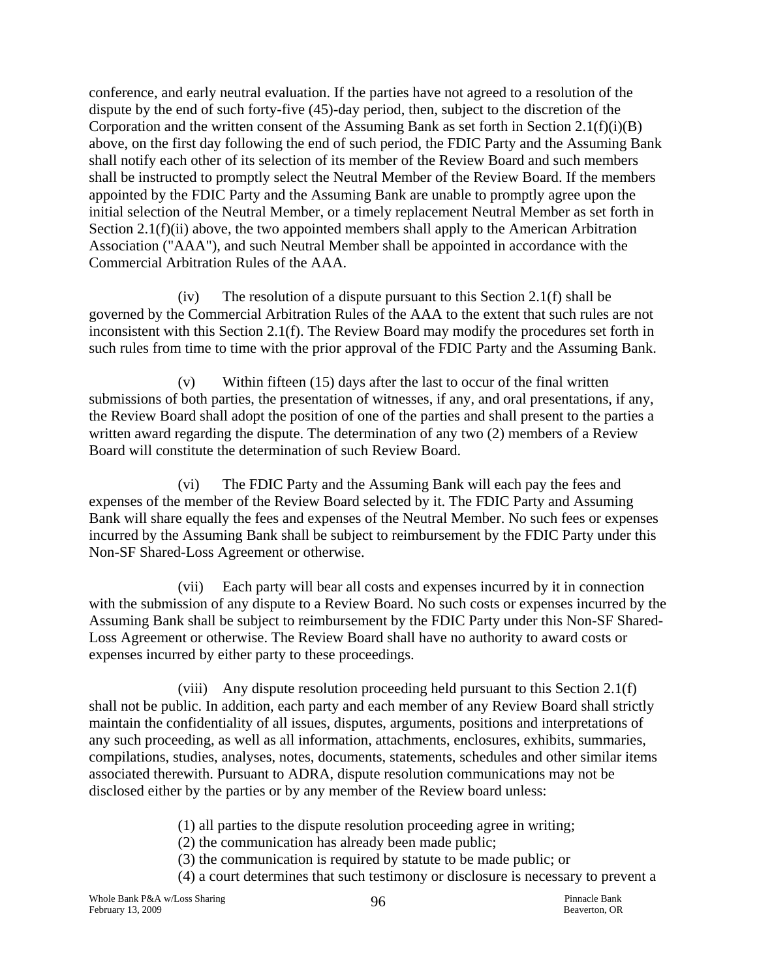conference, and early neutral evaluation. If the parties have not agreed to a resolution of the dispute by the end of such forty-five (45)-day period, then, subject to the discretion of the Corporation and the written consent of the Assuming Bank as set forth in Section  $2.1(f)(i)(B)$ above, on the first day following the end of such period, the FDIC Party and the Assuming Bank shall notify each other of its selection of its member of the Review Board and such members shall be instructed to promptly select the Neutral Member of the Review Board. If the members appointed by the FDIC Party and the Assuming Bank are unable to promptly agree upon the initial selection of the Neutral Member, or a timely replacement Neutral Member as set forth in Section 2.1(f)(ii) above, the two appointed members shall apply to the American Arbitration Association ("AAA"), and such Neutral Member shall be appointed in accordance with the Commercial Arbitration Rules of the AAA.

(iv) The resolution of a dispute pursuant to this Section 2.1(f) shall be governed by the Commercial Arbitration Rules of the AAA to the extent that such rules are not inconsistent with this Section 2.1(f). The Review Board may modify the procedures set forth in such rules from time to time with the prior approval of the FDIC Party and the Assuming Bank.

 $(v)$  Within fifteen (15) days after the last to occur of the final written submissions of both parties, the presentation of witnesses, if any, and oral presentations, if any, the Review Board shall adopt the position of one of the parties and shall present to the parties a written award regarding the dispute. The determination of any two (2) members of a Review Board will constitute the determination of such Review Board.

(vi) The FDIC Party and the Assuming Bank will each pay the fees and expenses of the member of the Review Board selected by it. The FDIC Party and Assuming Bank will share equally the fees and expenses of the Neutral Member. No such fees or expenses incurred by the Assuming Bank shall be subject to reimbursement by the FDIC Party under this Non-SF Shared-Loss Agreement or otherwise.

(vii) Each party will bear all costs and expenses incurred by it in connection with the submission of any dispute to a Review Board. No such costs or expenses incurred by the Assuming Bank shall be subject to reimbursement by the FDIC Party under this Non-SF Shared-Loss Agreement or otherwise. The Review Board shall have no authority to award costs or expenses incurred by either party to these proceedings.

(viii) Any dispute resolution proceeding held pursuant to this Section 2.1(f) shall not be public. In addition, each party and each member of any Review Board shall strictly maintain the confidentiality of all issues, disputes, arguments, positions and interpretations of any such proceeding, as well as all information, attachments, enclosures, exhibits, summaries, compilations, studies, analyses, notes, documents, statements, schedules and other similar items associated therewith. Pursuant to ADRA, dispute resolution communications may not be disclosed either by the parties or by any member of the Review board unless:

(1) all parties to the dispute resolution proceeding agree in writing;

(2) the communication has already been made public;

- (3) the communication is required by statute to be made public; or
- (4) a court determines that such testimony or disclosure is necessary to prevent a

Whole Bank P&A w/Loss Sharing  $96$ <br>Pebruary 13, 2009 Beaverton, OR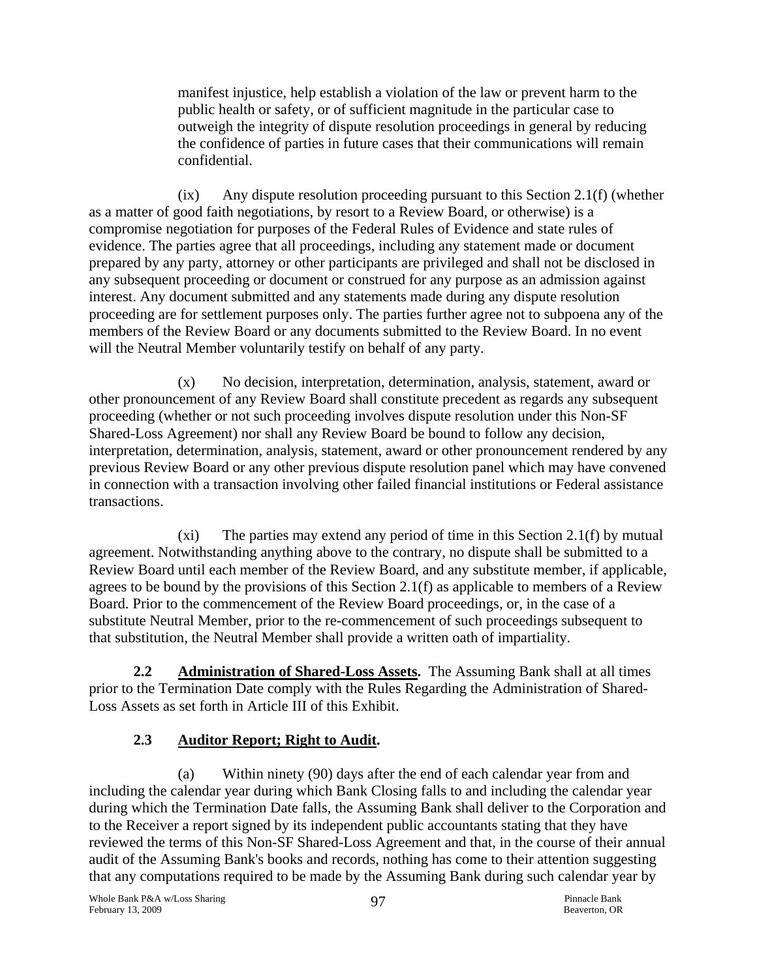manifest injustice, help establish a violation of the law or prevent harm to the public health or safety, or of sufficient magnitude in the particular case to outweigh the integrity of dispute resolution proceedings in general by reducing the confidence of parties in future cases that their communications will remain confidential.

 $(ix)$  Any dispute resolution proceeding pursuant to this Section 2.1(f) (whether as a matter of good faith negotiations, by resort to a Review Board, or otherwise) is a compromise negotiation for purposes of the Federal Rules of Evidence and state rules of evidence. The parties agree that all proceedings, including any statement made or document prepared by any party, attorney or other participants are privileged and shall not be disclosed in any subsequent proceeding or document or construed for any purpose as an admission against interest. Any document submitted and any statements made during any dispute resolution proceeding are for settlement purposes only. The parties further agree not to subpoena any of the members of the Review Board or any documents submitted to the Review Board. In no event will the Neutral Member voluntarily testify on behalf of any party.

(x) No decision, interpretation, determination, analysis, statement, award or other pronouncement of any Review Board shall constitute precedent as regards any subsequent proceeding (whether or not such proceeding involves dispute resolution under this Non-SF Shared-Loss Agreement) nor shall any Review Board be bound to follow any decision, interpretation, determination, analysis, statement, award or other pronouncement rendered by any previous Review Board or any other previous dispute resolution panel which may have convened in connection with a transaction involving other failed financial institutions or Federal assistance transactions.

(xi) The parties may extend any period of time in this Section 2.1(f) by mutual agreement. Notwithstanding anything above to the contrary, no dispute shall be submitted to a Review Board until each member of the Review Board, and any substitute member, if applicable, agrees to be bound by the provisions of this Section 2.1(f) as applicable to members of a Review Board. Prior to the commencement of the Review Board proceedings, or, in the case of a substitute Neutral Member, prior to the re-commencement of such proceedings subsequent to that substitution, the Neutral Member shall provide a written oath of impartiality.

2.2 Administration of Shared-Loss Assets. The Assuming Bank shall at all times prior to the Termination Date comply with the Rules Regarding the Administration of Shared-Loss Assets as set forth in Article III of this Exhibit.

# **2.3 Auditor Report; Right to Audit.**

(a) Within ninety (90) days after the end of each calendar year from and including the calendar year during which Bank Closing falls to and including the calendar year during which the Termination Date falls, the Assuming Bank shall deliver to the Corporation and to the Receiver a report signed by its independent public accountants stating that they have reviewed the terms of this Non-SF Shared-Loss Agreement and that, in the course of their annual audit of the Assuming Bank's books and records, nothing has come to their attention suggesting that any computations required to be made by the Assuming Bank during such calendar year by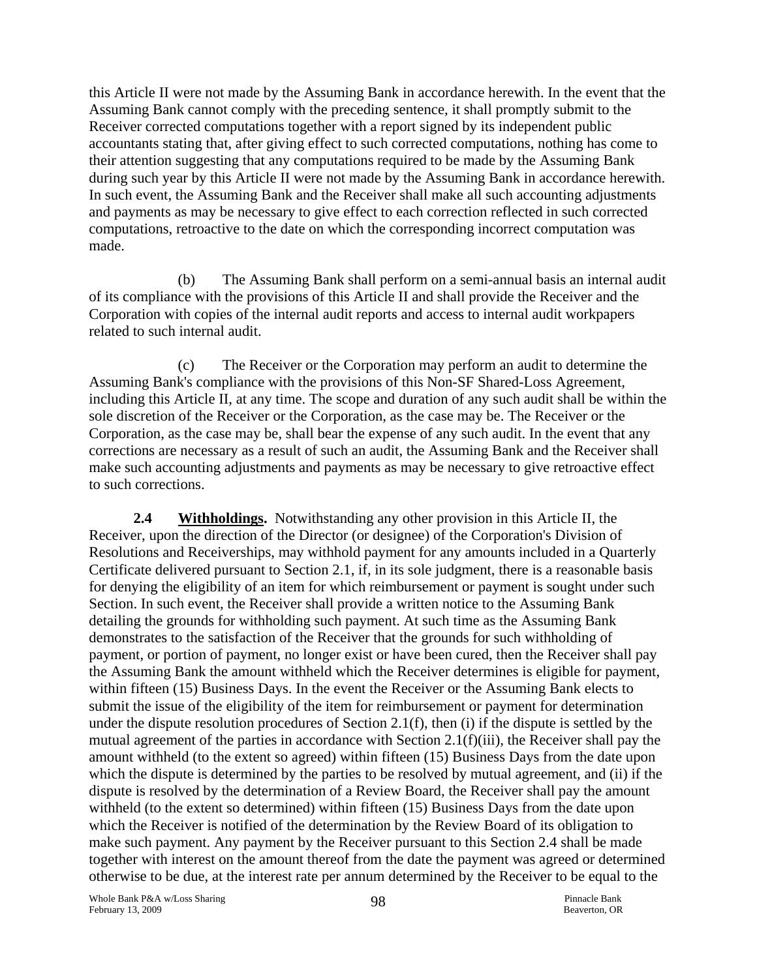this Article II were not made by the Assuming Bank in accordance herewith. In the event that the Assuming Bank cannot comply with the preceding sentence, it shall promptly submit to the Receiver corrected computations together with a report signed by its independent public accountants stating that, after giving effect to such corrected computations, nothing has come to their attention suggesting that any computations required to be made by the Assuming Bank during such year by this Article II were not made by the Assuming Bank in accordance herewith. In such event, the Assuming Bank and the Receiver shall make all such accounting adjustments and payments as may be necessary to give effect to each correction reflected in such corrected computations, retroactive to the date on which the corresponding incorrect computation was made.

(b) The Assuming Bank shall perform on a semi-annual basis an internal audit of its compliance with the provisions of this Article II and shall provide the Receiver and the Corporation with copies of the internal audit reports and access to internal audit workpapers related to such internal audit.

(c) The Receiver or the Corporation may perform an audit to determine the Assuming Bank's compliance with the provisions of this Non-SF Shared-Loss Agreement, including this Article II, at any time. The scope and duration of any such audit shall be within the sole discretion of the Receiver or the Corporation, as the case may be. The Receiver or the Corporation, as the case may be, shall bear the expense of any such audit. In the event that any corrections are necessary as a result of such an audit, the Assuming Bank and the Receiver shall make such accounting adjustments and payments as may be necessary to give retroactive effect to such corrections.

**2.4 Withholdings.** Notwithstanding any other provision in this Article II, the Receiver, upon the direction of the Director (or designee) of the Corporation's Division of Resolutions and Receiverships, may withhold payment for any amounts included in a Quarterly Certificate delivered pursuant to Section 2.1, if, in its sole judgment, there is a reasonable basis for denying the eligibility of an item for which reimbursement or payment is sought under such Section. In such event, the Receiver shall provide a written notice to the Assuming Bank detailing the grounds for withholding such payment. At such time as the Assuming Bank demonstrates to the satisfaction of the Receiver that the grounds for such withholding of payment, or portion of payment, no longer exist or have been cured, then the Receiver shall pay the Assuming Bank the amount withheld which the Receiver determines is eligible for payment, within fifteen (15) Business Days. In the event the Receiver or the Assuming Bank elects to submit the issue of the eligibility of the item for reimbursement or payment for determination under the dispute resolution procedures of Section 2.1(f), then (i) if the dispute is settled by the mutual agreement of the parties in accordance with Section 2.1(f)(iii), the Receiver shall pay the amount withheld (to the extent so agreed) within fifteen (15) Business Days from the date upon which the dispute is determined by the parties to be resolved by mutual agreement, and (ii) if the dispute is resolved by the determination of a Review Board, the Receiver shall pay the amount withheld (to the extent so determined) within fifteen (15) Business Days from the date upon which the Receiver is notified of the determination by the Review Board of its obligation to make such payment. Any payment by the Receiver pursuant to this Section 2.4 shall be made together with interest on the amount thereof from the date the payment was agreed or determined otherwise to be due, at the interest rate per annum determined by the Receiver to be equal to the

Whole Bank P&A w/Loss Sharing **Pinnacle Bank** 98 Pinnacle Bank 98 Pinnacle Bank 98 February 13, 2009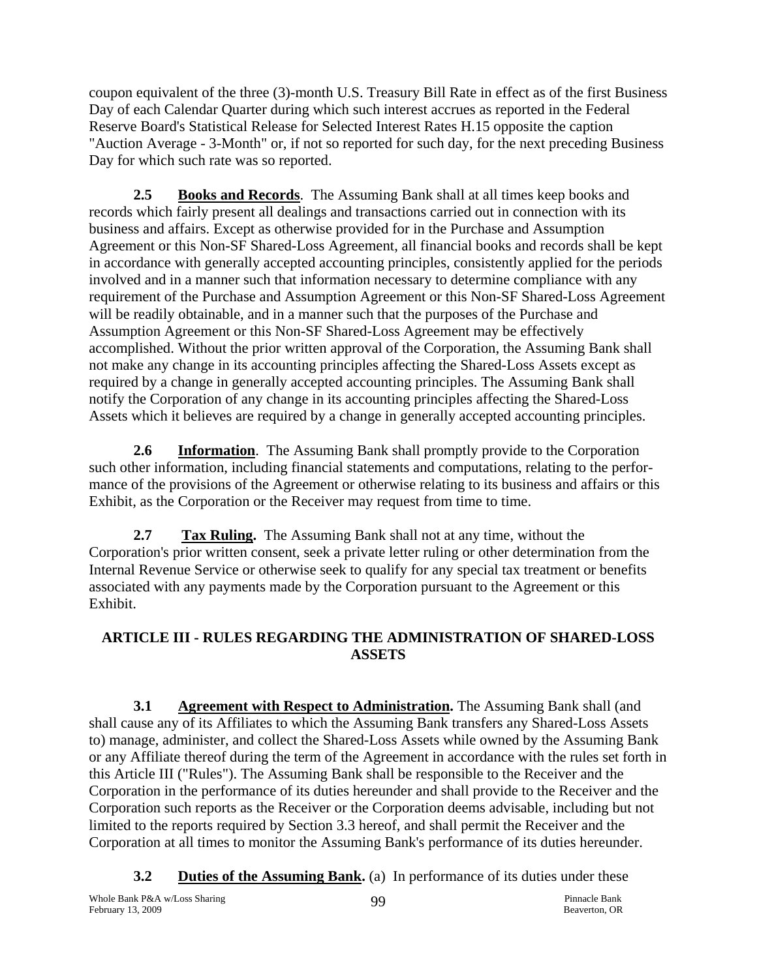coupon equivalent of the three (3)-month U.S. Treasury Bill Rate in effect as of the first Business Day of each Calendar Quarter during which such interest accrues as reported in the Federal Reserve Board's Statistical Release for Selected Interest Rates H.15 opposite the caption "Auction Average - 3-Month" or, if not so reported for such day, for the next preceding Business Day for which such rate was so reported.

**2.5 Books and Records**. The Assuming Bank shall at all times keep books and records which fairly present all dealings and transactions carried out in connection with its business and affairs. Except as otherwise provided for in the Purchase and Assumption Agreement or this Non-SF Shared-Loss Agreement, all financial books and records shall be kept in accordance with generally accepted accounting principles, consistently applied for the periods involved and in a manner such that information necessary to determine compliance with any requirement of the Purchase and Assumption Agreement or this Non-SF Shared-Loss Agreement will be readily obtainable, and in a manner such that the purposes of the Purchase and Assumption Agreement or this Non-SF Shared-Loss Agreement may be effectively accomplished. Without the prior written approval of the Corporation, the Assuming Bank shall not make any change in its accounting principles affecting the Shared-Loss Assets except as required by a change in generally accepted accounting principles. The Assuming Bank shall notify the Corporation of any change in its accounting principles affecting the Shared-Loss Assets which it believes are required by a change in generally accepted accounting principles.

**2.6 Information**. The Assuming Bank shall promptly provide to the Corporation such other information, including financial statements and computations, relating to the performance of the provisions of the Agreement or otherwise relating to its business and affairs or this Exhibit, as the Corporation or the Receiver may request from time to time.

**2.7 Tax Ruling.** The Assuming Bank shall not at any time, without the Corporation's prior written consent, seek a private letter ruling or other determination from the Internal Revenue Service or otherwise seek to qualify for any special tax treatment or benefits associated with any payments made by the Corporation pursuant to the Agreement or this Exhibit.

# **ARTICLE III - RULES REGARDING THE ADMINISTRATION OF SHARED-LOSS ASSETS**

**3.1 Agreement with Respect to Administration.** The Assuming Bank shall (and shall cause any of its Affiliates to which the Assuming Bank transfers any Shared-Loss Assets to) manage, administer, and collect the Shared-Loss Assets while owned by the Assuming Bank or any Affiliate thereof during the term of the Agreement in accordance with the rules set forth in this Article III ("Rules"). The Assuming Bank shall be responsible to the Receiver and the Corporation in the performance of its duties hereunder and shall provide to the Receiver and the Corporation such reports as the Receiver or the Corporation deems advisable, including but not limited to the reports required by Section 3.3 hereof, and shall permit the Receiver and the Corporation at all times to monitor the Assuming Bank's performance of its duties hereunder.

**3.2 Duties of the Assuming Bank.** (a) In performance of its duties under these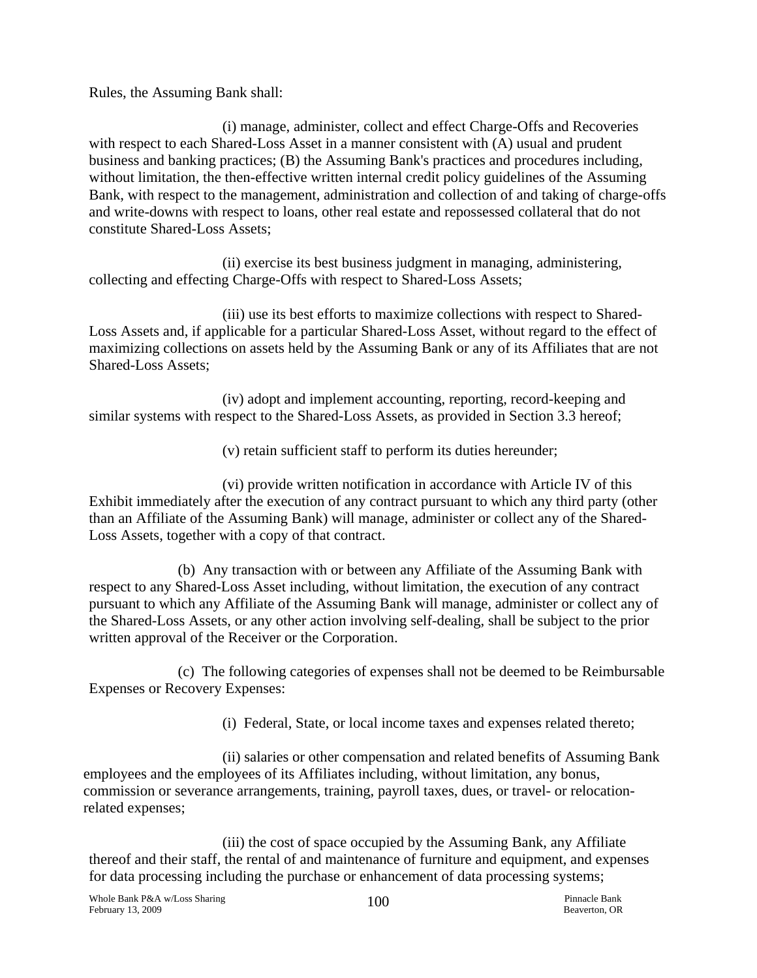Rules, the Assuming Bank shall:

(i) manage, administer, collect and effect Charge-Offs and Recoveries with respect to each Shared-Loss Asset in a manner consistent with (A) usual and prudent business and banking practices; (B) the Assuming Bank's practices and procedures including, without limitation, the then-effective written internal credit policy guidelines of the Assuming Bank, with respect to the management, administration and collection of and taking of charge-offs and write-downs with respect to loans, other real estate and repossessed collateral that do not constitute Shared-Loss Assets;

(ii) exercise its best business judgment in managing, administering, collecting and effecting Charge-Offs with respect to Shared-Loss Assets;

(iii) use its best efforts to maximize collections with respect to Shared-Loss Assets and, if applicable for a particular Shared-Loss Asset, without regard to the effect of maximizing collections on assets held by the Assuming Bank or any of its Affiliates that are not Shared-Loss Assets;

(iv) adopt and implement accounting, reporting, record-keeping and similar systems with respect to the Shared-Loss Assets, as provided in Section 3.3 hereof;

(v) retain sufficient staff to perform its duties hereunder;

(vi) provide written notification in accordance with Article IV of this Exhibit immediately after the execution of any contract pursuant to which any third party (other than an Affiliate of the Assuming Bank) will manage, administer or collect any of the Shared-Loss Assets, together with a copy of that contract.

(b) Any transaction with or between any Affiliate of the Assuming Bank with respect to any Shared-Loss Asset including, without limitation, the execution of any contract pursuant to which any Affiliate of the Assuming Bank will manage, administer or collect any of the Shared-Loss Assets, or any other action involving self-dealing, shall be subject to the prior written approval of the Receiver or the Corporation.

(c) The following categories of expenses shall not be deemed to be Reimbursable Expenses or Recovery Expenses:

(i) Federal, State, or local income taxes and expenses related thereto;

(ii) salaries or other compensation and related benefits of Assuming Bank employees and the employees of its Affiliates including, without limitation, any bonus, commission or severance arrangements, training, payroll taxes, dues, or travel- or relocationrelated expenses;

(iii) the cost of space occupied by the Assuming Bank, any Affiliate thereof and their staff, the rental of and maintenance of furniture and equipment, and expenses for data processing including the purchase or enhancement of data processing systems;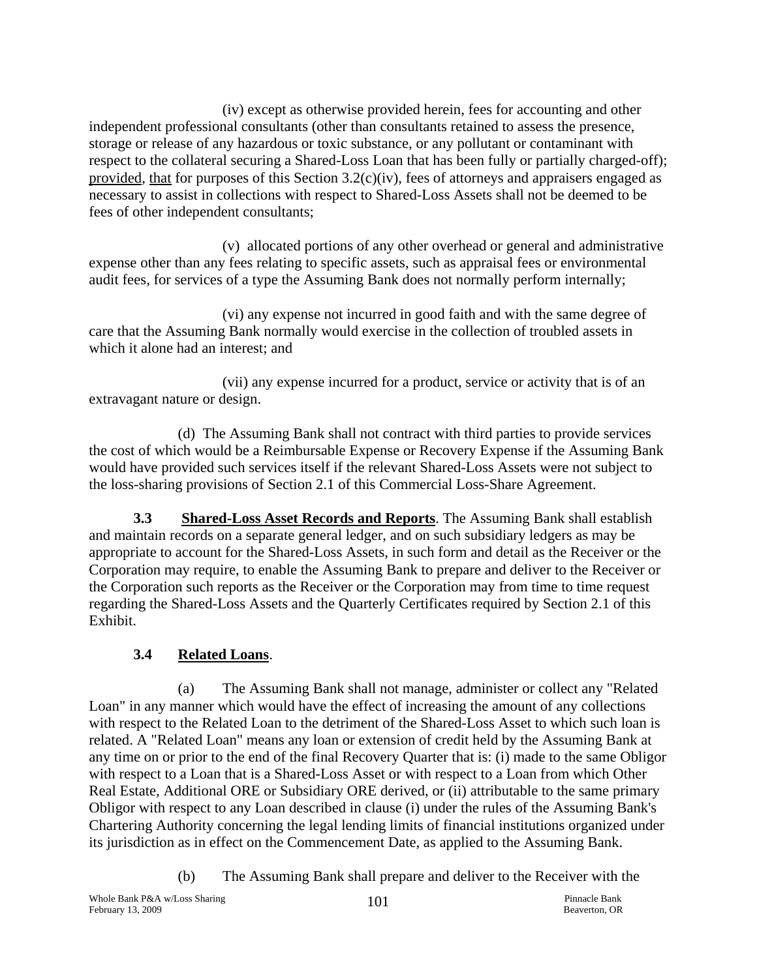(iv) except as otherwise provided herein, fees for accounting and other independent professional consultants (other than consultants retained to assess the presence, storage or release of any hazardous or toxic substance, or any pollutant or contaminant with respect to the collateral securing a Shared-Loss Loan that has been fully or partially charged-off); provided, that for purposes of this Section 3.2(c)(iv), fees of attorneys and appraisers engaged as necessary to assist in collections with respect to Shared-Loss Assets shall not be deemed to be fees of other independent consultants;

(v) allocated portions of any other overhead or general and administrative expense other than any fees relating to specific assets, such as appraisal fees or environmental audit fees, for services of a type the Assuming Bank does not normally perform internally;

(vi) any expense not incurred in good faith and with the same degree of care that the Assuming Bank normally would exercise in the collection of troubled assets in which it alone had an interest; and

(vii) any expense incurred for a product, service or activity that is of an extravagant nature or design.

(d) The Assuming Bank shall not contract with third parties to provide services the cost of which would be a Reimbursable Expense or Recovery Expense if the Assuming Bank would have provided such services itself if the relevant Shared-Loss Assets were not subject to the loss-sharing provisions of Section 2.1 of this Commercial Loss-Share Agreement.

**3.3 Shared-Loss Asset Records and Reports**. The Assuming Bank shall establish and maintain records on a separate general ledger, and on such subsidiary ledgers as may be appropriate to account for the Shared-Loss Assets, in such form and detail as the Receiver or the Corporation may require, to enable the Assuming Bank to prepare and deliver to the Receiver or the Corporation such reports as the Receiver or the Corporation may from time to time request regarding the Shared-Loss Assets and the Quarterly Certificates required by Section 2.1 of this Exhibit.

# **3.4 Related Loans**.

(a) The Assuming Bank shall not manage, administer or collect any "Related Loan" in any manner which would have the effect of increasing the amount of any collections with respect to the Related Loan to the detriment of the Shared-Loss Asset to which such loan is related. A "Related Loan" means any loan or extension of credit held by the Assuming Bank at any time on or prior to the end of the final Recovery Quarter that is: (i) made to the same Obligor with respect to a Loan that is a Shared-Loss Asset or with respect to a Loan from which Other Real Estate, Additional ORE or Subsidiary ORE derived, or (ii) attributable to the same primary Obligor with respect to any Loan described in clause (i) under the rules of the Assuming Bank's Chartering Authority concerning the legal lending limits of financial institutions organized under its jurisdiction as in effect on the Commencement Date, as applied to the Assuming Bank.

(b) The Assuming Bank shall prepare and deliver to the Receiver with the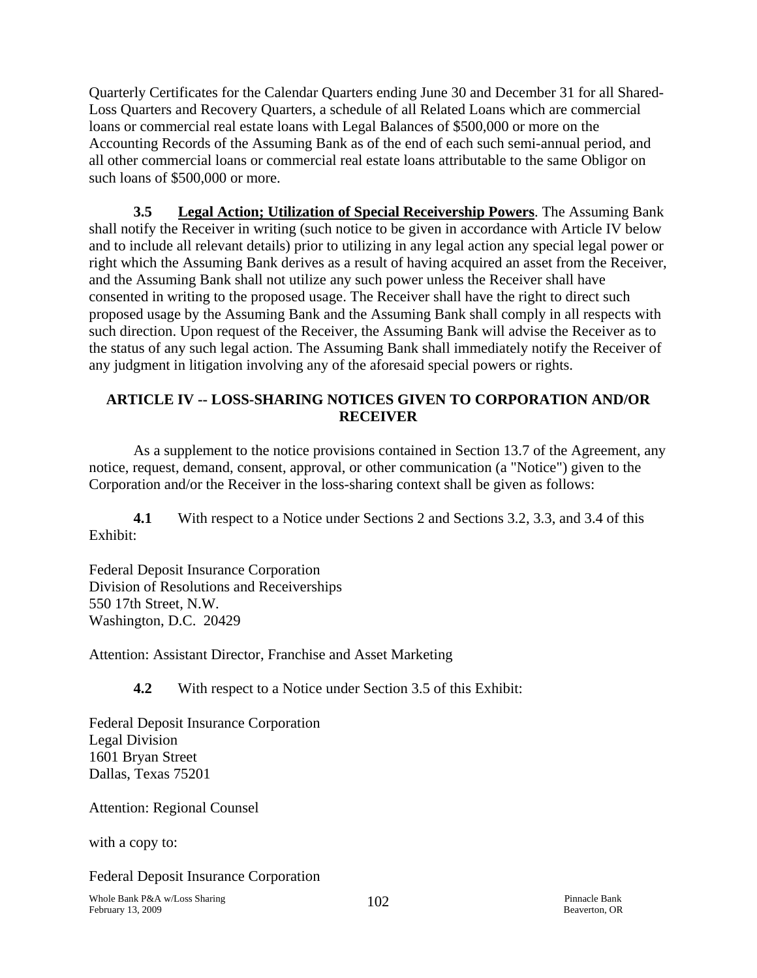Quarterly Certificates for the Calendar Quarters ending June 30 and December 31 for all Shared-Loss Quarters and Recovery Quarters, a schedule of all Related Loans which are commercial loans or commercial real estate loans with Legal Balances of \$500,000 or more on the Accounting Records of the Assuming Bank as of the end of each such semi-annual period, and all other commercial loans or commercial real estate loans attributable to the same Obligor on such loans of \$500,000 or more.

**3.5 Legal Action; Utilization of Special Receivership Powers**. The Assuming Bank shall notify the Receiver in writing (such notice to be given in accordance with Article IV below and to include all relevant details) prior to utilizing in any legal action any special legal power or right which the Assuming Bank derives as a result of having acquired an asset from the Receiver, and the Assuming Bank shall not utilize any such power unless the Receiver shall have consented in writing to the proposed usage. The Receiver shall have the right to direct such proposed usage by the Assuming Bank and the Assuming Bank shall comply in all respects with such direction. Upon request of the Receiver, the Assuming Bank will advise the Receiver as to the status of any such legal action. The Assuming Bank shall immediately notify the Receiver of any judgment in litigation involving any of the aforesaid special powers or rights.

# **ARTICLE IV -- LOSS-SHARING NOTICES GIVEN TO CORPORATION AND/OR RECEIVER**

As a supplement to the notice provisions contained in Section 13.7 of the Agreement, any notice, request, demand, consent, approval, or other communication (a "Notice") given to the Corporation and/or the Receiver in the loss-sharing context shall be given as follows:

**4.1** With respect to a Notice under Sections 2 and Sections 3.2, 3.3, and 3.4 of this Exhibit:

Federal Deposit Insurance Corporation Division of Resolutions and Receiverships 550 17th Street, N.W. Washington, D.C. 20429

Attention: Assistant Director, Franchise and Asset Marketing

**4.2** With respect to a Notice under Section 3.5 of this Exhibit:

Federal Deposit Insurance Corporation Legal Division 1601 Bryan Street Dallas, Texas 75201

Attention: Regional Counsel

with a copy to:

Federal Deposit Insurance Corporation